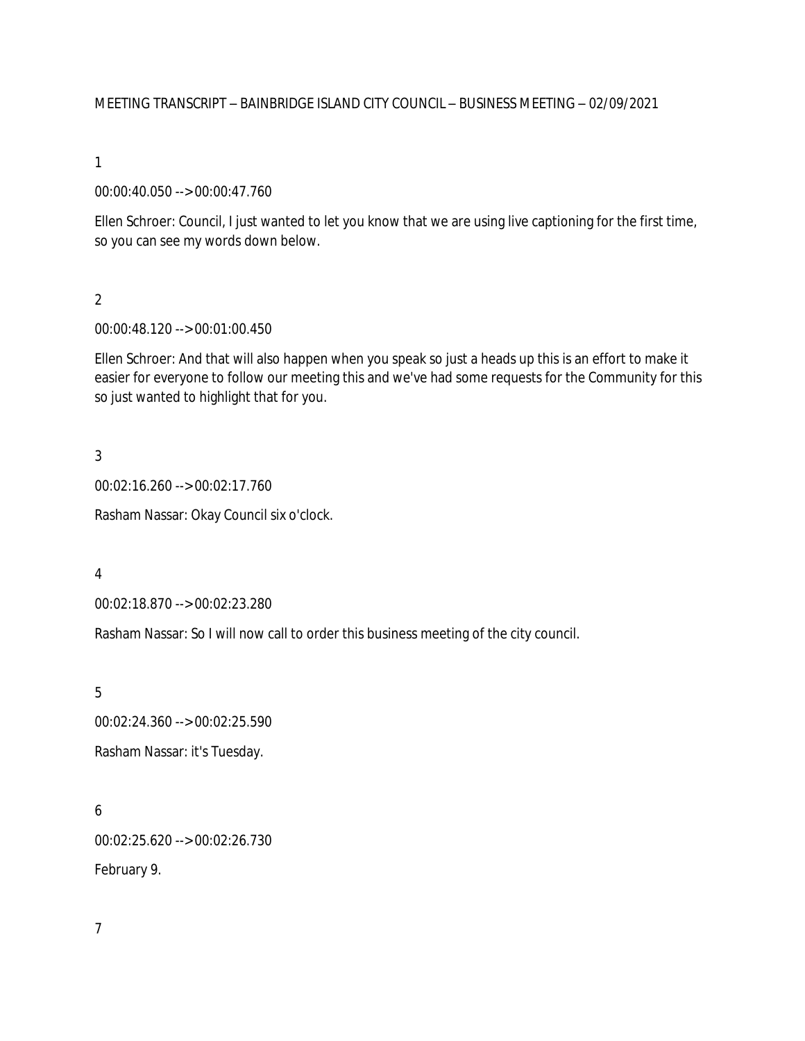MEETING TRANSCRIPT – BAINBRIDGE ISLAND CITY COUNCIL – BUSINESS MEETING – 02/09/2021

1

00:00:40.050 --> 00:00:47.760

Ellen Schroer: Council, I just wanted to let you know that we are using live captioning for the first time, so you can see my words down below.

 $\overline{2}$ 

00:00:48.120 --> 00:01:00.450

Ellen Schroer: And that will also happen when you speak so just a heads up this is an effort to make it easier for everyone to follow our meeting this and we've had some requests for the Community for this so just wanted to highlight that for you.

3

00:02:16.260 --> 00:02:17.760

Rasham Nassar: Okay Council six o'clock.

4

00:02:18.870 --> 00:02:23.280

Rasham Nassar: So I will now call to order this business meeting of the city council.

5

00:02:24.360 --> 00:02:25.590 Rasham Nassar: it's Tuesday.

6 00:02:25.620 --> 00:02:26.730

February 9.

7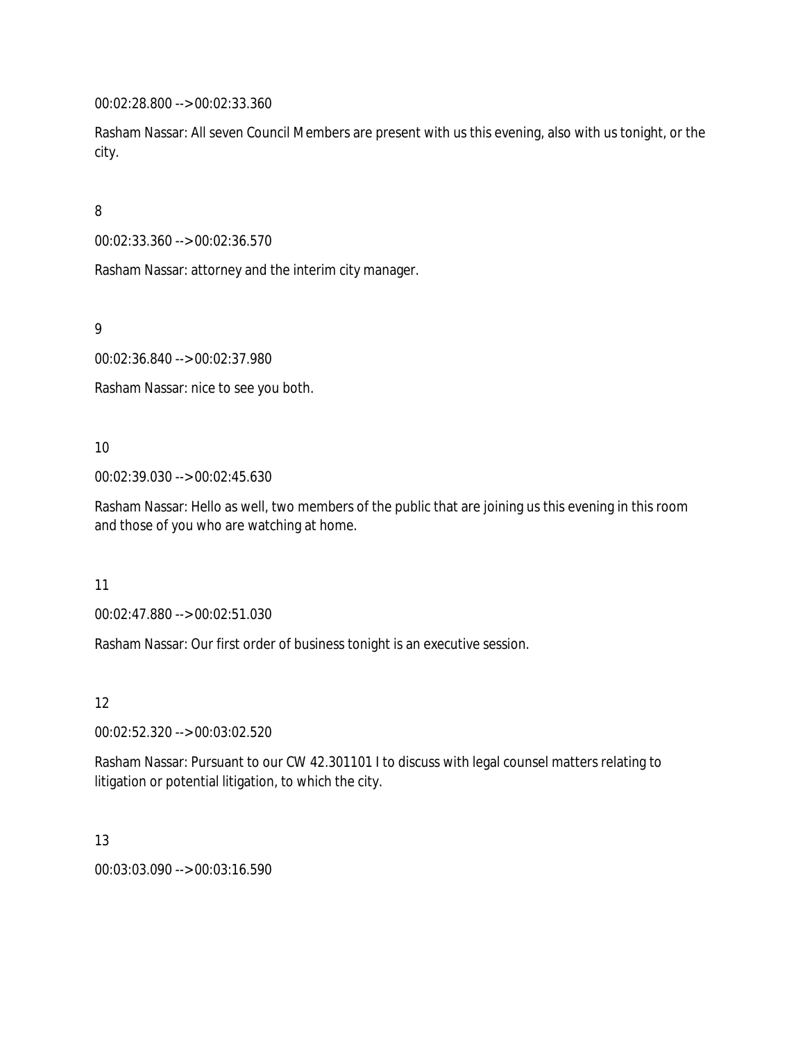00:02:28.800 --> 00:02:33.360

Rasham Nassar: All seven Council Members are present with us this evening, also with us tonight, or the city.

8

00:02:33.360 --> 00:02:36.570

Rasham Nassar: attorney and the interim city manager.

9

00:02:36.840 --> 00:02:37.980

Rasham Nassar: nice to see you both.

10

00:02:39.030 --> 00:02:45.630

Rasham Nassar: Hello as well, two members of the public that are joining us this evening in this room and those of you who are watching at home.

11

00:02:47.880 --> 00:02:51.030

Rasham Nassar: Our first order of business tonight is an executive session.

12

00:02:52.320 --> 00:03:02.520

Rasham Nassar: Pursuant to our CW 42.301101 I to discuss with legal counsel matters relating to litigation or potential litigation, to which the city.

13

00:03:03.090 --> 00:03:16.590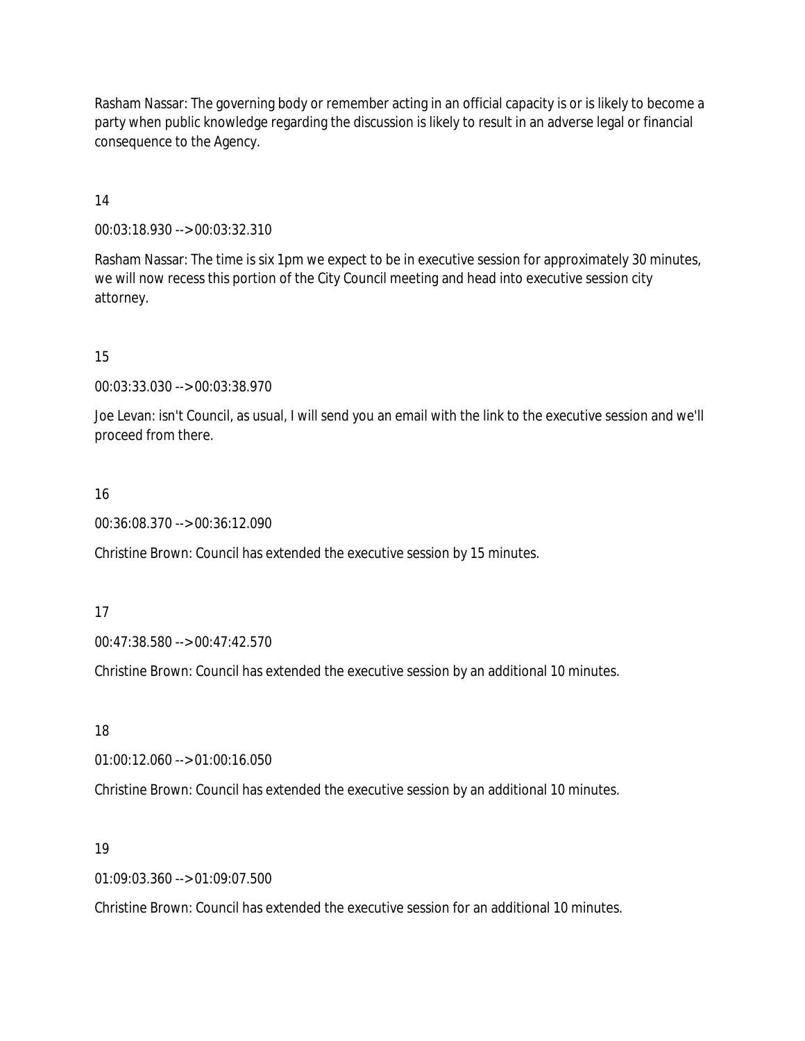Rasham Nassar: The governing body or remember acting in an official capacity is or is likely to become a party when public knowledge regarding the discussion is likely to result in an adverse legal or financial consequence to the Agency.

14

00:03:18.930 --> 00:03:32.310

Rasham Nassar: The time is six 1pm we expect to be in executive session for approximately 30 minutes, we will now recess this portion of the City Council meeting and head into executive session city attorney.

15

00:03:33.030 --> 00:03:38.970

Joe Levan: isn't Council, as usual, I will send you an email with the link to the executive session and we'll proceed from there.

16

00:36:08.370 --> 00:36:12.090

Christine Brown: Council has extended the executive session by 15 minutes.

17

00:47:38.580 --> 00:47:42.570

Christine Brown: Council has extended the executive session by an additional 10 minutes.

18

01:00:12.060 --> 01:00:16.050

Christine Brown: Council has extended the executive session by an additional 10 minutes.

19

01:09:03.360 --> 01:09:07.500

Christine Brown: Council has extended the executive session for an additional 10 minutes.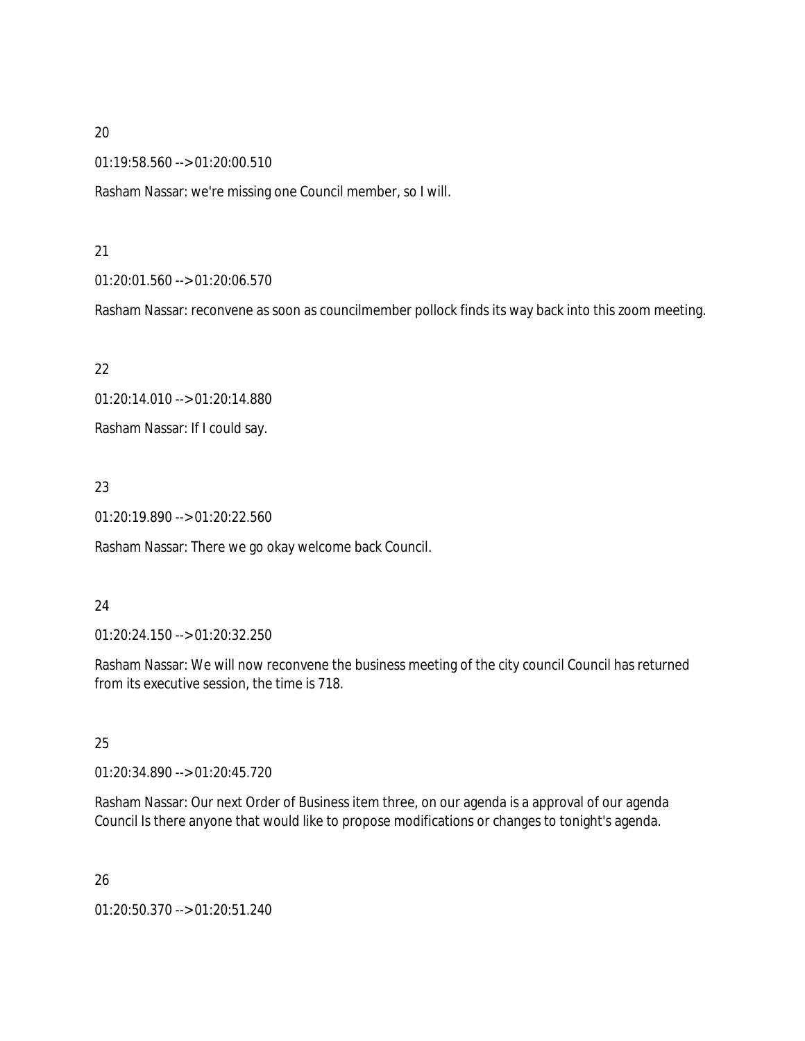01:19:58.560 --> 01:20:00.510

Rasham Nassar: we're missing one Council member, so I will.

### 21

01:20:01.560 --> 01:20:06.570

Rasham Nassar: reconvene as soon as councilmember pollock finds its way back into this zoom meeting.

22

01:20:14.010 --> 01:20:14.880 Rasham Nassar: If I could say.

# 23

01:20:19.890 --> 01:20:22.560

Rasham Nassar: There we go okay welcome back Council.

# 24

01:20:24.150 --> 01:20:32.250

Rasham Nassar: We will now reconvene the business meeting of the city council Council has returned from its executive session, the time is 718.

# 25

01:20:34.890 --> 01:20:45.720

Rasham Nassar: Our next Order of Business item three, on our agenda is a approval of our agenda Council Is there anyone that would like to propose modifications or changes to tonight's agenda.

26

01:20:50.370 --> 01:20:51.240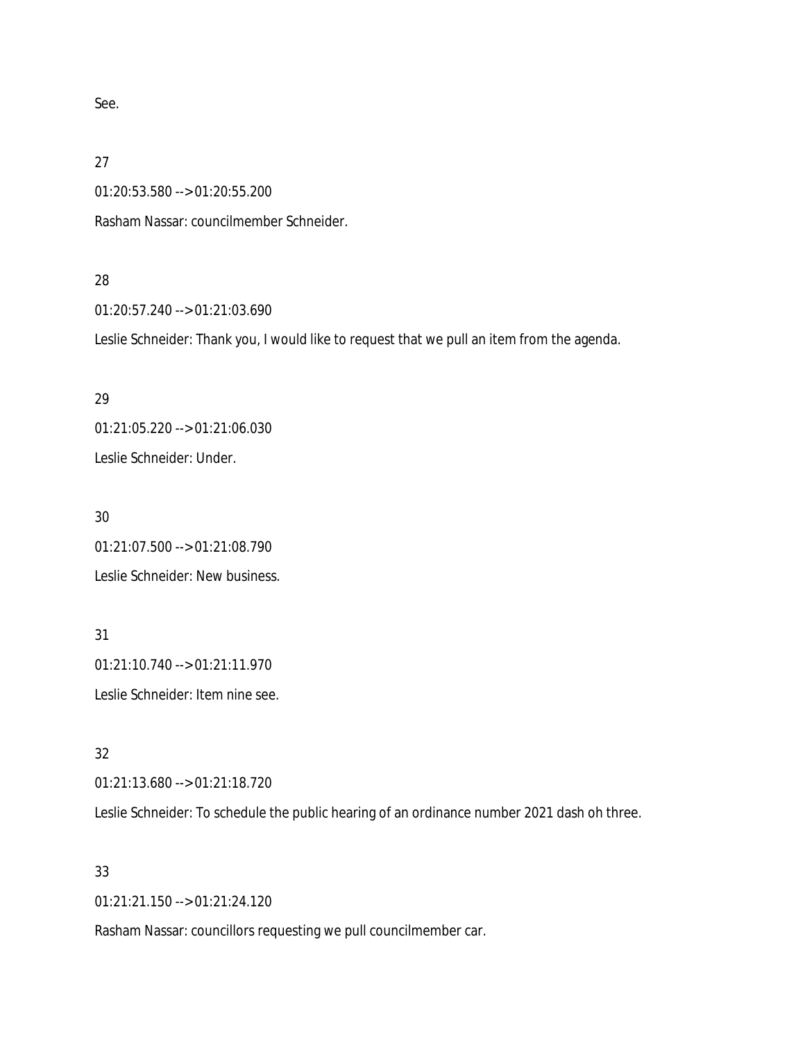See.

27

01:20:53.580 --> 01:20:55.200

Rasham Nassar: councilmember Schneider.

#### 28

01:20:57.240 --> 01:21:03.690

Leslie Schneider: Thank you, I would like to request that we pull an item from the agenda.

# 29

01:21:05.220 --> 01:21:06.030 Leslie Schneider: Under.

# 30

01:21:07.500 --> 01:21:08.790 Leslie Schneider: New business.

# 31

01:21:10.740 --> 01:21:11.970 Leslie Schneider: Item nine see.

# 32

01:21:13.680 --> 01:21:18.720

Leslie Schneider: To schedule the public hearing of an ordinance number 2021 dash oh three.

# 33

01:21:21.150 --> 01:21:24.120

Rasham Nassar: councillors requesting we pull councilmember car.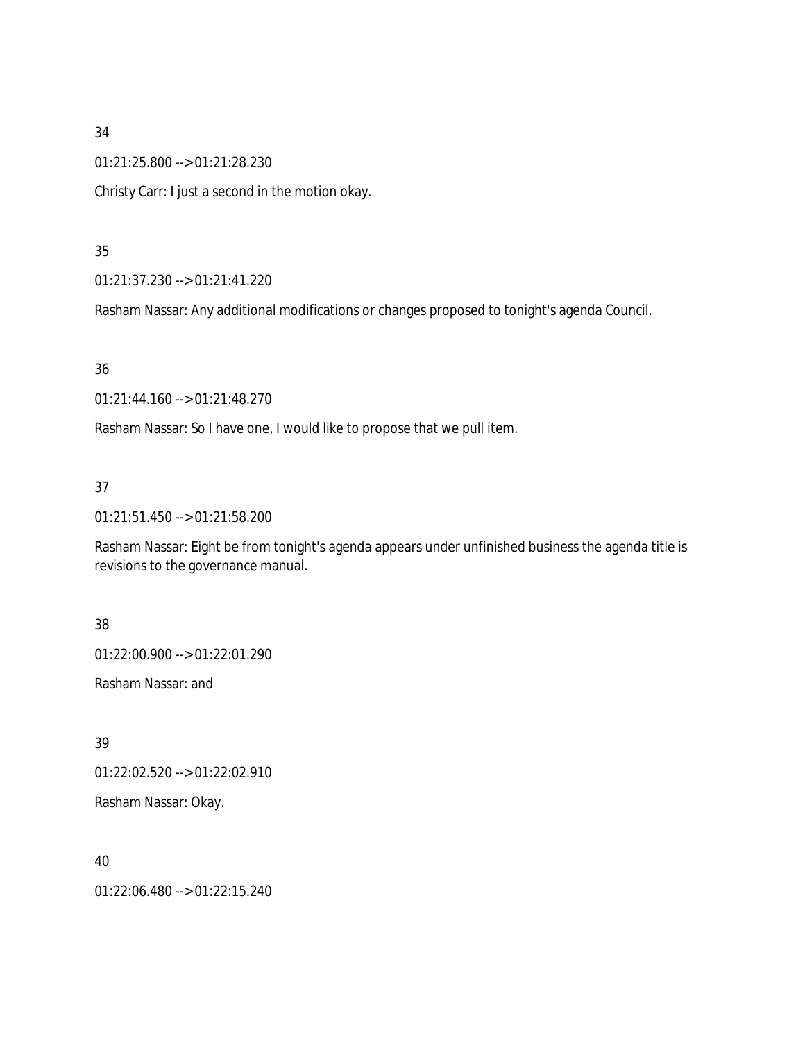01:21:25.800 --> 01:21:28.230

Christy Carr: I just a second in the motion okay.

### 35

01:21:37.230 --> 01:21:41.220

Rasham Nassar: Any additional modifications or changes proposed to tonight's agenda Council.

### 36

01:21:44.160 --> 01:21:48.270

Rasham Nassar: So I have one, I would like to propose that we pull item.

# 37

01:21:51.450 --> 01:21:58.200

Rasham Nassar: Eight be from tonight's agenda appears under unfinished business the agenda title is revisions to the governance manual.

# 38

01:22:00.900 --> 01:22:01.290

Rasham Nassar: and

# 39

01:22:02.520 --> 01:22:02.910

Rasham Nassar: Okay.

# 40

01:22:06.480 --> 01:22:15.240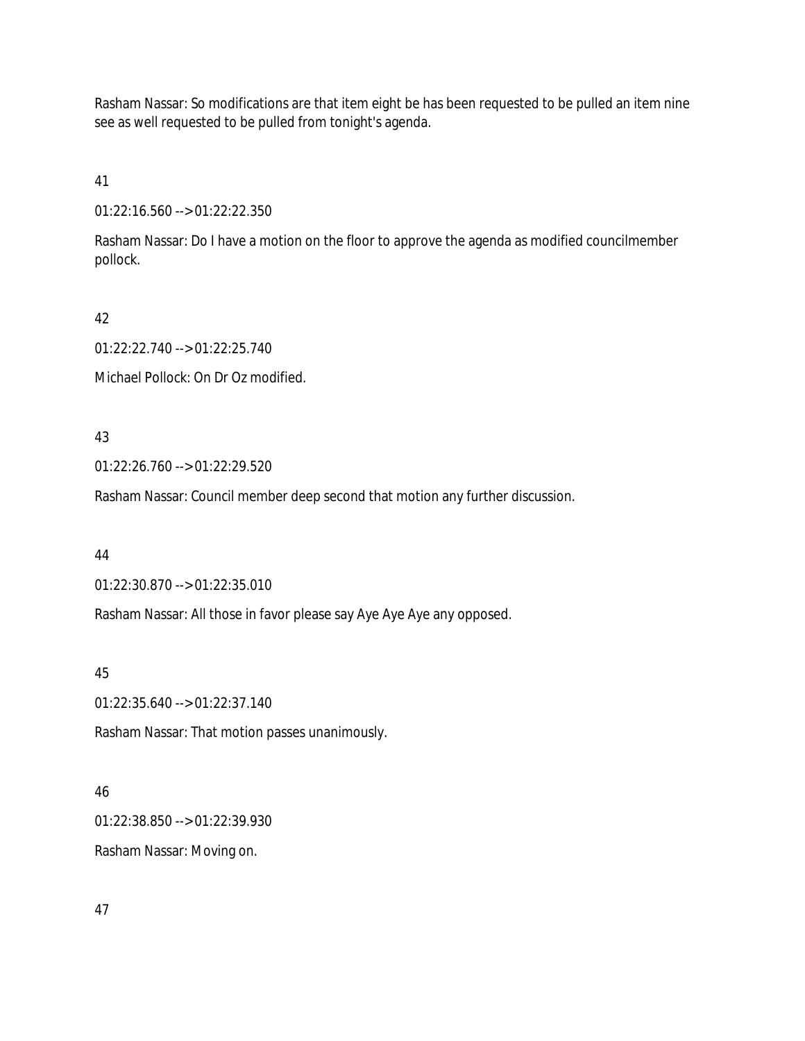Rasham Nassar: So modifications are that item eight be has been requested to be pulled an item nine see as well requested to be pulled from tonight's agenda.

41

01:22:16.560 --> 01:22:22.350

Rasham Nassar: Do I have a motion on the floor to approve the agenda as modified councilmember pollock.

42

01:22:22.740 --> 01:22:25.740

Michael Pollock: On Dr Oz modified.

43

01:22:26.760 --> 01:22:29.520

Rasham Nassar: Council member deep second that motion any further discussion.

44

01:22:30.870 --> 01:22:35.010

Rasham Nassar: All those in favor please say Aye Aye Aye any opposed.

45

01:22:35.640 --> 01:22:37.140

Rasham Nassar: That motion passes unanimously.

46

01:22:38.850 --> 01:22:39.930

Rasham Nassar: Moving on.

47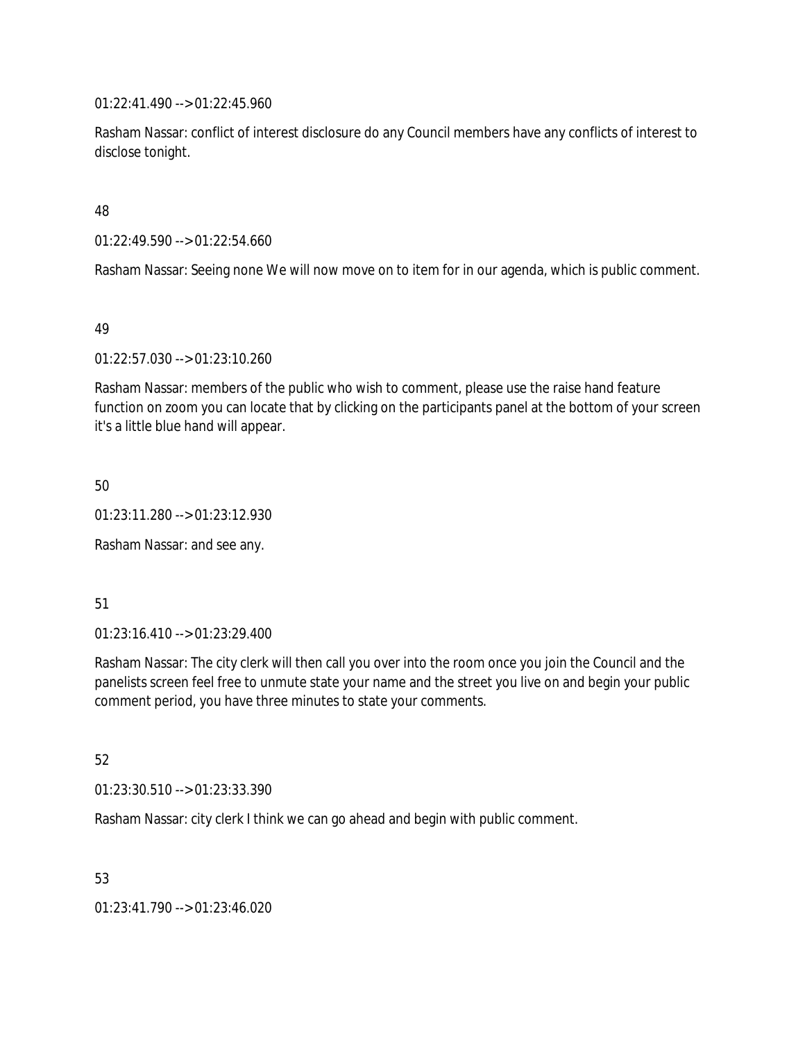01:22:41.490 --> 01:22:45.960

Rasham Nassar: conflict of interest disclosure do any Council members have any conflicts of interest to disclose tonight.

48

01:22:49.590 --> 01:22:54.660

Rasham Nassar: Seeing none We will now move on to item for in our agenda, which is public comment.

49

01:22:57.030 --> 01:23:10.260

Rasham Nassar: members of the public who wish to comment, please use the raise hand feature function on zoom you can locate that by clicking on the participants panel at the bottom of your screen it's a little blue hand will appear.

50

01:23:11.280 --> 01:23:12.930

Rasham Nassar: and see any.

51

01:23:16.410 --> 01:23:29.400

Rasham Nassar: The city clerk will then call you over into the room once you join the Council and the panelists screen feel free to unmute state your name and the street you live on and begin your public comment period, you have three minutes to state your comments.

52

01:23:30.510 --> 01:23:33.390

Rasham Nassar: city clerk I think we can go ahead and begin with public comment.

53

01:23:41.790 --> 01:23:46.020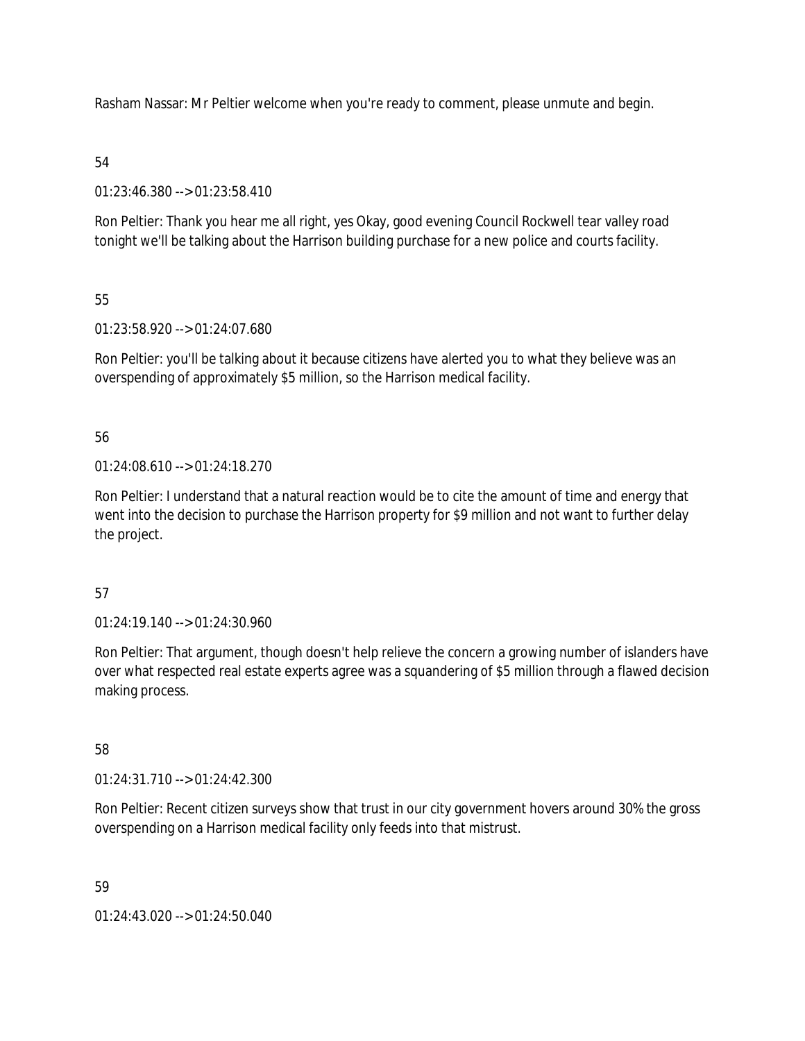Rasham Nassar: Mr Peltier welcome when you're ready to comment, please unmute and begin.

### 54

01:23:46.380 --> 01:23:58.410

Ron Peltier: Thank you hear me all right, yes Okay, good evening Council Rockwell tear valley road tonight we'll be talking about the Harrison building purchase for a new police and courts facility.

# 55

01:23:58.920 --> 01:24:07.680

Ron Peltier: you'll be talking about it because citizens have alerted you to what they believe was an overspending of approximately \$5 million, so the Harrison medical facility.

# 56

 $01:24:08.610 \rightarrow 01:24:18.270$ 

Ron Peltier: I understand that a natural reaction would be to cite the amount of time and energy that went into the decision to purchase the Harrison property for \$9 million and not want to further delay the project.

# 57

01:24:19.140 --> 01:24:30.960

Ron Peltier: That argument, though doesn't help relieve the concern a growing number of islanders have over what respected real estate experts agree was a squandering of \$5 million through a flawed decision making process.

# 58

01:24:31.710 --> 01:24:42.300

Ron Peltier: Recent citizen surveys show that trust in our city government hovers around 30% the gross overspending on a Harrison medical facility only feeds into that mistrust.

# 59

01:24:43.020 --> 01:24:50.040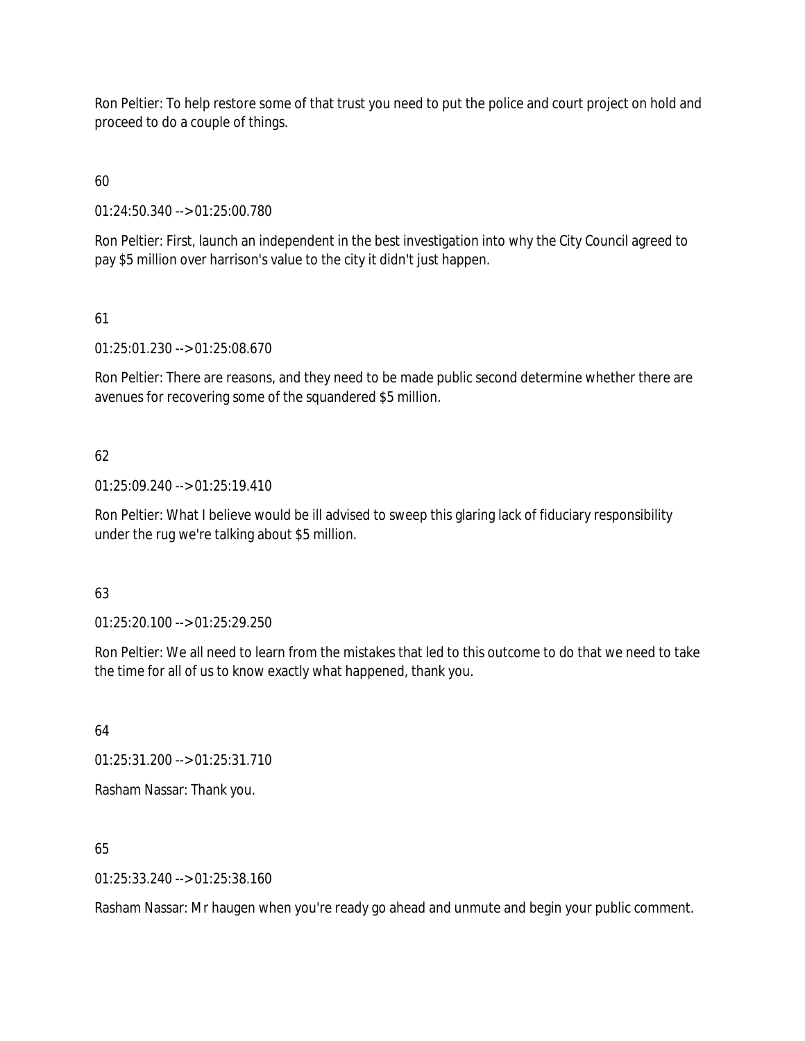Ron Peltier: To help restore some of that trust you need to put the police and court project on hold and proceed to do a couple of things.

# 60

01:24:50.340 --> 01:25:00.780

Ron Peltier: First, launch an independent in the best investigation into why the City Council agreed to pay \$5 million over harrison's value to the city it didn't just happen.

# 61

01:25:01.230 --> 01:25:08.670

Ron Peltier: There are reasons, and they need to be made public second determine whether there are avenues for recovering some of the squandered \$5 million.

# 62

01:25:09.240 --> 01:25:19.410

Ron Peltier: What I believe would be ill advised to sweep this glaring lack of fiduciary responsibility under the rug we're talking about \$5 million.

# 63

01:25:20.100 --> 01:25:29.250

Ron Peltier: We all need to learn from the mistakes that led to this outcome to do that we need to take the time for all of us to know exactly what happened, thank you.

64

01:25:31.200 --> 01:25:31.710

Rasham Nassar: Thank you.

65

01:25:33.240 --> 01:25:38.160

Rasham Nassar: Mr haugen when you're ready go ahead and unmute and begin your public comment.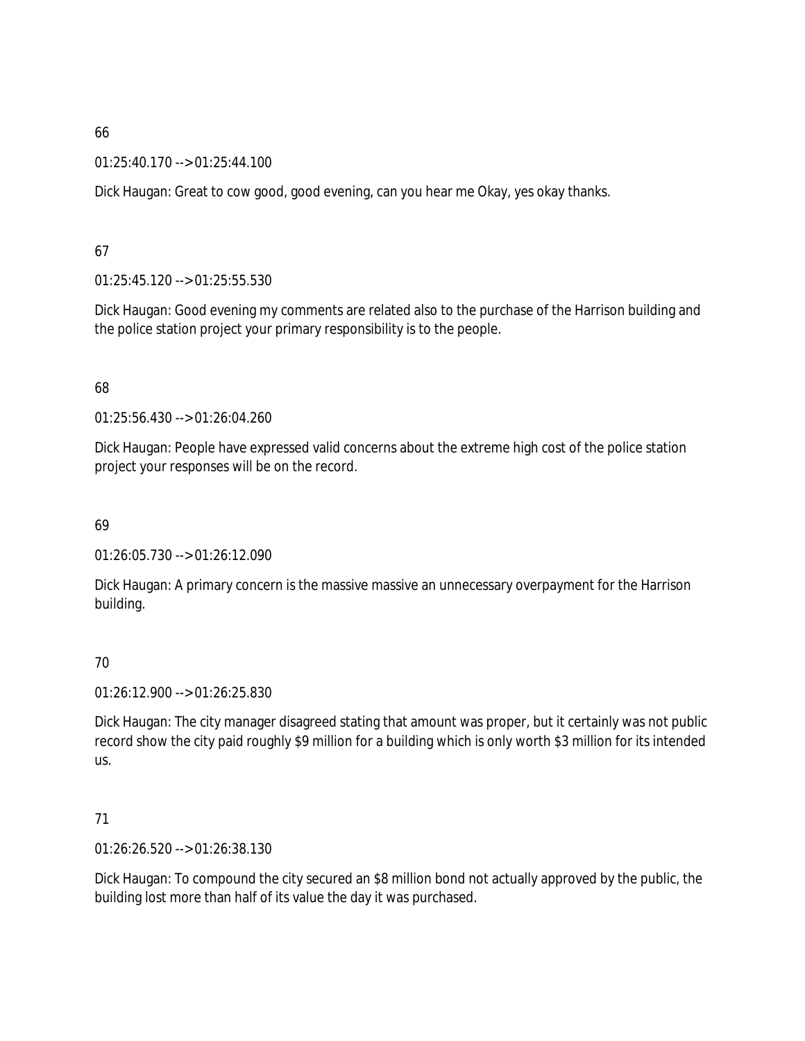01:25:40.170 --> 01:25:44.100

Dick Haugan: Great to cow good, good evening, can you hear me Okay, yes okay thanks.

67

01:25:45.120 --> 01:25:55.530

Dick Haugan: Good evening my comments are related also to the purchase of the Harrison building and the police station project your primary responsibility is to the people.

68

01:25:56.430 --> 01:26:04.260

Dick Haugan: People have expressed valid concerns about the extreme high cost of the police station project your responses will be on the record.

69

01:26:05.730 --> 01:26:12.090

Dick Haugan: A primary concern is the massive massive an unnecessary overpayment for the Harrison building.

70

01:26:12.900 --> 01:26:25.830

Dick Haugan: The city manager disagreed stating that amount was proper, but it certainly was not public record show the city paid roughly \$9 million for a building which is only worth \$3 million for its intended us.

71

01:26:26.520 --> 01:26:38.130

Dick Haugan: To compound the city secured an \$8 million bond not actually approved by the public, the building lost more than half of its value the day it was purchased.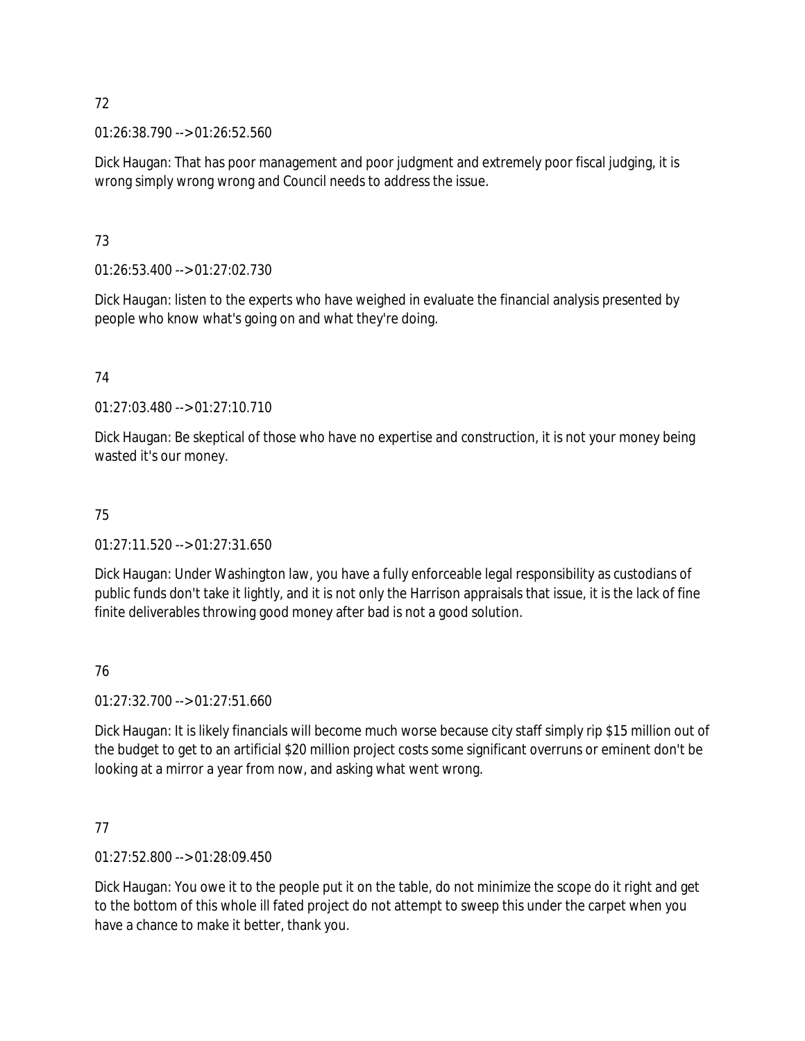01:26:38.790 --> 01:26:52.560

Dick Haugan: That has poor management and poor judgment and extremely poor fiscal judging, it is wrong simply wrong wrong and Council needs to address the issue.

# 73

01:26:53.400 --> 01:27:02.730

Dick Haugan: listen to the experts who have weighed in evaluate the financial analysis presented by people who know what's going on and what they're doing.

# 74

01:27:03.480 --> 01:27:10.710

Dick Haugan: Be skeptical of those who have no expertise and construction, it is not your money being wasted it's our money.

# 75

01:27:11.520 --> 01:27:31.650

Dick Haugan: Under Washington law, you have a fully enforceable legal responsibility as custodians of public funds don't take it lightly, and it is not only the Harrison appraisals that issue, it is the lack of fine finite deliverables throwing good money after bad is not a good solution.

# 76

01:27:32.700 --> 01:27:51.660

Dick Haugan: It is likely financials will become much worse because city staff simply rip \$15 million out of the budget to get to an artificial \$20 million project costs some significant overruns or eminent don't be looking at a mirror a year from now, and asking what went wrong.

# 77

01:27:52.800 --> 01:28:09.450

Dick Haugan: You owe it to the people put it on the table, do not minimize the scope do it right and get to the bottom of this whole ill fated project do not attempt to sweep this under the carpet when you have a chance to make it better, thank you.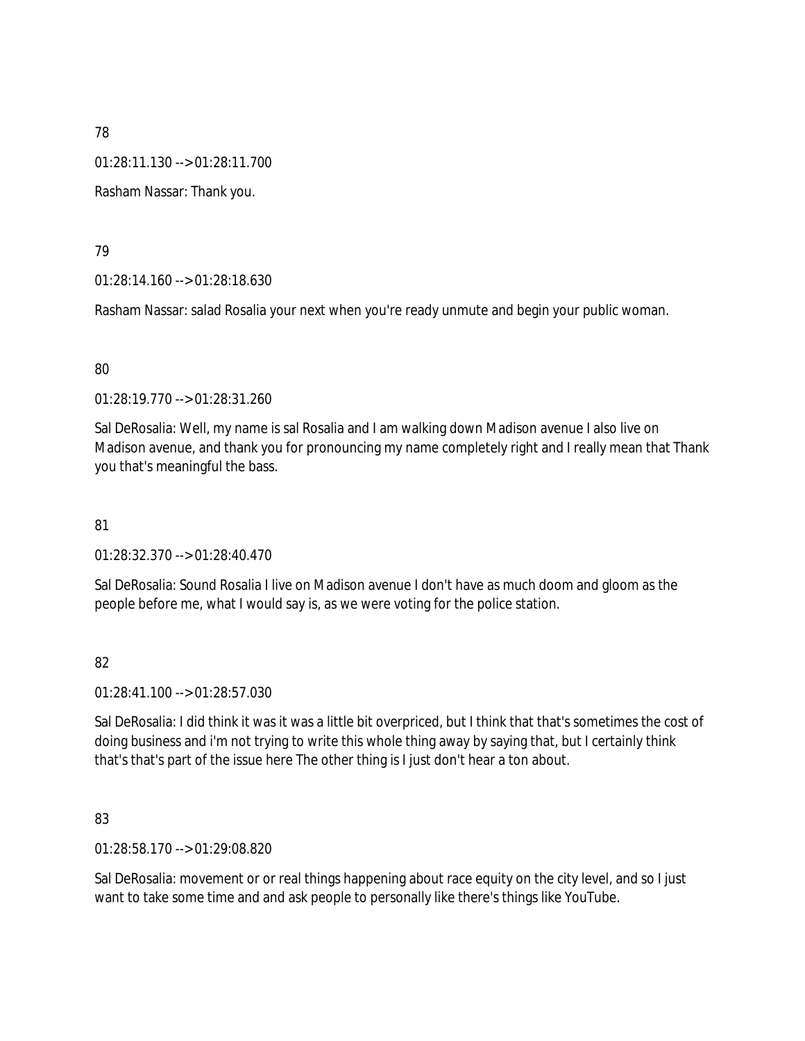01:28:11.130 --> 01:28:11.700

Rasham Nassar: Thank you.

### 79

01:28:14.160 --> 01:28:18.630

Rasham Nassar: salad Rosalia your next when you're ready unmute and begin your public woman.

### 80

01:28:19.770 --> 01:28:31.260

Sal DeRosalia: Well, my name is sal Rosalia and I am walking down Madison avenue I also live on Madison avenue, and thank you for pronouncing my name completely right and I really mean that Thank you that's meaningful the bass.

# 81

01:28:32.370 --> 01:28:40.470

Sal DeRosalia: Sound Rosalia I live on Madison avenue I don't have as much doom and gloom as the people before me, what I would say is, as we were voting for the police station.

# 82

01:28:41.100 --> 01:28:57.030

Sal DeRosalia: I did think it was it was a little bit overpriced, but I think that that's sometimes the cost of doing business and i'm not trying to write this whole thing away by saying that, but I certainly think that's that's part of the issue here The other thing is I just don't hear a ton about.

# 83

01:28:58.170 --> 01:29:08.820

Sal DeRosalia: movement or or real things happening about race equity on the city level, and so I just want to take some time and and ask people to personally like there's things like YouTube.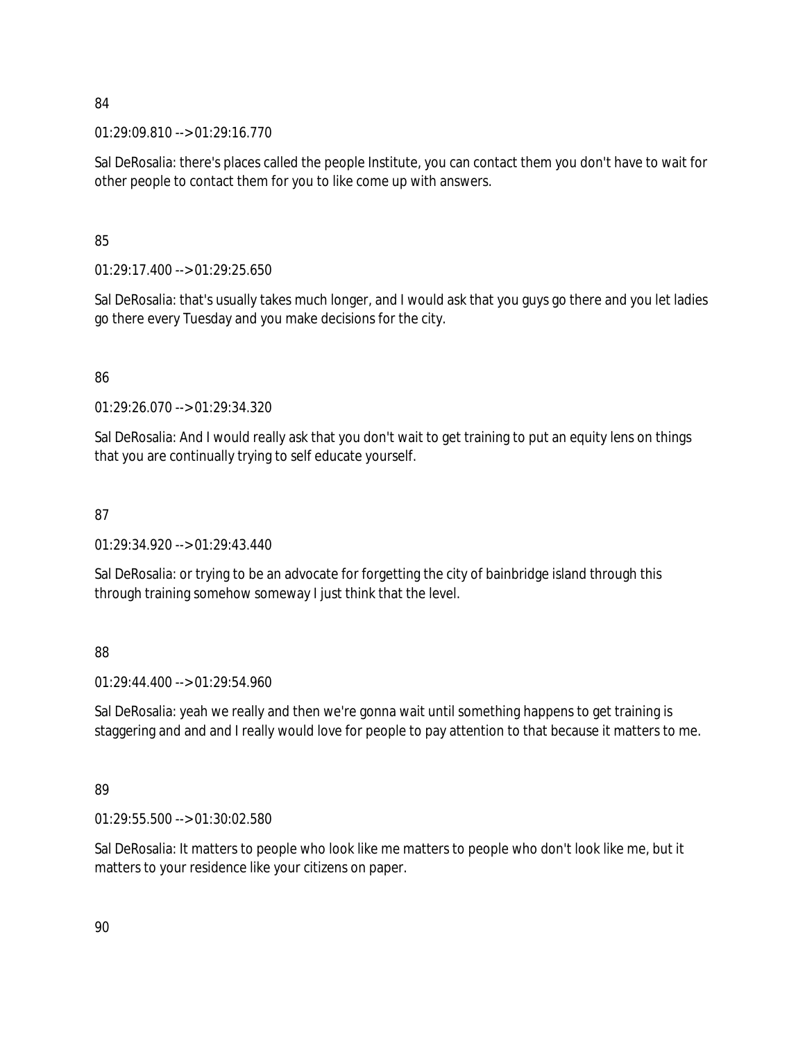01:29:09.810 --> 01:29:16.770

Sal DeRosalia: there's places called the people Institute, you can contact them you don't have to wait for other people to contact them for you to like come up with answers.

# 85

 $01:29:17.400 \rightarrow 01:29:25.650$ 

Sal DeRosalia: that's usually takes much longer, and I would ask that you guys go there and you let ladies go there every Tuesday and you make decisions for the city.

# 86

01:29:26.070 --> 01:29:34.320

Sal DeRosalia: And I would really ask that you don't wait to get training to put an equity lens on things that you are continually trying to self educate yourself.

# 87

01:29:34.920 --> 01:29:43.440

Sal DeRosalia: or trying to be an advocate for forgetting the city of bainbridge island through this through training somehow someway I just think that the level.

# 88

01:29:44.400 --> 01:29:54.960

Sal DeRosalia: yeah we really and then we're gonna wait until something happens to get training is staggering and and and I really would love for people to pay attention to that because it matters to me.

# 89

01:29:55.500 --> 01:30:02.580

Sal DeRosalia: It matters to people who look like me matters to people who don't look like me, but it matters to your residence like your citizens on paper.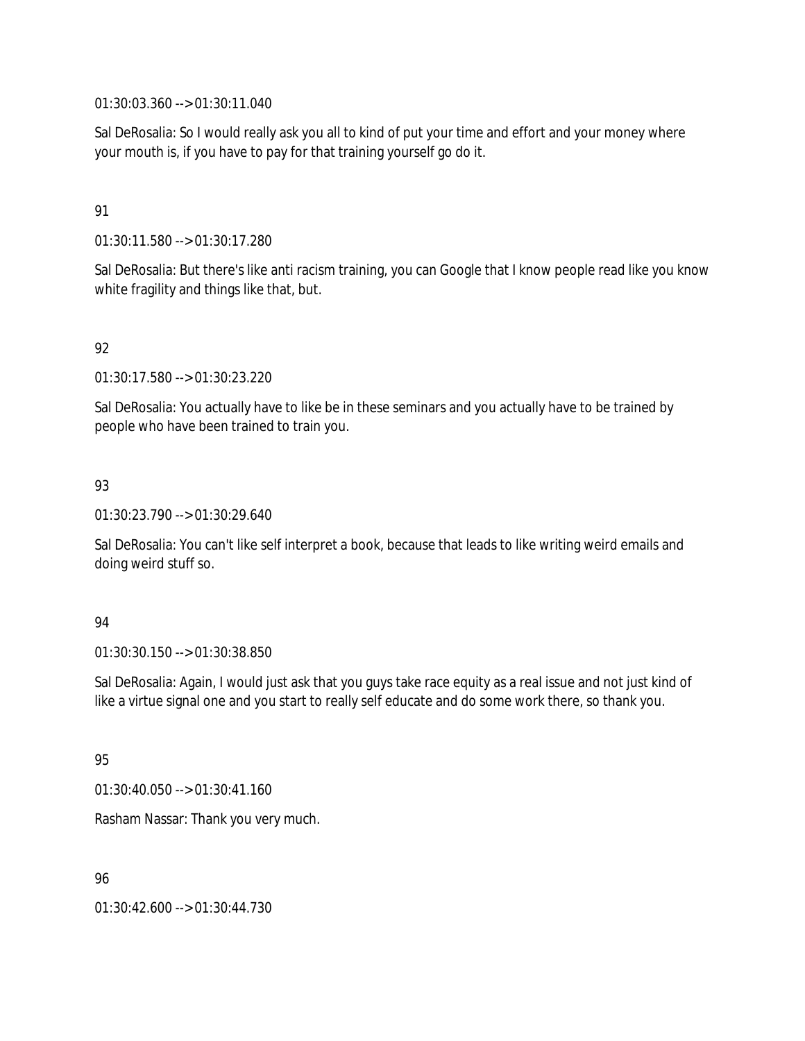01:30:03.360 --> 01:30:11.040

Sal DeRosalia: So I would really ask you all to kind of put your time and effort and your money where your mouth is, if you have to pay for that training yourself go do it.

### 91

01:30:11.580 --> 01:30:17.280

Sal DeRosalia: But there's like anti racism training, you can Google that I know people read like you know white fragility and things like that, but.

# 92

01:30:17.580 --> 01:30:23.220

Sal DeRosalia: You actually have to like be in these seminars and you actually have to be trained by people who have been trained to train you.

# 93

01:30:23.790 --> 01:30:29.640

Sal DeRosalia: You can't like self interpret a book, because that leads to like writing weird emails and doing weird stuff so.

#### 94

01:30:30.150 --> 01:30:38.850

Sal DeRosalia: Again, I would just ask that you guys take race equity as a real issue and not just kind of like a virtue signal one and you start to really self educate and do some work there, so thank you.

# 95

01:30:40.050 --> 01:30:41.160

Rasham Nassar: Thank you very much.

# 96

01:30:42.600 --> 01:30:44.730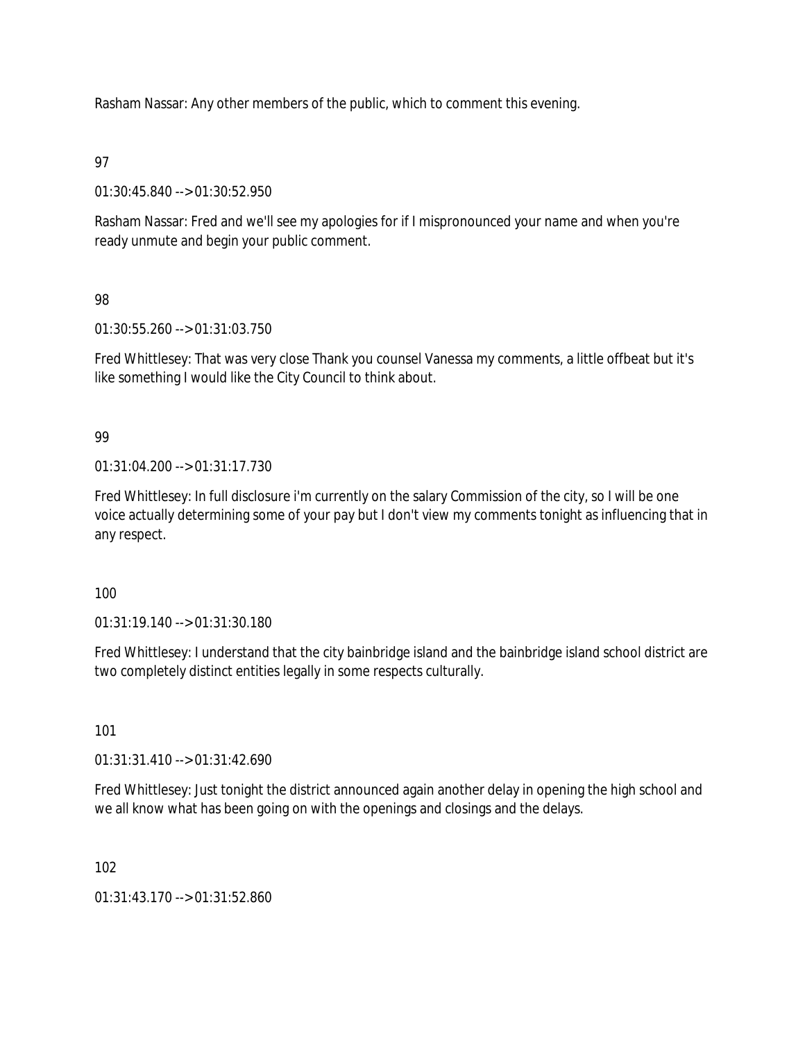Rasham Nassar: Any other members of the public, which to comment this evening.

# 97

01:30:45.840 --> 01:30:52.950

Rasham Nassar: Fred and we'll see my apologies for if I mispronounced your name and when you're ready unmute and begin your public comment.

# 98

01:30:55.260 --> 01:31:03.750

Fred Whittlesey: That was very close Thank you counsel Vanessa my comments, a little offbeat but it's like something I would like the City Council to think about.

# 99

01:31:04.200 --> 01:31:17.730

Fred Whittlesey: In full disclosure i'm currently on the salary Commission of the city, so I will be one voice actually determining some of your pay but I don't view my comments tonight as influencing that in any respect.

# 100

01:31:19.140 --> 01:31:30.180

Fred Whittlesey: I understand that the city bainbridge island and the bainbridge island school district are two completely distinct entities legally in some respects culturally.

# 101

01:31:31.410 --> 01:31:42.690

Fred Whittlesey: Just tonight the district announced again another delay in opening the high school and we all know what has been going on with the openings and closings and the delays.

102

01:31:43.170 --> 01:31:52.860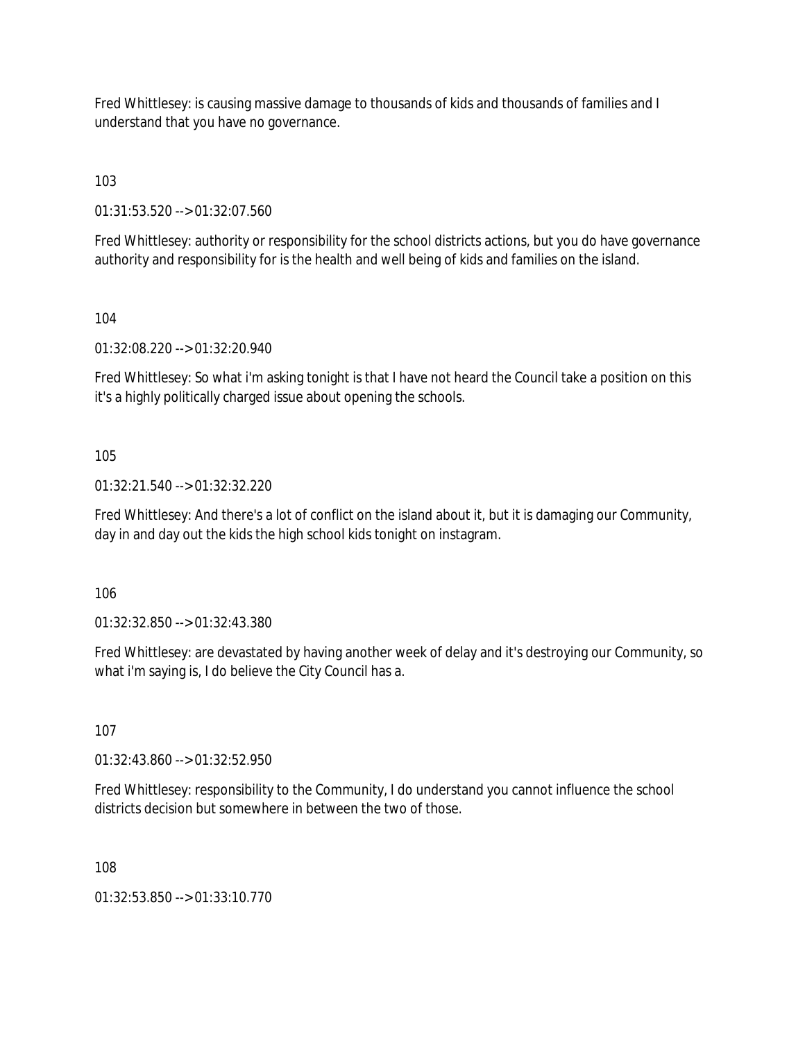Fred Whittlesey: is causing massive damage to thousands of kids and thousands of families and I understand that you have no governance.

103

01:31:53.520 --> 01:32:07.560

Fred Whittlesey: authority or responsibility for the school districts actions, but you do have governance authority and responsibility for is the health and well being of kids and families on the island.

104

01:32:08.220 --> 01:32:20.940

Fred Whittlesey: So what i'm asking tonight is that I have not heard the Council take a position on this it's a highly politically charged issue about opening the schools.

105

01:32:21.540 --> 01:32:32.220

Fred Whittlesey: And there's a lot of conflict on the island about it, but it is damaging our Community, day in and day out the kids the high school kids tonight on instagram.

106

01:32:32.850 --> 01:32:43.380

Fred Whittlesey: are devastated by having another week of delay and it's destroying our Community, so what i'm saying is, I do believe the City Council has a.

107

01:32:43.860 --> 01:32:52.950

Fred Whittlesey: responsibility to the Community, I do understand you cannot influence the school districts decision but somewhere in between the two of those.

108

01:32:53.850 --> 01:33:10.770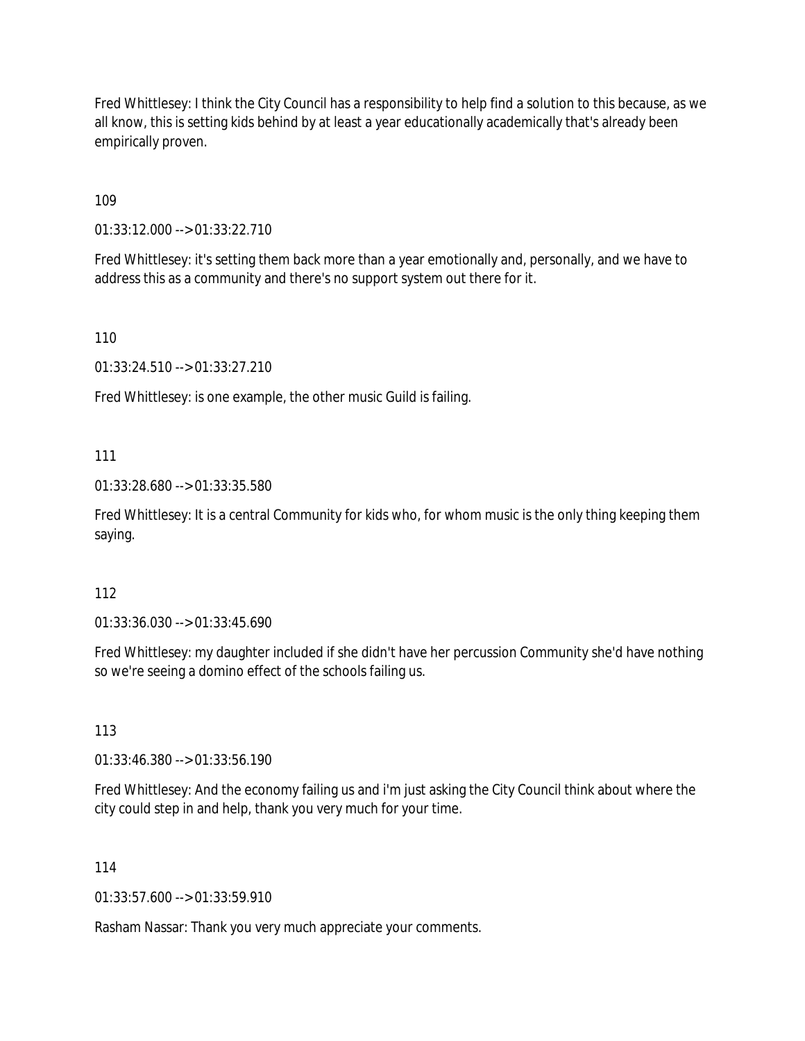Fred Whittlesey: I think the City Council has a responsibility to help find a solution to this because, as we all know, this is setting kids behind by at least a year educationally academically that's already been empirically proven.

109

01:33:12.000 --> 01:33:22.710

Fred Whittlesey: it's setting them back more than a year emotionally and, personally, and we have to address this as a community and there's no support system out there for it.

110

01:33:24.510 --> 01:33:27.210

Fred Whittlesey: is one example, the other music Guild is failing.

### 111

01:33:28.680 --> 01:33:35.580

Fred Whittlesey: It is a central Community for kids who, for whom music is the only thing keeping them saying.

#### 112

01:33:36.030 --> 01:33:45.690

Fred Whittlesey: my daughter included if she didn't have her percussion Community she'd have nothing so we're seeing a domino effect of the schools failing us.

#### 113

01:33:46.380 --> 01:33:56.190

Fred Whittlesey: And the economy failing us and i'm just asking the City Council think about where the city could step in and help, thank you very much for your time.

#### 114

01:33:57.600 --> 01:33:59.910

Rasham Nassar: Thank you very much appreciate your comments.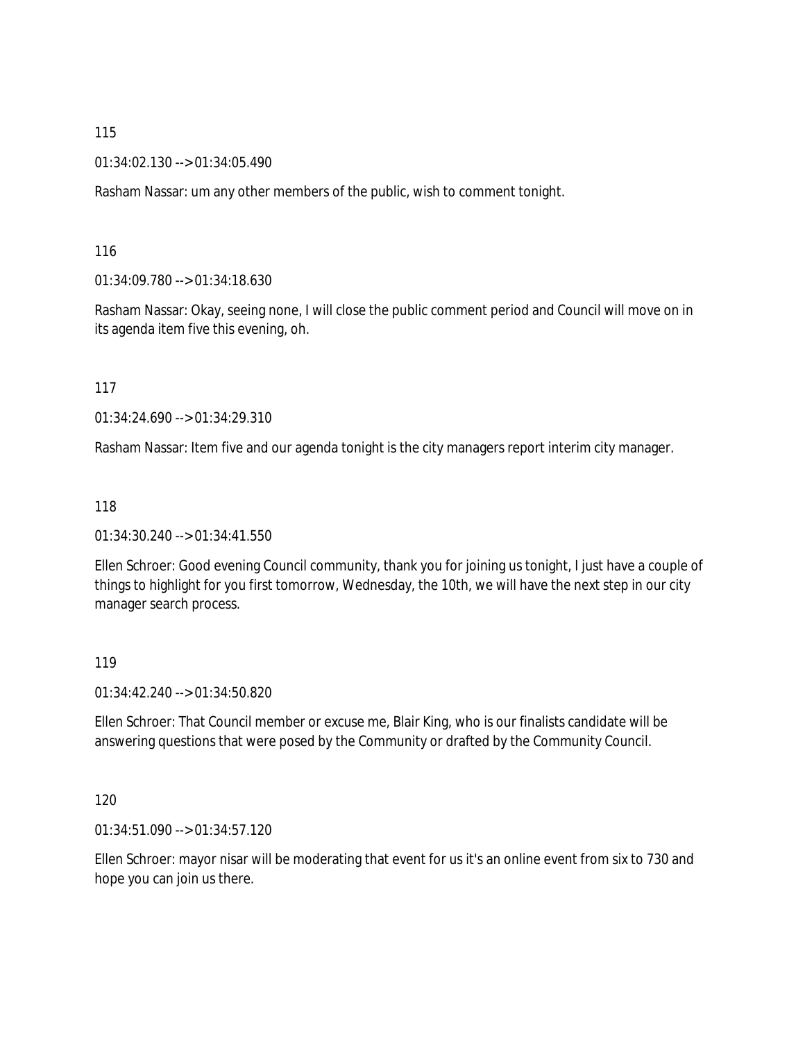01:34:02.130 --> 01:34:05.490

Rasham Nassar: um any other members of the public, wish to comment tonight.

116

01:34:09.780 --> 01:34:18.630

Rasham Nassar: Okay, seeing none, I will close the public comment period and Council will move on in its agenda item five this evening, oh.

117

01:34:24.690 --> 01:34:29.310

Rasham Nassar: Item five and our agenda tonight is the city managers report interim city manager.

118

01:34:30.240 --> 01:34:41.550

Ellen Schroer: Good evening Council community, thank you for joining us tonight, I just have a couple of things to highlight for you first tomorrow, Wednesday, the 10th, we will have the next step in our city manager search process.

119

01:34:42.240 --> 01:34:50.820

Ellen Schroer: That Council member or excuse me, Blair King, who is our finalists candidate will be answering questions that were posed by the Community or drafted by the Community Council.

120

01:34:51.090 --> 01:34:57.120

Ellen Schroer: mayor nisar will be moderating that event for us it's an online event from six to 730 and hope you can join us there.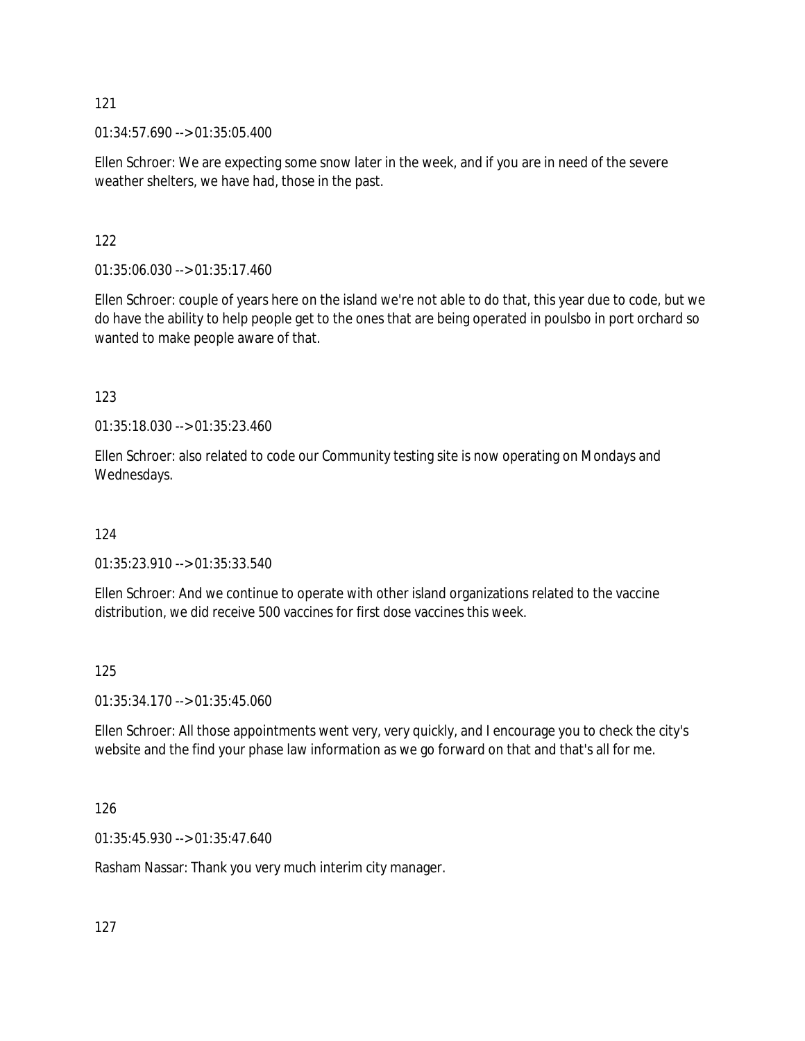01:34:57.690 --> 01:35:05.400

Ellen Schroer: We are expecting some snow later in the week, and if you are in need of the severe weather shelters, we have had, those in the past.

### 122

01:35:06.030 --> 01:35:17.460

Ellen Schroer: couple of years here on the island we're not able to do that, this year due to code, but we do have the ability to help people get to the ones that are being operated in poulsbo in port orchard so wanted to make people aware of that.

### 123

01:35:18.030 --> 01:35:23.460

Ellen Schroer: also related to code our Community testing site is now operating on Mondays and Wednesdays.

#### 124

01:35:23.910 --> 01:35:33.540

Ellen Schroer: And we continue to operate with other island organizations related to the vaccine distribution, we did receive 500 vaccines for first dose vaccines this week.

#### 125

01:35:34.170 --> 01:35:45.060

Ellen Schroer: All those appointments went very, very quickly, and I encourage you to check the city's website and the find your phase law information as we go forward on that and that's all for me.

#### 126

01:35:45.930 --> 01:35:47.640

Rasham Nassar: Thank you very much interim city manager.

127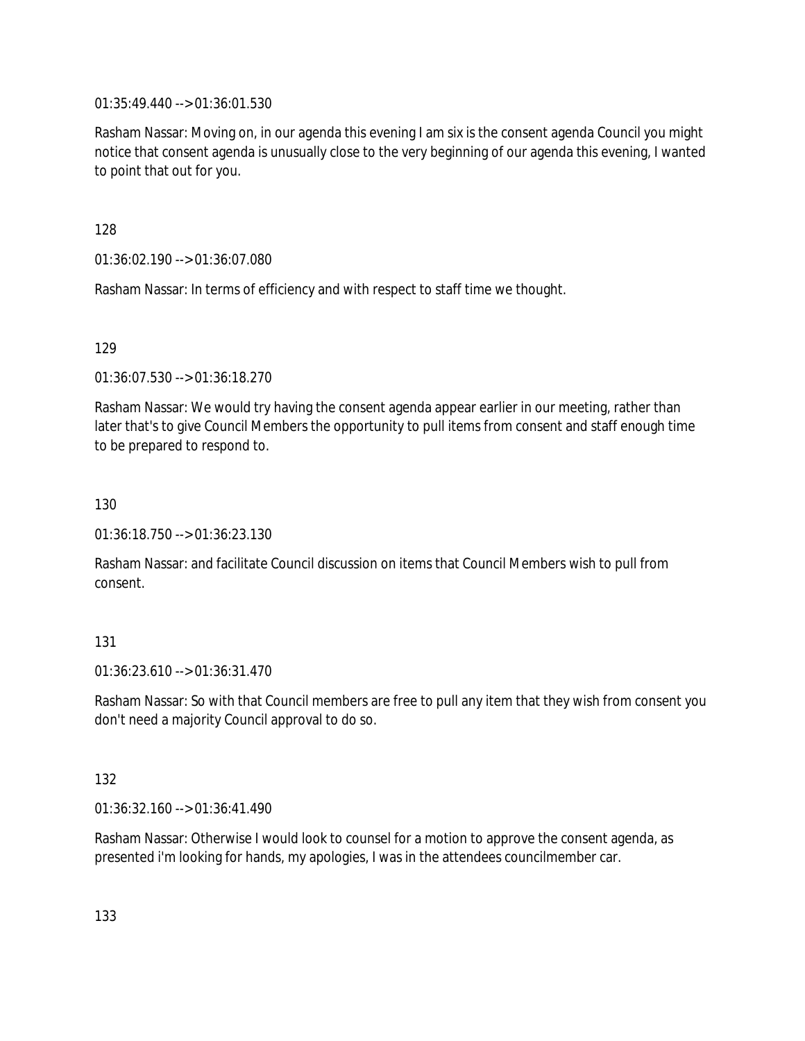01:35:49.440 --> 01:36:01.530

Rasham Nassar: Moving on, in our agenda this evening I am six is the consent agenda Council you might notice that consent agenda is unusually close to the very beginning of our agenda this evening, I wanted to point that out for you.

128

01:36:02.190 --> 01:36:07.080

Rasham Nassar: In terms of efficiency and with respect to staff time we thought.

129

01:36:07.530 --> 01:36:18.270

Rasham Nassar: We would try having the consent agenda appear earlier in our meeting, rather than later that's to give Council Members the opportunity to pull items from consent and staff enough time to be prepared to respond to.

130

01:36:18.750 --> 01:36:23.130

Rasham Nassar: and facilitate Council discussion on items that Council Members wish to pull from consent.

#### 131

01:36:23.610 --> 01:36:31.470

Rasham Nassar: So with that Council members are free to pull any item that they wish from consent you don't need a majority Council approval to do so.

#### 132

01:36:32.160 --> 01:36:41.490

Rasham Nassar: Otherwise I would look to counsel for a motion to approve the consent agenda, as presented i'm looking for hands, my apologies, I was in the attendees councilmember car.

133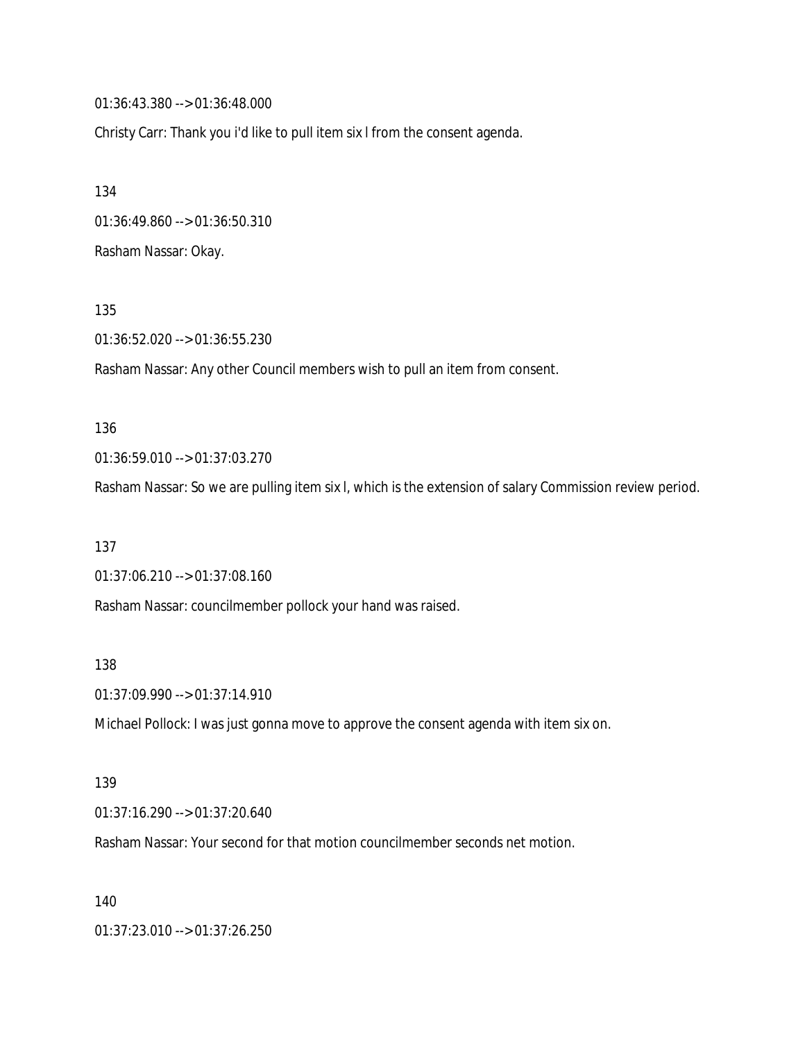01:36:43.380 --> 01:36:48.000

Christy Carr: Thank you i'd like to pull item six l from the consent agenda.

134 01:36:49.860 --> 01:36:50.310 Rasham Nassar: Okay.

135

01:36:52.020 --> 01:36:55.230

Rasham Nassar: Any other Council members wish to pull an item from consent.

#### 136

01:36:59.010 --> 01:37:03.270

Rasham Nassar: So we are pulling item six l, which is the extension of salary Commission review period.

137

01:37:06.210 --> 01:37:08.160

Rasham Nassar: councilmember pollock your hand was raised.

138

01:37:09.990 --> 01:37:14.910

Michael Pollock: I was just gonna move to approve the consent agenda with item six on.

#### 139

01:37:16.290 --> 01:37:20.640

Rasham Nassar: Your second for that motion councilmember seconds net motion.

140

01:37:23.010 --> 01:37:26.250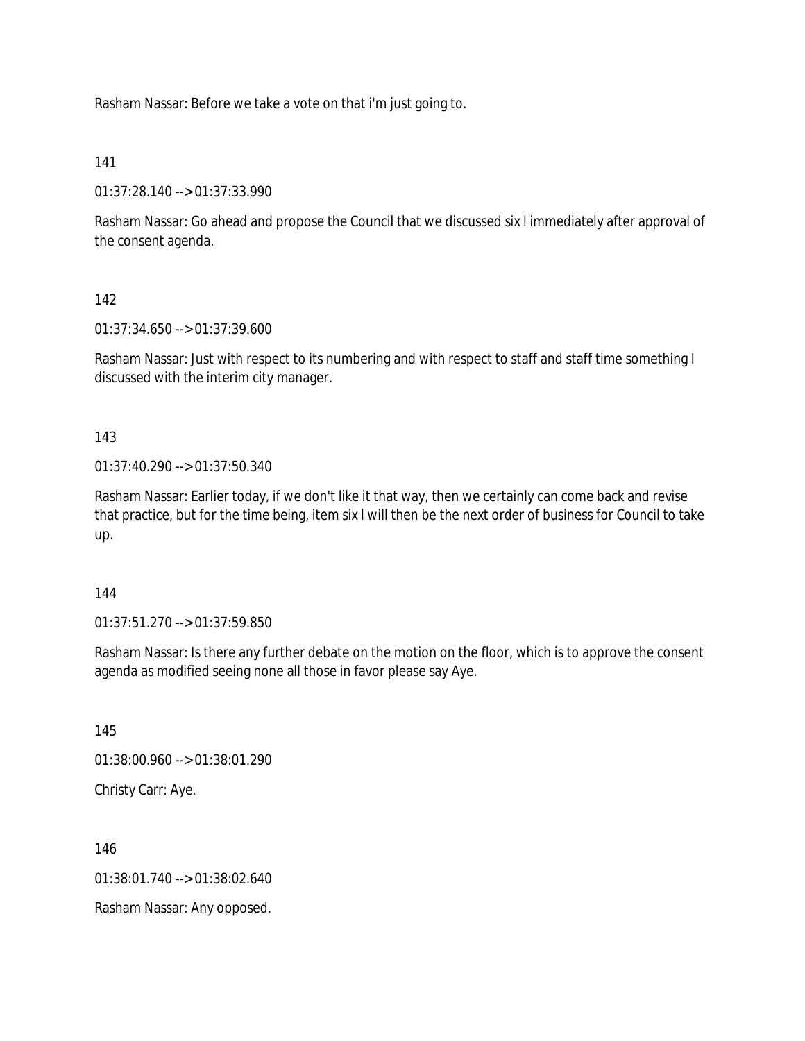Rasham Nassar: Before we take a vote on that i'm just going to.

141

01:37:28.140 --> 01:37:33.990

Rasham Nassar: Go ahead and propose the Council that we discussed six l immediately after approval of the consent agenda.

142

01:37:34.650 --> 01:37:39.600

Rasham Nassar: Just with respect to its numbering and with respect to staff and staff time something I discussed with the interim city manager.

143

01:37:40.290 --> 01:37:50.340

Rasham Nassar: Earlier today, if we don't like it that way, then we certainly can come back and revise that practice, but for the time being, item six l will then be the next order of business for Council to take up.

144

01:37:51.270 --> 01:37:59.850

Rasham Nassar: Is there any further debate on the motion on the floor, which is to approve the consent agenda as modified seeing none all those in favor please say Aye.

145 01:38:00.960 --> 01:38:01.290 Christy Carr: Aye.

146

 $01:38:01.740 \rightarrow 01:38:02.640$ 

Rasham Nassar: Any opposed.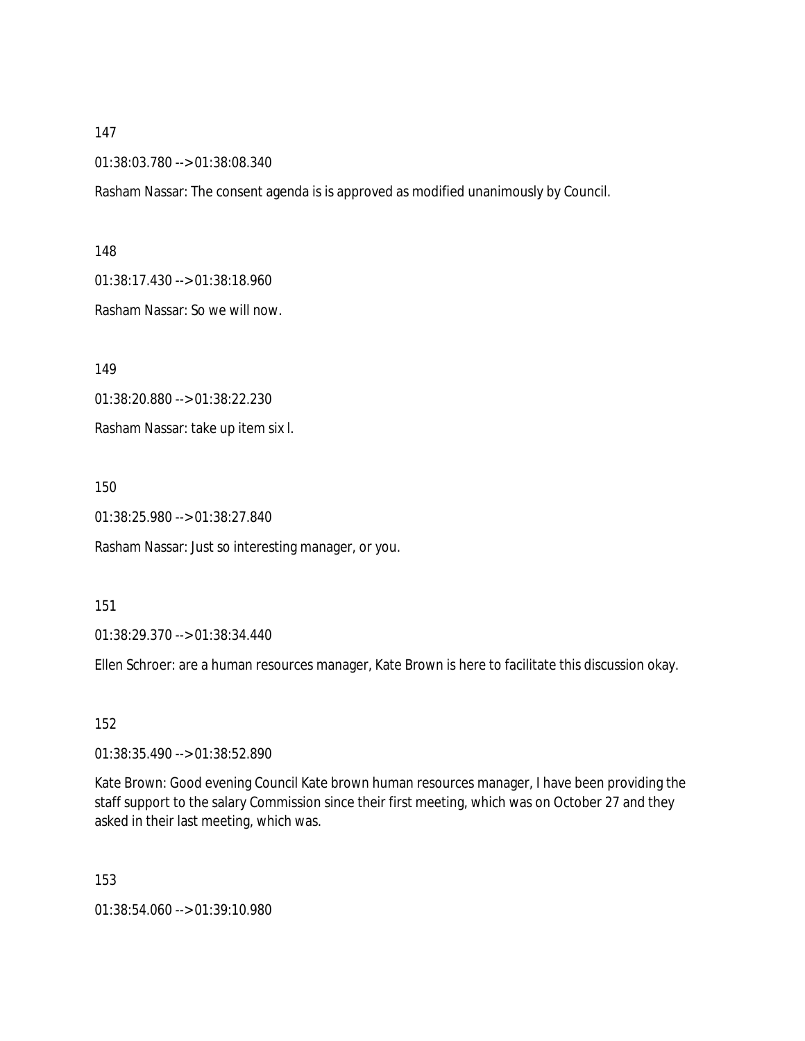01:38:03.780 --> 01:38:08.340

Rasham Nassar: The consent agenda is is approved as modified unanimously by Council.

148

01:38:17.430 --> 01:38:18.960

Rasham Nassar: So we will now.

149

01:38:20.880 --> 01:38:22.230

Rasham Nassar: take up item six l.

150

01:38:25.980 --> 01:38:27.840

Rasham Nassar: Just so interesting manager, or you.

151

01:38:29.370 --> 01:38:34.440

Ellen Schroer: are a human resources manager, Kate Brown is here to facilitate this discussion okay.

152

01:38:35.490 --> 01:38:52.890

Kate Brown: Good evening Council Kate brown human resources manager, I have been providing the staff support to the salary Commission since their first meeting, which was on October 27 and they asked in their last meeting, which was.

153

01:38:54.060 --> 01:39:10.980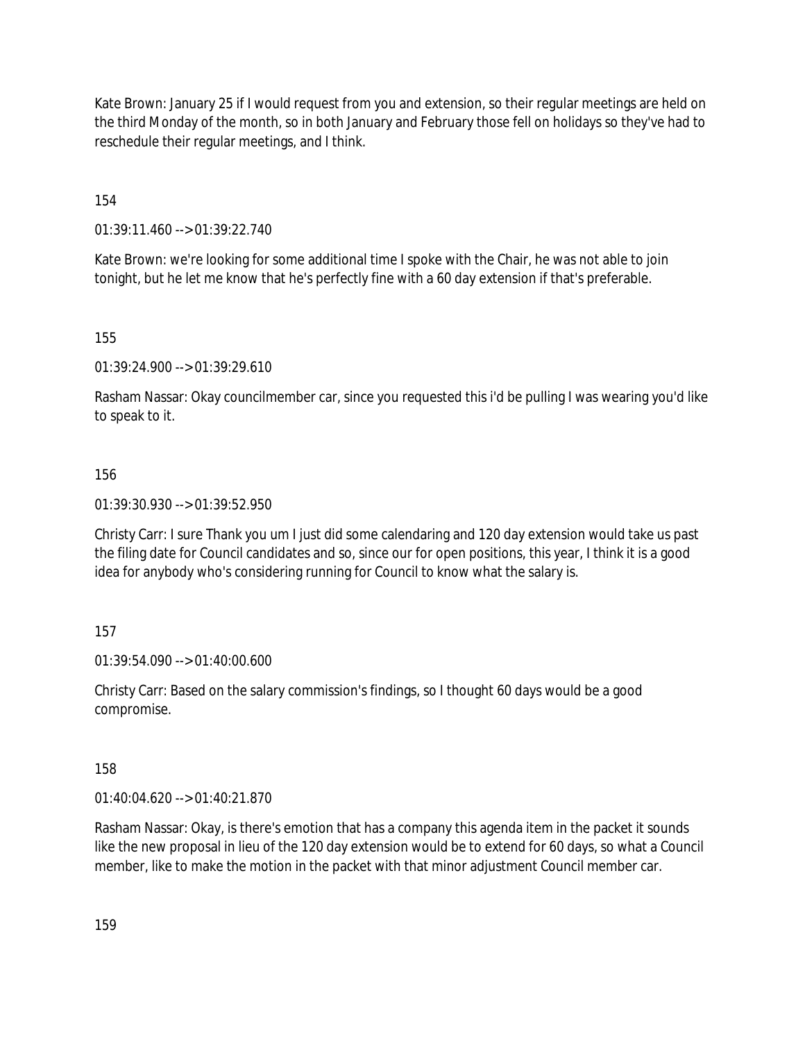Kate Brown: January 25 if I would request from you and extension, so their regular meetings are held on the third Monday of the month, so in both January and February those fell on holidays so they've had to reschedule their regular meetings, and I think.

154

01:39:11.460 --> 01:39:22.740

Kate Brown: we're looking for some additional time I spoke with the Chair, he was not able to join tonight, but he let me know that he's perfectly fine with a 60 day extension if that's preferable.

155

01:39:24.900 --> 01:39:29.610

Rasham Nassar: Okay councilmember car, since you requested this i'd be pulling I was wearing you'd like to speak to it.

#### 156

01:39:30.930 --> 01:39:52.950

Christy Carr: I sure Thank you um I just did some calendaring and 120 day extension would take us past the filing date for Council candidates and so, since our for open positions, this year, I think it is a good idea for anybody who's considering running for Council to know what the salary is.

#### 157

01:39:54.090 --> 01:40:00.600

Christy Carr: Based on the salary commission's findings, so I thought 60 days would be a good compromise.

158

01:40:04.620 --> 01:40:21.870

Rasham Nassar: Okay, is there's emotion that has a company this agenda item in the packet it sounds like the new proposal in lieu of the 120 day extension would be to extend for 60 days, so what a Council member, like to make the motion in the packet with that minor adjustment Council member car.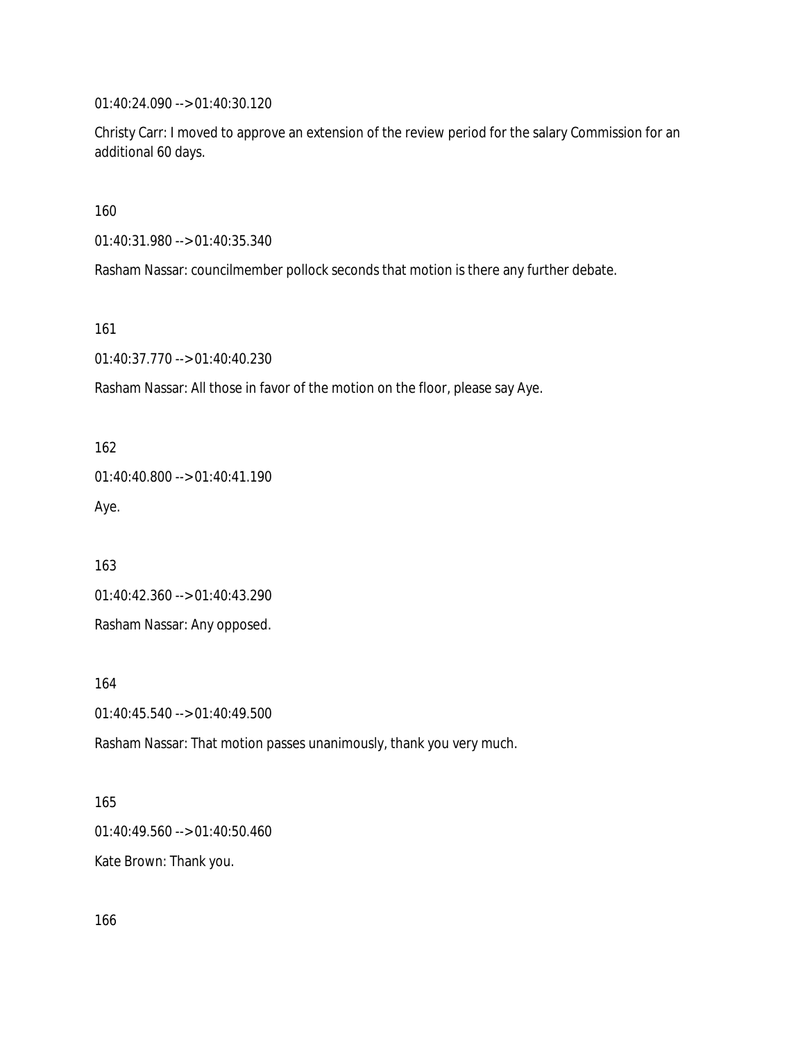01:40:24.090 --> 01:40:30.120

Christy Carr: I moved to approve an extension of the review period for the salary Commission for an additional 60 days.

160

01:40:31.980 --> 01:40:35.340

Rasham Nassar: councilmember pollock seconds that motion is there any further debate.

161

01:40:37.770 --> 01:40:40.230

Rasham Nassar: All those in favor of the motion on the floor, please say Aye.

162

01:40:40.800 --> 01:40:41.190 Aye.

163

01:40:42.360 --> 01:40:43.290

Rasham Nassar: Any opposed.

164

01:40:45.540 --> 01:40:49.500

Rasham Nassar: That motion passes unanimously, thank you very much.

165

01:40:49.560 --> 01:40:50.460

Kate Brown: Thank you.

166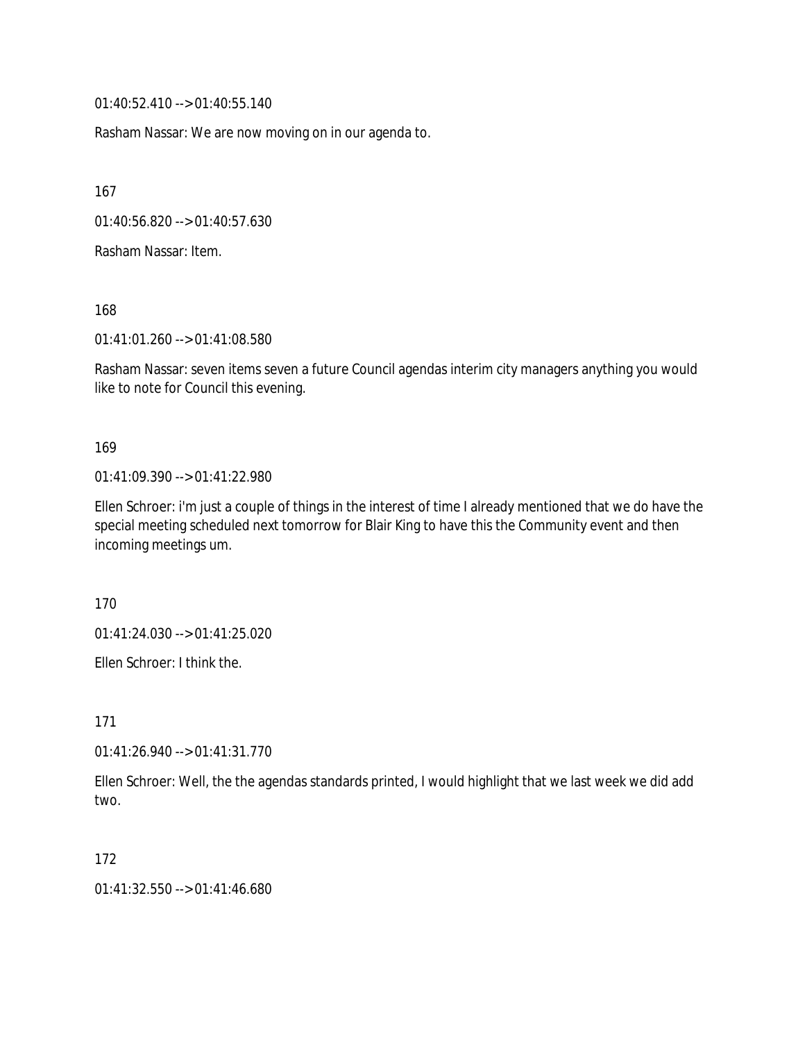01:40:52.410 --> 01:40:55.140

Rasham Nassar: We are now moving on in our agenda to.

167

01:40:56.820 --> 01:40:57.630

Rasham Nassar: Item.

168

01:41:01.260 --> 01:41:08.580

Rasham Nassar: seven items seven a future Council agendas interim city managers anything you would like to note for Council this evening.

#### 169

01:41:09.390 --> 01:41:22.980

Ellen Schroer: i'm just a couple of things in the interest of time I already mentioned that we do have the special meeting scheduled next tomorrow for Blair King to have this the Community event and then incoming meetings um.

170

01:41:24.030 --> 01:41:25.020

Ellen Schroer: I think the.

171

01:41:26.940 --> 01:41:31.770

Ellen Schroer: Well, the the agendas standards printed, I would highlight that we last week we did add two.

172

01:41:32.550 --> 01:41:46.680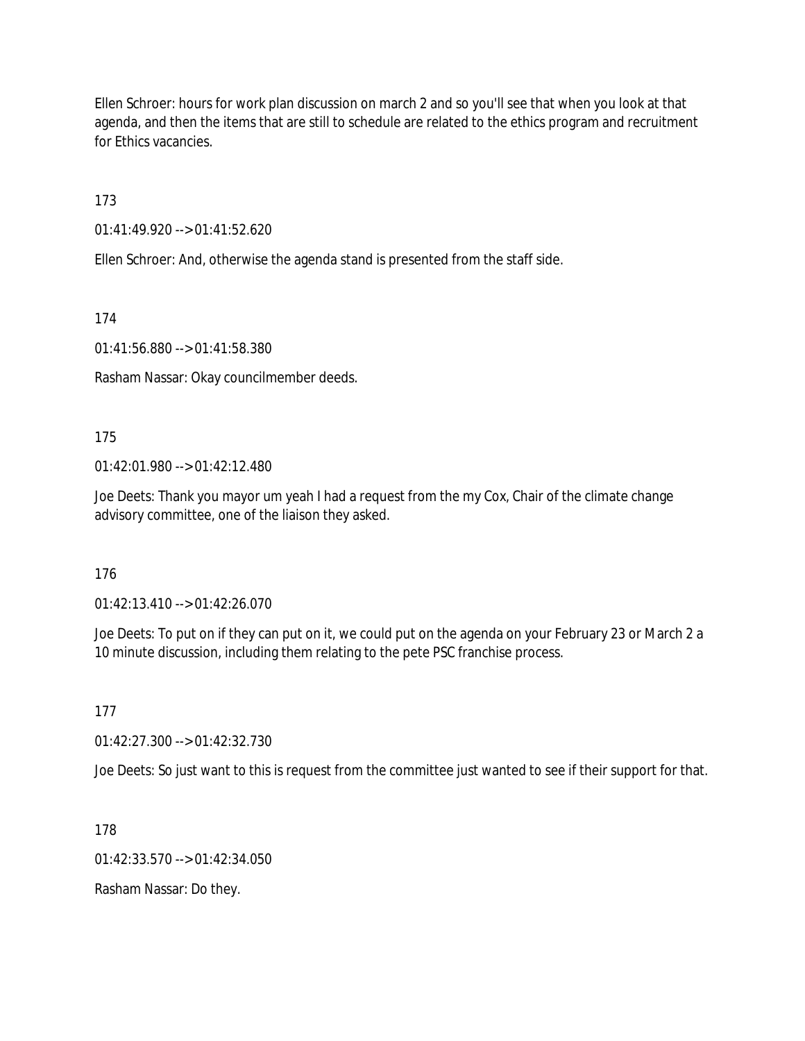Ellen Schroer: hours for work plan discussion on march 2 and so you'll see that when you look at that agenda, and then the items that are still to schedule are related to the ethics program and recruitment for Ethics vacancies.

173

01:41:49.920 --> 01:41:52.620

Ellen Schroer: And, otherwise the agenda stand is presented from the staff side.

174

01:41:56.880 --> 01:41:58.380

Rasham Nassar: Okay councilmember deeds.

175

01:42:01.980 --> 01:42:12.480

Joe Deets: Thank you mayor um yeah I had a request from the my Cox, Chair of the climate change advisory committee, one of the liaison they asked.

176

01:42:13.410 --> 01:42:26.070

Joe Deets: To put on if they can put on it, we could put on the agenda on your February 23 or March 2 a 10 minute discussion, including them relating to the pete PSC franchise process.

177

01:42:27.300 --> 01:42:32.730

Joe Deets: So just want to this is request from the committee just wanted to see if their support for that.

178

01:42:33.570 --> 01:42:34.050

Rasham Nassar: Do they.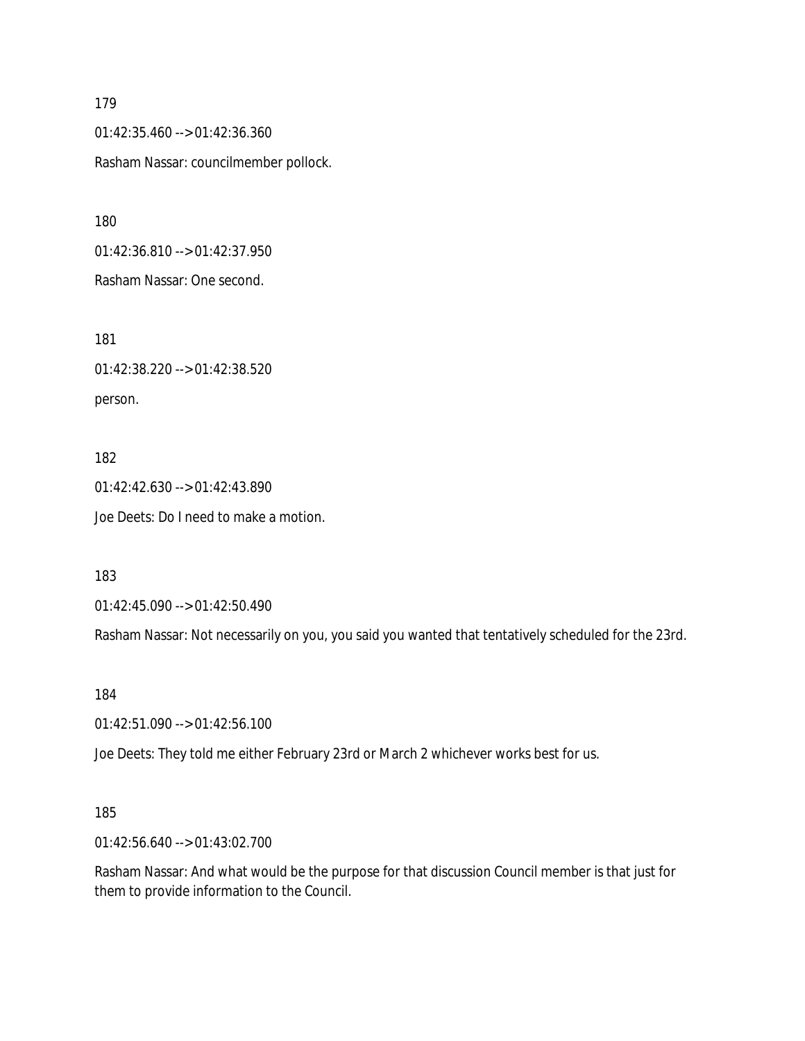01:42:35.460 --> 01:42:36.360 Rasham Nassar: councilmember pollock.

180

01:42:36.810 --> 01:42:37.950

Rasham Nassar: One second.

181

01:42:38.220 --> 01:42:38.520 person.

182 01:42:42.630 --> 01:42:43.890 Joe Deets: Do I need to make a motion.

183

01:42:45.090 --> 01:42:50.490

Rasham Nassar: Not necessarily on you, you said you wanted that tentatively scheduled for the 23rd.

184

01:42:51.090 --> 01:42:56.100

Joe Deets: They told me either February 23rd or March 2 whichever works best for us.

#### 185

01:42:56.640 --> 01:43:02.700

Rasham Nassar: And what would be the purpose for that discussion Council member is that just for them to provide information to the Council.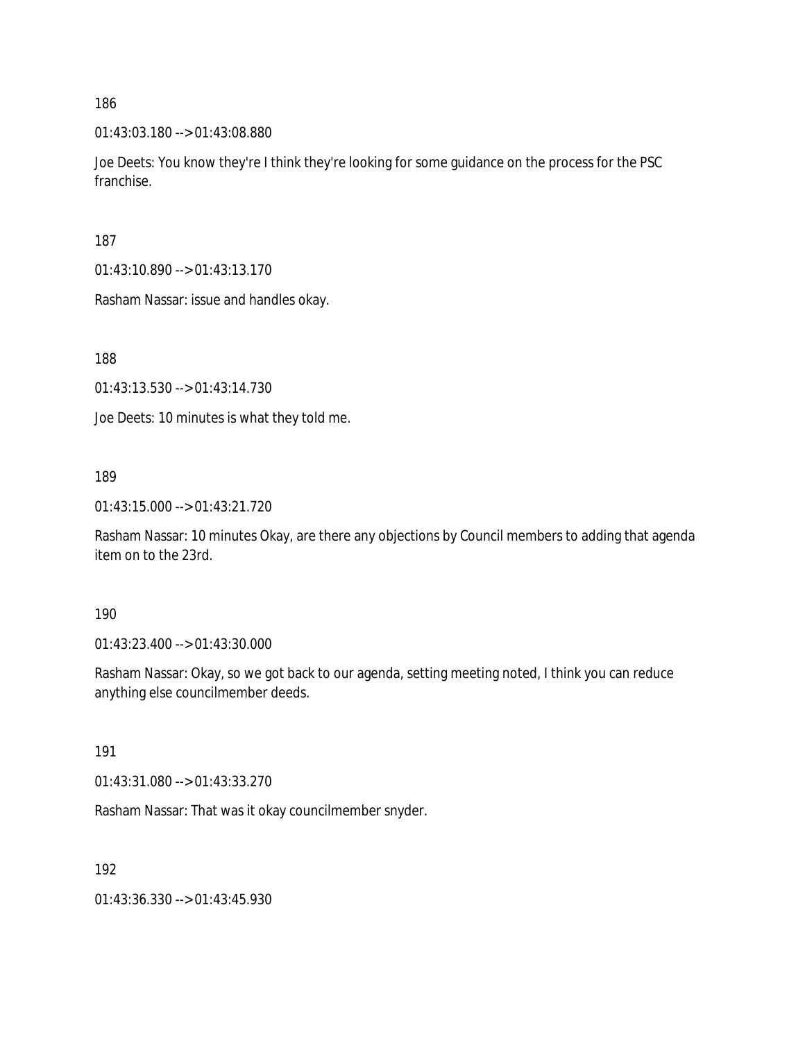01:43:03.180 --> 01:43:08.880

Joe Deets: You know they're I think they're looking for some guidance on the process for the PSC franchise.

187

01:43:10.890 --> 01:43:13.170

Rasham Nassar: issue and handles okay.

188

01:43:13.530 --> 01:43:14.730

Joe Deets: 10 minutes is what they told me.

#### 189

01:43:15.000 --> 01:43:21.720

Rasham Nassar: 10 minutes Okay, are there any objections by Council members to adding that agenda item on to the 23rd.

#### 190

01:43:23.400 --> 01:43:30.000

Rasham Nassar: Okay, so we got back to our agenda, setting meeting noted, I think you can reduce anything else councilmember deeds.

#### 191

01:43:31.080 --> 01:43:33.270

Rasham Nassar: That was it okay councilmember snyder.

#### 192

01:43:36.330 --> 01:43:45.930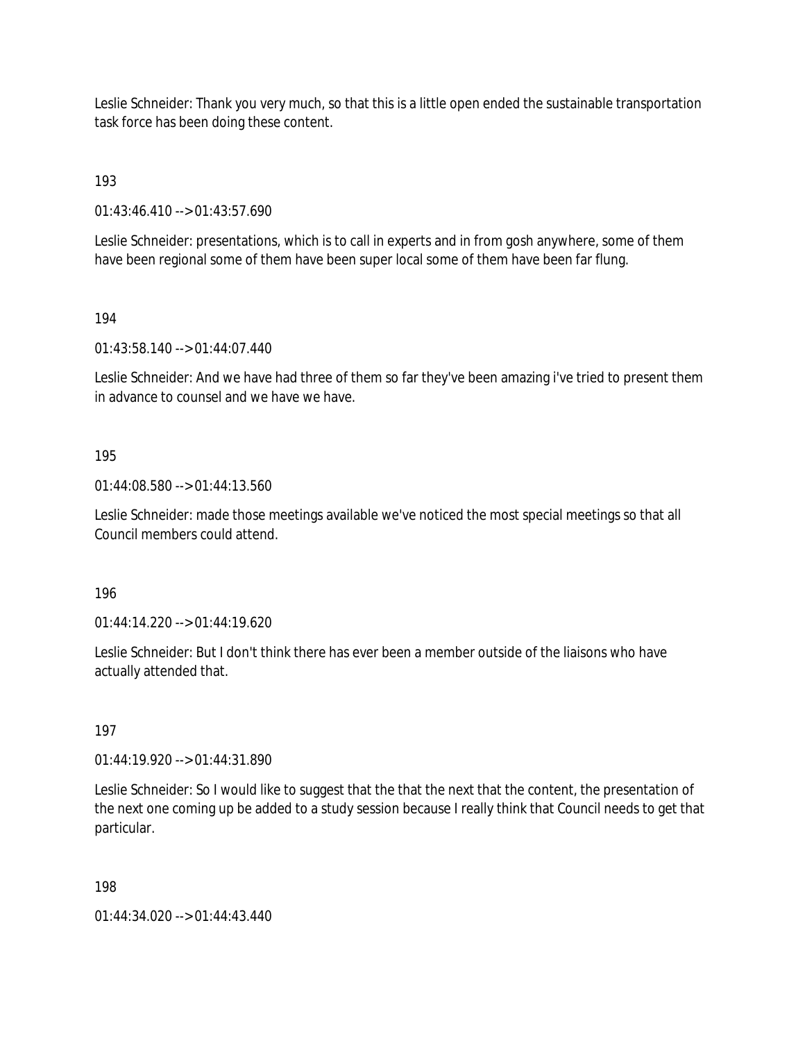Leslie Schneider: Thank you very much, so that this is a little open ended the sustainable transportation task force has been doing these content.

193

01:43:46.410 --> 01:43:57.690

Leslie Schneider: presentations, which is to call in experts and in from gosh anywhere, some of them have been regional some of them have been super local some of them have been far flung.

194

01:43:58.140 --> 01:44:07.440

Leslie Schneider: And we have had three of them so far they've been amazing i've tried to present them in advance to counsel and we have we have.

195

01:44:08.580 --> 01:44:13.560

Leslie Schneider: made those meetings available we've noticed the most special meetings so that all Council members could attend.

196

01:44:14.220 --> 01:44:19.620

Leslie Schneider: But I don't think there has ever been a member outside of the liaisons who have actually attended that.

197

01:44:19.920 --> 01:44:31.890

Leslie Schneider: So I would like to suggest that the that the next that the content, the presentation of the next one coming up be added to a study session because I really think that Council needs to get that particular.

198

01:44:34.020 --> 01:44:43.440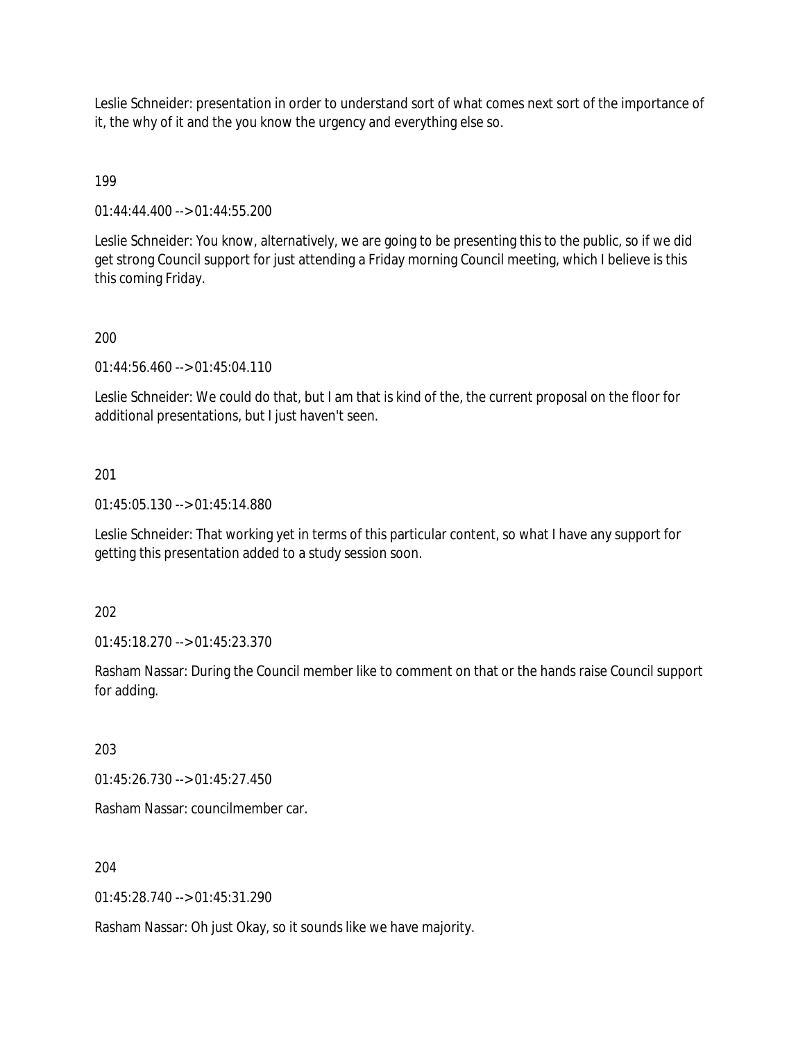Leslie Schneider: presentation in order to understand sort of what comes next sort of the importance of it, the why of it and the you know the urgency and everything else so.

# 199

01:44:44.400 --> 01:44:55.200

Leslie Schneider: You know, alternatively, we are going to be presenting this to the public, so if we did get strong Council support for just attending a Friday morning Council meeting, which I believe is this this coming Friday.

# 200

01:44:56.460 --> 01:45:04.110

Leslie Schneider: We could do that, but I am that is kind of the, the current proposal on the floor for additional presentations, but I just haven't seen.

# 201

01:45:05.130 --> 01:45:14.880

Leslie Schneider: That working yet in terms of this particular content, so what I have any support for getting this presentation added to a study session soon.

# 202

01:45:18.270 --> 01:45:23.370

Rasham Nassar: During the Council member like to comment on that or the hands raise Council support for adding.

203

01:45:26.730 --> 01:45:27.450

Rasham Nassar: councilmember car.

204

01:45:28.740 --> 01:45:31.290

Rasham Nassar: Oh just Okay, so it sounds like we have majority.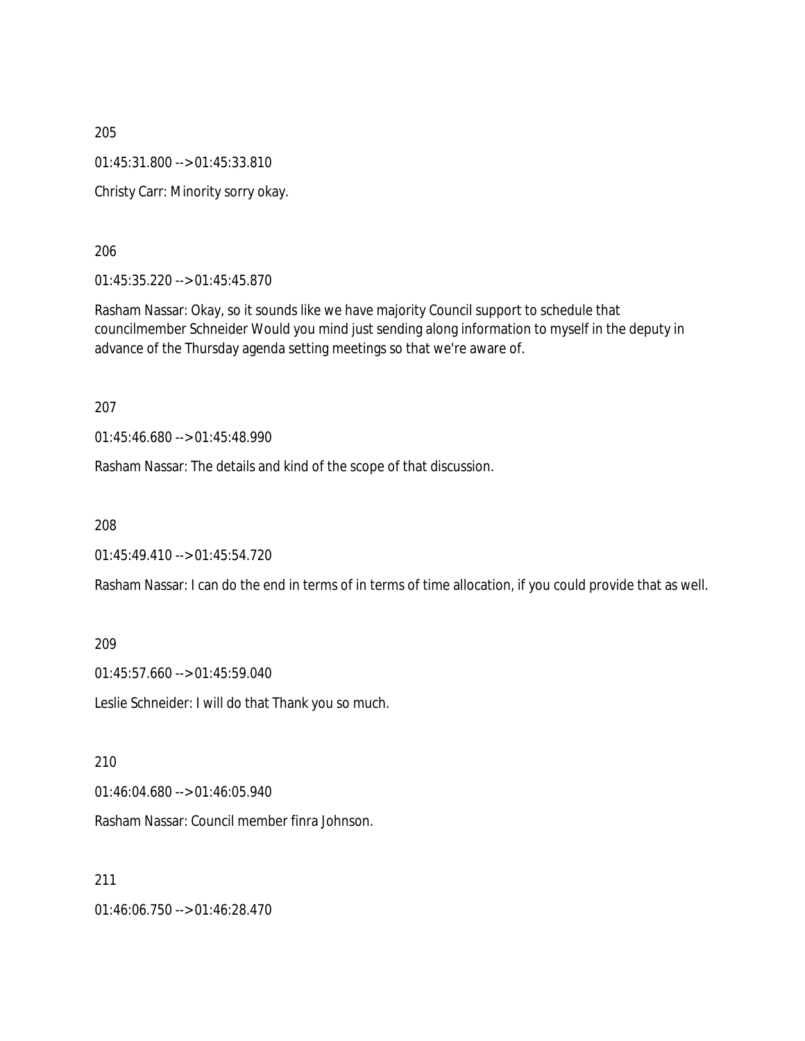205 01:45:31.800 --> 01:45:33.810 Christy Carr: Minority sorry okay.

206

01:45:35.220 --> 01:45:45.870

Rasham Nassar: Okay, so it sounds like we have majority Council support to schedule that councilmember Schneider Would you mind just sending along information to myself in the deputy in advance of the Thursday agenda setting meetings so that we're aware of.

207

01:45:46.680 --> 01:45:48.990

Rasham Nassar: The details and kind of the scope of that discussion.

208

01:45:49.410 --> 01:45:54.720

Rasham Nassar: I can do the end in terms of in terms of time allocation, if you could provide that as well.

209

01:45:57.660 --> 01:45:59.040

Leslie Schneider: I will do that Thank you so much.

210

01:46:04.680 --> 01:46:05.940

Rasham Nassar: Council member finra Johnson.

211

01:46:06.750 --> 01:46:28.470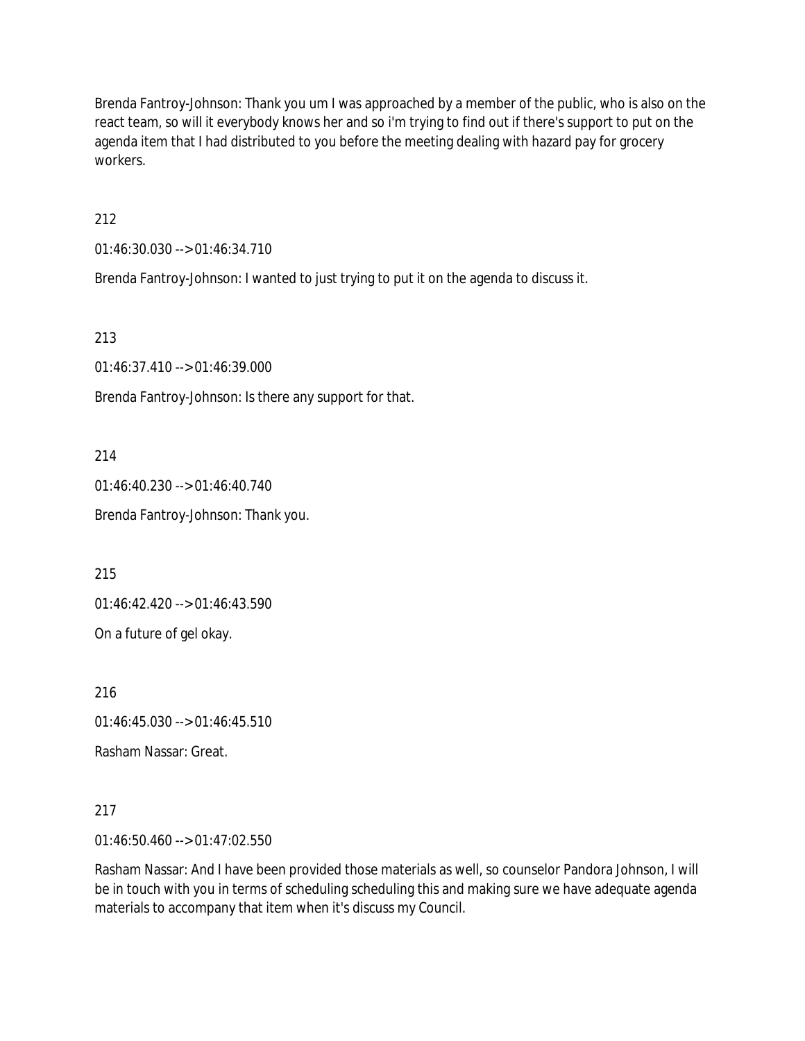Brenda Fantroy-Johnson: Thank you um I was approached by a member of the public, who is also on the react team, so will it everybody knows her and so i'm trying to find out if there's support to put on the agenda item that I had distributed to you before the meeting dealing with hazard pay for grocery workers.

212

01:46:30.030 --> 01:46:34.710

Brenda Fantroy-Johnson: I wanted to just trying to put it on the agenda to discuss it.

213

01:46:37.410 --> 01:46:39.000

Brenda Fantroy-Johnson: Is there any support for that.

214

01:46:40.230 --> 01:46:40.740 Brenda Fantroy-Johnson: Thank you.

215

01:46:42.420 --> 01:46:43.590

On a future of gel okay.

216

01:46:45.030 --> 01:46:45.510

Rasham Nassar: Great.

217

01:46:50.460 --> 01:47:02.550

Rasham Nassar: And I have been provided those materials as well, so counselor Pandora Johnson, I will be in touch with you in terms of scheduling scheduling this and making sure we have adequate agenda materials to accompany that item when it's discuss my Council.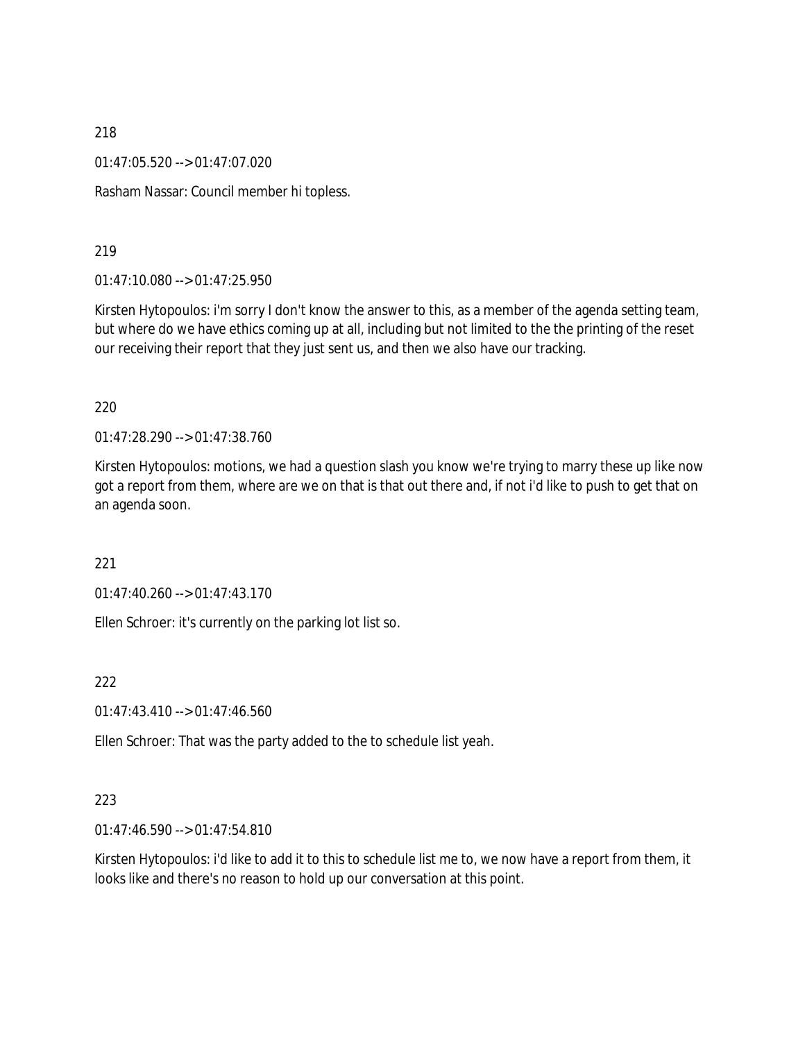01:47:05.520 --> 01:47:07.020

Rasham Nassar: Council member hi topless.

219

01:47:10.080 --> 01:47:25.950

Kirsten Hytopoulos: i'm sorry I don't know the answer to this, as a member of the agenda setting team, but where do we have ethics coming up at all, including but not limited to the the printing of the reset our receiving their report that they just sent us, and then we also have our tracking.

#### 220

01:47:28.290 --> 01:47:38.760

Kirsten Hytopoulos: motions, we had a question slash you know we're trying to marry these up like now got a report from them, where are we on that is that out there and, if not i'd like to push to get that on an agenda soon.

221

01:47:40.260 --> 01:47:43.170

Ellen Schroer: it's currently on the parking lot list so.

222

01:47:43.410 --> 01:47:46.560

Ellen Schroer: That was the party added to the to schedule list yeah.

#### 223

01:47:46.590 --> 01:47:54.810

Kirsten Hytopoulos: i'd like to add it to this to schedule list me to, we now have a report from them, it looks like and there's no reason to hold up our conversation at this point.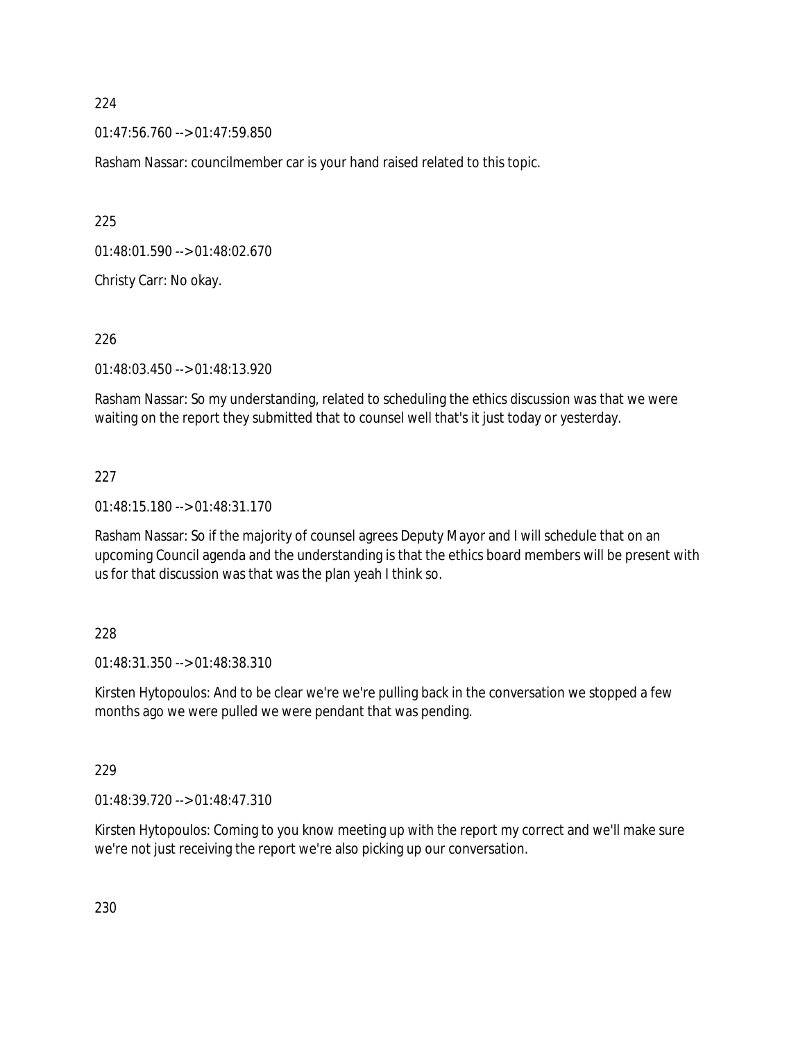01:47:56.760 --> 01:47:59.850

Rasham Nassar: councilmember car is your hand raised related to this topic.

225

01:48:01.590 --> 01:48:02.670

Christy Carr: No okay.

226

01:48:03.450 --> 01:48:13.920

Rasham Nassar: So my understanding, related to scheduling the ethics discussion was that we were waiting on the report they submitted that to counsel well that's it just today or yesterday.

### 227

01:48:15.180 --> 01:48:31.170

Rasham Nassar: So if the majority of counsel agrees Deputy Mayor and I will schedule that on an upcoming Council agenda and the understanding is that the ethics board members will be present with us for that discussion was that was the plan yeah I think so.

#### 228

01:48:31.350 --> 01:48:38.310

Kirsten Hytopoulos: And to be clear we're we're pulling back in the conversation we stopped a few months ago we were pulled we were pendant that was pending.

#### 229

01:48:39.720 --> 01:48:47.310

Kirsten Hytopoulos: Coming to you know meeting up with the report my correct and we'll make sure we're not just receiving the report we're also picking up our conversation.

230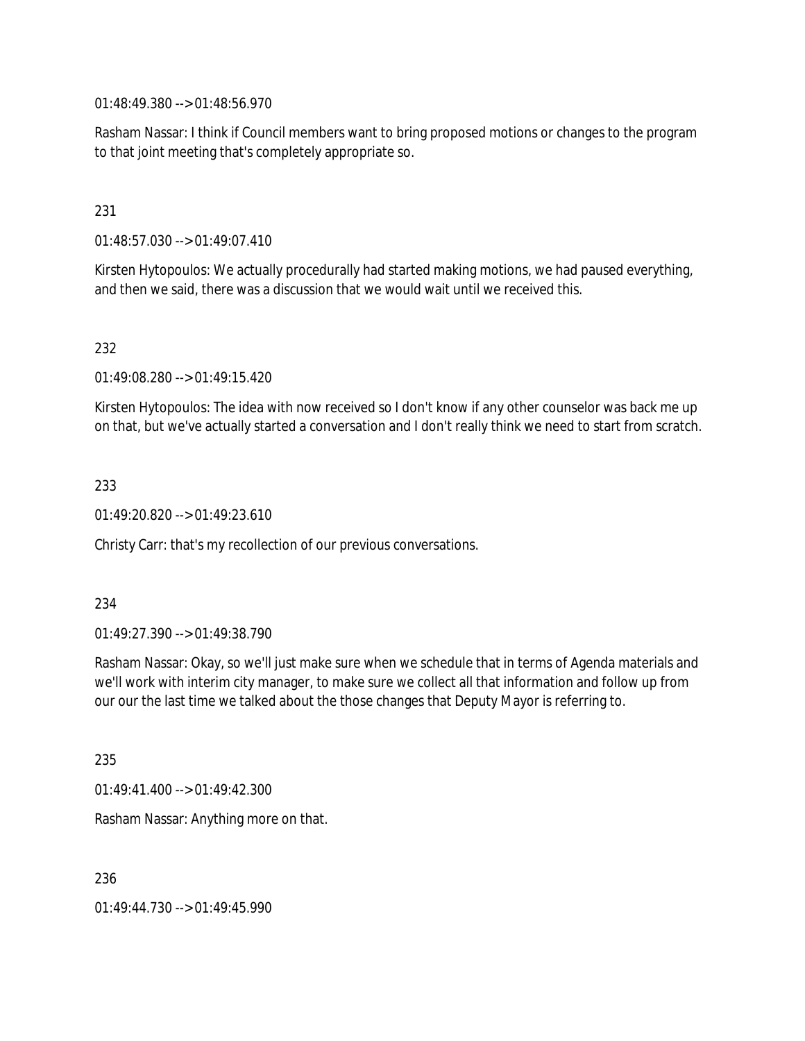01:48:49.380 --> 01:48:56.970

Rasham Nassar: I think if Council members want to bring proposed motions or changes to the program to that joint meeting that's completely appropriate so.

# 231

01:48:57.030 --> 01:49:07.410

Kirsten Hytopoulos: We actually procedurally had started making motions, we had paused everything, and then we said, there was a discussion that we would wait until we received this.

## 232

01:49:08.280 --> 01:49:15.420

Kirsten Hytopoulos: The idea with now received so I don't know if any other counselor was back me up on that, but we've actually started a conversation and I don't really think we need to start from scratch.

## 233

01:49:20.820 --> 01:49:23.610

Christy Carr: that's my recollection of our previous conversations.

## 234

01:49:27.390 --> 01:49:38.790

Rasham Nassar: Okay, so we'll just make sure when we schedule that in terms of Agenda materials and we'll work with interim city manager, to make sure we collect all that information and follow up from our our the last time we talked about the those changes that Deputy Mayor is referring to.

235

01:49:41.400 --> 01:49:42.300

Rasham Nassar: Anything more on that.

236

01:49:44.730 --> 01:49:45.990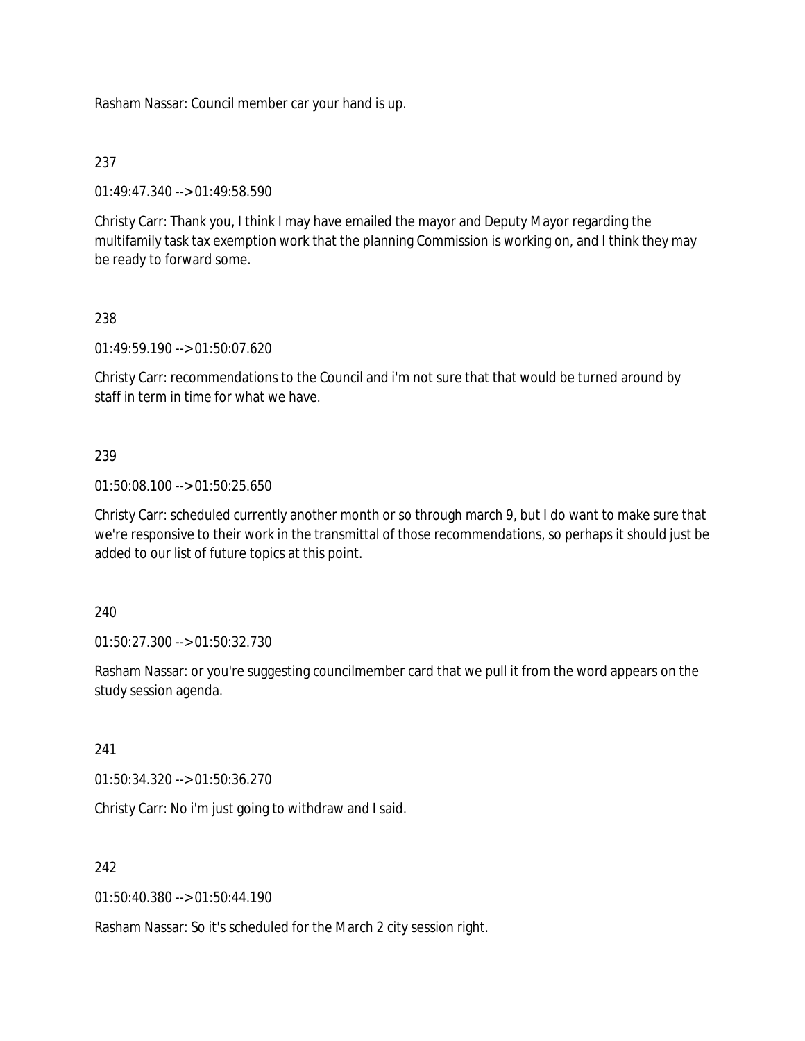Rasham Nassar: Council member car your hand is up.

# 237

01:49:47.340 --> 01:49:58.590

Christy Carr: Thank you, I think I may have emailed the mayor and Deputy Mayor regarding the multifamily task tax exemption work that the planning Commission is working on, and I think they may be ready to forward some.

# 238

01:49:59.190 --> 01:50:07.620

Christy Carr: recommendations to the Council and i'm not sure that that would be turned around by staff in term in time for what we have.

# 239

01:50:08.100 --> 01:50:25.650

Christy Carr: scheduled currently another month or so through march 9, but I do want to make sure that we're responsive to their work in the transmittal of those recommendations, so perhaps it should just be added to our list of future topics at this point.

## 240

01:50:27.300 --> 01:50:32.730

Rasham Nassar: or you're suggesting councilmember card that we pull it from the word appears on the study session agenda.

# 241

01:50:34.320 --> 01:50:36.270

Christy Carr: No i'm just going to withdraw and I said.

# 242

01:50:40.380 --> 01:50:44.190

Rasham Nassar: So it's scheduled for the March 2 city session right.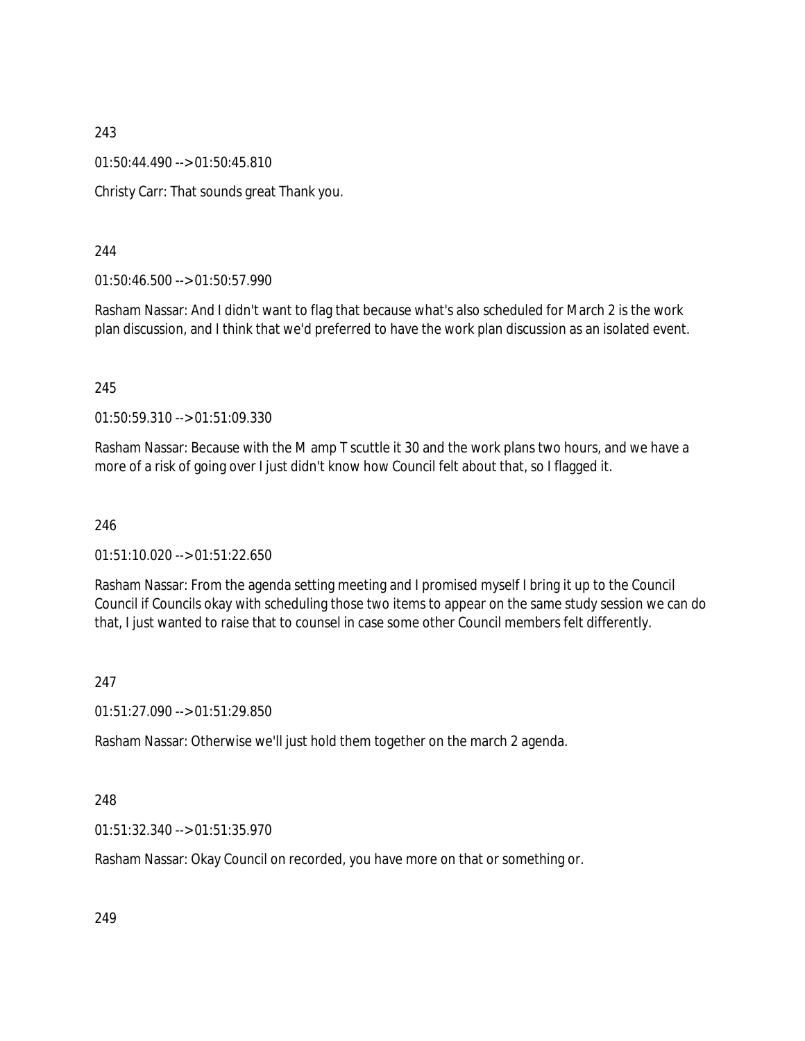01:50:44.490 --> 01:50:45.810

Christy Carr: That sounds great Thank you.

244

01:50:46.500 --> 01:50:57.990

Rasham Nassar: And I didn't want to flag that because what's also scheduled for March 2 is the work plan discussion, and I think that we'd preferred to have the work plan discussion as an isolated event.

245

01:50:59.310 --> 01:51:09.330

Rasham Nassar: Because with the M amp T scuttle it 30 and the work plans two hours, and we have a more of a risk of going over I just didn't know how Council felt about that, so I flagged it.

246

01:51:10.020 --> 01:51:22.650

Rasham Nassar: From the agenda setting meeting and I promised myself I bring it up to the Council Council if Councils okay with scheduling those two items to appear on the same study session we can do that, I just wanted to raise that to counsel in case some other Council members felt differently.

247

01:51:27.090 --> 01:51:29.850

Rasham Nassar: Otherwise we'll just hold them together on the march 2 agenda.

248

01:51:32.340 --> 01:51:35.970

Rasham Nassar: Okay Council on recorded, you have more on that or something or.

249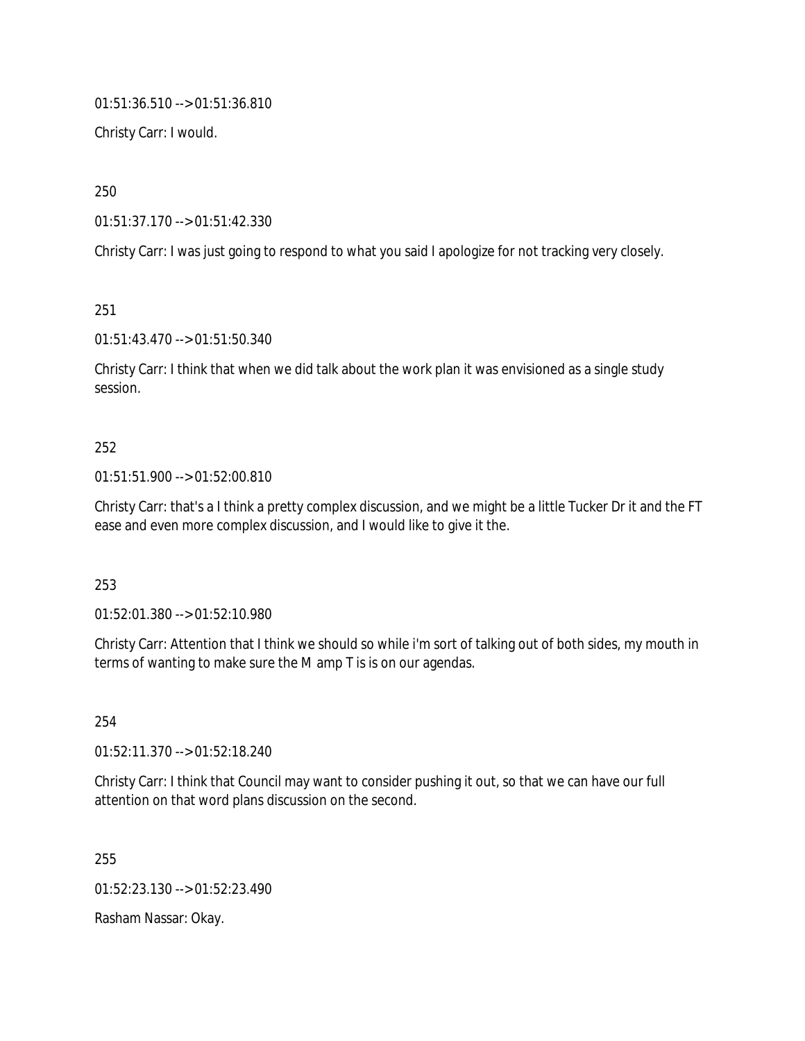01:51:36.510 --> 01:51:36.810

Christy Carr: I would.

250

01:51:37.170 --> 01:51:42.330

Christy Carr: I was just going to respond to what you said I apologize for not tracking very closely.

251

01:51:43.470 --> 01:51:50.340

Christy Carr: I think that when we did talk about the work plan it was envisioned as a single study session.

# 252

## 01:51:51.900 --> 01:52:00.810

Christy Carr: that's a I think a pretty complex discussion, and we might be a little Tucker Dr it and the FT ease and even more complex discussion, and I would like to give it the.

## 253

01:52:01.380 --> 01:52:10.980

Christy Carr: Attention that I think we should so while i'm sort of talking out of both sides, my mouth in terms of wanting to make sure the M amp T is is on our agendas.

254

01:52:11.370 --> 01:52:18.240

Christy Carr: I think that Council may want to consider pushing it out, so that we can have our full attention on that word plans discussion on the second.

255

01:52:23.130 --> 01:52:23.490

Rasham Nassar: Okay.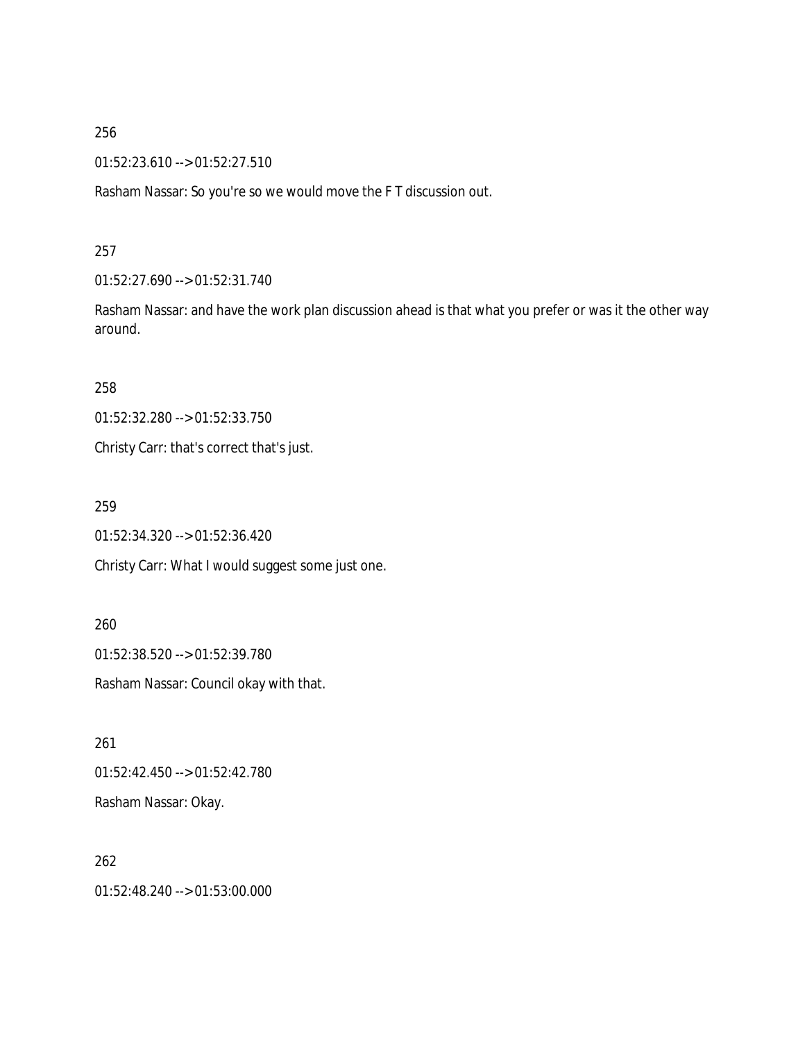01:52:23.610 --> 01:52:27.510

Rasham Nassar: So you're so we would move the F T discussion out.

### 257

01:52:27.690 --> 01:52:31.740

Rasham Nassar: and have the work plan discussion ahead is that what you prefer or was it the other way around.

258

01:52:32.280 --> 01:52:33.750

Christy Carr: that's correct that's just.

259

01:52:34.320 --> 01:52:36.420

Christy Carr: What I would suggest some just one.

260

01:52:38.520 --> 01:52:39.780

Rasham Nassar: Council okay with that.

261 01:52:42.450 --> 01:52:42.780 Rasham Nassar: Okay.

262 01:52:48.240 --> 01:53:00.000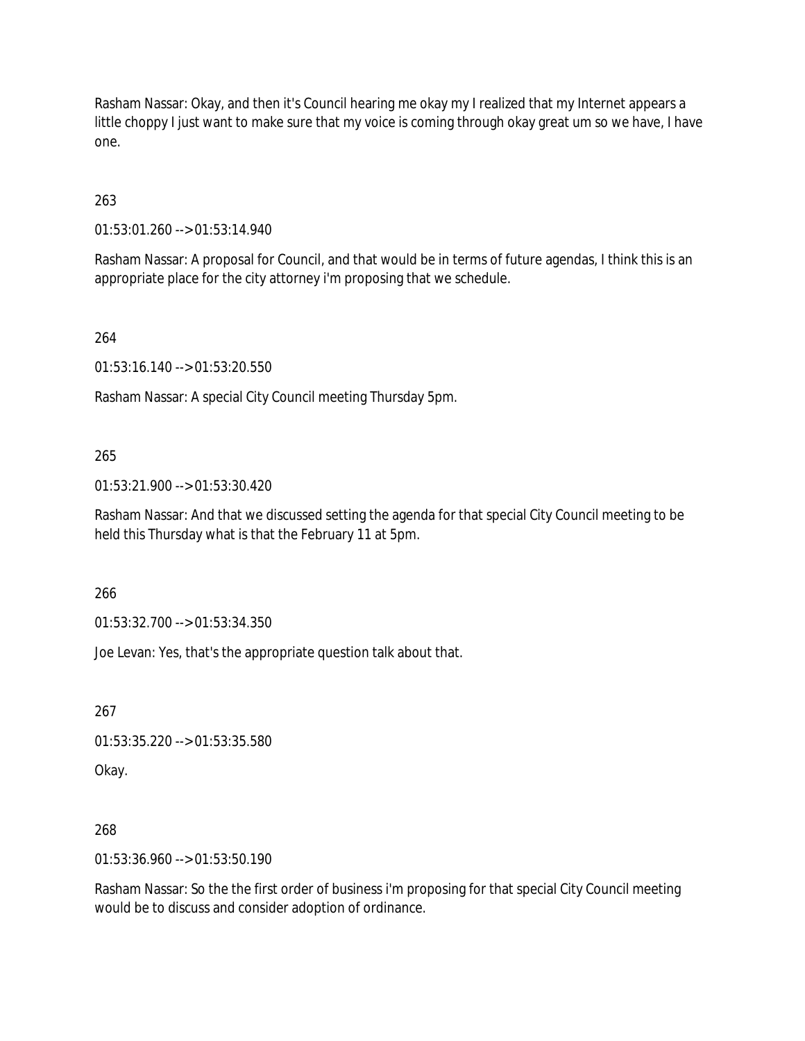Rasham Nassar: Okay, and then it's Council hearing me okay my I realized that my Internet appears a little choppy I just want to make sure that my voice is coming through okay great um so we have, I have one.

263

01:53:01.260 --> 01:53:14.940

Rasham Nassar: A proposal for Council, and that would be in terms of future agendas, I think this is an appropriate place for the city attorney i'm proposing that we schedule.

264

01:53:16.140 --> 01:53:20.550

Rasham Nassar: A special City Council meeting Thursday 5pm.

#### 265

01:53:21.900 --> 01:53:30.420

Rasham Nassar: And that we discussed setting the agenda for that special City Council meeting to be held this Thursday what is that the February 11 at 5pm.

266

01:53:32.700 --> 01:53:34.350

Joe Levan: Yes, that's the appropriate question talk about that.

267

01:53:35.220 --> 01:53:35.580

Okay.

## 268

01:53:36.960 --> 01:53:50.190

Rasham Nassar: So the the first order of business i'm proposing for that special City Council meeting would be to discuss and consider adoption of ordinance.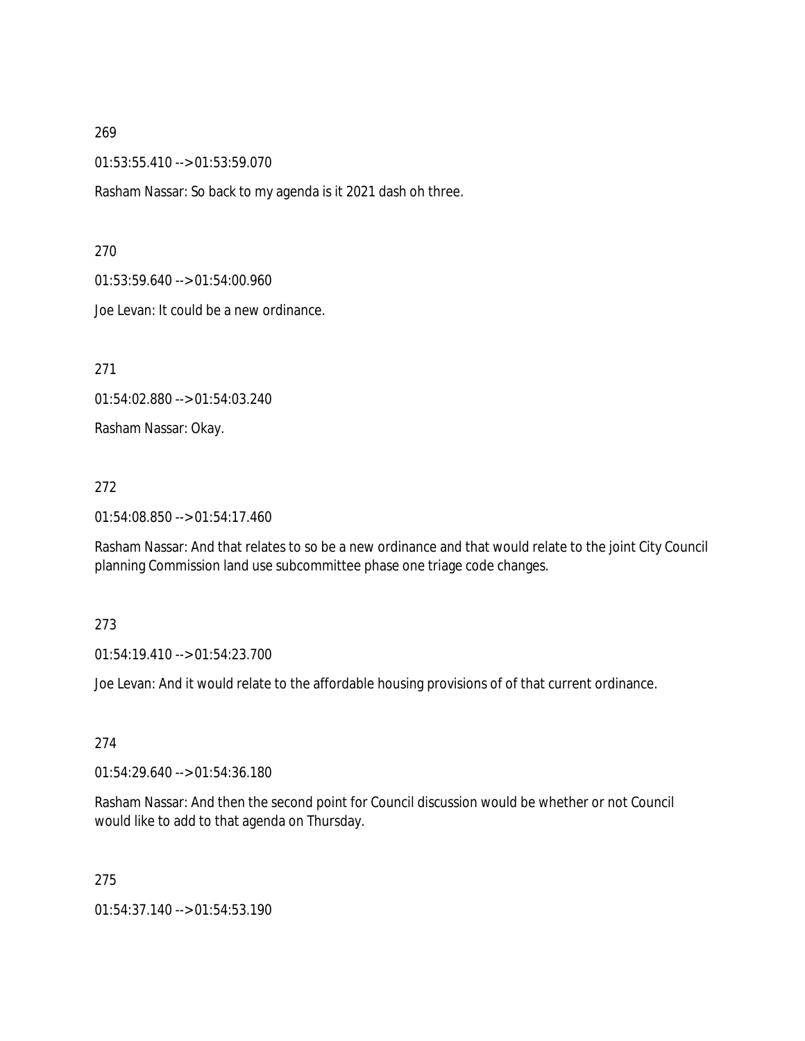01:53:55.410 --> 01:53:59.070

Rasham Nassar: So back to my agenda is it 2021 dash oh three.

270

01:53:59.640 --> 01:54:00.960

Joe Levan: It could be a new ordinance.

271

01:54:02.880 --> 01:54:03.240

Rasham Nassar: Okay.

#### 272

01:54:08.850 --> 01:54:17.460

Rasham Nassar: And that relates to so be a new ordinance and that would relate to the joint City Council planning Commission land use subcommittee phase one triage code changes.

## 273

01:54:19.410 --> 01:54:23.700

Joe Levan: And it would relate to the affordable housing provisions of of that current ordinance.

274

01:54:29.640 --> 01:54:36.180

Rasham Nassar: And then the second point for Council discussion would be whether or not Council would like to add to that agenda on Thursday.

275

01:54:37.140 --> 01:54:53.190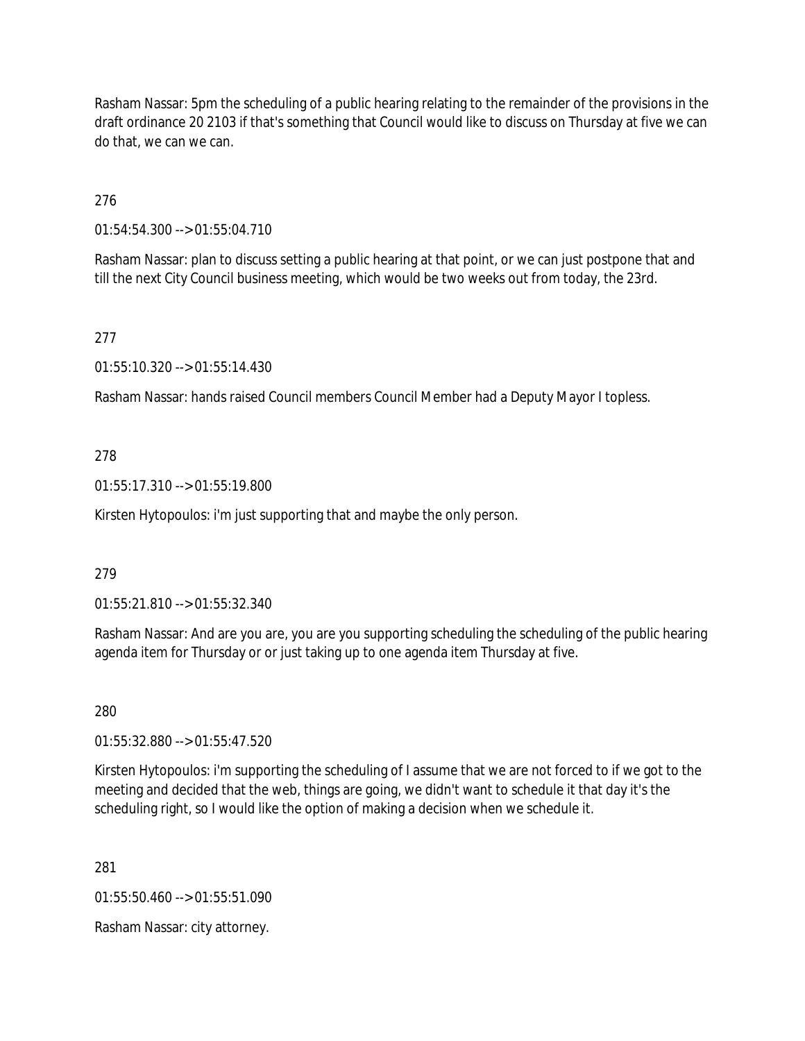Rasham Nassar: 5pm the scheduling of a public hearing relating to the remainder of the provisions in the draft ordinance 20 2103 if that's something that Council would like to discuss on Thursday at five we can do that, we can we can.

276

01:54:54.300 --> 01:55:04.710

Rasham Nassar: plan to discuss setting a public hearing at that point, or we can just postpone that and till the next City Council business meeting, which would be two weeks out from today, the 23rd.

# 277

01:55:10.320 --> 01:55:14.430

Rasham Nassar: hands raised Council members Council Member had a Deputy Mayor I topless.

# 278

01:55:17.310 --> 01:55:19.800

Kirsten Hytopoulos: i'm just supporting that and maybe the only person.

## 279

01:55:21.810 --> 01:55:32.340

Rasham Nassar: And are you are, you are you supporting scheduling the scheduling of the public hearing agenda item for Thursday or or just taking up to one agenda item Thursday at five.

280

01:55:32.880 --> 01:55:47.520

Kirsten Hytopoulos: i'm supporting the scheduling of I assume that we are not forced to if we got to the meeting and decided that the web, things are going, we didn't want to schedule it that day it's the scheduling right, so I would like the option of making a decision when we schedule it.

281

01:55:50.460 --> 01:55:51.090

Rasham Nassar: city attorney.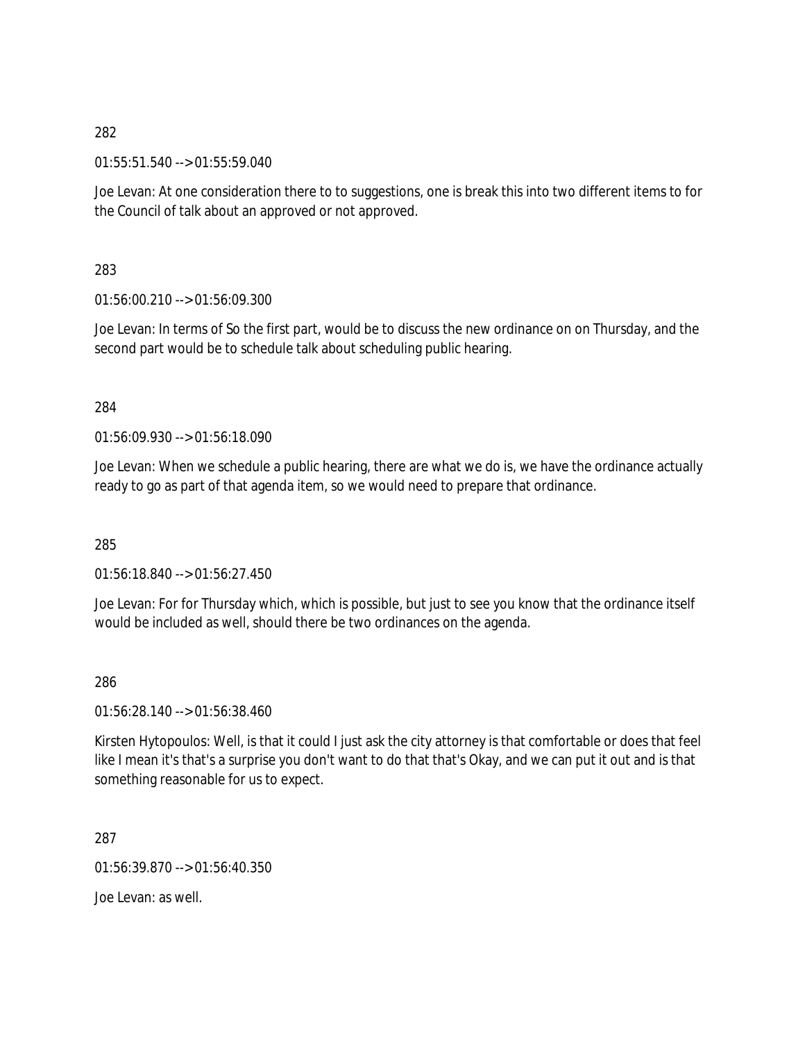01:55:51.540 --> 01:55:59.040

Joe Levan: At one consideration there to to suggestions, one is break this into two different items to for the Council of talk about an approved or not approved.

283

01:56:00.210 --> 01:56:09.300

Joe Levan: In terms of So the first part, would be to discuss the new ordinance on on Thursday, and the second part would be to schedule talk about scheduling public hearing.

284

01:56:09.930 --> 01:56:18.090

Joe Levan: When we schedule a public hearing, there are what we do is, we have the ordinance actually ready to go as part of that agenda item, so we would need to prepare that ordinance.

285

01:56:18.840 --> 01:56:27.450

Joe Levan: For for Thursday which, which is possible, but just to see you know that the ordinance itself would be included as well, should there be two ordinances on the agenda.

286

01:56:28.140 --> 01:56:38.460

Kirsten Hytopoulos: Well, is that it could I just ask the city attorney is that comfortable or does that feel like I mean it's that's a surprise you don't want to do that that's Okay, and we can put it out and is that something reasonable for us to expect.

287

01:56:39.870 --> 01:56:40.350

Joe Levan: as well.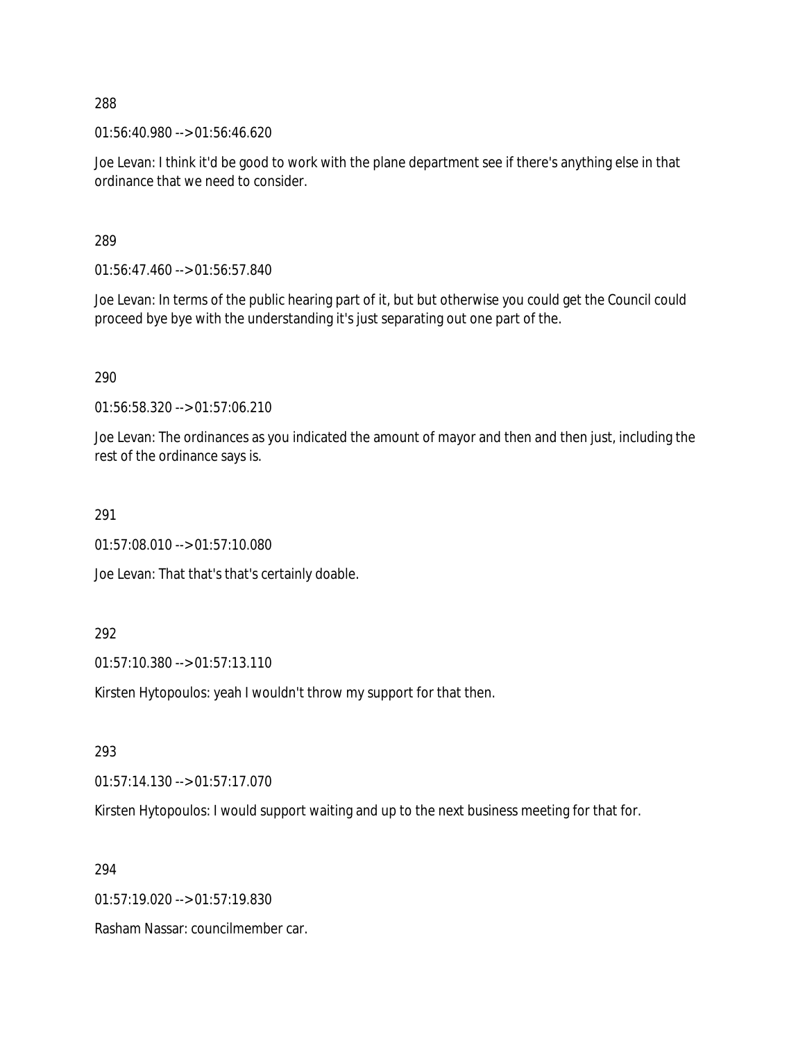01:56:40.980 --> 01:56:46.620

Joe Levan: I think it'd be good to work with the plane department see if there's anything else in that ordinance that we need to consider.

289

01:56:47.460 --> 01:56:57.840

Joe Levan: In terms of the public hearing part of it, but but otherwise you could get the Council could proceed bye bye with the understanding it's just separating out one part of the.

290

01:56:58.320 --> 01:57:06.210

Joe Levan: The ordinances as you indicated the amount of mayor and then and then just, including the rest of the ordinance says is.

291

01:57:08.010 --> 01:57:10.080

Joe Levan: That that's that's certainly doable.

292

01:57:10.380 --> 01:57:13.110

Kirsten Hytopoulos: yeah I wouldn't throw my support for that then.

293

01:57:14.130 --> 01:57:17.070

Kirsten Hytopoulos: I would support waiting and up to the next business meeting for that for.

294

01:57:19.020 --> 01:57:19.830

Rasham Nassar: councilmember car.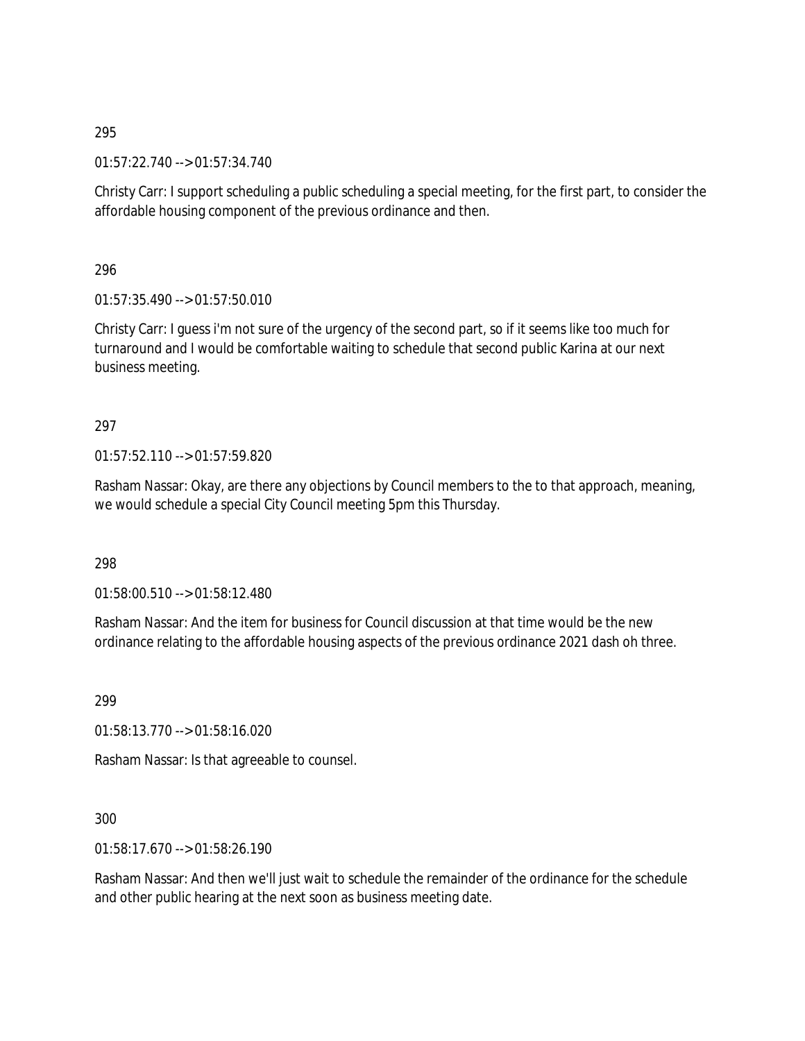01:57:22.740 --> 01:57:34.740

Christy Carr: I support scheduling a public scheduling a special meeting, for the first part, to consider the affordable housing component of the previous ordinance and then.

296

 $01:57:35.490 \rightarrow 01:57:50.010$ 

Christy Carr: I guess i'm not sure of the urgency of the second part, so if it seems like too much for turnaround and I would be comfortable waiting to schedule that second public Karina at our next business meeting.

# 297

01:57:52.110 --> 01:57:59.820

Rasham Nassar: Okay, are there any objections by Council members to the to that approach, meaning, we would schedule a special City Council meeting 5pm this Thursday.

298

01:58:00.510 --> 01:58:12.480

Rasham Nassar: And the item for business for Council discussion at that time would be the new ordinance relating to the affordable housing aspects of the previous ordinance 2021 dash oh three.

299

01:58:13.770 --> 01:58:16.020

Rasham Nassar: Is that agreeable to counsel.

## 300

01:58:17.670 --> 01:58:26.190

Rasham Nassar: And then we'll just wait to schedule the remainder of the ordinance for the schedule and other public hearing at the next soon as business meeting date.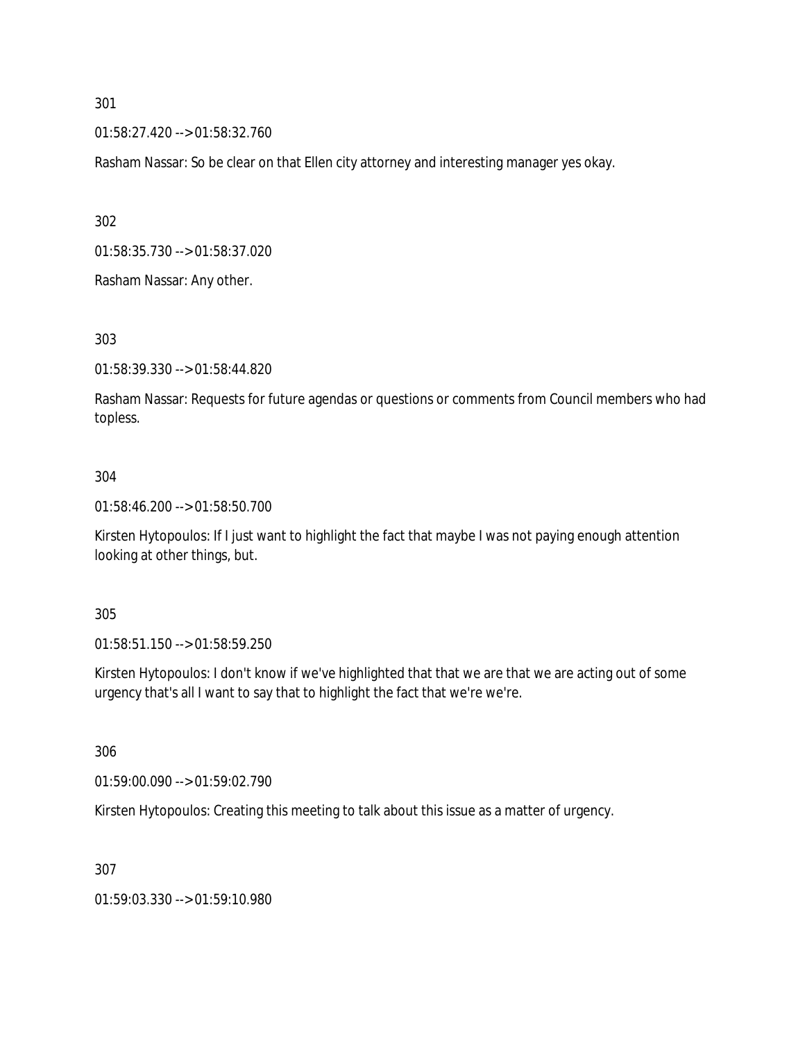01:58:27.420 --> 01:58:32.760

Rasham Nassar: So be clear on that Ellen city attorney and interesting manager yes okay.

302

01:58:35.730 --> 01:58:37.020

Rasham Nassar: Any other.

303

01:58:39.330 --> 01:58:44.820

Rasham Nassar: Requests for future agendas or questions or comments from Council members who had topless.

# 304

01:58:46.200 --> 01:58:50.700

Kirsten Hytopoulos: If I just want to highlight the fact that maybe I was not paying enough attention looking at other things, but.

305

01:58:51.150 --> 01:58:59.250

Kirsten Hytopoulos: I don't know if we've highlighted that that we are that we are acting out of some urgency that's all I want to say that to highlight the fact that we're we're.

306

01:59:00.090 --> 01:59:02.790

Kirsten Hytopoulos: Creating this meeting to talk about this issue as a matter of urgency.

307

01:59:03.330 --> 01:59:10.980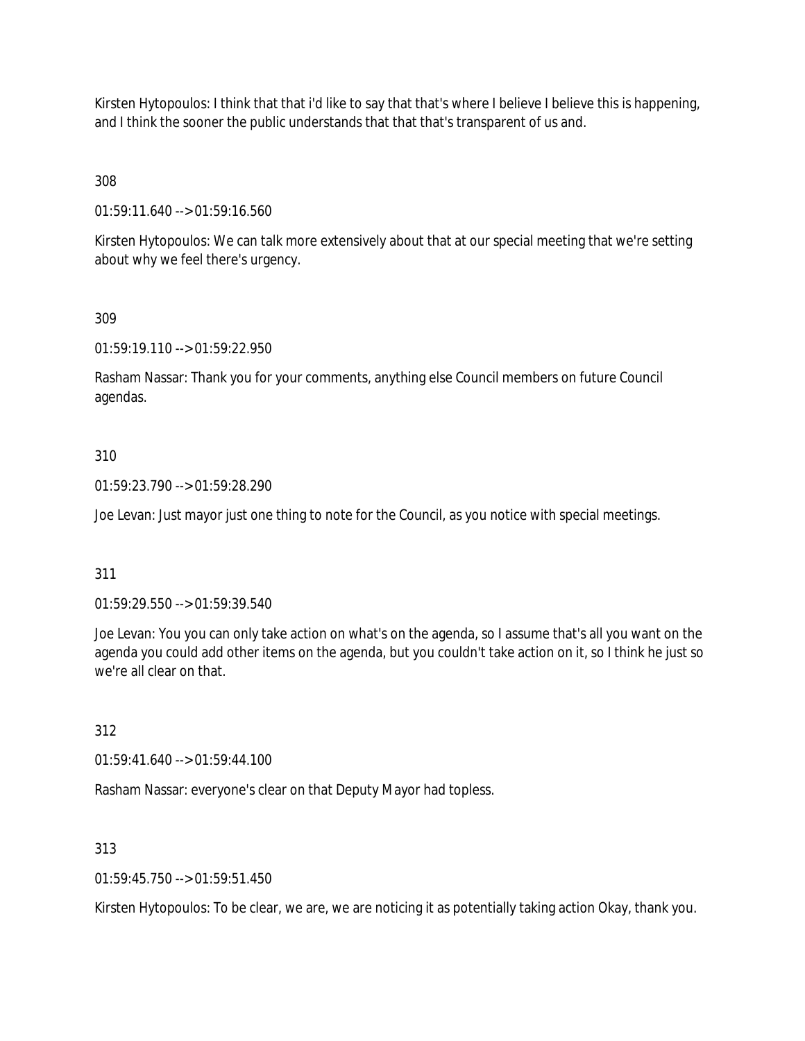Kirsten Hytopoulos: I think that that i'd like to say that that's where I believe I believe this is happening, and I think the sooner the public understands that that that's transparent of us and.

308

01:59:11.640 --> 01:59:16.560

Kirsten Hytopoulos: We can talk more extensively about that at our special meeting that we're setting about why we feel there's urgency.

309

01:59:19.110 --> 01:59:22.950

Rasham Nassar: Thank you for your comments, anything else Council members on future Council agendas.

## 310

01:59:23.790 --> 01:59:28.290

Joe Levan: Just mayor just one thing to note for the Council, as you notice with special meetings.

311

01:59:29.550 --> 01:59:39.540

Joe Levan: You you can only take action on what's on the agenda, so I assume that's all you want on the agenda you could add other items on the agenda, but you couldn't take action on it, so I think he just so we're all clear on that.

312

01:59:41.640 --> 01:59:44.100

Rasham Nassar: everyone's clear on that Deputy Mayor had topless.

313

 $01:59:45.750 \rightarrow 01:59:51.450$ 

Kirsten Hytopoulos: To be clear, we are, we are noticing it as potentially taking action Okay, thank you.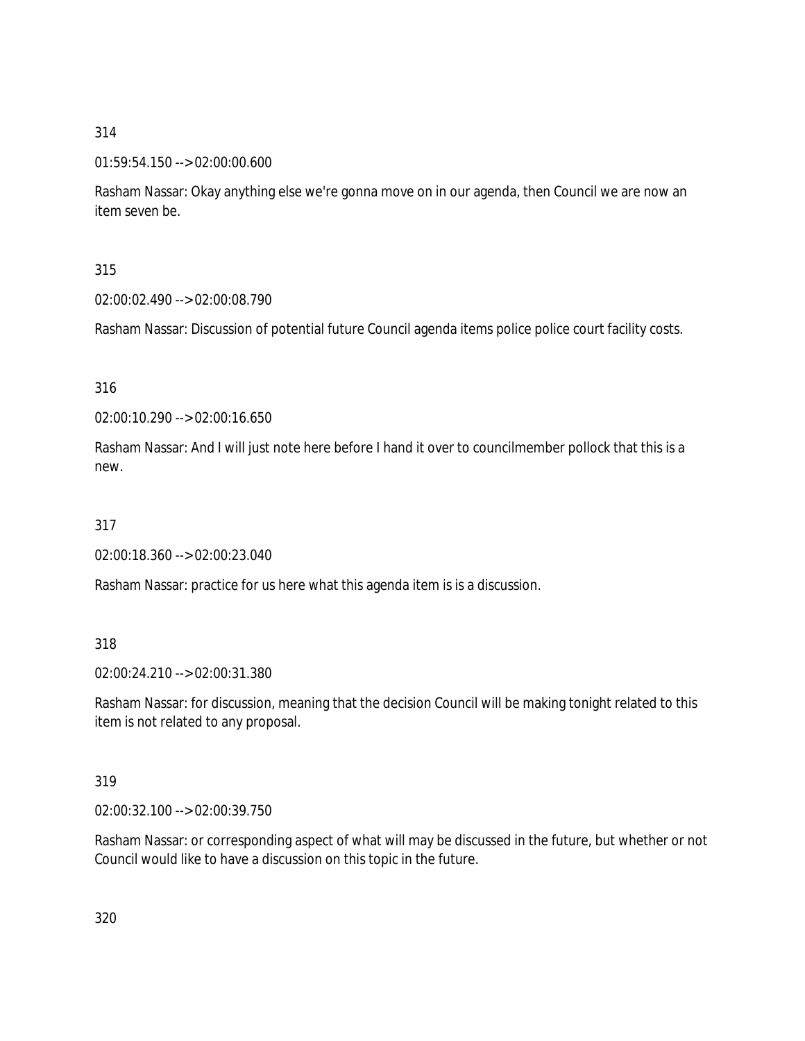# 01:59:54.150 --> 02:00:00.600

Rasham Nassar: Okay anything else we're gonna move on in our agenda, then Council we are now an item seven be.

# 315

02:00:02.490 --> 02:00:08.790

Rasham Nassar: Discussion of potential future Council agenda items police police court facility costs.

# 316

02:00:10.290 --> 02:00:16.650

Rasham Nassar: And I will just note here before I hand it over to councilmember pollock that this is a new.

# 317

02:00:18.360 --> 02:00:23.040

Rasham Nassar: practice for us here what this agenda item is is a discussion.

## 318

02:00:24.210 --> 02:00:31.380

Rasham Nassar: for discussion, meaning that the decision Council will be making tonight related to this item is not related to any proposal.

## 319

02:00:32.100 --> 02:00:39.750

Rasham Nassar: or corresponding aspect of what will may be discussed in the future, but whether or not Council would like to have a discussion on this topic in the future.

320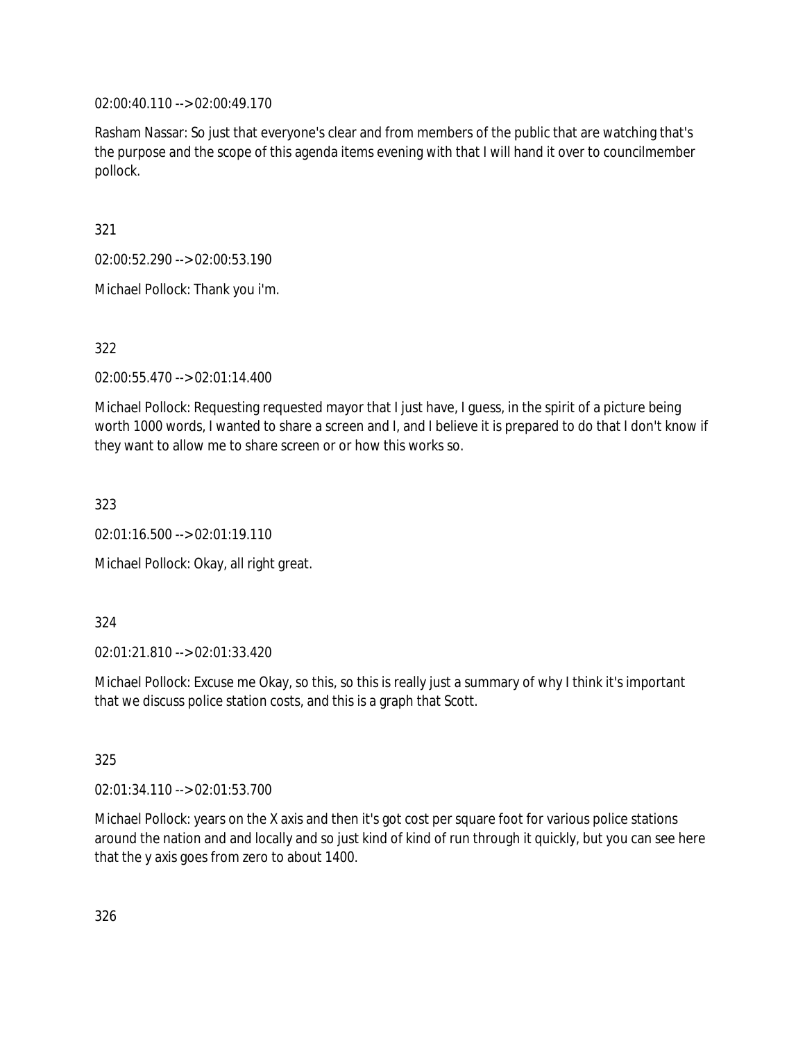02:00:40.110 --> 02:00:49.170

Rasham Nassar: So just that everyone's clear and from members of the public that are watching that's the purpose and the scope of this agenda items evening with that I will hand it over to councilmember pollock.

321

02:00:52.290 --> 02:00:53.190

Michael Pollock: Thank you i'm.

322

02:00:55.470 --> 02:01:14.400

Michael Pollock: Requesting requested mayor that I just have, I guess, in the spirit of a picture being worth 1000 words, I wanted to share a screen and I, and I believe it is prepared to do that I don't know if they want to allow me to share screen or or how this works so.

323

02:01:16.500 --> 02:01:19.110

Michael Pollock: Okay, all right great.

324

02:01:21.810 --> 02:01:33.420

Michael Pollock: Excuse me Okay, so this, so this is really just a summary of why I think it's important that we discuss police station costs, and this is a graph that Scott.

325

02:01:34.110 --> 02:01:53.700

Michael Pollock: years on the X axis and then it's got cost per square foot for various police stations around the nation and and locally and so just kind of kind of run through it quickly, but you can see here that the y axis goes from zero to about 1400.

326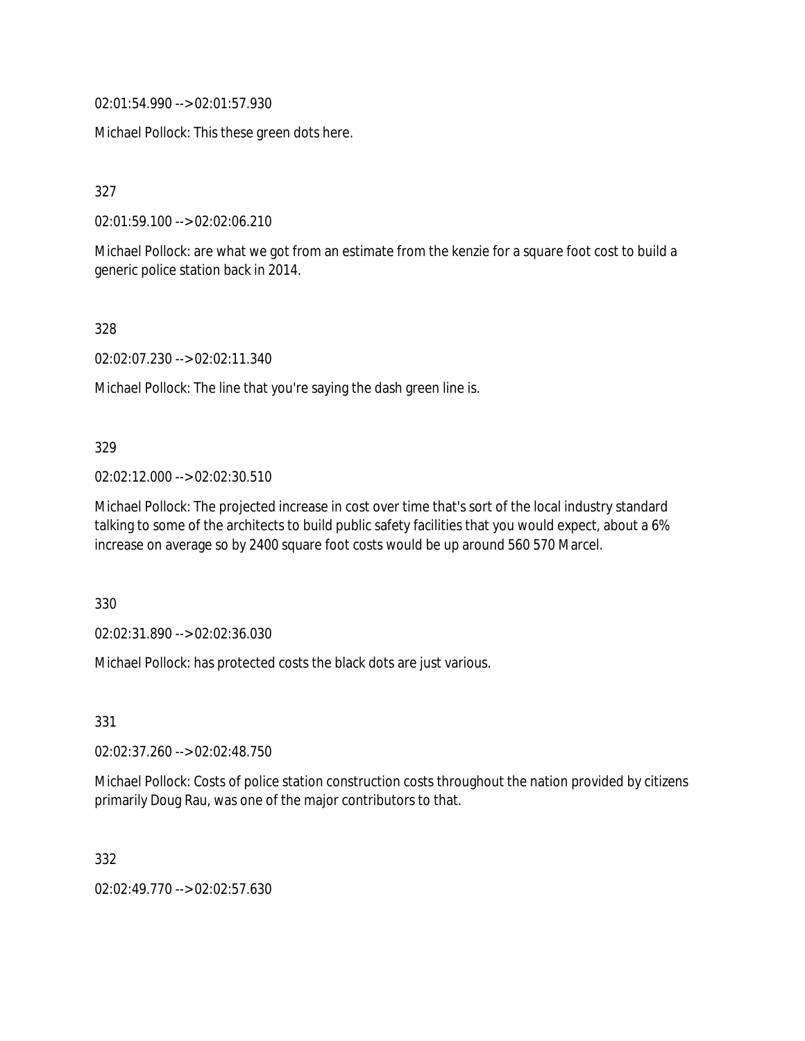02:01:54.990 --> 02:01:57.930

Michael Pollock: This these green dots here.

327

02:01:59.100 --> 02:02:06.210

Michael Pollock: are what we got from an estimate from the kenzie for a square foot cost to build a generic police station back in 2014.

328

02:02:07.230 --> 02:02:11.340

Michael Pollock: The line that you're saying the dash green line is.

#### 329

02:02:12.000 --> 02:02:30.510

Michael Pollock: The projected increase in cost over time that's sort of the local industry standard talking to some of the architects to build public safety facilities that you would expect, about a 6% increase on average so by 2400 square foot costs would be up around 560 570 Marcel.

330

02:02:31.890 --> 02:02:36.030

Michael Pollock: has protected costs the black dots are just various.

331

02:02:37.260 --> 02:02:48.750

Michael Pollock: Costs of police station construction costs throughout the nation provided by citizens primarily Doug Rau, was one of the major contributors to that.

332

02:02:49.770 --> 02:02:57.630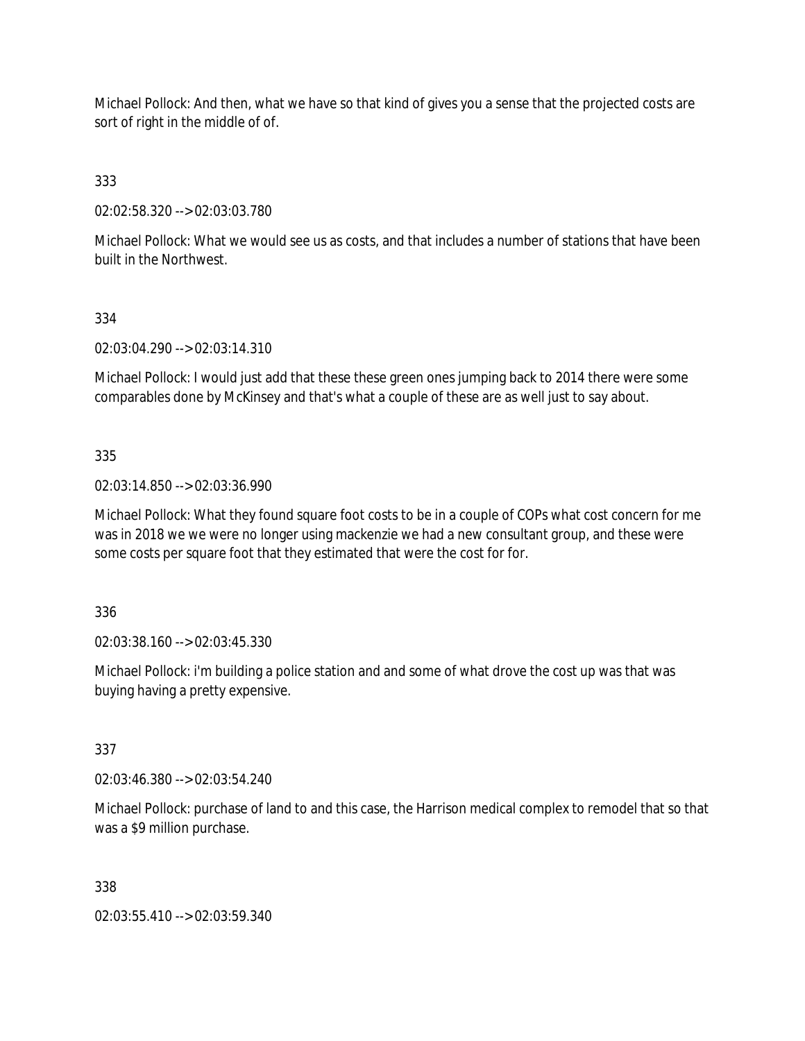Michael Pollock: And then, what we have so that kind of gives you a sense that the projected costs are sort of right in the middle of of.

333

02:02:58.320 --> 02:03:03.780

Michael Pollock: What we would see us as costs, and that includes a number of stations that have been built in the Northwest.

#### 334

02:03:04.290 --> 02:03:14.310

Michael Pollock: I would just add that these these green ones jumping back to 2014 there were some comparables done by McKinsey and that's what a couple of these are as well just to say about.

## 335

02:03:14.850 --> 02:03:36.990

Michael Pollock: What they found square foot costs to be in a couple of COPs what cost concern for me was in 2018 we we were no longer using mackenzie we had a new consultant group, and these were some costs per square foot that they estimated that were the cost for for.

#### 336

02:03:38.160 --> 02:03:45.330

Michael Pollock: i'm building a police station and and some of what drove the cost up was that was buying having a pretty expensive.

#### 337

02:03:46.380 --> 02:03:54.240

Michael Pollock: purchase of land to and this case, the Harrison medical complex to remodel that so that was a \$9 million purchase.

#### 338

02:03:55.410 --> 02:03:59.340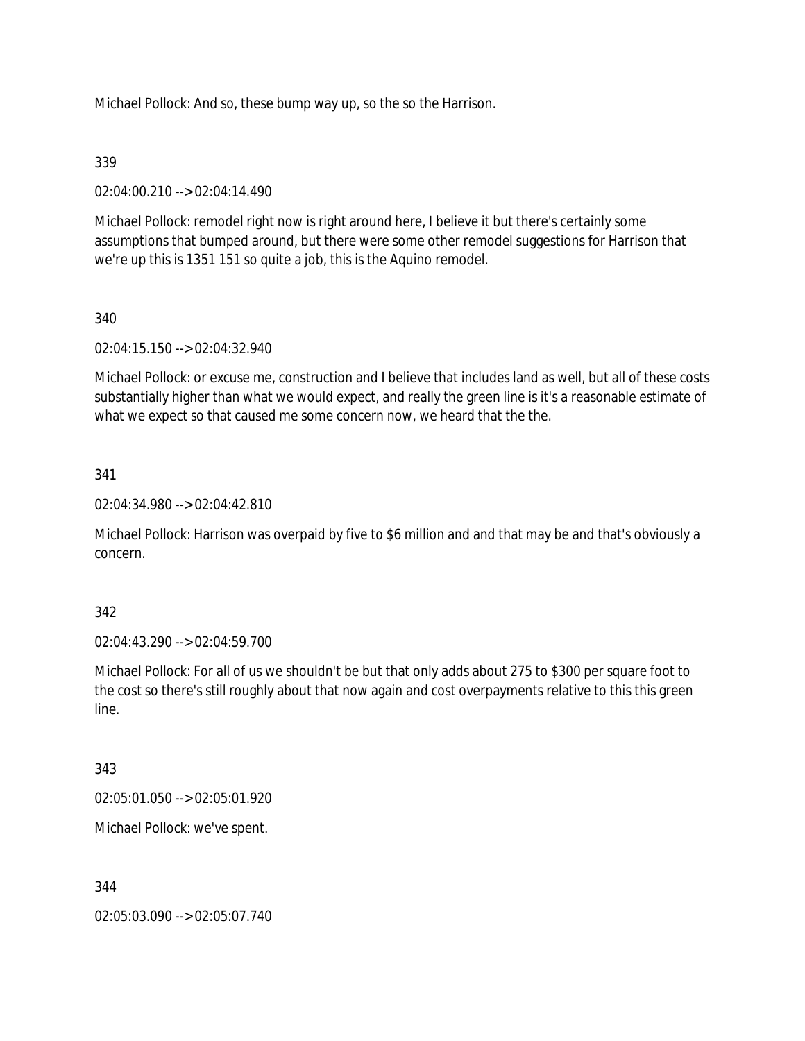Michael Pollock: And so, these bump way up, so the so the Harrison.

## 339

02:04:00.210 --> 02:04:14.490

Michael Pollock: remodel right now is right around here, I believe it but there's certainly some assumptions that bumped around, but there were some other remodel suggestions for Harrison that we're up this is 1351 151 so quite a job, this is the Aquino remodel.

# 340

02:04:15.150 --> 02:04:32.940

Michael Pollock: or excuse me, construction and I believe that includes land as well, but all of these costs substantially higher than what we would expect, and really the green line is it's a reasonable estimate of what we expect so that caused me some concern now, we heard that the the.

# 341

02:04:34.980 --> 02:04:42.810

Michael Pollock: Harrison was overpaid by five to \$6 million and and that may be and that's obviously a concern.

## 342

02:04:43.290 --> 02:04:59.700

Michael Pollock: For all of us we shouldn't be but that only adds about 275 to \$300 per square foot to the cost so there's still roughly about that now again and cost overpayments relative to this this green line.

## 343

02:05:01.050 --> 02:05:01.920

Michael Pollock: we've spent.

## 344

02:05:03.090 --> 02:05:07.740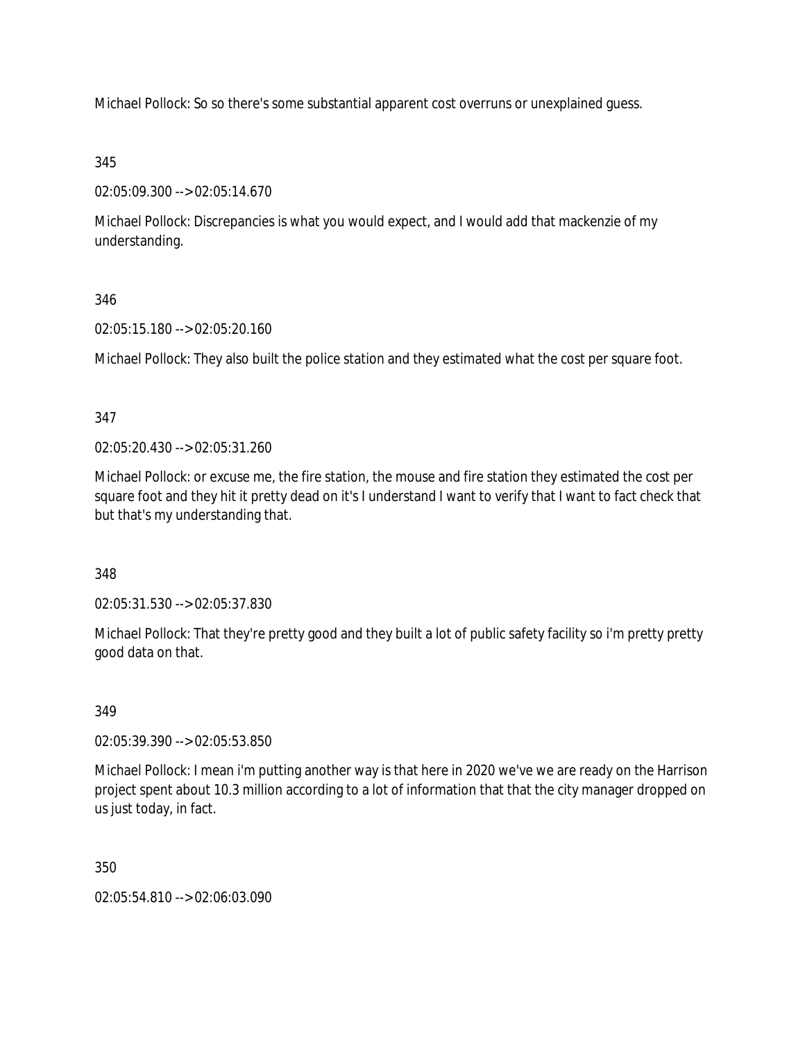Michael Pollock: So so there's some substantial apparent cost overruns or unexplained guess.

# 345

02:05:09.300 --> 02:05:14.670

Michael Pollock: Discrepancies is what you would expect, and I would add that mackenzie of my understanding.

# 346

02:05:15.180 --> 02:05:20.160

Michael Pollock: They also built the police station and they estimated what the cost per square foot.

# 347

02:05:20.430 --> 02:05:31.260

Michael Pollock: or excuse me, the fire station, the mouse and fire station they estimated the cost per square foot and they hit it pretty dead on it's I understand I want to verify that I want to fact check that but that's my understanding that.

# 348

02:05:31.530 --> 02:05:37.830

Michael Pollock: That they're pretty good and they built a lot of public safety facility so i'm pretty pretty good data on that.

# 349

02:05:39.390 --> 02:05:53.850

Michael Pollock: I mean i'm putting another way is that here in 2020 we've we are ready on the Harrison project spent about 10.3 million according to a lot of information that that the city manager dropped on us just today, in fact.

# 350

02:05:54.810 --> 02:06:03.090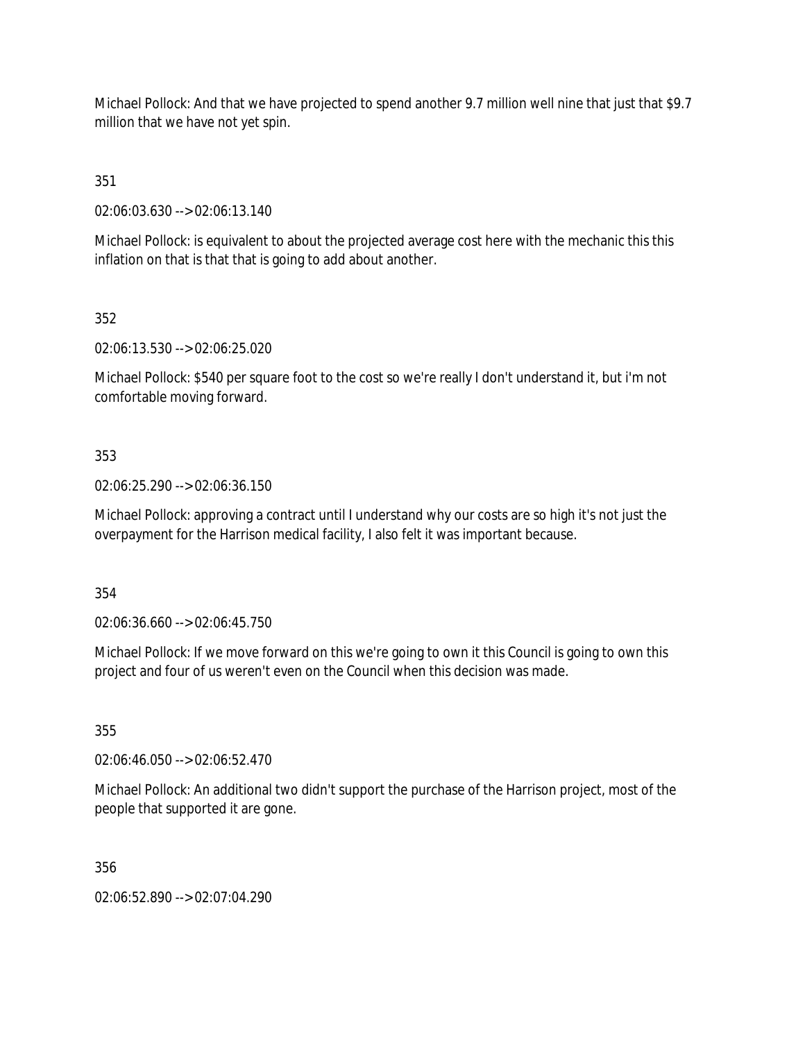Michael Pollock: And that we have projected to spend another 9.7 million well nine that just that \$9.7 million that we have not yet spin.

351

02:06:03.630 --> 02:06:13.140

Michael Pollock: is equivalent to about the projected average cost here with the mechanic this this inflation on that is that that is going to add about another.

352

02:06:13.530 --> 02:06:25.020

Michael Pollock: \$540 per square foot to the cost so we're really I don't understand it, but i'm not comfortable moving forward.

# 353

02:06:25.290 --> 02:06:36.150

Michael Pollock: approving a contract until I understand why our costs are so high it's not just the overpayment for the Harrison medical facility, I also felt it was important because.

354

02:06:36.660 --> 02:06:45.750

Michael Pollock: If we move forward on this we're going to own it this Council is going to own this project and four of us weren't even on the Council when this decision was made.

355

02:06:46.050 --> 02:06:52.470

Michael Pollock: An additional two didn't support the purchase of the Harrison project, most of the people that supported it are gone.

356

02:06:52.890 --> 02:07:04.290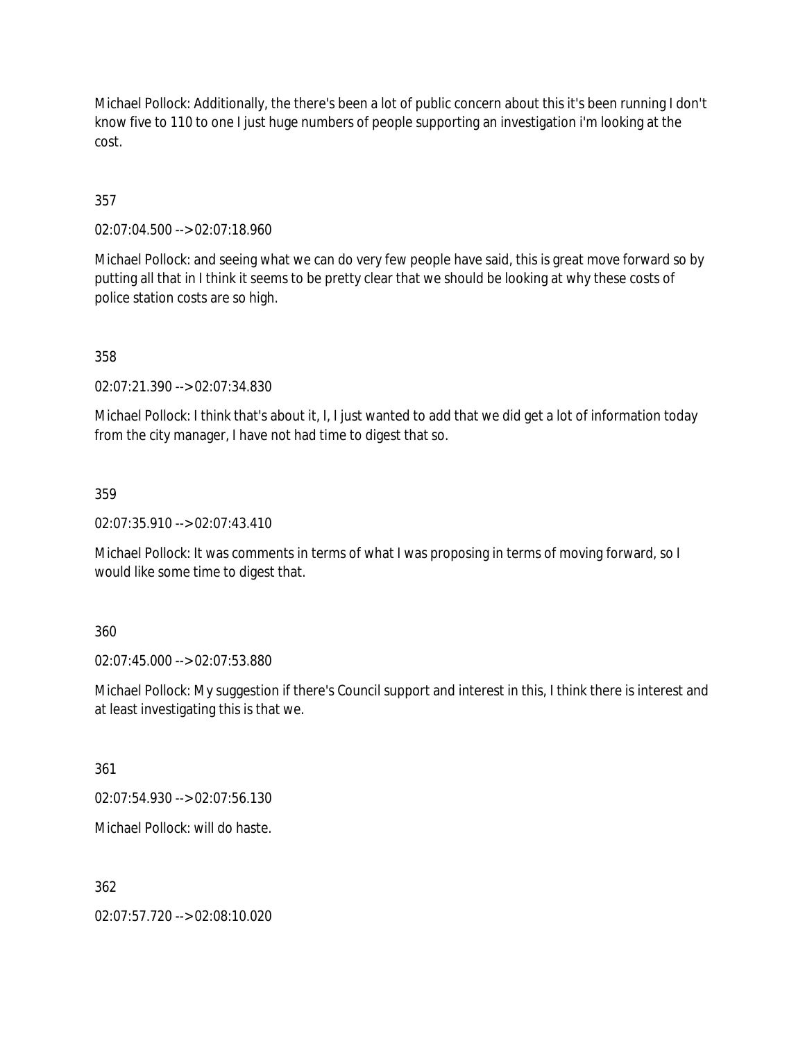Michael Pollock: Additionally, the there's been a lot of public concern about this it's been running I don't know five to 110 to one I just huge numbers of people supporting an investigation i'm looking at the cost.

357

02:07:04.500 --> 02:07:18.960

Michael Pollock: and seeing what we can do very few people have said, this is great move forward so by putting all that in I think it seems to be pretty clear that we should be looking at why these costs of police station costs are so high.

358

02:07:21.390 --> 02:07:34.830

Michael Pollock: I think that's about it, I, I just wanted to add that we did get a lot of information today from the city manager, I have not had time to digest that so.

359

02:07:35.910 --> 02:07:43.410

Michael Pollock: It was comments in terms of what I was proposing in terms of moving forward, so I would like some time to digest that.

360

02:07:45.000 --> 02:07:53.880

Michael Pollock: My suggestion if there's Council support and interest in this, I think there is interest and at least investigating this is that we.

361

02:07:54.930 --> 02:07:56.130

Michael Pollock: will do haste.

362

02:07:57.720 --> 02:08:10.020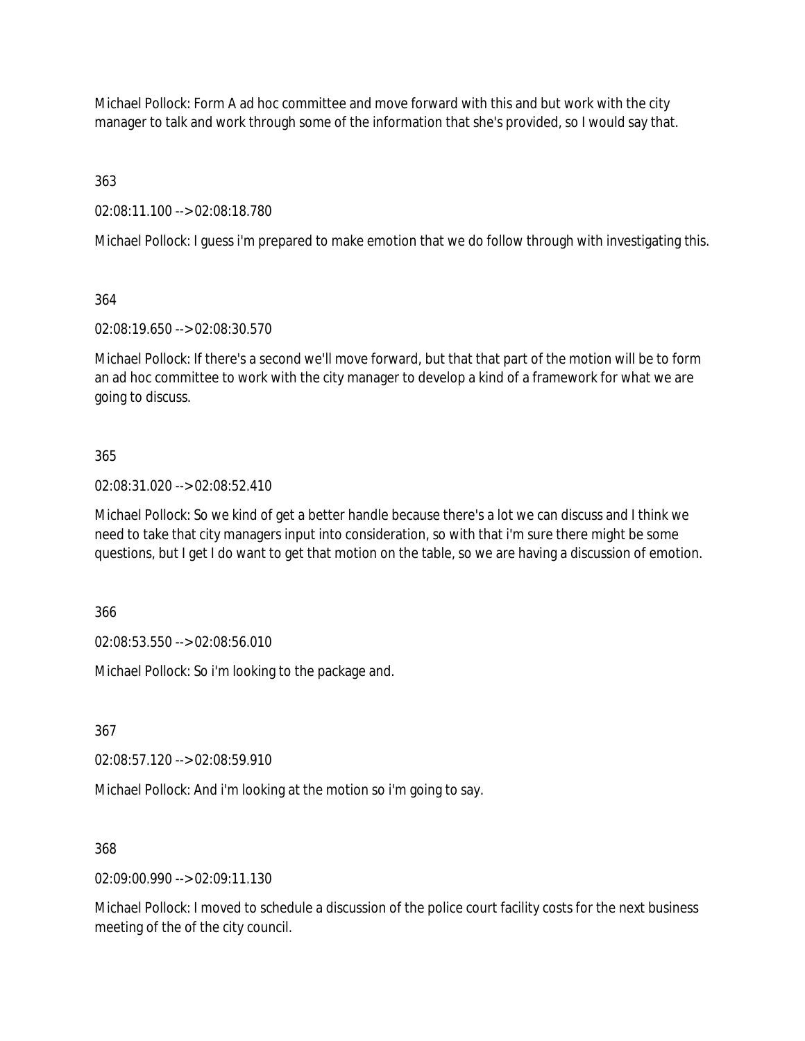Michael Pollock: Form A ad hoc committee and move forward with this and but work with the city manager to talk and work through some of the information that she's provided, so I would say that.

363

02:08:11.100 --> 02:08:18.780

Michael Pollock: I guess i'm prepared to make emotion that we do follow through with investigating this.

364

02:08:19.650 --> 02:08:30.570

Michael Pollock: If there's a second we'll move forward, but that that part of the motion will be to form an ad hoc committee to work with the city manager to develop a kind of a framework for what we are going to discuss.

## 365

02:08:31.020 --> 02:08:52.410

Michael Pollock: So we kind of get a better handle because there's a lot we can discuss and I think we need to take that city managers input into consideration, so with that i'm sure there might be some questions, but I get I do want to get that motion on the table, so we are having a discussion of emotion.

366

02:08:53.550 --> 02:08:56.010

Michael Pollock: So i'm looking to the package and.

367

02:08:57.120 --> 02:08:59.910

Michael Pollock: And i'm looking at the motion so i'm going to say.

368

02:09:00.990 --> 02:09:11.130

Michael Pollock: I moved to schedule a discussion of the police court facility costs for the next business meeting of the of the city council.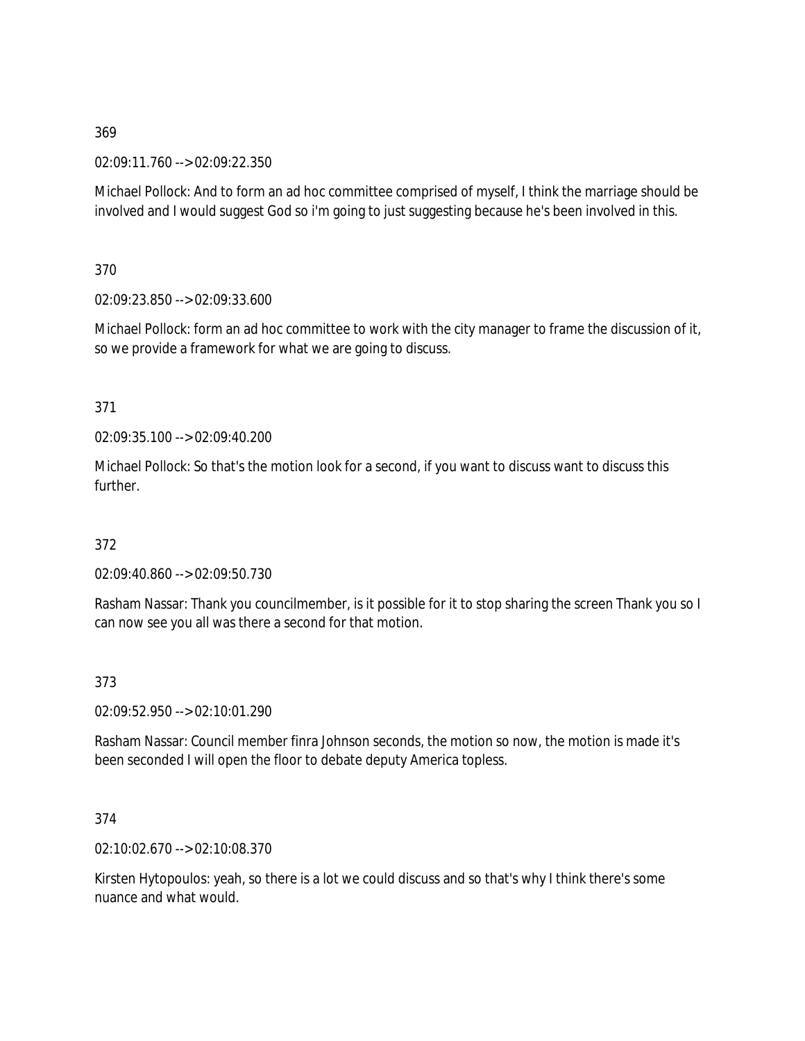02:09:11.760 --> 02:09:22.350

Michael Pollock: And to form an ad hoc committee comprised of myself, I think the marriage should be involved and I would suggest God so i'm going to just suggesting because he's been involved in this.

370

02:09:23.850 --> 02:09:33.600

Michael Pollock: form an ad hoc committee to work with the city manager to frame the discussion of it, so we provide a framework for what we are going to discuss.

371

02:09:35.100 --> 02:09:40.200

Michael Pollock: So that's the motion look for a second, if you want to discuss want to discuss this further.

372

02:09:40.860 --> 02:09:50.730

Rasham Nassar: Thank you councilmember, is it possible for it to stop sharing the screen Thank you so I can now see you all was there a second for that motion.

373

02:09:52.950 --> 02:10:01.290

Rasham Nassar: Council member finra Johnson seconds, the motion so now, the motion is made it's been seconded I will open the floor to debate deputy America topless.

374

02:10:02.670 --> 02:10:08.370

Kirsten Hytopoulos: yeah, so there is a lot we could discuss and so that's why I think there's some nuance and what would.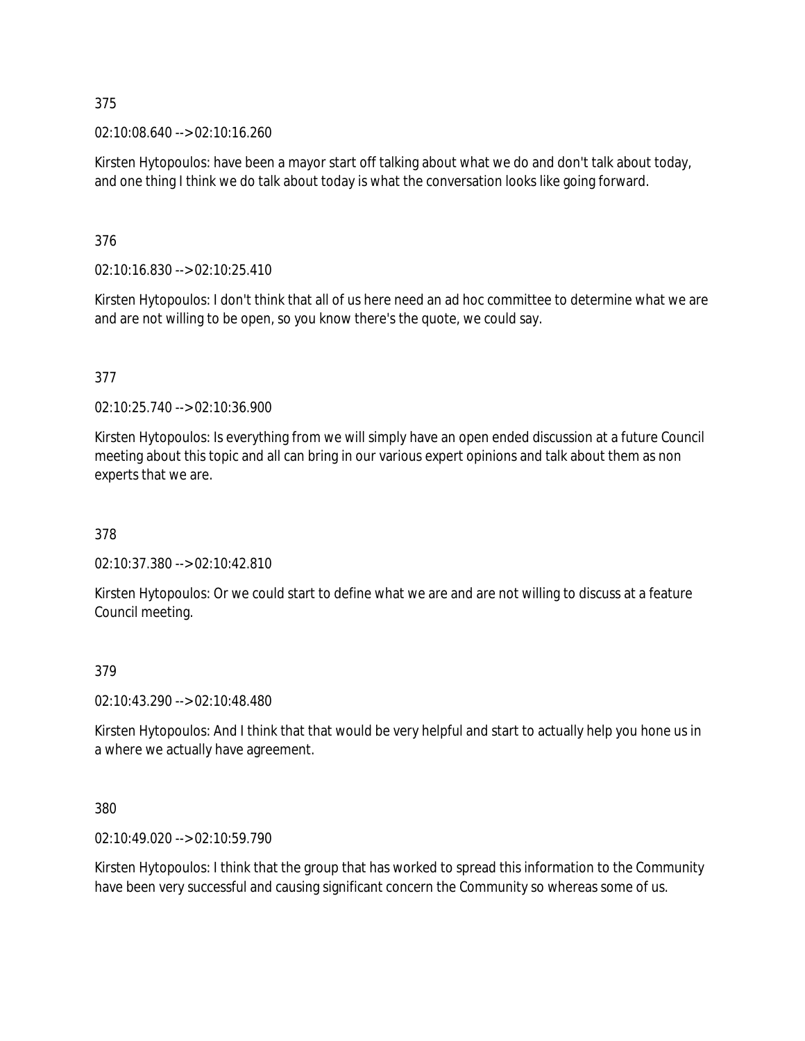02:10:08.640 --> 02:10:16.260

Kirsten Hytopoulos: have been a mayor start off talking about what we do and don't talk about today, and one thing I think we do talk about today is what the conversation looks like going forward.

376

02:10:16.830 --> 02:10:25.410

Kirsten Hytopoulos: I don't think that all of us here need an ad hoc committee to determine what we are and are not willing to be open, so you know there's the quote, we could say.

377

02:10:25.740 --> 02:10:36.900

Kirsten Hytopoulos: Is everything from we will simply have an open ended discussion at a future Council meeting about this topic and all can bring in our various expert opinions and talk about them as non experts that we are.

378

02:10:37.380 --> 02:10:42.810

Kirsten Hytopoulos: Or we could start to define what we are and are not willing to discuss at a feature Council meeting.

#### 379

02:10:43.290 --> 02:10:48.480

Kirsten Hytopoulos: And I think that that would be very helpful and start to actually help you hone us in a where we actually have agreement.

380

02:10:49.020 --> 02:10:59.790

Kirsten Hytopoulos: I think that the group that has worked to spread this information to the Community have been very successful and causing significant concern the Community so whereas some of us.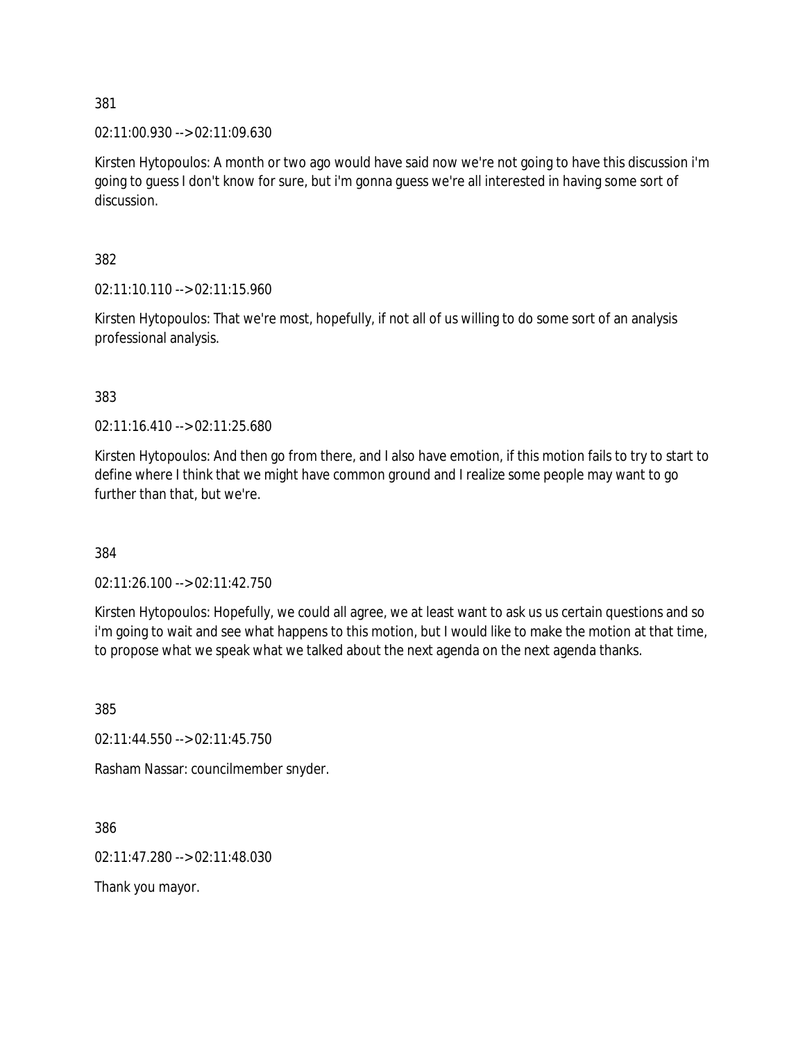02:11:00.930 --> 02:11:09.630

Kirsten Hytopoulos: A month or two ago would have said now we're not going to have this discussion i'm going to guess I don't know for sure, but i'm gonna guess we're all interested in having some sort of discussion.

382

02:11:10.110 --> 02:11:15.960

Kirsten Hytopoulos: That we're most, hopefully, if not all of us willing to do some sort of an analysis professional analysis.

383

02:11:16.410 --> 02:11:25.680

Kirsten Hytopoulos: And then go from there, and I also have emotion, if this motion fails to try to start to define where I think that we might have common ground and I realize some people may want to go further than that, but we're.

384

02:11:26.100 --> 02:11:42.750

Kirsten Hytopoulos: Hopefully, we could all agree, we at least want to ask us us certain questions and so i'm going to wait and see what happens to this motion, but I would like to make the motion at that time, to propose what we speak what we talked about the next agenda on the next agenda thanks.

385

02:11:44.550 --> 02:11:45.750

Rasham Nassar: councilmember snyder.

386

02:11:47.280 --> 02:11:48.030

Thank you mayor.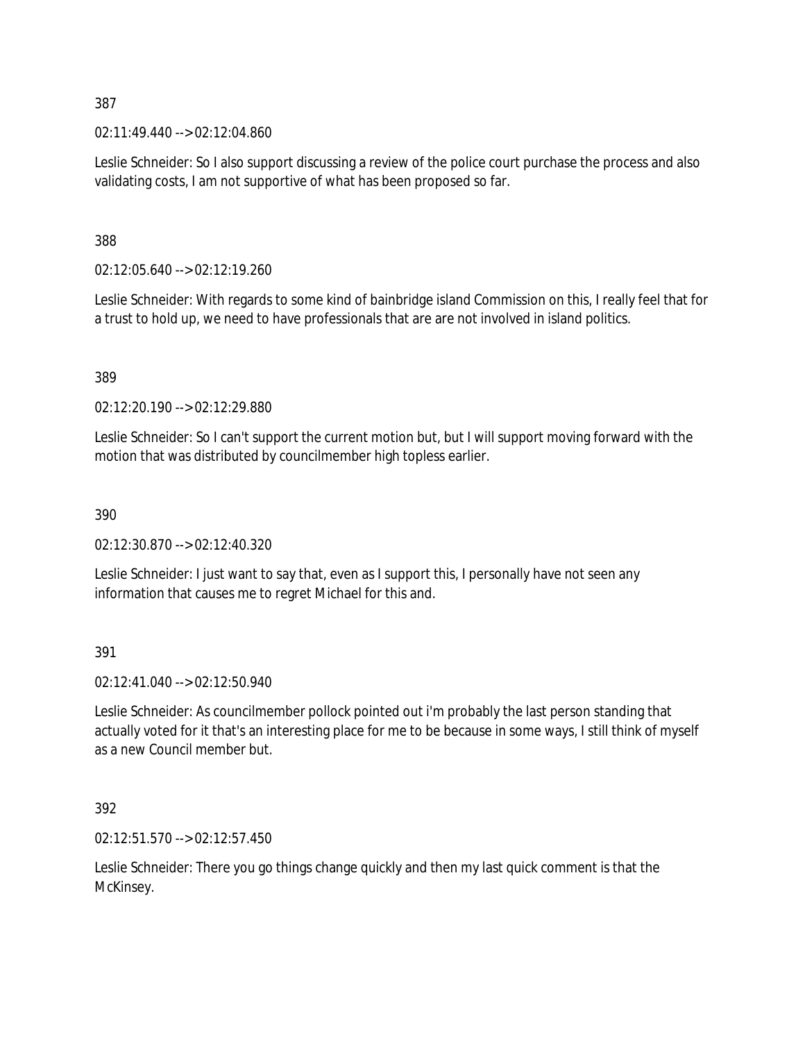02:11:49.440 --> 02:12:04.860

Leslie Schneider: So I also support discussing a review of the police court purchase the process and also validating costs, I am not supportive of what has been proposed so far.

388

02:12:05.640 --> 02:12:19.260

Leslie Schneider: With regards to some kind of bainbridge island Commission on this, I really feel that for a trust to hold up, we need to have professionals that are are not involved in island politics.

389

02:12:20.190 --> 02:12:29.880

Leslie Schneider: So I can't support the current motion but, but I will support moving forward with the motion that was distributed by councilmember high topless earlier.

390

02:12:30.870 --> 02:12:40.320

Leslie Schneider: I just want to say that, even as I support this, I personally have not seen any information that causes me to regret Michael for this and.

391

02:12:41.040 --> 02:12:50.940

Leslie Schneider: As councilmember pollock pointed out i'm probably the last person standing that actually voted for it that's an interesting place for me to be because in some ways, I still think of myself as a new Council member but.

392

02:12:51.570 --> 02:12:57.450

Leslie Schneider: There you go things change quickly and then my last quick comment is that the McKinsey.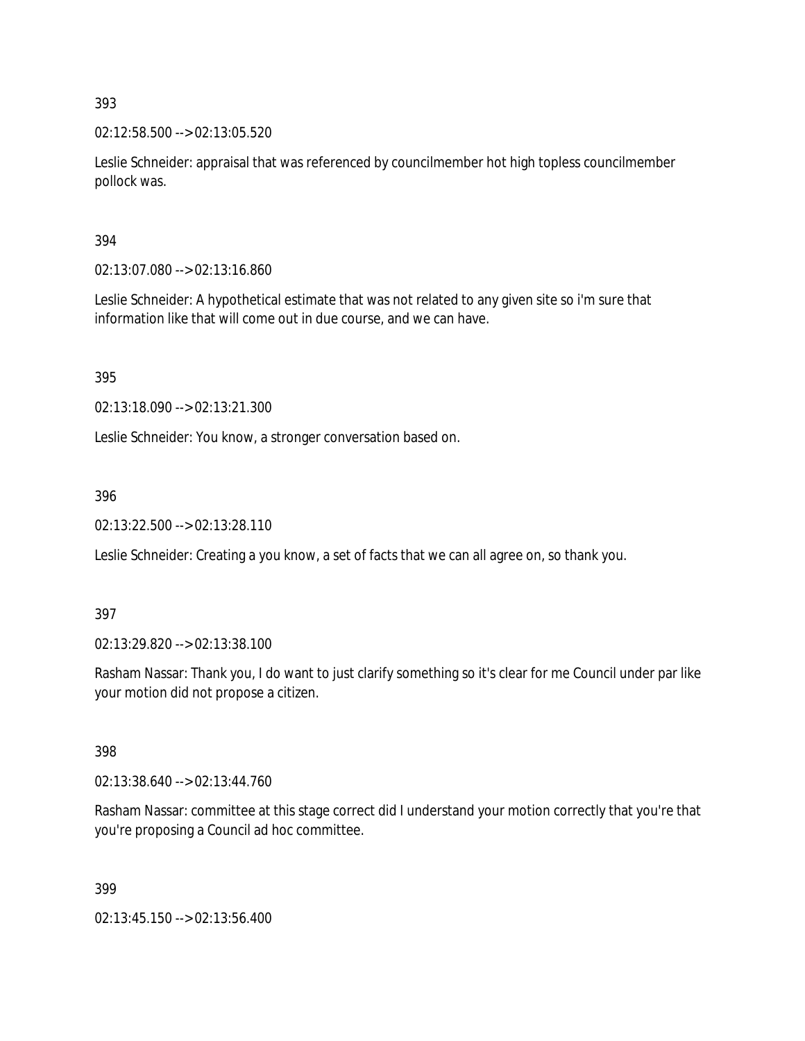02:12:58.500 --> 02:13:05.520

Leslie Schneider: appraisal that was referenced by councilmember hot high topless councilmember pollock was.

## 394

02:13:07.080 --> 02:13:16.860

Leslie Schneider: A hypothetical estimate that was not related to any given site so i'm sure that information like that will come out in due course, and we can have.

395

02:13:18.090 --> 02:13:21.300

Leslie Schneider: You know, a stronger conversation based on.

396

02:13:22.500 --> 02:13:28.110

Leslie Schneider: Creating a you know, a set of facts that we can all agree on, so thank you.

## 397

02:13:29.820 --> 02:13:38.100

Rasham Nassar: Thank you, I do want to just clarify something so it's clear for me Council under par like your motion did not propose a citizen.

## 398

02:13:38.640 --> 02:13:44.760

Rasham Nassar: committee at this stage correct did I understand your motion correctly that you're that you're proposing a Council ad hoc committee.

399

02:13:45.150 --> 02:13:56.400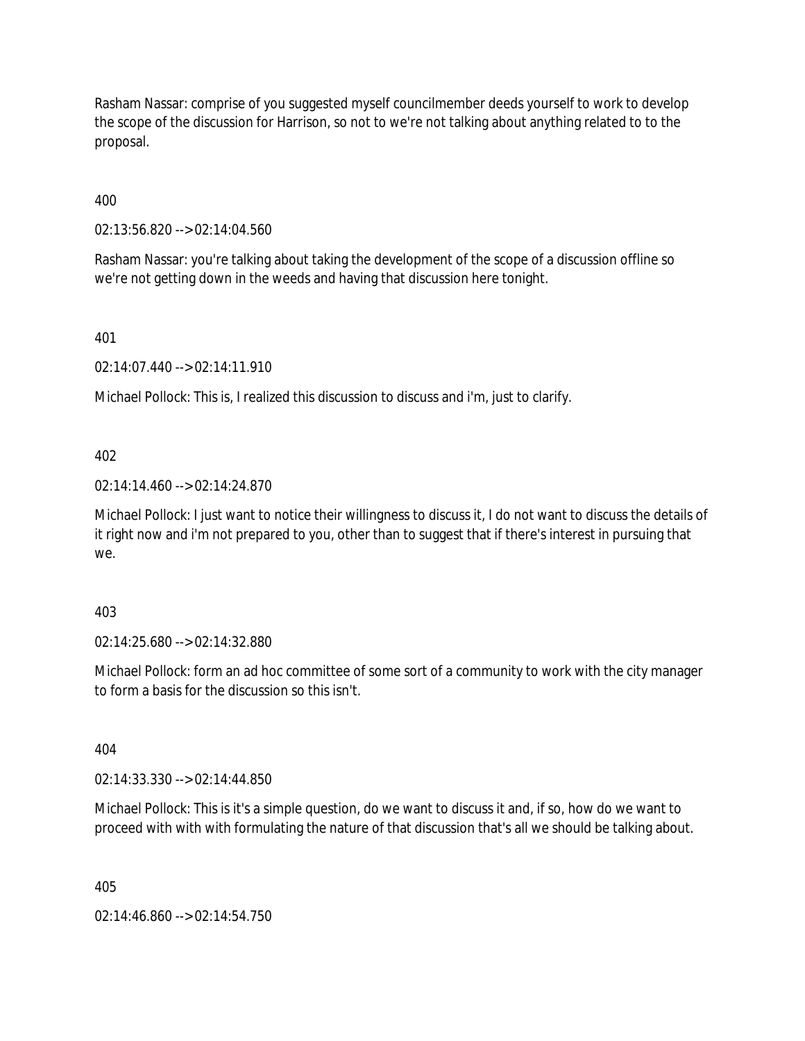Rasham Nassar: comprise of you suggested myself councilmember deeds yourself to work to develop the scope of the discussion for Harrison, so not to we're not talking about anything related to to the proposal.

400

02:13:56.820 --> 02:14:04.560

Rasham Nassar: you're talking about taking the development of the scope of a discussion offline so we're not getting down in the weeds and having that discussion here tonight.

401

02:14:07.440 --> 02:14:11.910

Michael Pollock: This is, I realized this discussion to discuss and i'm, just to clarify.

402

02:14:14.460 --> 02:14:24.870

Michael Pollock: I just want to notice their willingness to discuss it, I do not want to discuss the details of it right now and i'm not prepared to you, other than to suggest that if there's interest in pursuing that we.

403

02:14:25.680 --> 02:14:32.880

Michael Pollock: form an ad hoc committee of some sort of a community to work with the city manager to form a basis for the discussion so this isn't.

404

02:14:33.330 --> 02:14:44.850

Michael Pollock: This is it's a simple question, do we want to discuss it and, if so, how do we want to proceed with with with formulating the nature of that discussion that's all we should be talking about.

405

02:14:46.860 --> 02:14:54.750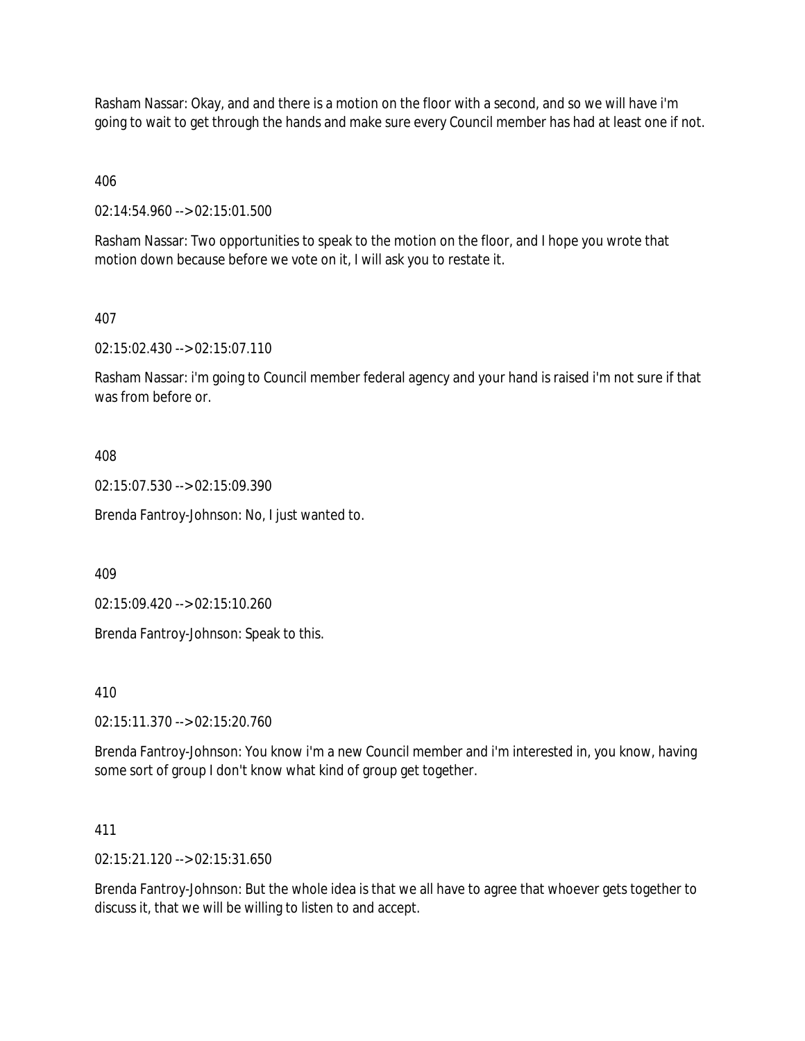Rasham Nassar: Okay, and and there is a motion on the floor with a second, and so we will have i'm going to wait to get through the hands and make sure every Council member has had at least one if not.

406

02:14:54.960 --> 02:15:01.500

Rasham Nassar: Two opportunities to speak to the motion on the floor, and I hope you wrote that motion down because before we vote on it, I will ask you to restate it.

# 407

02:15:02.430 --> 02:15:07.110

Rasham Nassar: i'm going to Council member federal agency and your hand is raised i'm not sure if that was from before or.

408

02:15:07.530 --> 02:15:09.390

Brenda Fantroy-Johnson: No, I just wanted to.

409

02:15:09.420 --> 02:15:10.260

Brenda Fantroy-Johnson: Speak to this.

410

02:15:11.370 --> 02:15:20.760

Brenda Fantroy-Johnson: You know i'm a new Council member and i'm interested in, you know, having some sort of group I don't know what kind of group get together.

411

02:15:21.120 --> 02:15:31.650

Brenda Fantroy-Johnson: But the whole idea is that we all have to agree that whoever gets together to discuss it, that we will be willing to listen to and accept.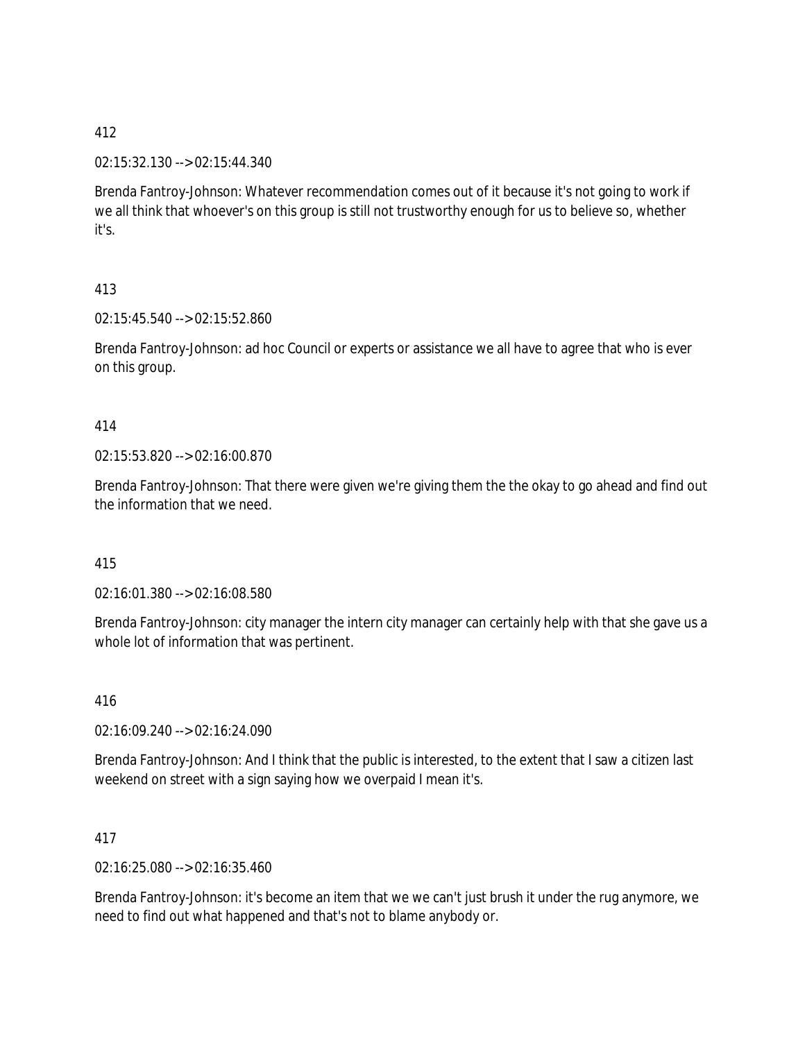02:15:32.130 --> 02:15:44.340

Brenda Fantroy-Johnson: Whatever recommendation comes out of it because it's not going to work if we all think that whoever's on this group is still not trustworthy enough for us to believe so, whether it's.

# 413

02:15:45.540 --> 02:15:52.860

Brenda Fantroy-Johnson: ad hoc Council or experts or assistance we all have to agree that who is ever on this group.

# 414

02:15:53.820 --> 02:16:00.870

Brenda Fantroy-Johnson: That there were given we're giving them the the okay to go ahead and find out the information that we need.

# 415

02:16:01.380 --> 02:16:08.580

Brenda Fantroy-Johnson: city manager the intern city manager can certainly help with that she gave us a whole lot of information that was pertinent.

# 416

02:16:09.240 --> 02:16:24.090

Brenda Fantroy-Johnson: And I think that the public is interested, to the extent that I saw a citizen last weekend on street with a sign saying how we overpaid I mean it's.

## 417

02:16:25.080 --> 02:16:35.460

Brenda Fantroy-Johnson: it's become an item that we we can't just brush it under the rug anymore, we need to find out what happened and that's not to blame anybody or.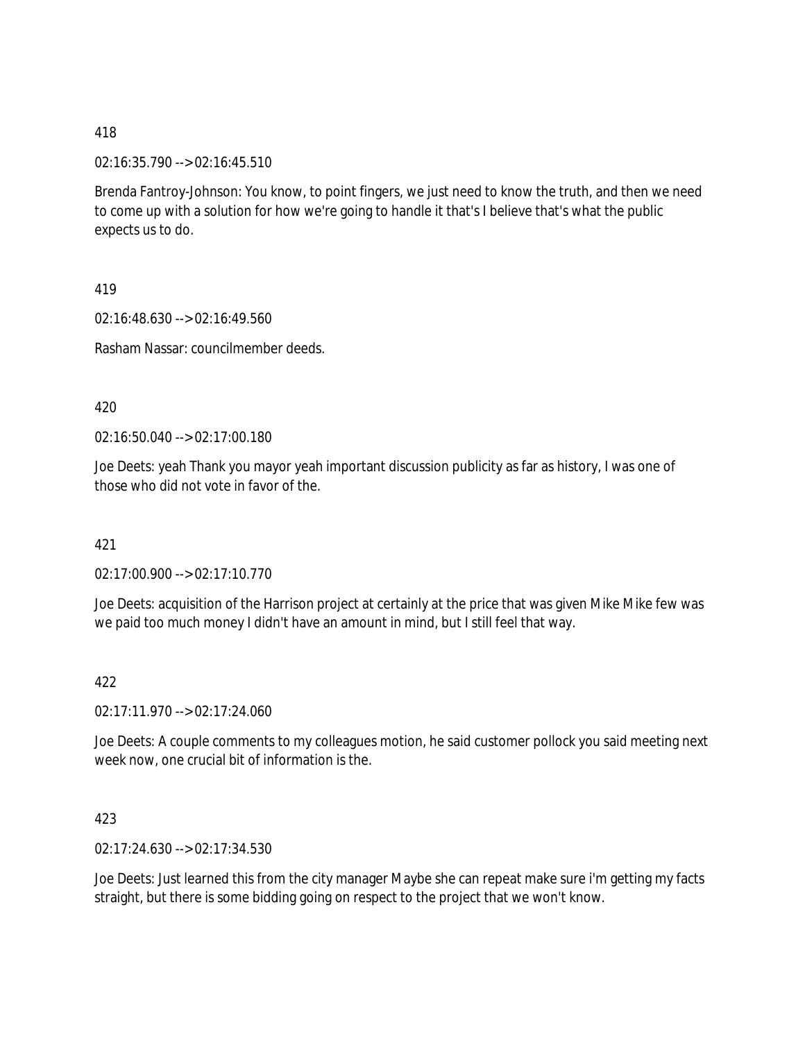02:16:35.790 --> 02:16:45.510

Brenda Fantroy-Johnson: You know, to point fingers, we just need to know the truth, and then we need to come up with a solution for how we're going to handle it that's I believe that's what the public expects us to do.

419

02:16:48.630 --> 02:16:49.560

Rasham Nassar: councilmember deeds.

420

02:16:50.040 --> 02:17:00.180

Joe Deets: yeah Thank you mayor yeah important discussion publicity as far as history, I was one of those who did not vote in favor of the.

421

02:17:00.900 --> 02:17:10.770

Joe Deets: acquisition of the Harrison project at certainly at the price that was given Mike Mike few was we paid too much money I didn't have an amount in mind, but I still feel that way.

422

02:17:11.970 --> 02:17:24.060

Joe Deets: A couple comments to my colleagues motion, he said customer pollock you said meeting next week now, one crucial bit of information is the.

423

02:17:24.630 --> 02:17:34.530

Joe Deets: Just learned this from the city manager Maybe she can repeat make sure i'm getting my facts straight, but there is some bidding going on respect to the project that we won't know.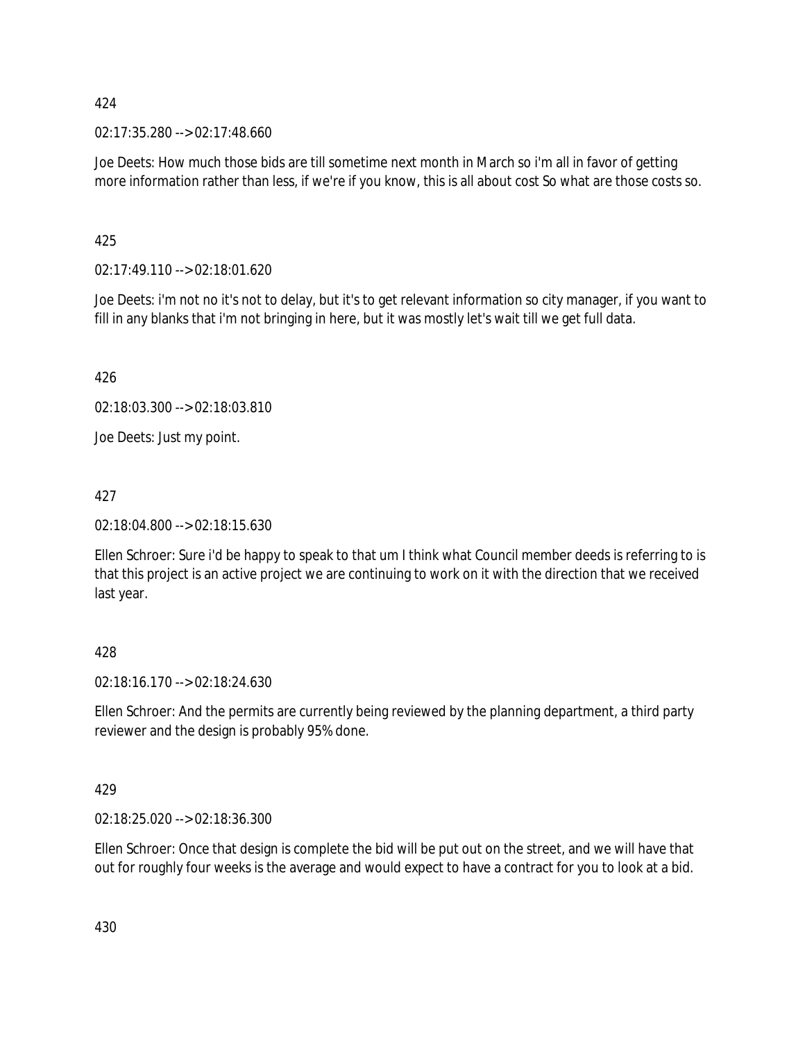02:17:35.280 --> 02:17:48.660

Joe Deets: How much those bids are till sometime next month in March so i'm all in favor of getting more information rather than less, if we're if you know, this is all about cost So what are those costs so.

425

02:17:49.110 --> 02:18:01.620

Joe Deets: i'm not no it's not to delay, but it's to get relevant information so city manager, if you want to fill in any blanks that i'm not bringing in here, but it was mostly let's wait till we get full data.

426

02:18:03.300 --> 02:18:03.810

Joe Deets: Just my point.

427

02:18:04.800 --> 02:18:15.630

Ellen Schroer: Sure i'd be happy to speak to that um I think what Council member deeds is referring to is that this project is an active project we are continuing to work on it with the direction that we received last year.

# 428

02:18:16.170 --> 02:18:24.630

Ellen Schroer: And the permits are currently being reviewed by the planning department, a third party reviewer and the design is probably 95% done.

429

02:18:25.020 --> 02:18:36.300

Ellen Schroer: Once that design is complete the bid will be put out on the street, and we will have that out for roughly four weeks is the average and would expect to have a contract for you to look at a bid.

430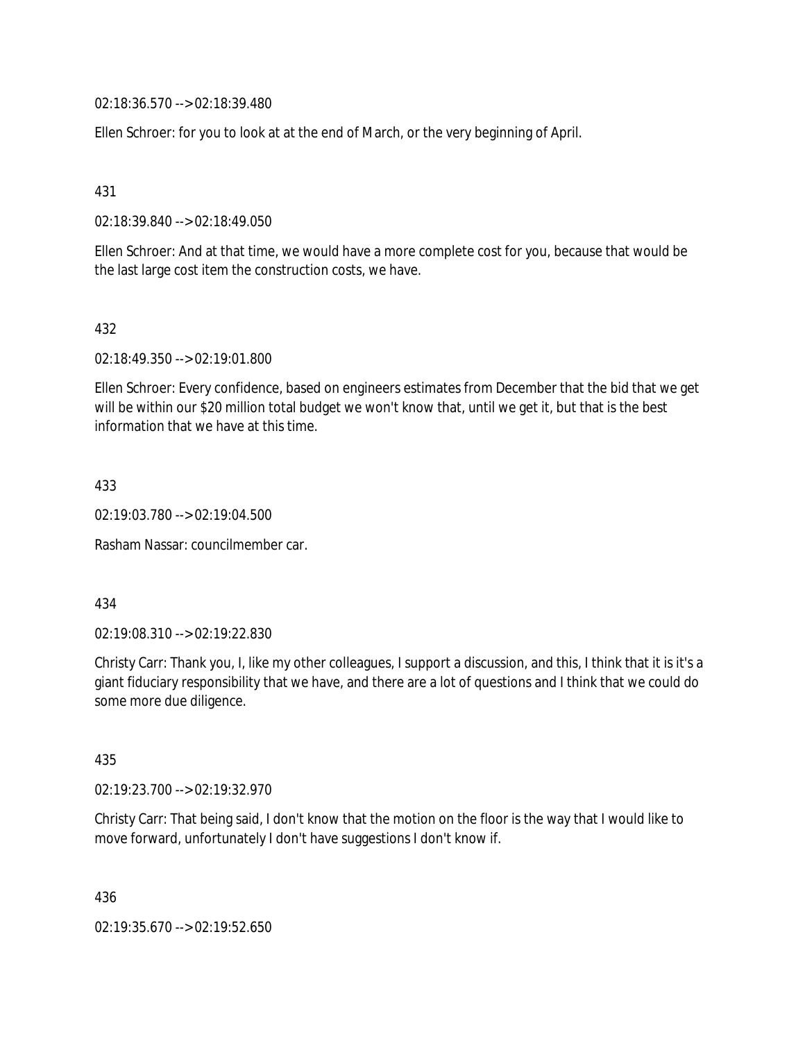02:18:36.570 --> 02:18:39.480

Ellen Schroer: for you to look at at the end of March, or the very beginning of April.

431

02:18:39.840 --> 02:18:49.050

Ellen Schroer: And at that time, we would have a more complete cost for you, because that would be the last large cost item the construction costs, we have.

432

02:18:49.350 --> 02:19:01.800

Ellen Schroer: Every confidence, based on engineers estimates from December that the bid that we get will be within our \$20 million total budget we won't know that, until we get it, but that is the best information that we have at this time.

433

02:19:03.780 --> 02:19:04.500

Rasham Nassar: councilmember car.

434

02:19:08.310 --> 02:19:22.830

Christy Carr: Thank you, I, like my other colleagues, I support a discussion, and this, I think that it is it's a giant fiduciary responsibility that we have, and there are a lot of questions and I think that we could do some more due diligence.

435

02:19:23.700 --> 02:19:32.970

Christy Carr: That being said, I don't know that the motion on the floor is the way that I would like to move forward, unfortunately I don't have suggestions I don't know if.

436

02:19:35.670 --> 02:19:52.650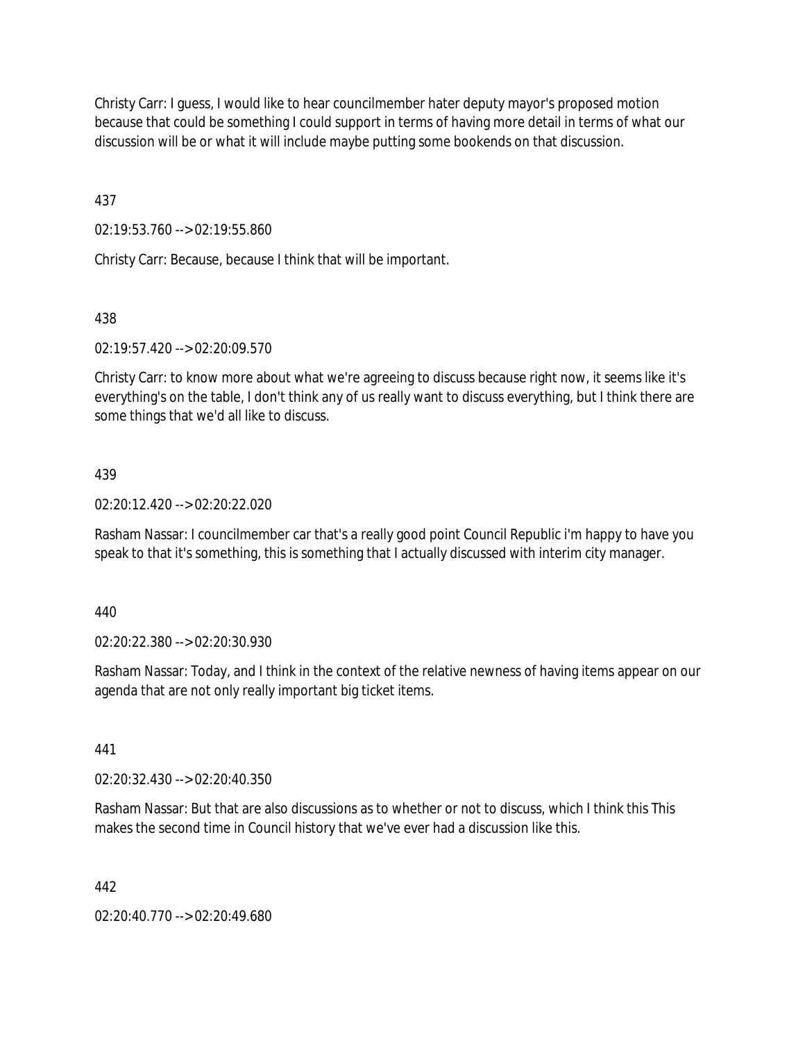Christy Carr: I guess, I would like to hear councilmember hater deputy mayor's proposed motion because that could be something I could support in terms of having more detail in terms of what our discussion will be or what it will include maybe putting some bookends on that discussion.

437

02:19:53.760 --> 02:19:55.860

Christy Carr: Because, because I think that will be important.

## 438

02:19:57.420 --> 02:20:09.570

Christy Carr: to know more about what we're agreeing to discuss because right now, it seems like it's everything's on the table, I don't think any of us really want to discuss everything, but I think there are some things that we'd all like to discuss.

## 439

02:20:12.420 --> 02:20:22.020

Rasham Nassar: I councilmember car that's a really good point Council Republic i'm happy to have you speak to that it's something, this is something that I actually discussed with interim city manager.

440

02:20:22.380 --> 02:20:30.930

Rasham Nassar: Today, and I think in the context of the relative newness of having items appear on our agenda that are not only really important big ticket items.

441

02:20:32.430 --> 02:20:40.350

Rasham Nassar: But that are also discussions as to whether or not to discuss, which I think this This makes the second time in Council history that we've ever had a discussion like this.

442

02:20:40.770 --> 02:20:49.680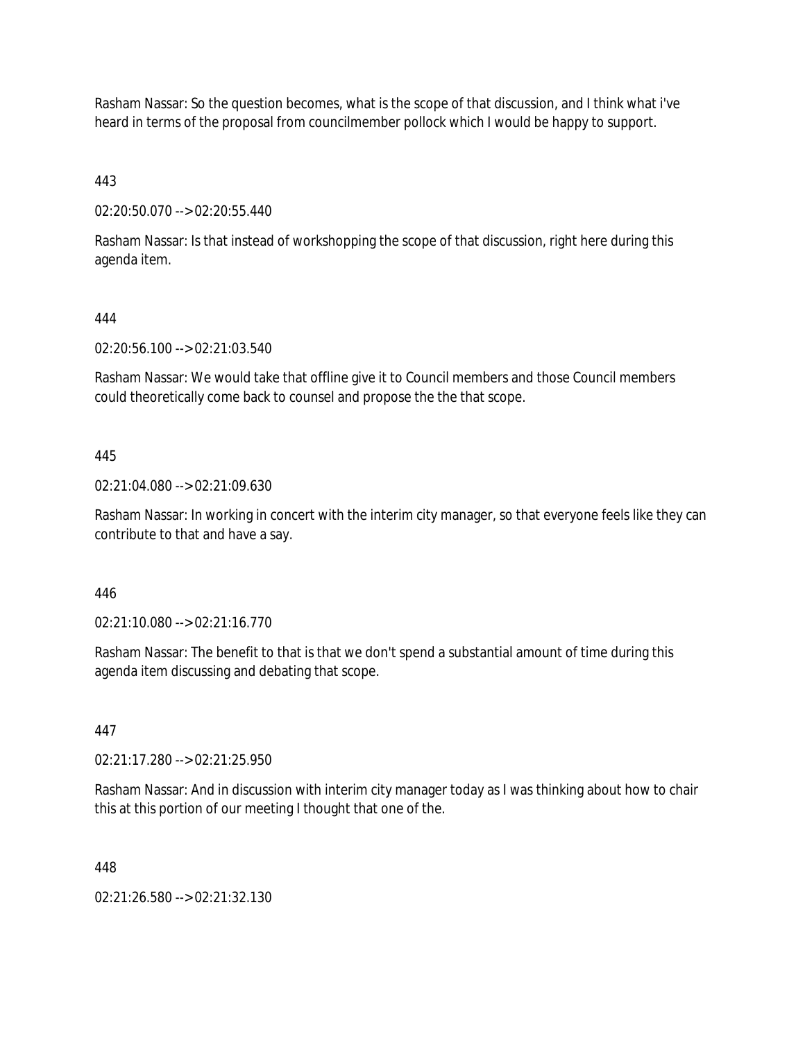Rasham Nassar: So the question becomes, what is the scope of that discussion, and I think what i've heard in terms of the proposal from councilmember pollock which I would be happy to support.

443

02:20:50.070 --> 02:20:55.440

Rasham Nassar: Is that instead of workshopping the scope of that discussion, right here during this agenda item.

# 444

02:20:56.100 --> 02:21:03.540

Rasham Nassar: We would take that offline give it to Council members and those Council members could theoretically come back to counsel and propose the the that scope.

## 445

02:21:04.080 --> 02:21:09.630

Rasham Nassar: In working in concert with the interim city manager, so that everyone feels like they can contribute to that and have a say.

## 446

02:21:10.080 --> 02:21:16.770

Rasham Nassar: The benefit to that is that we don't spend a substantial amount of time during this agenda item discussing and debating that scope.

## 447

02:21:17.280 --> 02:21:25.950

Rasham Nassar: And in discussion with interim city manager today as I was thinking about how to chair this at this portion of our meeting I thought that one of the.

## 448

02:21:26.580 --> 02:21:32.130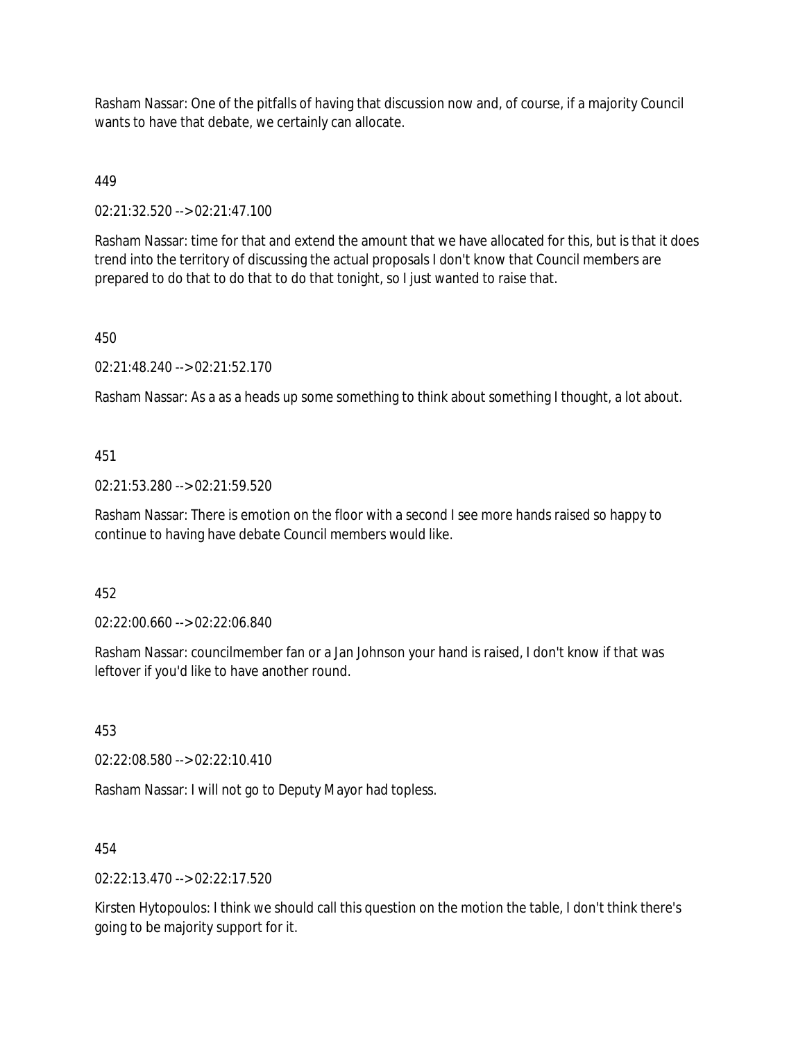Rasham Nassar: One of the pitfalls of having that discussion now and, of course, if a majority Council wants to have that debate, we certainly can allocate.

449

02:21:32.520 --> 02:21:47.100

Rasham Nassar: time for that and extend the amount that we have allocated for this, but is that it does trend into the territory of discussing the actual proposals I don't know that Council members are prepared to do that to do that to do that tonight, so I just wanted to raise that.

450

02:21:48.240 --> 02:21:52.170

Rasham Nassar: As a as a heads up some something to think about something I thought, a lot about.

## 451

02:21:53.280 --> 02:21:59.520

Rasham Nassar: There is emotion on the floor with a second I see more hands raised so happy to continue to having have debate Council members would like.

452

02:22:00.660 --> 02:22:06.840

Rasham Nassar: councilmember fan or a Jan Johnson your hand is raised, I don't know if that was leftover if you'd like to have another round.

453

02:22:08.580 --> 02:22:10.410

Rasham Nassar: I will not go to Deputy Mayor had topless.

454

 $02:22:13.470 \rightarrow 02:22:17.520$ 

Kirsten Hytopoulos: I think we should call this question on the motion the table, I don't think there's going to be majority support for it.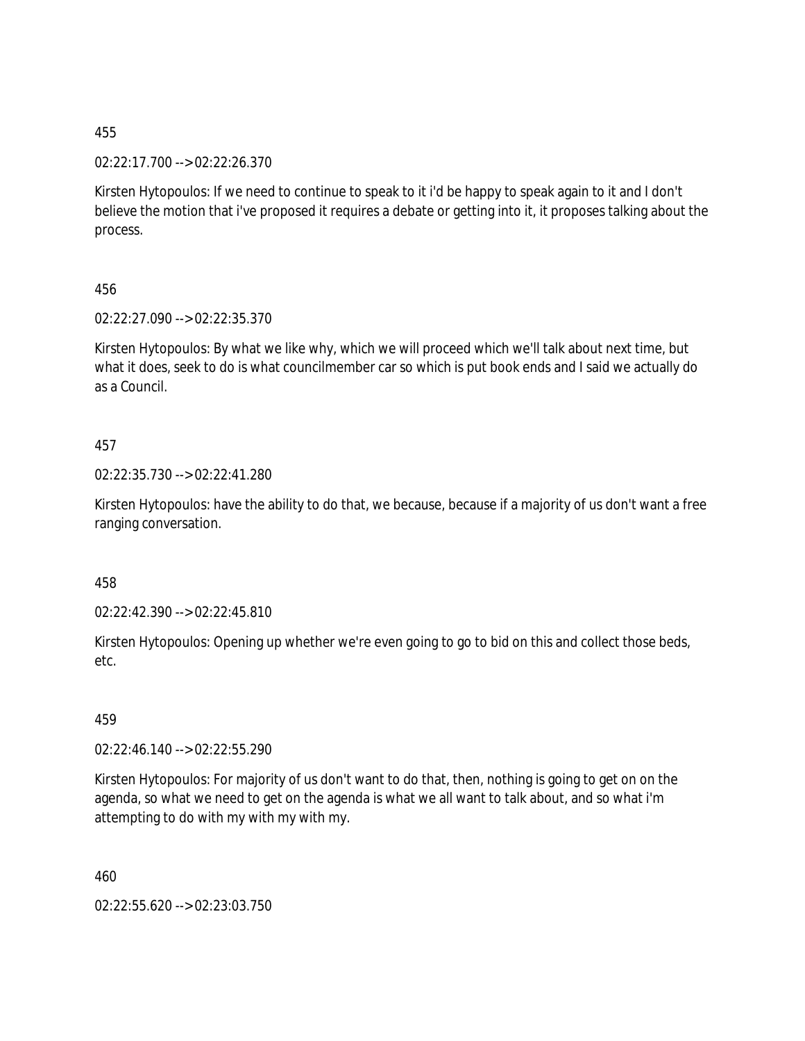02:22:17.700 --> 02:22:26.370

Kirsten Hytopoulos: If we need to continue to speak to it i'd be happy to speak again to it and I don't believe the motion that i've proposed it requires a debate or getting into it, it proposes talking about the process.

456

02:22:27.090 --> 02:22:35.370

Kirsten Hytopoulos: By what we like why, which we will proceed which we'll talk about next time, but what it does, seek to do is what councilmember car so which is put book ends and I said we actually do as a Council.

457

02:22:35.730 --> 02:22:41.280

Kirsten Hytopoulos: have the ability to do that, we because, because if a majority of us don't want a free ranging conversation.

458

02:22:42.390 --> 02:22:45.810

Kirsten Hytopoulos: Opening up whether we're even going to go to bid on this and collect those beds, etc.

459

02:22:46.140 --> 02:22:55.290

Kirsten Hytopoulos: For majority of us don't want to do that, then, nothing is going to get on on the agenda, so what we need to get on the agenda is what we all want to talk about, and so what i'm attempting to do with my with my with my.

460

02:22:55.620 --> 02:23:03.750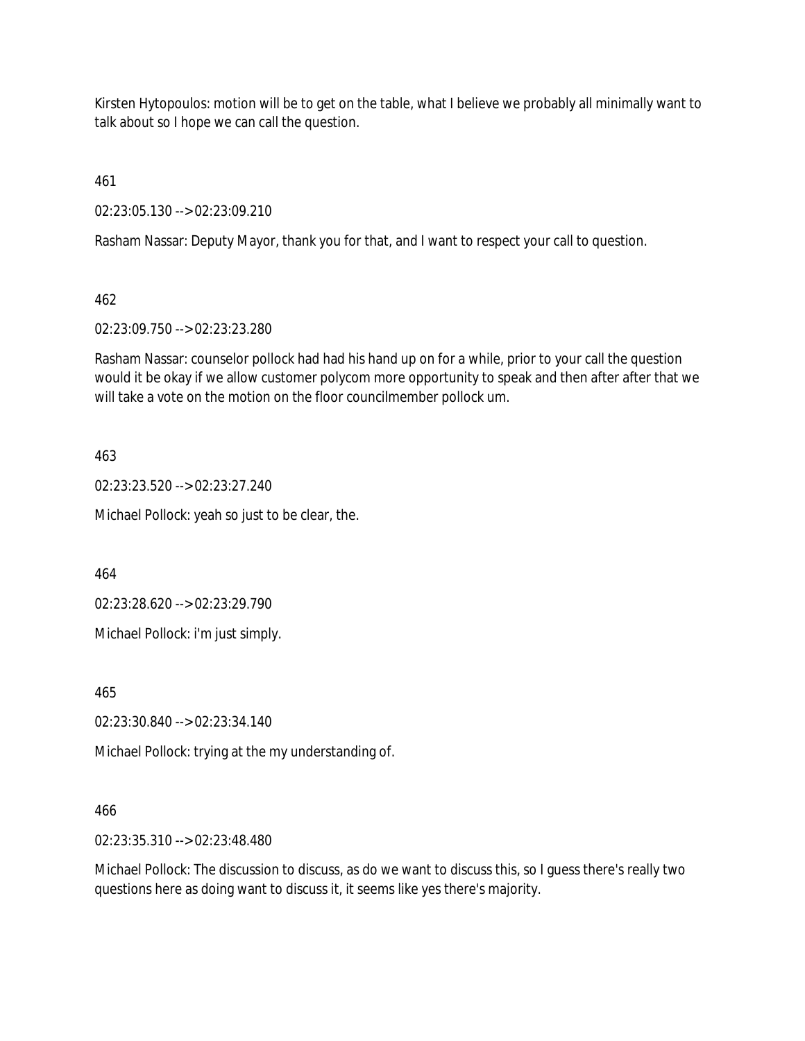Kirsten Hytopoulos: motion will be to get on the table, what I believe we probably all minimally want to talk about so I hope we can call the question.

461

02:23:05.130 --> 02:23:09.210

Rasham Nassar: Deputy Mayor, thank you for that, and I want to respect your call to question.

462

02:23:09.750 --> 02:23:23.280

Rasham Nassar: counselor pollock had had his hand up on for a while, prior to your call the question would it be okay if we allow customer polycom more opportunity to speak and then after after that we will take a vote on the motion on the floor councilmember pollock um.

463

02:23:23.520 --> 02:23:27.240

Michael Pollock: yeah so just to be clear, the.

464

02:23:28.620 --> 02:23:29.790

Michael Pollock: i'm just simply.

465

02:23:30.840 --> 02:23:34.140

Michael Pollock: trying at the my understanding of.

# 466

02:23:35.310 --> 02:23:48.480

Michael Pollock: The discussion to discuss, as do we want to discuss this, so I guess there's really two questions here as doing want to discuss it, it seems like yes there's majority.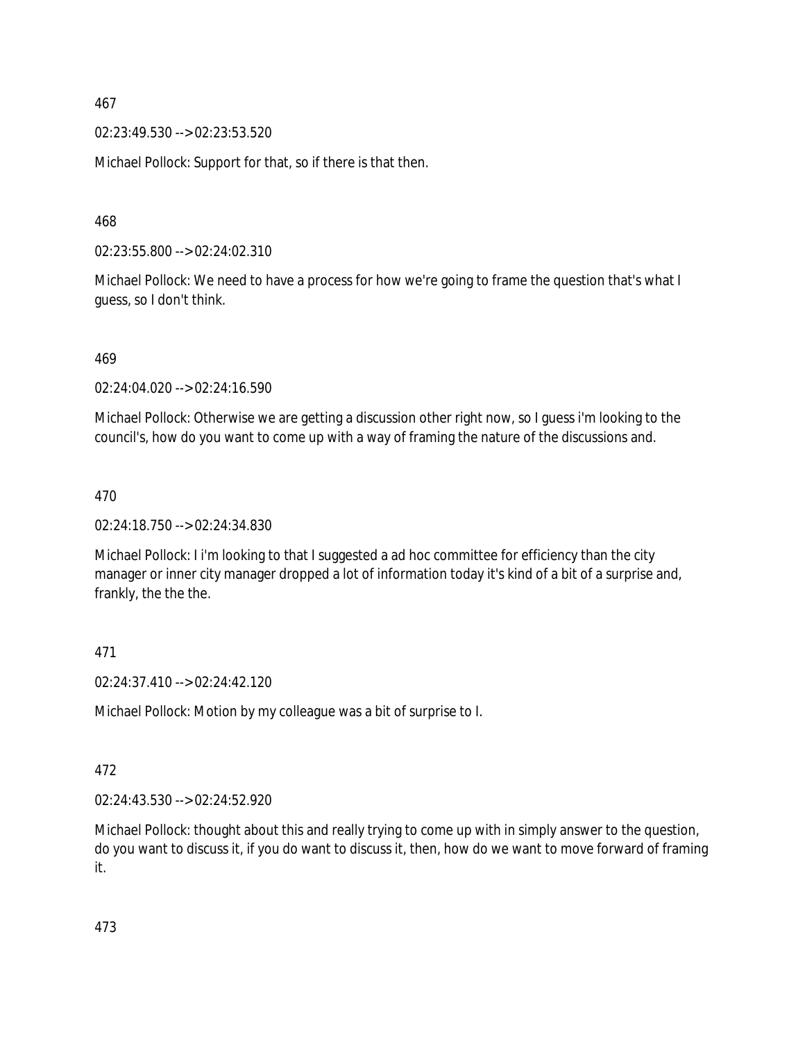02:23:49.530 --> 02:23:53.520

Michael Pollock: Support for that, so if there is that then.

468

02:23:55.800 --> 02:24:02.310

Michael Pollock: We need to have a process for how we're going to frame the question that's what I guess, so I don't think.

469

02:24:04.020 --> 02:24:16.590

Michael Pollock: Otherwise we are getting a discussion other right now, so I guess i'm looking to the council's, how do you want to come up with a way of framing the nature of the discussions and.

470

02:24:18.750 --> 02:24:34.830

Michael Pollock: I i'm looking to that I suggested a ad hoc committee for efficiency than the city manager or inner city manager dropped a lot of information today it's kind of a bit of a surprise and, frankly, the the the.

471

02:24:37.410 --> 02:24:42.120

Michael Pollock: Motion by my colleague was a bit of surprise to I.

472

02:24:43.530 --> 02:24:52.920

Michael Pollock: thought about this and really trying to come up with in simply answer to the question, do you want to discuss it, if you do want to discuss it, then, how do we want to move forward of framing it.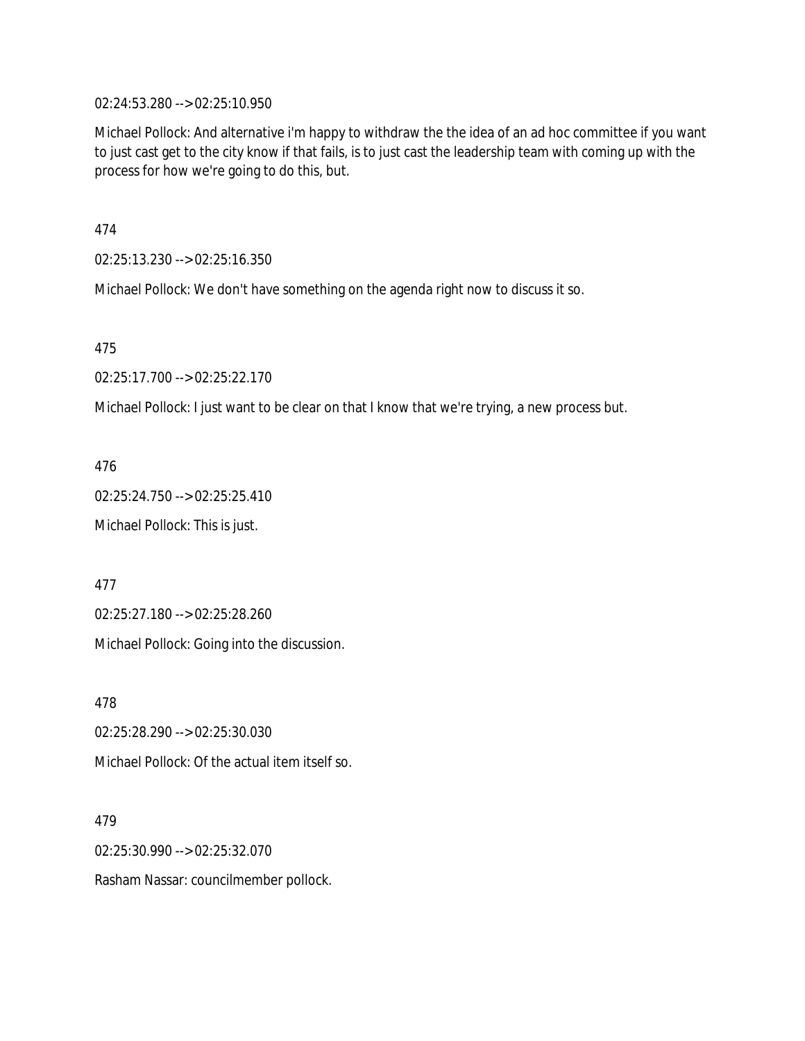02:24:53.280 --> 02:25:10.950

Michael Pollock: And alternative i'm happy to withdraw the the idea of an ad hoc committee if you want to just cast get to the city know if that fails, is to just cast the leadership team with coming up with the process for how we're going to do this, but.

474

02:25:13.230 --> 02:25:16.350

Michael Pollock: We don't have something on the agenda right now to discuss it so.

475

02:25:17.700 --> 02:25:22.170

Michael Pollock: I just want to be clear on that I know that we're trying, a new process but.

476

02:25:24.750 --> 02:25:25.410

Michael Pollock: This is just.

477

02:25:27.180 --> 02:25:28.260

Michael Pollock: Going into the discussion.

478

02:25:28.290 --> 02:25:30.030

Michael Pollock: Of the actual item itself so.

479

02:25:30.990 --> 02:25:32.070

Rasham Nassar: councilmember pollock.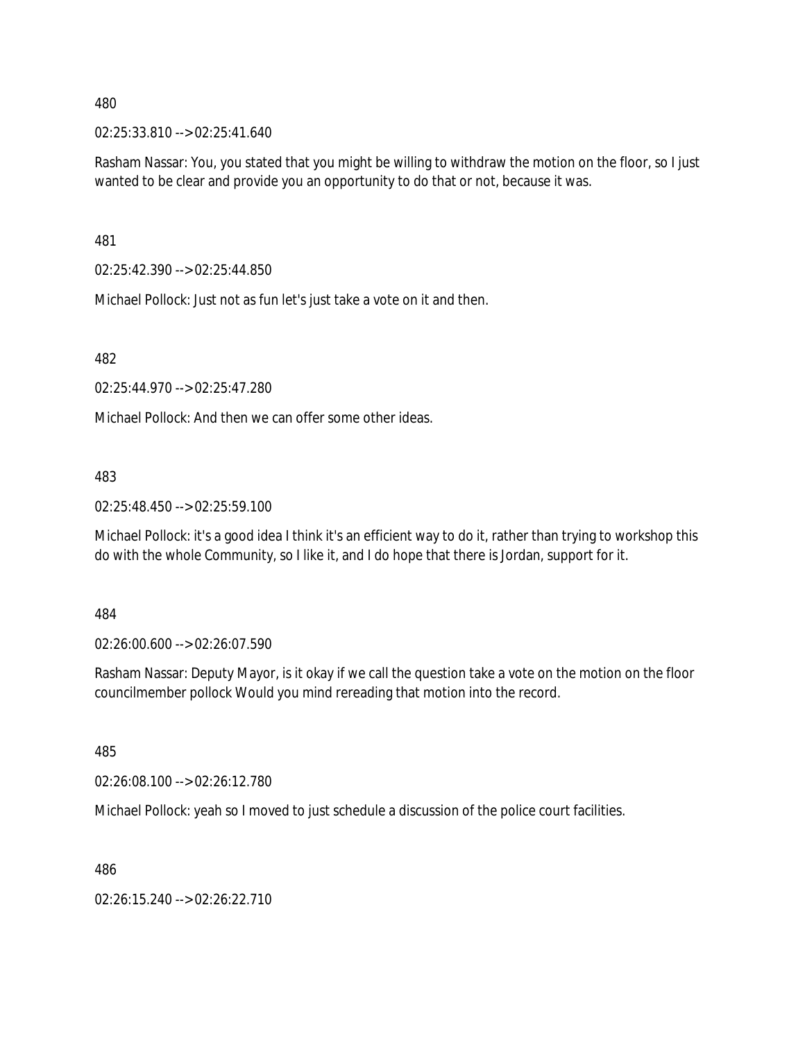02:25:33.810 --> 02:25:41.640

Rasham Nassar: You, you stated that you might be willing to withdraw the motion on the floor, so I just wanted to be clear and provide you an opportunity to do that or not, because it was.

481

02:25:42.390 --> 02:25:44.850

Michael Pollock: Just not as fun let's just take a vote on it and then.

482

02:25:44.970 --> 02:25:47.280

Michael Pollock: And then we can offer some other ideas.

483

02:25:48.450 --> 02:25:59.100

Michael Pollock: it's a good idea I think it's an efficient way to do it, rather than trying to workshop this do with the whole Community, so I like it, and I do hope that there is Jordan, support for it.

484

02:26:00.600 --> 02:26:07.590

Rasham Nassar: Deputy Mayor, is it okay if we call the question take a vote on the motion on the floor councilmember pollock Would you mind rereading that motion into the record.

485

02:26:08.100 --> 02:26:12.780

Michael Pollock: yeah so I moved to just schedule a discussion of the police court facilities.

486

02:26:15.240 --> 02:26:22.710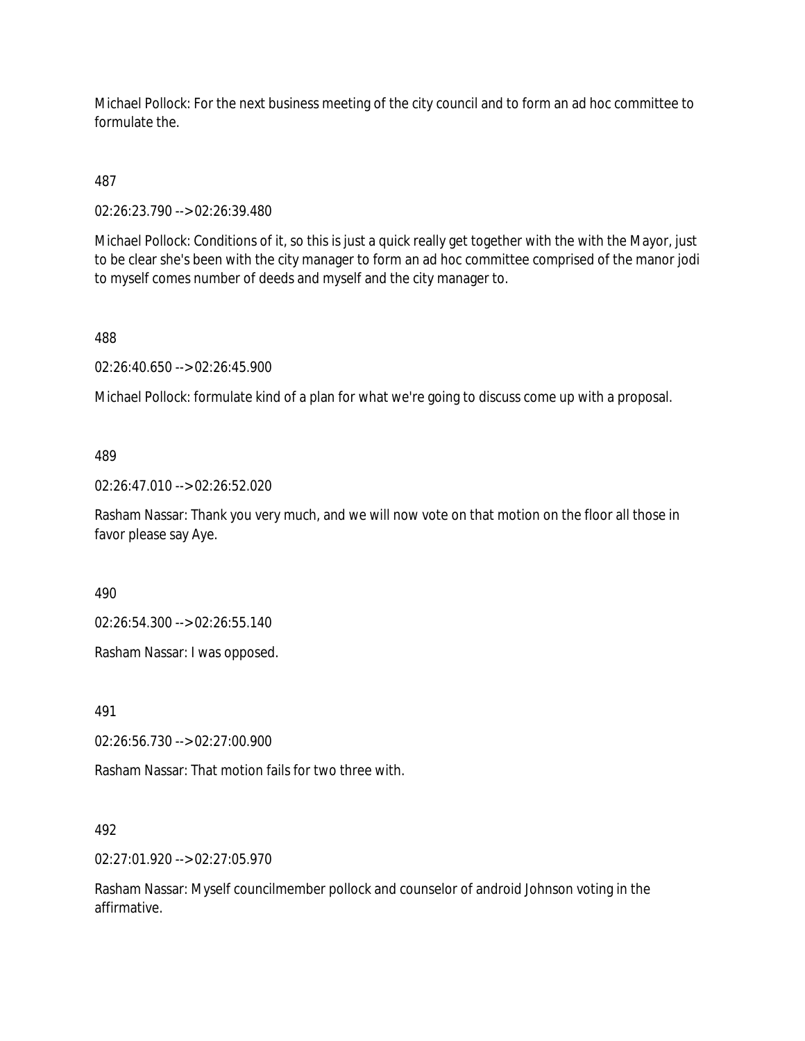Michael Pollock: For the next business meeting of the city council and to form an ad hoc committee to formulate the.

487

02:26:23.790 --> 02:26:39.480

Michael Pollock: Conditions of it, so this is just a quick really get together with the with the Mayor, just to be clear she's been with the city manager to form an ad hoc committee comprised of the manor jodi to myself comes number of deeds and myself and the city manager to.

488

02:26:40.650 --> 02:26:45.900

Michael Pollock: formulate kind of a plan for what we're going to discuss come up with a proposal.

489

02:26:47.010 --> 02:26:52.020

Rasham Nassar: Thank you very much, and we will now vote on that motion on the floor all those in favor please say Aye.

490

02:26:54.300 --> 02:26:55.140

Rasham Nassar: I was opposed.

491

02:26:56.730 --> 02:27:00.900

Rasham Nassar: That motion fails for two three with.

492

02:27:01.920 --> 02:27:05.970

Rasham Nassar: Myself councilmember pollock and counselor of android Johnson voting in the affirmative.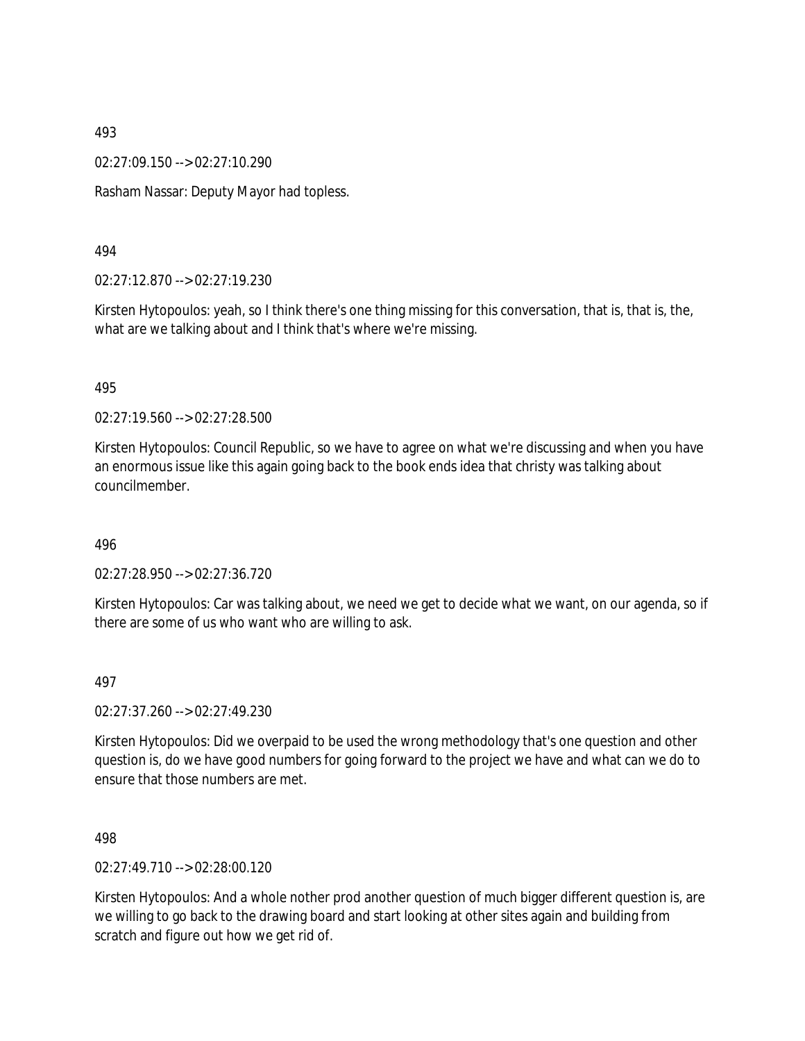02:27:09.150 --> 02:27:10.290

Rasham Nassar: Deputy Mayor had topless.

494

02:27:12.870 --> 02:27:19.230

Kirsten Hytopoulos: yeah, so I think there's one thing missing for this conversation, that is, that is, the, what are we talking about and I think that's where we're missing.

495

02:27:19.560 --> 02:27:28.500

Kirsten Hytopoulos: Council Republic, so we have to agree on what we're discussing and when you have an enormous issue like this again going back to the book ends idea that christy was talking about councilmember.

496

02:27:28.950 --> 02:27:36.720

Kirsten Hytopoulos: Car was talking about, we need we get to decide what we want, on our agenda, so if there are some of us who want who are willing to ask.

497

02:27:37.260 --> 02:27:49.230

Kirsten Hytopoulos: Did we overpaid to be used the wrong methodology that's one question and other question is, do we have good numbers for going forward to the project we have and what can we do to ensure that those numbers are met.

498

02:27:49.710 --> 02:28:00.120

Kirsten Hytopoulos: And a whole nother prod another question of much bigger different question is, are we willing to go back to the drawing board and start looking at other sites again and building from scratch and figure out how we get rid of.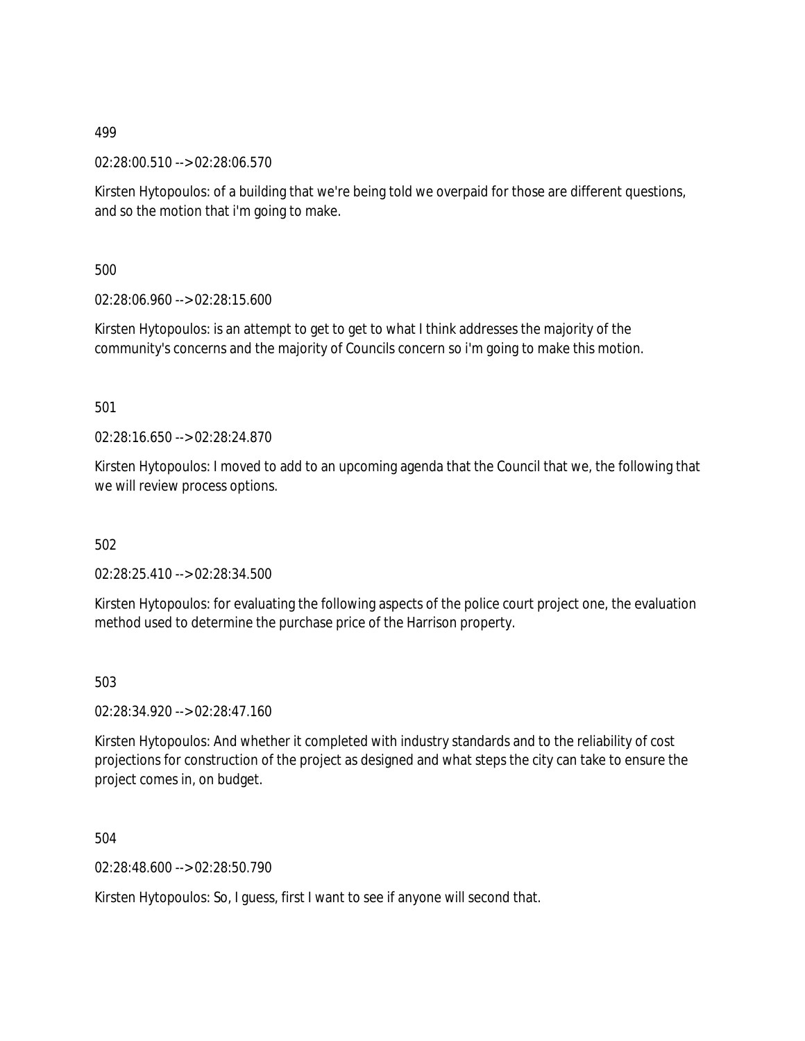02:28:00.510 --> 02:28:06.570

Kirsten Hytopoulos: of a building that we're being told we overpaid for those are different questions, and so the motion that i'm going to make.

500

02:28:06.960 --> 02:28:15.600

Kirsten Hytopoulos: is an attempt to get to get to what I think addresses the majority of the community's concerns and the majority of Councils concern so i'm going to make this motion.

501

02:28:16.650 --> 02:28:24.870

Kirsten Hytopoulos: I moved to add to an upcoming agenda that the Council that we, the following that we will review process options.

502

02:28:25.410 --> 02:28:34.500

Kirsten Hytopoulos: for evaluating the following aspects of the police court project one, the evaluation method used to determine the purchase price of the Harrison property.

503

02:28:34.920 --> 02:28:47.160

Kirsten Hytopoulos: And whether it completed with industry standards and to the reliability of cost projections for construction of the project as designed and what steps the city can take to ensure the project comes in, on budget.

504

02:28:48.600 --> 02:28:50.790

Kirsten Hytopoulos: So, I guess, first I want to see if anyone will second that.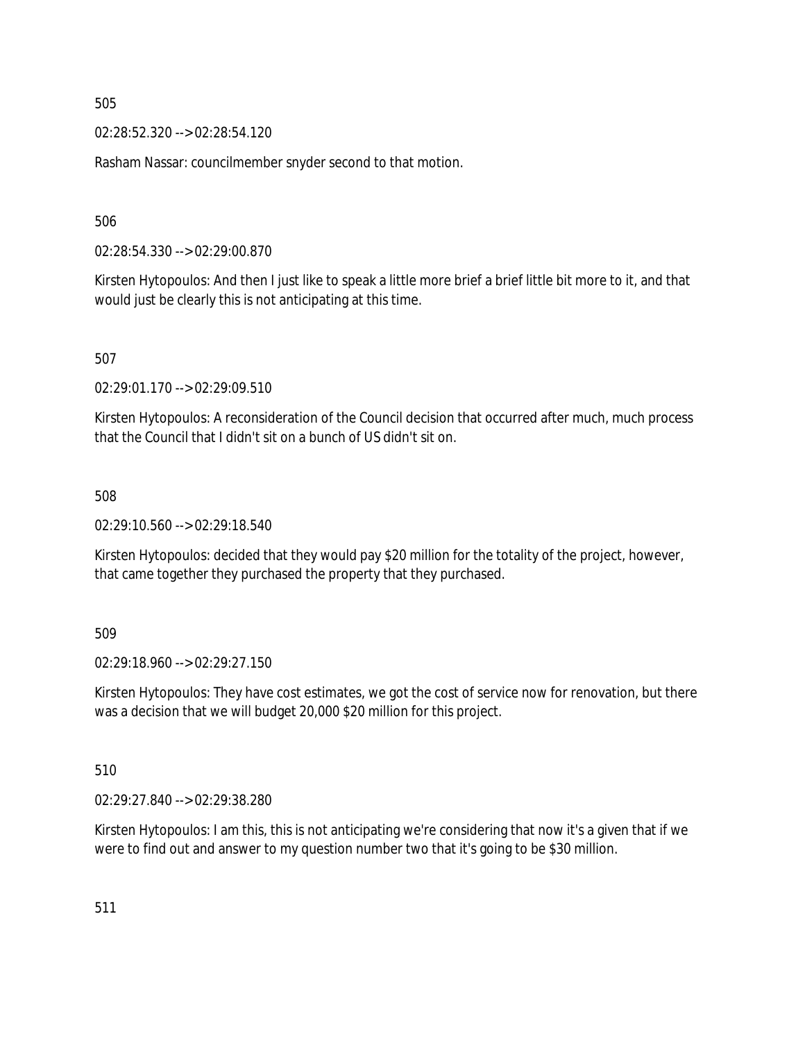02:28:52.320 --> 02:28:54.120

Rasham Nassar: councilmember snyder second to that motion.

506

02:28:54.330 --> 02:29:00.870

Kirsten Hytopoulos: And then I just like to speak a little more brief a brief little bit more to it, and that would just be clearly this is not anticipating at this time.

507

02:29:01.170 --> 02:29:09.510

Kirsten Hytopoulos: A reconsideration of the Council decision that occurred after much, much process that the Council that I didn't sit on a bunch of US didn't sit on.

508

02:29:10.560 --> 02:29:18.540

Kirsten Hytopoulos: decided that they would pay \$20 million for the totality of the project, however, that came together they purchased the property that they purchased.

509

02:29:18.960 --> 02:29:27.150

Kirsten Hytopoulos: They have cost estimates, we got the cost of service now for renovation, but there was a decision that we will budget 20,000 \$20 million for this project.

510

02:29:27.840 --> 02:29:38.280

Kirsten Hytopoulos: I am this, this is not anticipating we're considering that now it's a given that if we were to find out and answer to my question number two that it's going to be \$30 million.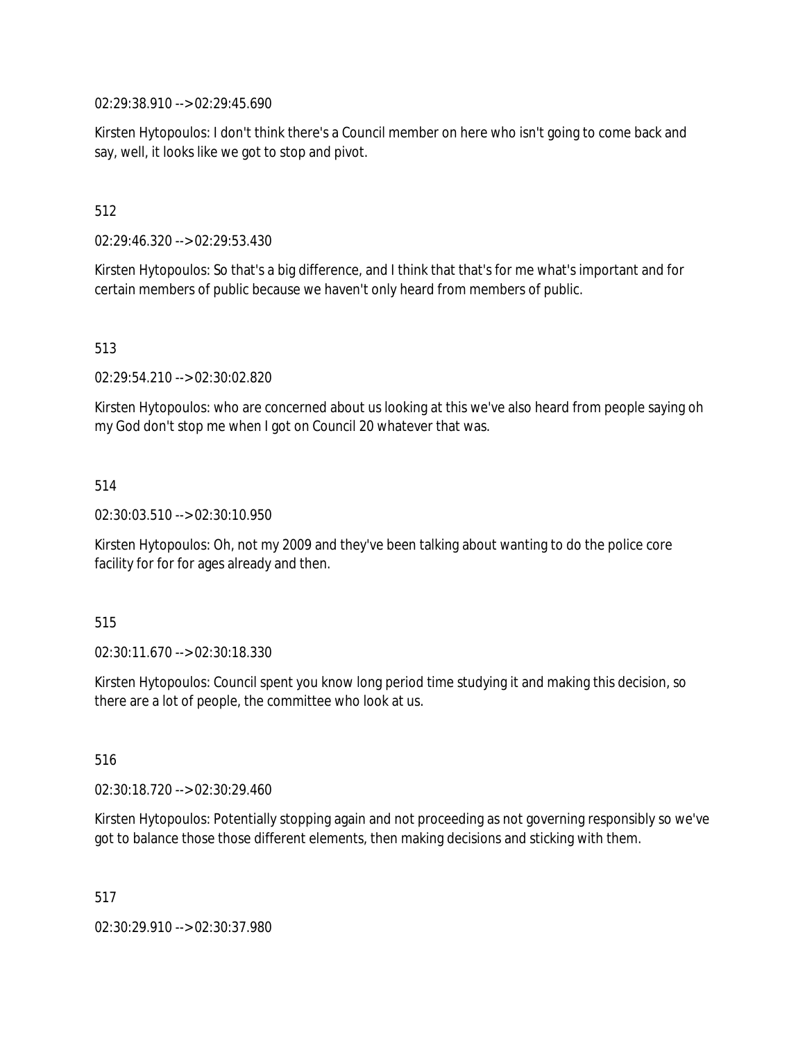02:29:38.910 --> 02:29:45.690

Kirsten Hytopoulos: I don't think there's a Council member on here who isn't going to come back and say, well, it looks like we got to stop and pivot.

512

02:29:46.320 --> 02:29:53.430

Kirsten Hytopoulos: So that's a big difference, and I think that that's for me what's important and for certain members of public because we haven't only heard from members of public.

513

02:29:54.210 --> 02:30:02.820

Kirsten Hytopoulos: who are concerned about us looking at this we've also heard from people saying oh my God don't stop me when I got on Council 20 whatever that was.

514

02:30:03.510 --> 02:30:10.950

Kirsten Hytopoulos: Oh, not my 2009 and they've been talking about wanting to do the police core facility for for for ages already and then.

515

02:30:11.670 --> 02:30:18.330

Kirsten Hytopoulos: Council spent you know long period time studying it and making this decision, so there are a lot of people, the committee who look at us.

516

02:30:18.720 --> 02:30:29.460

Kirsten Hytopoulos: Potentially stopping again and not proceeding as not governing responsibly so we've got to balance those those different elements, then making decisions and sticking with them.

517

02:30:29.910 --> 02:30:37.980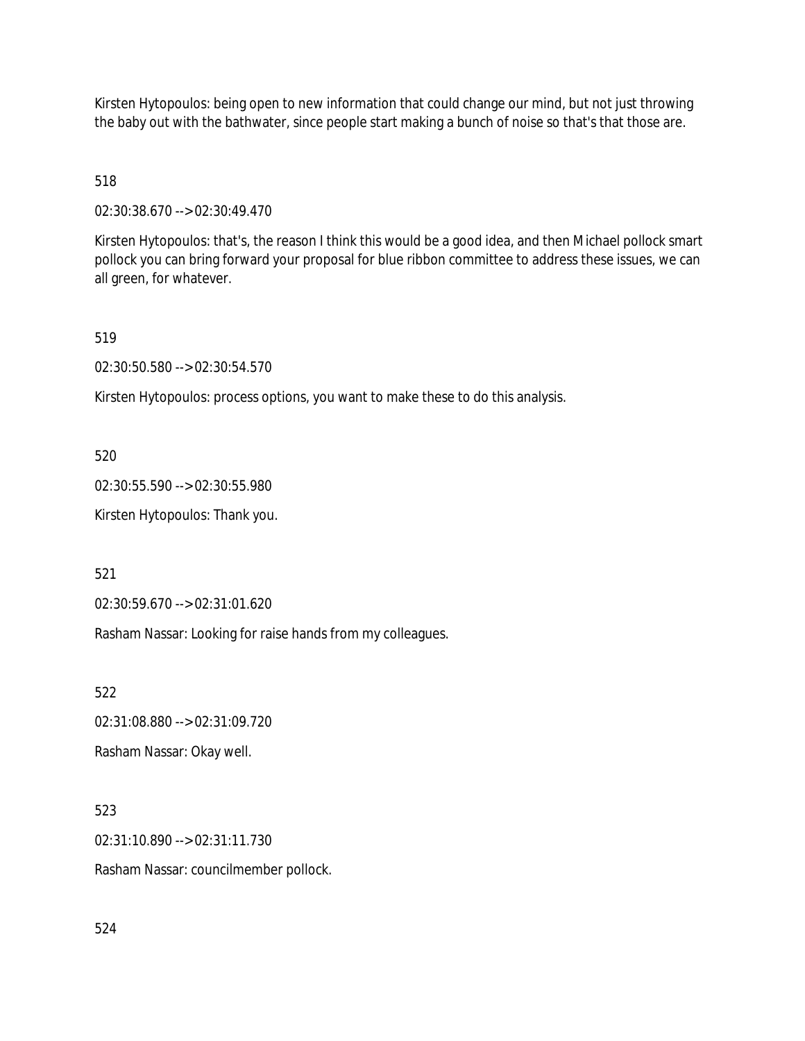Kirsten Hytopoulos: being open to new information that could change our mind, but not just throwing the baby out with the bathwater, since people start making a bunch of noise so that's that those are.

518

02:30:38.670 --> 02:30:49.470

Kirsten Hytopoulos: that's, the reason I think this would be a good idea, and then Michael pollock smart pollock you can bring forward your proposal for blue ribbon committee to address these issues, we can all green, for whatever.

519

02:30:50.580 --> 02:30:54.570

Kirsten Hytopoulos: process options, you want to make these to do this analysis.

520

02:30:55.590 --> 02:30:55.980

Kirsten Hytopoulos: Thank you.

521

02:30:59.670 --> 02:31:01.620

Rasham Nassar: Looking for raise hands from my colleagues.

522

02:31:08.880 --> 02:31:09.720

Rasham Nassar: Okay well.

523

02:31:10.890 --> 02:31:11.730 Rasham Nassar: councilmember pollock.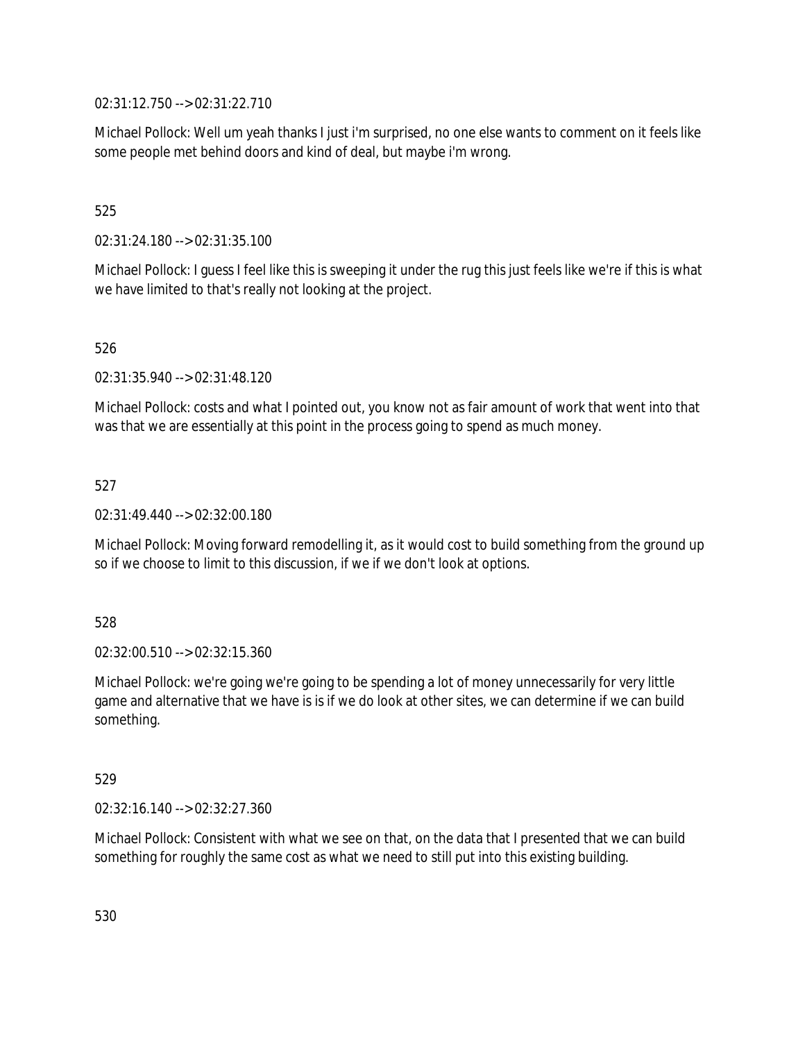02:31:12.750 --> 02:31:22.710

Michael Pollock: Well um yeah thanks I just i'm surprised, no one else wants to comment on it feels like some people met behind doors and kind of deal, but maybe i'm wrong.

# 525

02:31:24.180 --> 02:31:35.100

Michael Pollock: I guess I feel like this is sweeping it under the rug this just feels like we're if this is what we have limited to that's really not looking at the project.

## 526

02:31:35.940 --> 02:31:48.120

Michael Pollock: costs and what I pointed out, you know not as fair amount of work that went into that was that we are essentially at this point in the process going to spend as much money.

## 527

02:31:49.440 --> 02:32:00.180

Michael Pollock: Moving forward remodelling it, as it would cost to build something from the ground up so if we choose to limit to this discussion, if we if we don't look at options.

## 528

02:32:00.510 --> 02:32:15.360

Michael Pollock: we're going we're going to be spending a lot of money unnecessarily for very little game and alternative that we have is is if we do look at other sites, we can determine if we can build something.

## 529

02:32:16.140 --> 02:32:27.360

Michael Pollock: Consistent with what we see on that, on the data that I presented that we can build something for roughly the same cost as what we need to still put into this existing building.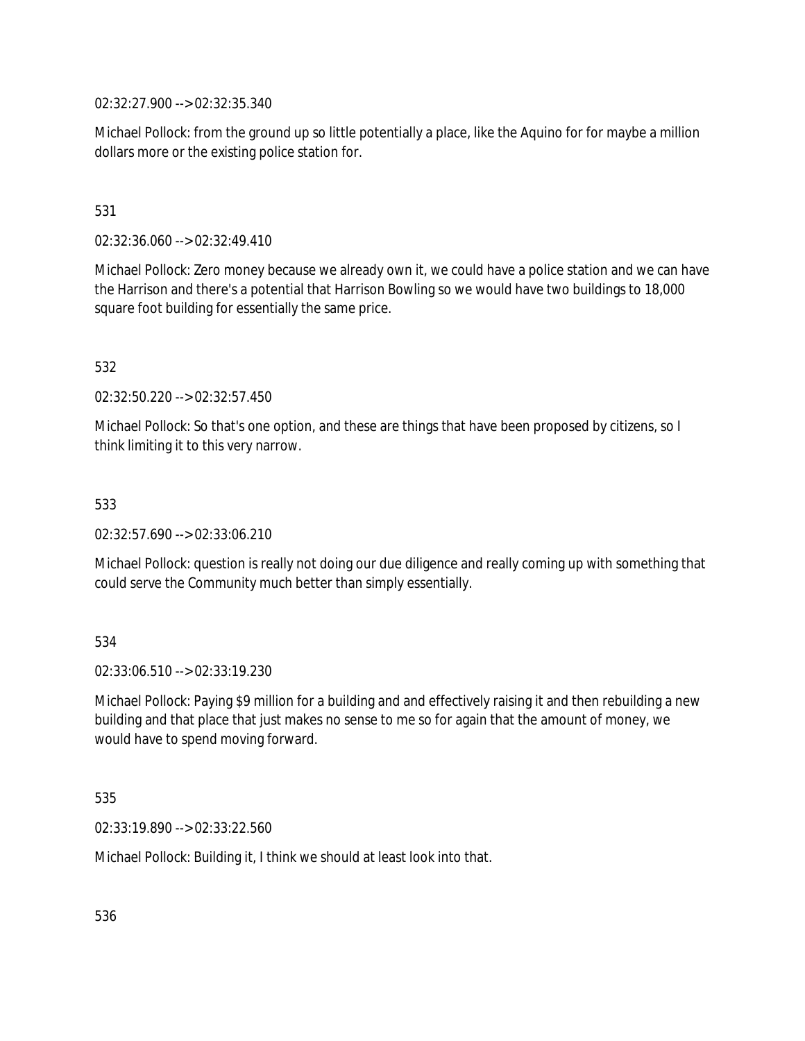02:32:27.900 --> 02:32:35.340

Michael Pollock: from the ground up so little potentially a place, like the Aquino for for maybe a million dollars more or the existing police station for.

# 531

02:32:36.060 --> 02:32:49.410

Michael Pollock: Zero money because we already own it, we could have a police station and we can have the Harrison and there's a potential that Harrison Bowling so we would have two buildings to 18,000 square foot building for essentially the same price.

532

02:32:50.220 --> 02:32:57.450

Michael Pollock: So that's one option, and these are things that have been proposed by citizens, so I think limiting it to this very narrow.

#### 533

02:32:57.690 --> 02:33:06.210

Michael Pollock: question is really not doing our due diligence and really coming up with something that could serve the Community much better than simply essentially.

## 534

02:33:06.510 --> 02:33:19.230

Michael Pollock: Paying \$9 million for a building and and effectively raising it and then rebuilding a new building and that place that just makes no sense to me so for again that the amount of money, we would have to spend moving forward.

#### 535

02:33:19.890 --> 02:33:22.560

Michael Pollock: Building it, I think we should at least look into that.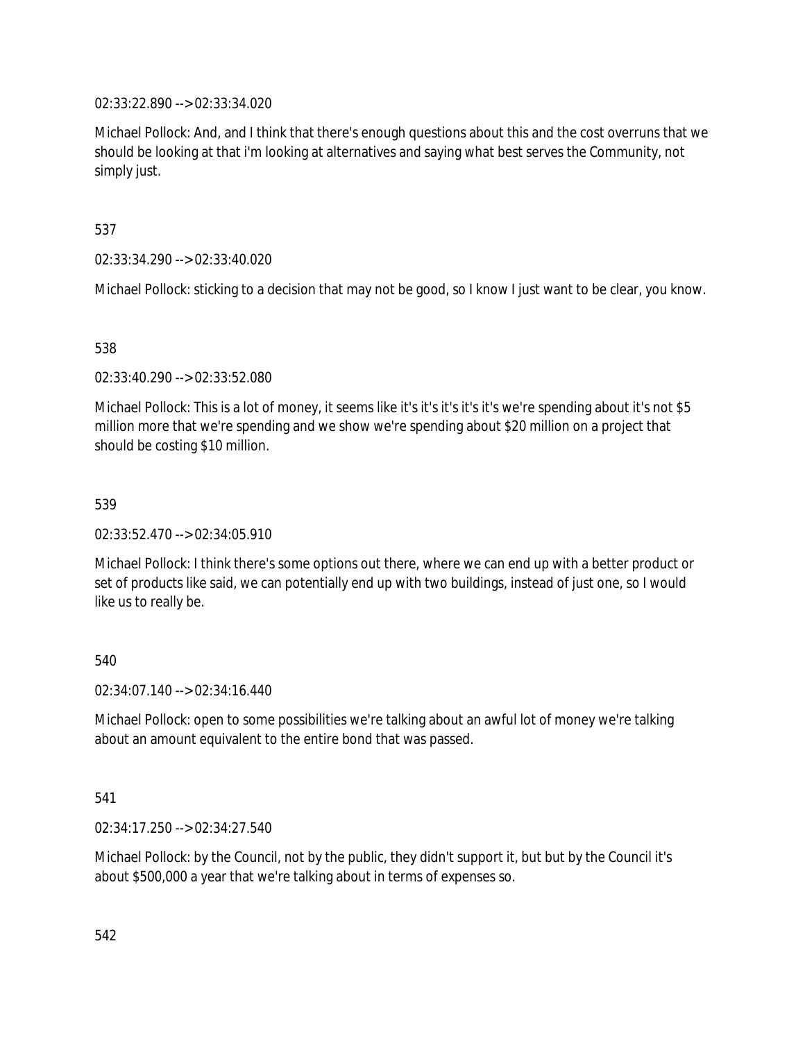02:33:22.890 --> 02:33:34.020

Michael Pollock: And, and I think that there's enough questions about this and the cost overruns that we should be looking at that i'm looking at alternatives and saying what best serves the Community, not simply just.

537

02:33:34.290 --> 02:33:40.020

Michael Pollock: sticking to a decision that may not be good, so I know I just want to be clear, you know.

538

02:33:40.290 --> 02:33:52.080

Michael Pollock: This is a lot of money, it seems like it's it's it's it's it's we're spending about it's not \$5 million more that we're spending and we show we're spending about \$20 million on a project that should be costing \$10 million.

539

02:33:52.470 --> 02:34:05.910

Michael Pollock: I think there's some options out there, where we can end up with a better product or set of products like said, we can potentially end up with two buildings, instead of just one, so I would like us to really be.

540

02:34:07.140 --> 02:34:16.440

Michael Pollock: open to some possibilities we're talking about an awful lot of money we're talking about an amount equivalent to the entire bond that was passed.

541

02:34:17.250 --> 02:34:27.540

Michael Pollock: by the Council, not by the public, they didn't support it, but but by the Council it's about \$500,000 a year that we're talking about in terms of expenses so.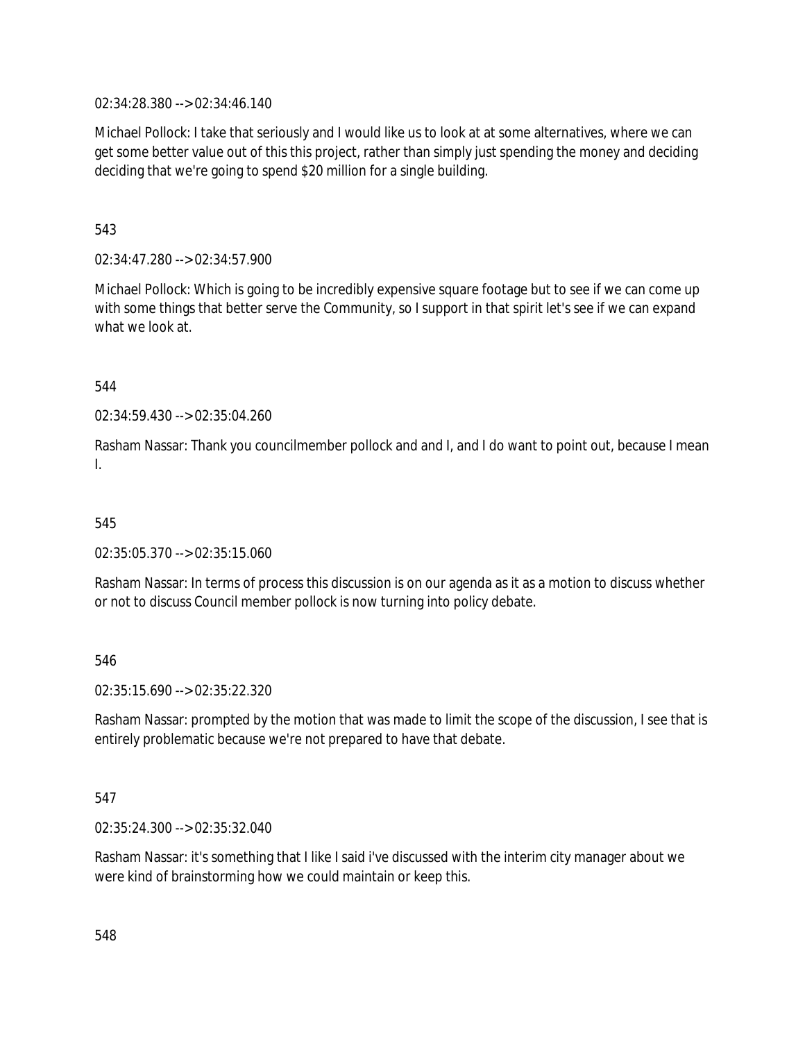02:34:28.380 --> 02:34:46.140

Michael Pollock: I take that seriously and I would like us to look at at some alternatives, where we can get some better value out of this this project, rather than simply just spending the money and deciding deciding that we're going to spend \$20 million for a single building.

543

02:34:47.280 --> 02:34:57.900

Michael Pollock: Which is going to be incredibly expensive square footage but to see if we can come up with some things that better serve the Community, so I support in that spirit let's see if we can expand what we look at.

544

02:34:59.430 --> 02:35:04.260

Rasham Nassar: Thank you councilmember pollock and and I, and I do want to point out, because I mean I.

545

02:35:05.370 --> 02:35:15.060

Rasham Nassar: In terms of process this discussion is on our agenda as it as a motion to discuss whether or not to discuss Council member pollock is now turning into policy debate.

546

02:35:15.690 --> 02:35:22.320

Rasham Nassar: prompted by the motion that was made to limit the scope of the discussion, I see that is entirely problematic because we're not prepared to have that debate.

#### 547

02:35:24.300 --> 02:35:32.040

Rasham Nassar: it's something that I like I said i've discussed with the interim city manager about we were kind of brainstorming how we could maintain or keep this.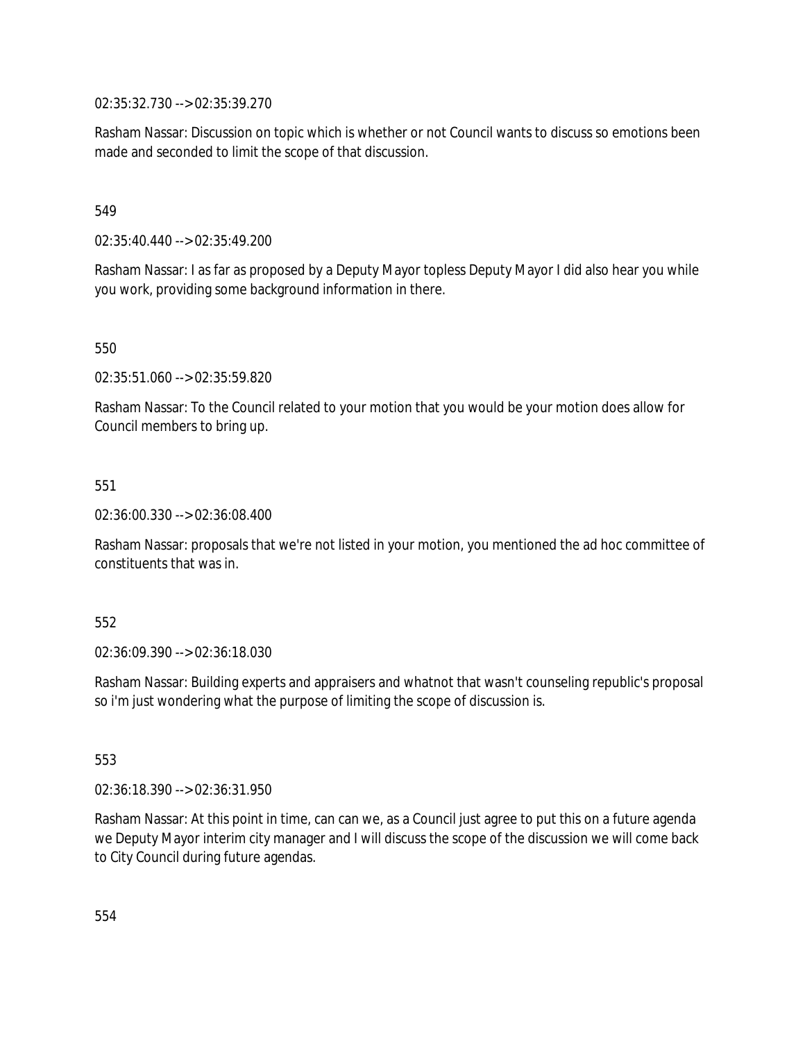02:35:32.730 --> 02:35:39.270

Rasham Nassar: Discussion on topic which is whether or not Council wants to discuss so emotions been made and seconded to limit the scope of that discussion.

549

02:35:40.440 --> 02:35:49.200

Rasham Nassar: I as far as proposed by a Deputy Mayor topless Deputy Mayor I did also hear you while you work, providing some background information in there.

550

02:35:51.060 --> 02:35:59.820

Rasham Nassar: To the Council related to your motion that you would be your motion does allow for Council members to bring up.

551

02:36:00.330 --> 02:36:08.400

Rasham Nassar: proposals that we're not listed in your motion, you mentioned the ad hoc committee of constituents that was in.

#### 552

02:36:09.390 --> 02:36:18.030

Rasham Nassar: Building experts and appraisers and whatnot that wasn't counseling republic's proposal so i'm just wondering what the purpose of limiting the scope of discussion is.

553

02:36:18.390 --> 02:36:31.950

Rasham Nassar: At this point in time, can can we, as a Council just agree to put this on a future agenda we Deputy Mayor interim city manager and I will discuss the scope of the discussion we will come back to City Council during future agendas.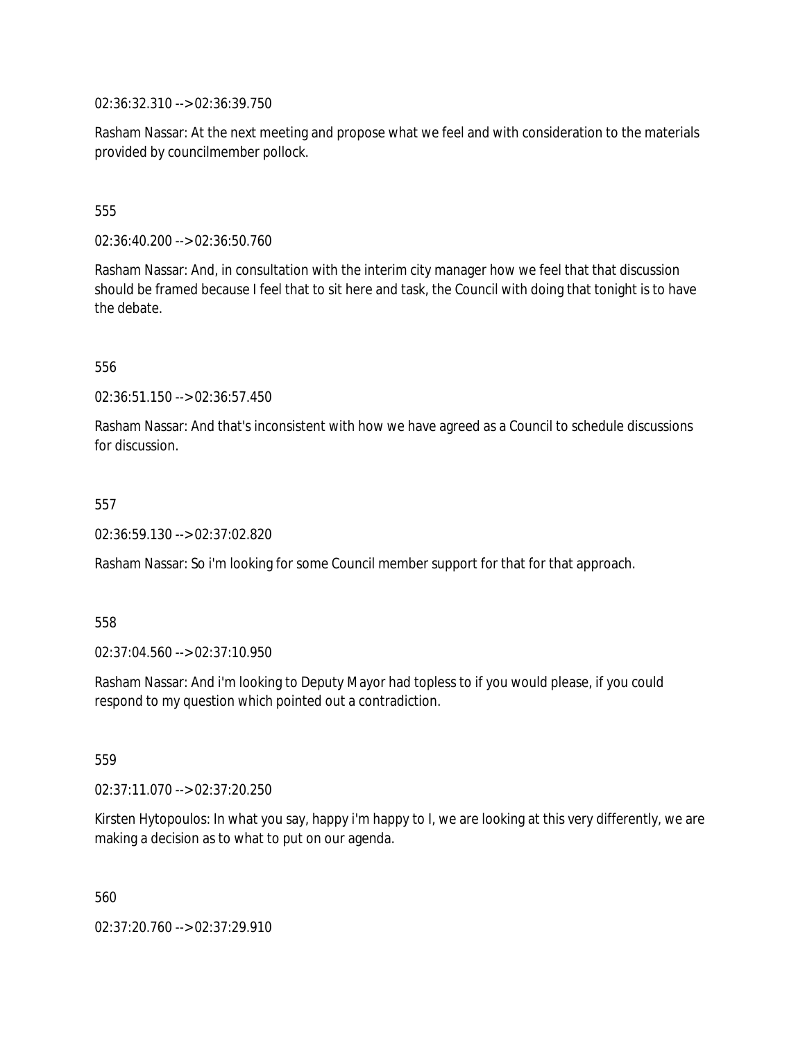02:36:32.310 --> 02:36:39.750

Rasham Nassar: At the next meeting and propose what we feel and with consideration to the materials provided by councilmember pollock.

# 555

02:36:40.200 --> 02:36:50.760

Rasham Nassar: And, in consultation with the interim city manager how we feel that that discussion should be framed because I feel that to sit here and task, the Council with doing that tonight is to have the debate.

556

02:36:51.150 --> 02:36:57.450

Rasham Nassar: And that's inconsistent with how we have agreed as a Council to schedule discussions for discussion.

#### 557

02:36:59.130 --> 02:37:02.820

Rasham Nassar: So i'm looking for some Council member support for that for that approach.

558

02:37:04.560 --> 02:37:10.950

Rasham Nassar: And i'm looking to Deputy Mayor had topless to if you would please, if you could respond to my question which pointed out a contradiction.

559

02:37:11.070 --> 02:37:20.250

Kirsten Hytopoulos: In what you say, happy i'm happy to I, we are looking at this very differently, we are making a decision as to what to put on our agenda.

560

02:37:20.760 --> 02:37:29.910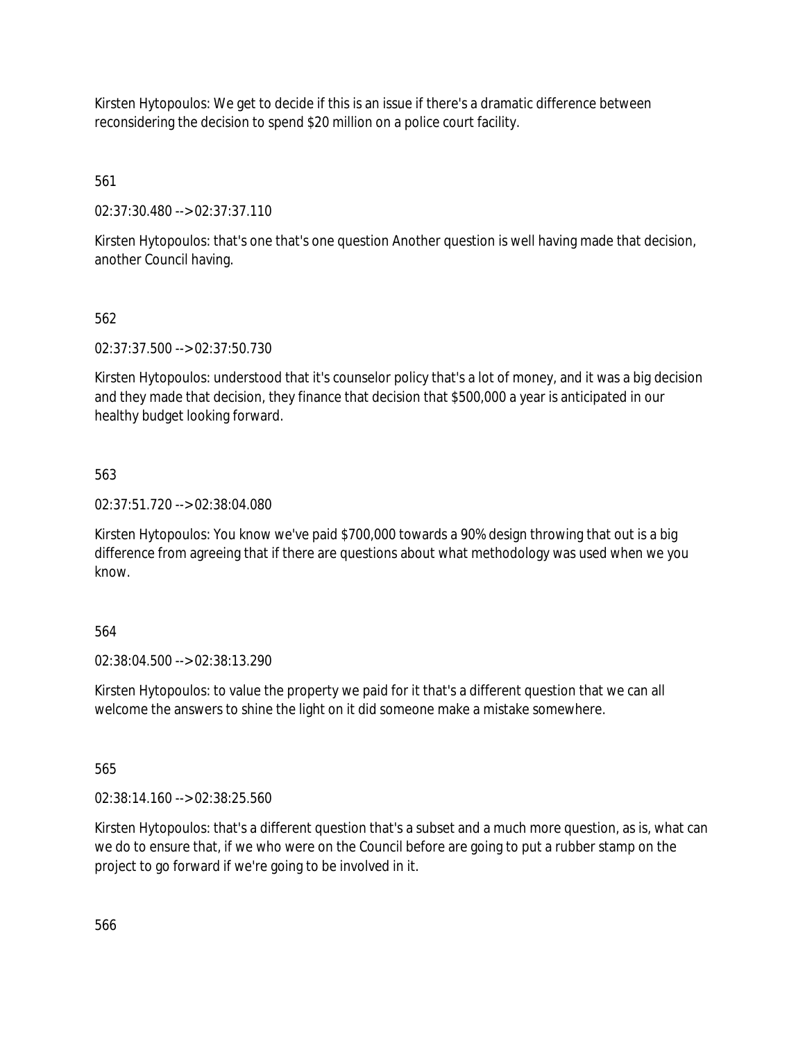Kirsten Hytopoulos: We get to decide if this is an issue if there's a dramatic difference between reconsidering the decision to spend \$20 million on a police court facility.

561

02:37:30.480 --> 02:37:37.110

Kirsten Hytopoulos: that's one that's one question Another question is well having made that decision, another Council having.

# 562

02:37:37.500 --> 02:37:50.730

Kirsten Hytopoulos: understood that it's counselor policy that's a lot of money, and it was a big decision and they made that decision, they finance that decision that \$500,000 a year is anticipated in our healthy budget looking forward.

# 563

02:37:51.720 --> 02:38:04.080

Kirsten Hytopoulos: You know we've paid \$700,000 towards a 90% design throwing that out is a big difference from agreeing that if there are questions about what methodology was used when we you know.

## 564

02:38:04.500 --> 02:38:13.290

Kirsten Hytopoulos: to value the property we paid for it that's a different question that we can all welcome the answers to shine the light on it did someone make a mistake somewhere.

565

02:38:14.160 --> 02:38:25.560

Kirsten Hytopoulos: that's a different question that's a subset and a much more question, as is, what can we do to ensure that, if we who were on the Council before are going to put a rubber stamp on the project to go forward if we're going to be involved in it.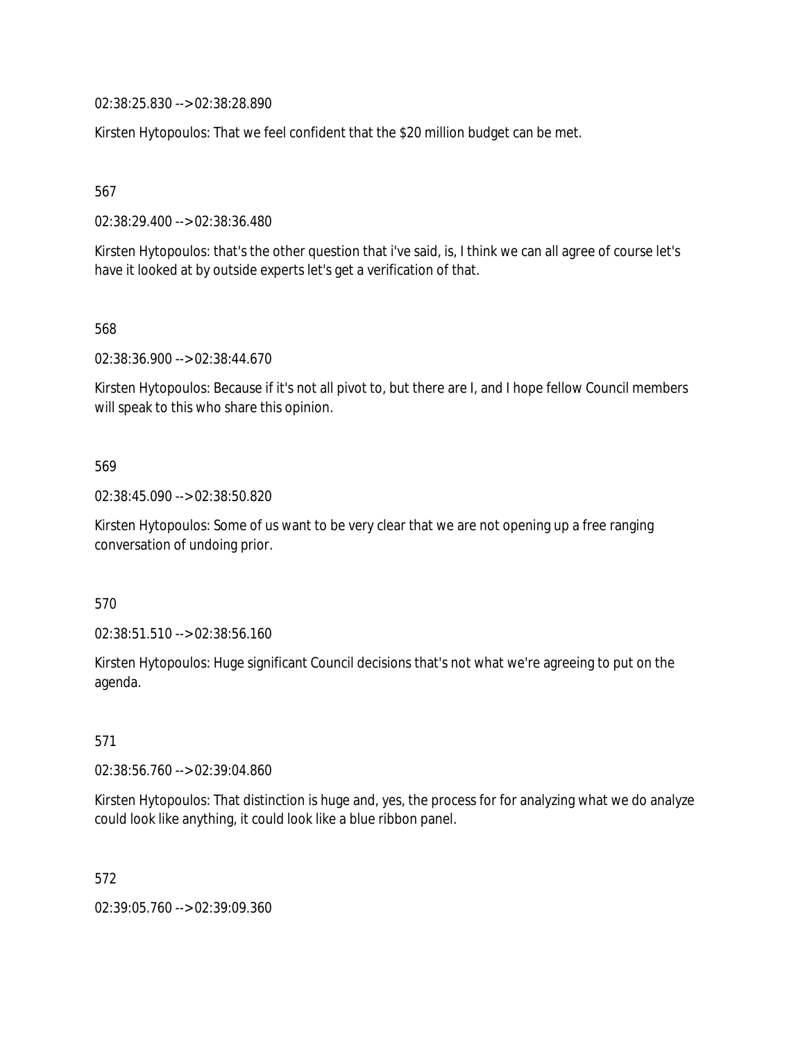02:38:25.830 --> 02:38:28.890

Kirsten Hytopoulos: That we feel confident that the \$20 million budget can be met.

567

02:38:29.400 --> 02:38:36.480

Kirsten Hytopoulos: that's the other question that i've said, is, I think we can all agree of course let's have it looked at by outside experts let's get a verification of that.

568

02:38:36.900 --> 02:38:44.670

Kirsten Hytopoulos: Because if it's not all pivot to, but there are I, and I hope fellow Council members will speak to this who share this opinion.

#### 569

02:38:45.090 --> 02:38:50.820

Kirsten Hytopoulos: Some of us want to be very clear that we are not opening up a free ranging conversation of undoing prior.

570

02:38:51.510 --> 02:38:56.160

Kirsten Hytopoulos: Huge significant Council decisions that's not what we're agreeing to put on the agenda.

571

02:38:56.760 --> 02:39:04.860

Kirsten Hytopoulos: That distinction is huge and, yes, the process for for analyzing what we do analyze could look like anything, it could look like a blue ribbon panel.

572

02:39:05.760 --> 02:39:09.360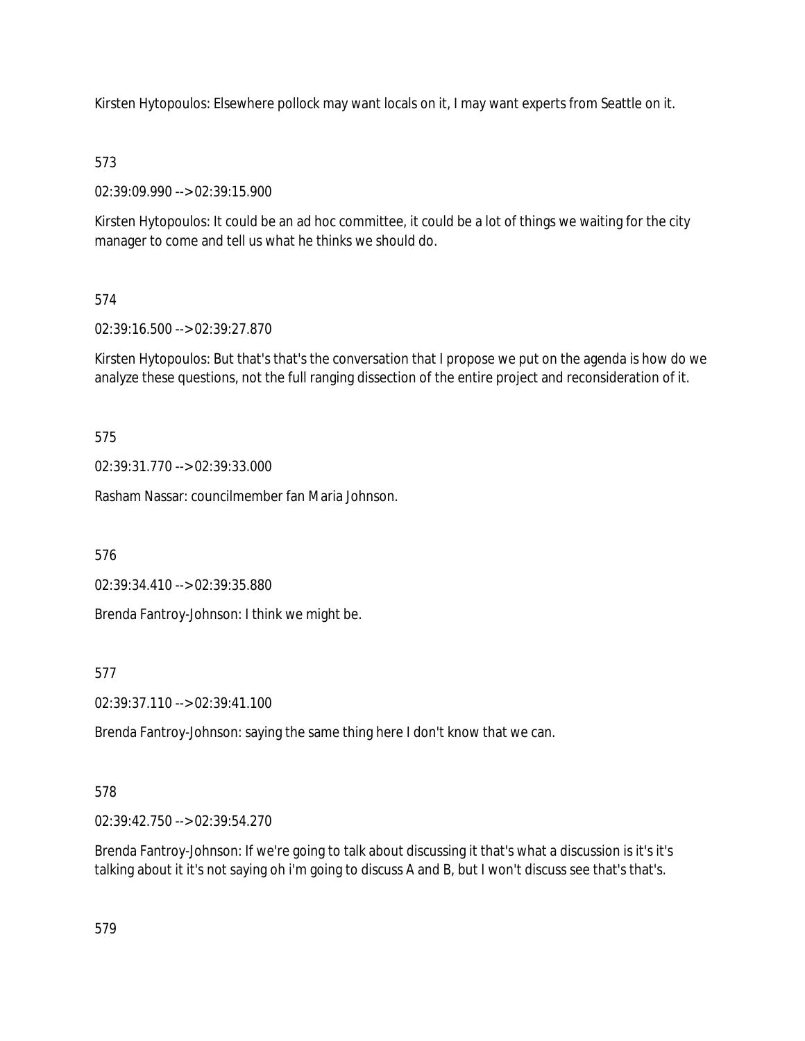Kirsten Hytopoulos: Elsewhere pollock may want locals on it, I may want experts from Seattle on it.

# 573

02:39:09.990 --> 02:39:15.900

Kirsten Hytopoulos: It could be an ad hoc committee, it could be a lot of things we waiting for the city manager to come and tell us what he thinks we should do.

# 574

02:39:16.500 --> 02:39:27.870

Kirsten Hytopoulos: But that's that's the conversation that I propose we put on the agenda is how do we analyze these questions, not the full ranging dissection of the entire project and reconsideration of it.

575

02:39:31.770 --> 02:39:33.000

Rasham Nassar: councilmember fan Maria Johnson.

576

02:39:34.410 --> 02:39:35.880

Brenda Fantroy-Johnson: I think we might be.

577

02:39:37.110 --> 02:39:41.100

Brenda Fantroy-Johnson: saying the same thing here I don't know that we can.

# 578

02:39:42.750 --> 02:39:54.270

Brenda Fantroy-Johnson: If we're going to talk about discussing it that's what a discussion is it's it's talking about it it's not saying oh i'm going to discuss A and B, but I won't discuss see that's that's.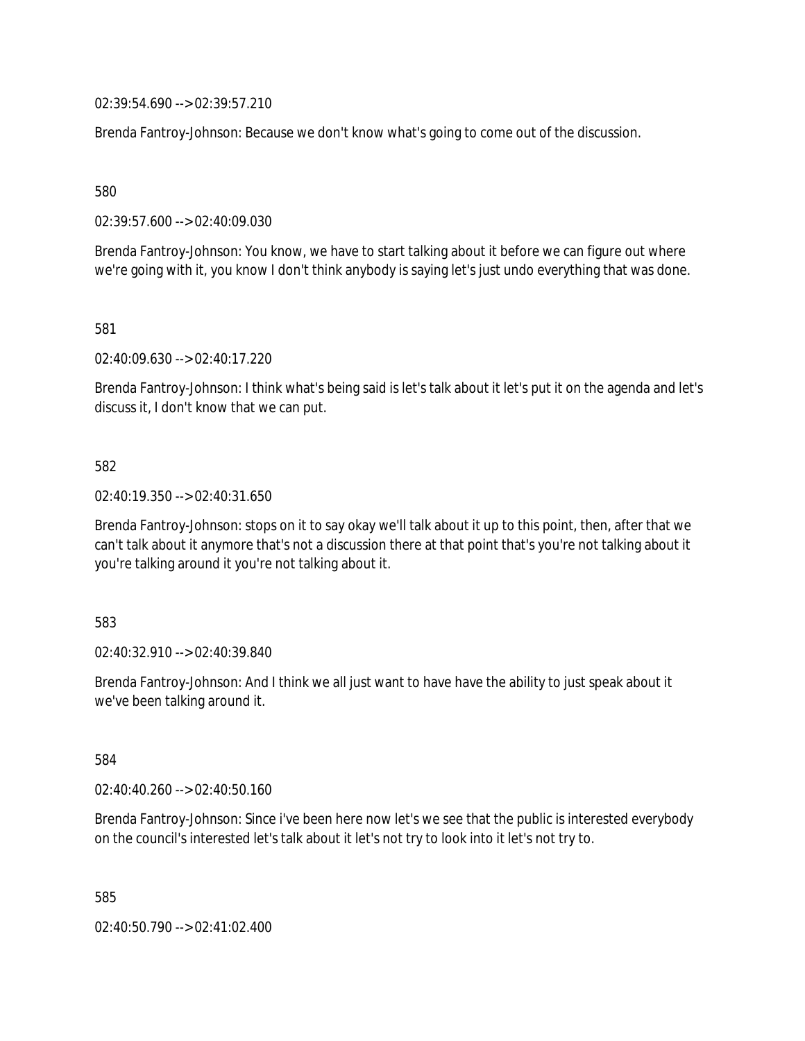02:39:54.690 --> 02:39:57.210

Brenda Fantroy-Johnson: Because we don't know what's going to come out of the discussion.

580

02:39:57.600 --> 02:40:09.030

Brenda Fantroy-Johnson: You know, we have to start talking about it before we can figure out where we're going with it, you know I don't think anybody is saying let's just undo everything that was done.

581

02:40:09.630 --> 02:40:17.220

Brenda Fantroy-Johnson: I think what's being said is let's talk about it let's put it on the agenda and let's discuss it, I don't know that we can put.

## 582

02:40:19.350 --> 02:40:31.650

Brenda Fantroy-Johnson: stops on it to say okay we'll talk about it up to this point, then, after that we can't talk about it anymore that's not a discussion there at that point that's you're not talking about it you're talking around it you're not talking about it.

583

02:40:32.910 --> 02:40:39.840

Brenda Fantroy-Johnson: And I think we all just want to have have the ability to just speak about it we've been talking around it.

584

02:40:40.260 --> 02:40:50.160

Brenda Fantroy-Johnson: Since i've been here now let's we see that the public is interested everybody on the council's interested let's talk about it let's not try to look into it let's not try to.

585

02:40:50.790 --> 02:41:02.400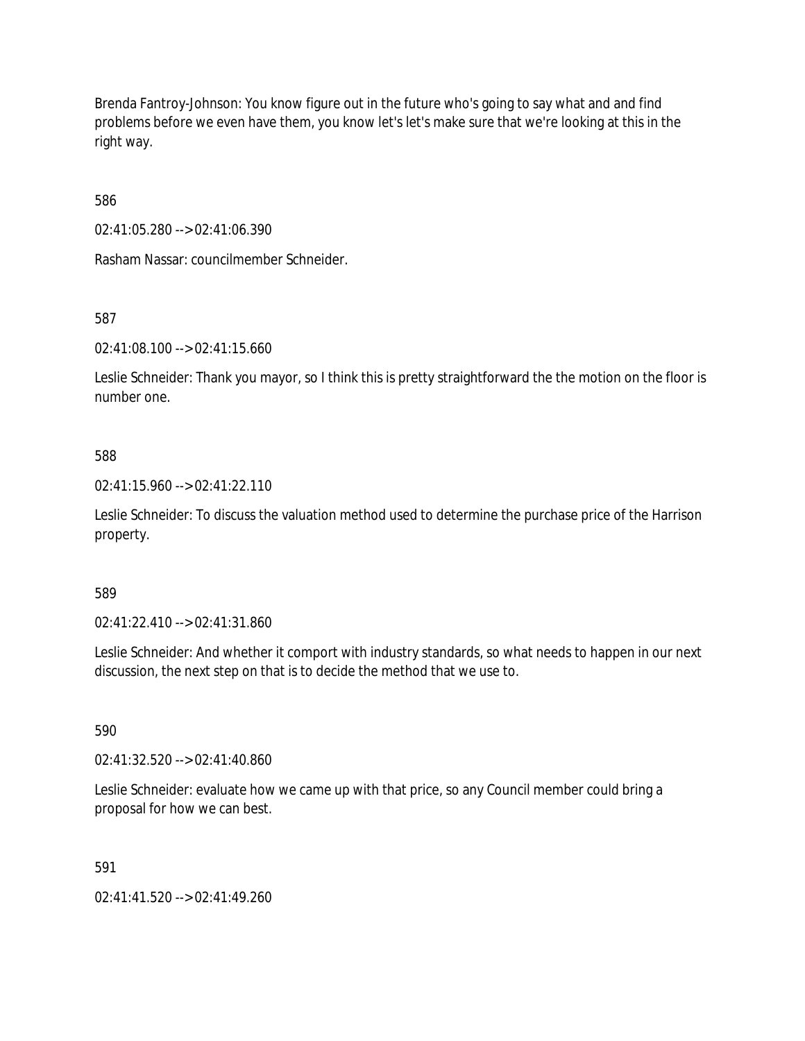Brenda Fantroy-Johnson: You know figure out in the future who's going to say what and and find problems before we even have them, you know let's let's make sure that we're looking at this in the right way.

586

02:41:05.280 --> 02:41:06.390

Rasham Nassar: councilmember Schneider.

587

02:41:08.100 --> 02:41:15.660

Leslie Schneider: Thank you mayor, so I think this is pretty straightforward the the motion on the floor is number one.

# 588

02:41:15.960 --> 02:41:22.110

Leslie Schneider: To discuss the valuation method used to determine the purchase price of the Harrison property.

## 589

02:41:22.410 --> 02:41:31.860

Leslie Schneider: And whether it comport with industry standards, so what needs to happen in our next discussion, the next step on that is to decide the method that we use to.

590

02:41:32.520 --> 02:41:40.860

Leslie Schneider: evaluate how we came up with that price, so any Council member could bring a proposal for how we can best.

591

02:41:41.520 --> 02:41:49.260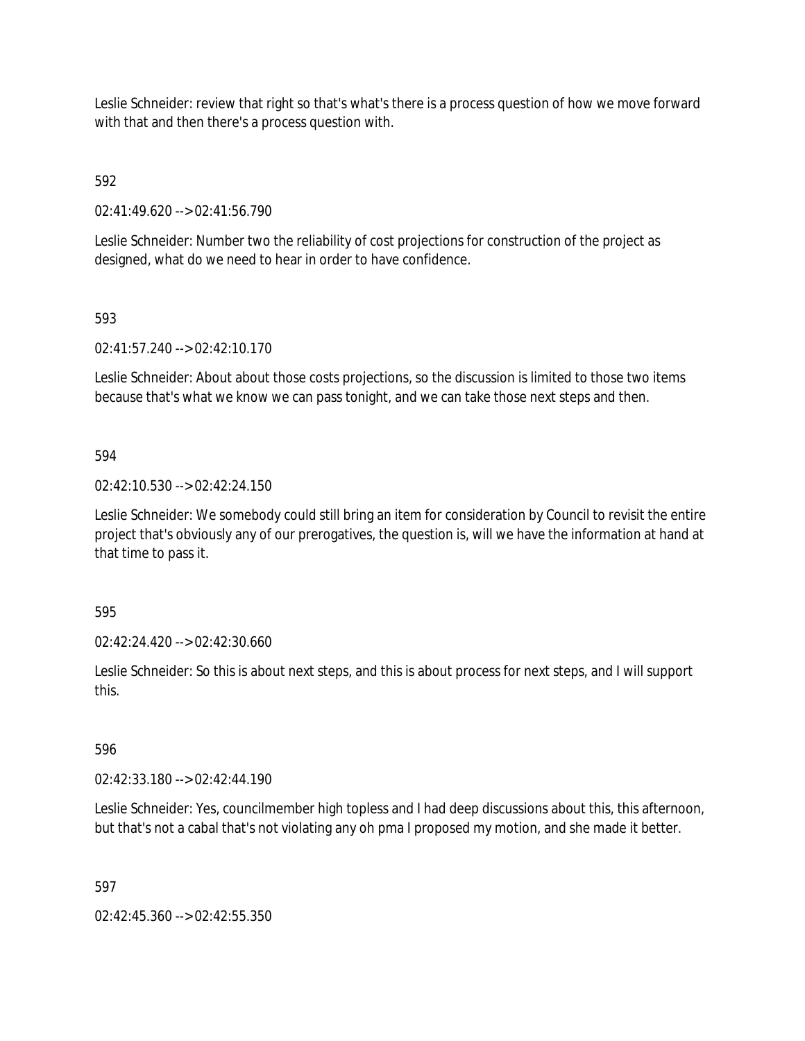Leslie Schneider: review that right so that's what's there is a process question of how we move forward with that and then there's a process question with.

592

02:41:49.620 --> 02:41:56.790

Leslie Schneider: Number two the reliability of cost projections for construction of the project as designed, what do we need to hear in order to have confidence.

593

02:41:57.240 --> 02:42:10.170

Leslie Schneider: About about those costs projections, so the discussion is limited to those two items because that's what we know we can pass tonight, and we can take those next steps and then.

594

02:42:10.530 --> 02:42:24.150

Leslie Schneider: We somebody could still bring an item for consideration by Council to revisit the entire project that's obviously any of our prerogatives, the question is, will we have the information at hand at that time to pass it.

595

02:42:24.420 --> 02:42:30.660

Leslie Schneider: So this is about next steps, and this is about process for next steps, and I will support this.

596

02:42:33.180 --> 02:42:44.190

Leslie Schneider: Yes, councilmember high topless and I had deep discussions about this, this afternoon, but that's not a cabal that's not violating any oh pma I proposed my motion, and she made it better.

597

 $02:42:45.360 \rightarrow 02:42:55.350$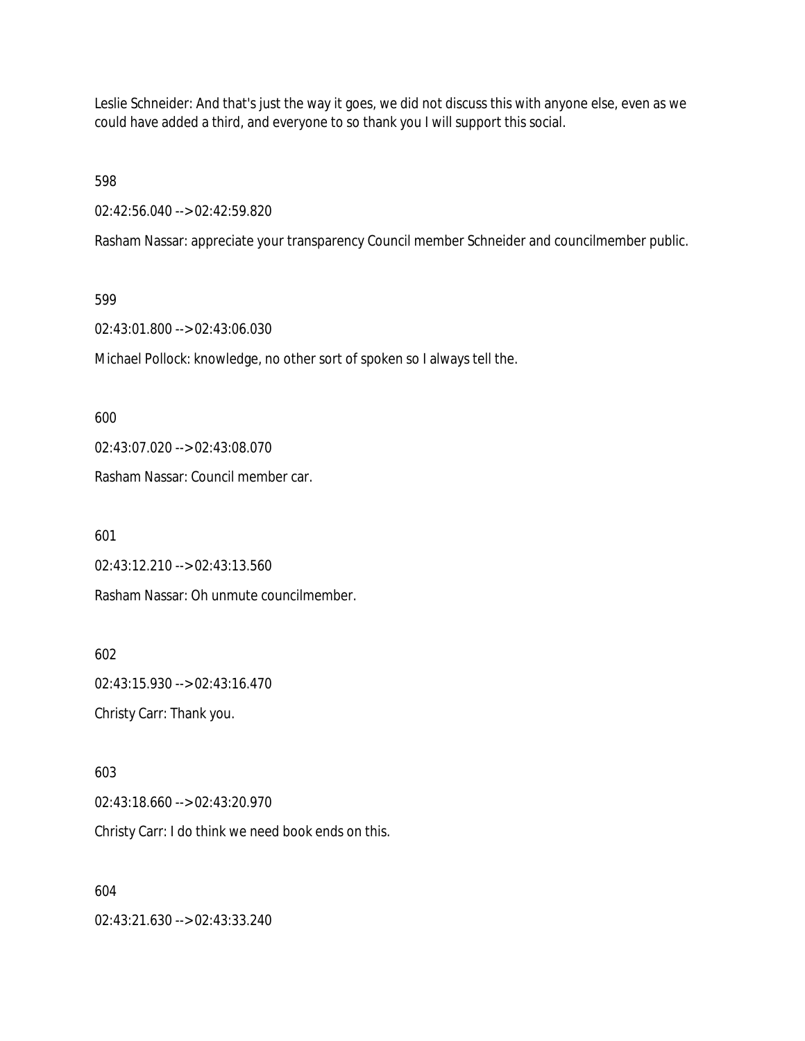Leslie Schneider: And that's just the way it goes, we did not discuss this with anyone else, even as we could have added a third, and everyone to so thank you I will support this social.

598

02:42:56.040 --> 02:42:59.820

Rasham Nassar: appreciate your transparency Council member Schneider and councilmember public.

599

02:43:01.800 --> 02:43:06.030

Michael Pollock: knowledge, no other sort of spoken so I always tell the.

600

02:43:07.020 --> 02:43:08.070

Rasham Nassar: Council member car.

601

02:43:12.210 --> 02:43:13.560

Rasham Nassar: Oh unmute councilmember.

602 02:43:15.930 --> 02:43:16.470

Christy Carr: Thank you.

603

02:43:18.660 --> 02:43:20.970

Christy Carr: I do think we need book ends on this.

604

02:43:21.630 --> 02:43:33.240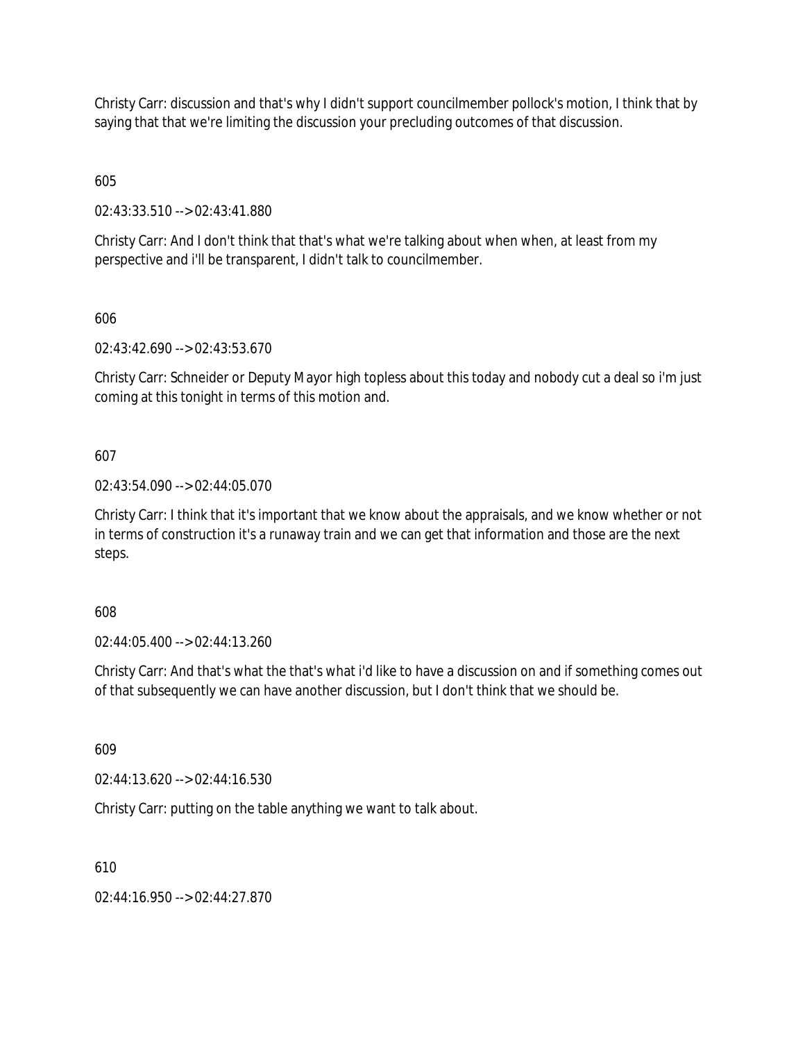Christy Carr: discussion and that's why I didn't support councilmember pollock's motion, I think that by saying that that we're limiting the discussion your precluding outcomes of that discussion.

605

02:43:33.510 --> 02:43:41.880

Christy Carr: And I don't think that that's what we're talking about when when, at least from my perspective and i'll be transparent, I didn't talk to councilmember.

606

02:43:42.690 --> 02:43:53.670

Christy Carr: Schneider or Deputy Mayor high topless about this today and nobody cut a deal so i'm just coming at this tonight in terms of this motion and.

607

02:43:54.090 --> 02:44:05.070

Christy Carr: I think that it's important that we know about the appraisals, and we know whether or not in terms of construction it's a runaway train and we can get that information and those are the next steps.

608

02:44:05.400 --> 02:44:13.260

Christy Carr: And that's what the that's what i'd like to have a discussion on and if something comes out of that subsequently we can have another discussion, but I don't think that we should be.

609

02:44:13.620 --> 02:44:16.530

Christy Carr: putting on the table anything we want to talk about.

610

02:44:16.950 --> 02:44:27.870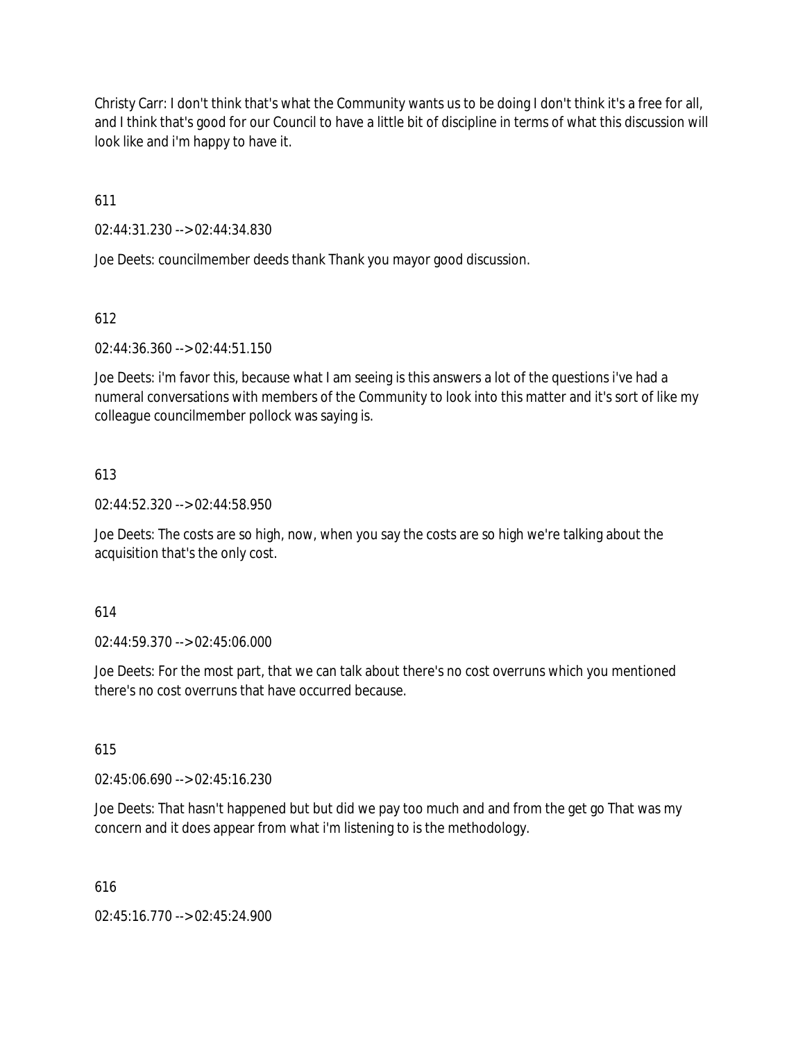Christy Carr: I don't think that's what the Community wants us to be doing I don't think it's a free for all, and I think that's good for our Council to have a little bit of discipline in terms of what this discussion will look like and i'm happy to have it.

611

02:44:31.230 --> 02:44:34.830

Joe Deets: councilmember deeds thank Thank you mayor good discussion.

612

02:44:36.360 --> 02:44:51.150

Joe Deets: i'm favor this, because what I am seeing is this answers a lot of the questions i've had a numeral conversations with members of the Community to look into this matter and it's sort of like my colleague councilmember pollock was saying is.

# 613

02:44:52.320 --> 02:44:58.950

Joe Deets: The costs are so high, now, when you say the costs are so high we're talking about the acquisition that's the only cost.

## 614

02:44:59.370 --> 02:45:06.000

Joe Deets: For the most part, that we can talk about there's no cost overruns which you mentioned there's no cost overruns that have occurred because.

615

02:45:06.690 --> 02:45:16.230

Joe Deets: That hasn't happened but but did we pay too much and and from the get go That was my concern and it does appear from what i'm listening to is the methodology.

616

02:45:16.770 --> 02:45:24.900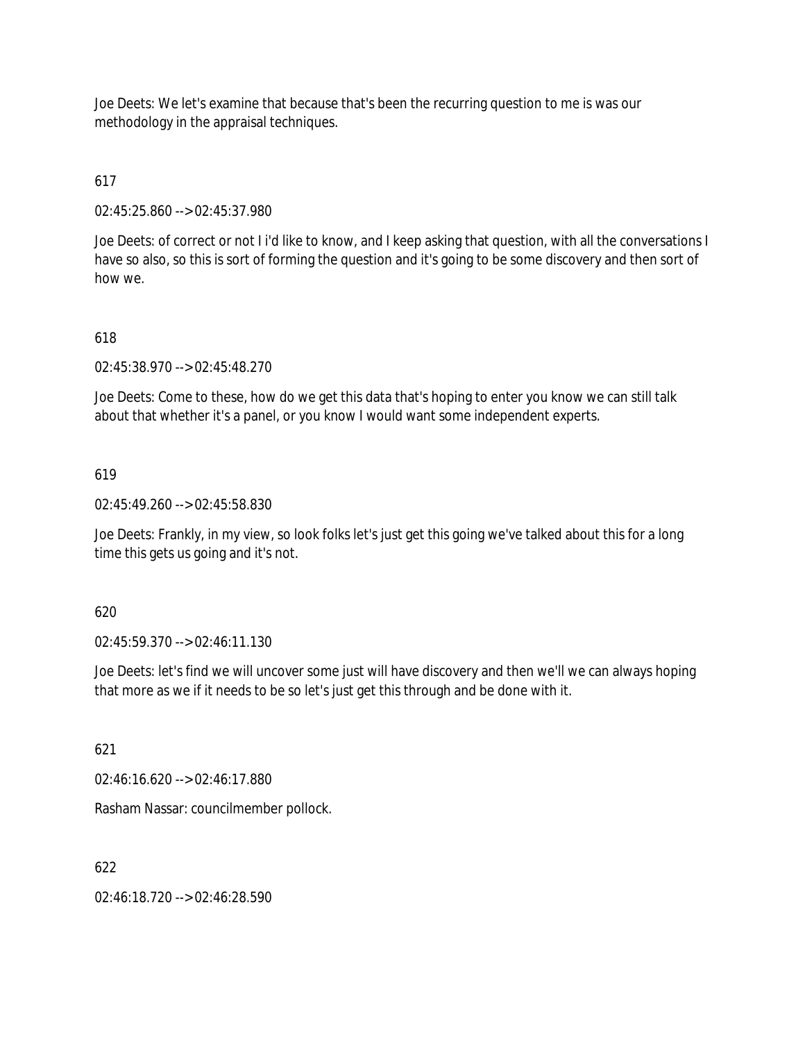Joe Deets: We let's examine that because that's been the recurring question to me is was our methodology in the appraisal techniques.

# 617

02:45:25.860 --> 02:45:37.980

Joe Deets: of correct or not I i'd like to know, and I keep asking that question, with all the conversations I have so also, so this is sort of forming the question and it's going to be some discovery and then sort of how we.

# 618

02:45:38.970 --> 02:45:48.270

Joe Deets: Come to these, how do we get this data that's hoping to enter you know we can still talk about that whether it's a panel, or you know I would want some independent experts.

# 619

02:45:49.260 --> 02:45:58.830

Joe Deets: Frankly, in my view, so look folks let's just get this going we've talked about this for a long time this gets us going and it's not.

## 620

02:45:59.370 --> 02:46:11.130

Joe Deets: let's find we will uncover some just will have discovery and then we'll we can always hoping that more as we if it needs to be so let's just get this through and be done with it.

621

02:46:16.620 --> 02:46:17.880

Rasham Nassar: councilmember pollock.

# 622

02:46:18.720 --> 02:46:28.590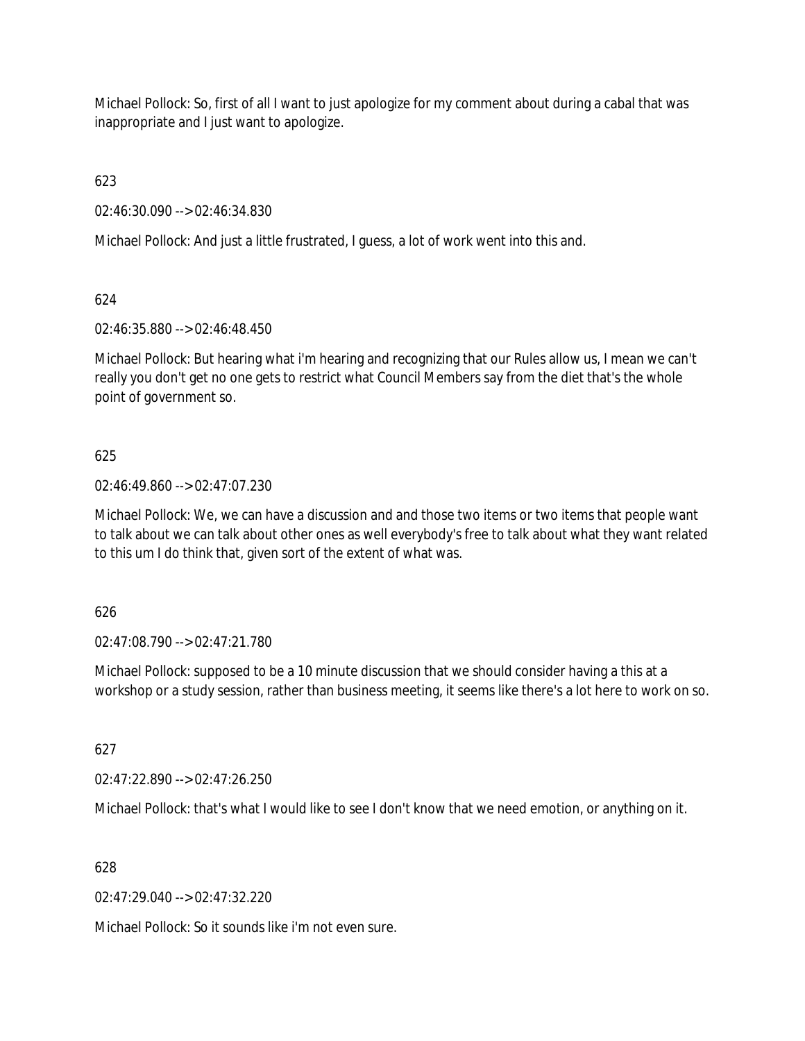Michael Pollock: So, first of all I want to just apologize for my comment about during a cabal that was inappropriate and I just want to apologize.

623

02:46:30.090 --> 02:46:34.830

Michael Pollock: And just a little frustrated, I guess, a lot of work went into this and.

624

02:46:35.880 --> 02:46:48.450

Michael Pollock: But hearing what i'm hearing and recognizing that our Rules allow us, I mean we can't really you don't get no one gets to restrict what Council Members say from the diet that's the whole point of government so.

625

02:46:49.860 --> 02:47:07.230

Michael Pollock: We, we can have a discussion and and those two items or two items that people want to talk about we can talk about other ones as well everybody's free to talk about what they want related to this um I do think that, given sort of the extent of what was.

626

02:47:08.790 --> 02:47:21.780

Michael Pollock: supposed to be a 10 minute discussion that we should consider having a this at a workshop or a study session, rather than business meeting, it seems like there's a lot here to work on so.

627

02:47:22.890 --> 02:47:26.250

Michael Pollock: that's what I would like to see I don't know that we need emotion, or anything on it.

628

02:47:29.040 --> 02:47:32.220

Michael Pollock: So it sounds like i'm not even sure.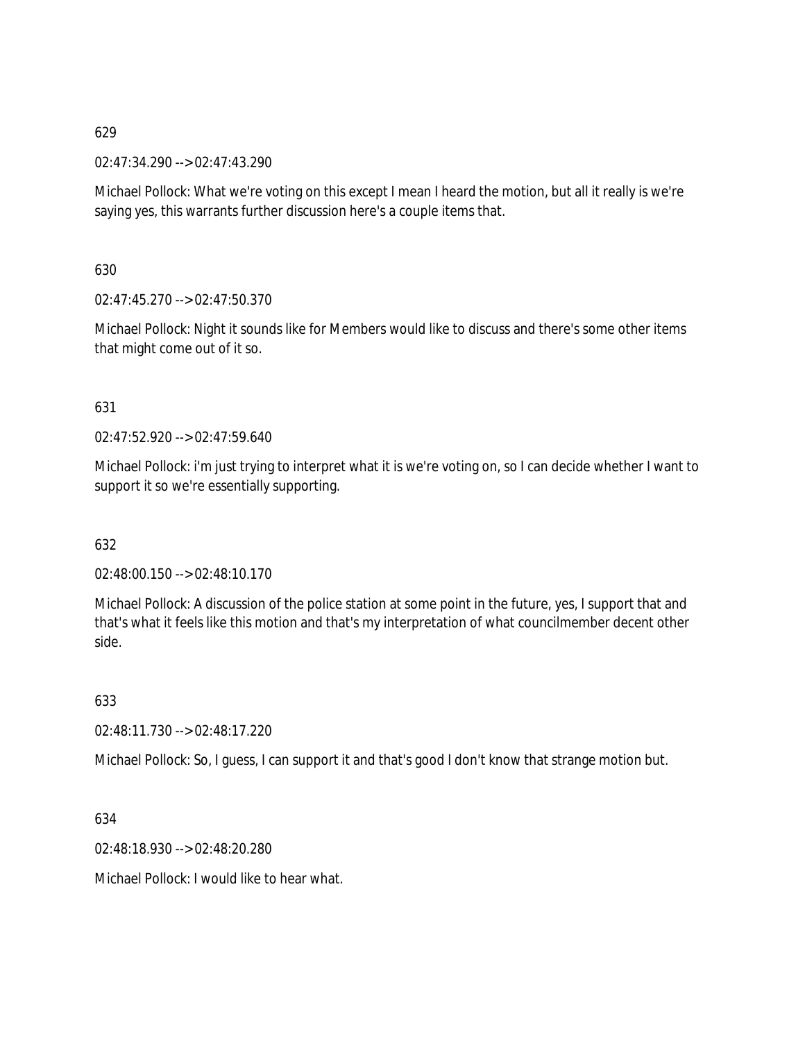02:47:34.290 --> 02:47:43.290

Michael Pollock: What we're voting on this except I mean I heard the motion, but all it really is we're saying yes, this warrants further discussion here's a couple items that.

630

02:47:45.270 --> 02:47:50.370

Michael Pollock: Night it sounds like for Members would like to discuss and there's some other items that might come out of it so.

# 631

02:47:52.920 --> 02:47:59.640

Michael Pollock: i'm just trying to interpret what it is we're voting on, so I can decide whether I want to support it so we're essentially supporting.

# 632

02:48:00.150 --> 02:48:10.170

Michael Pollock: A discussion of the police station at some point in the future, yes, I support that and that's what it feels like this motion and that's my interpretation of what councilmember decent other side.

633

02:48:11.730 --> 02:48:17.220

Michael Pollock: So, I guess, I can support it and that's good I don't know that strange motion but.

634

02:48:18.930 --> 02:48:20.280

Michael Pollock: I would like to hear what.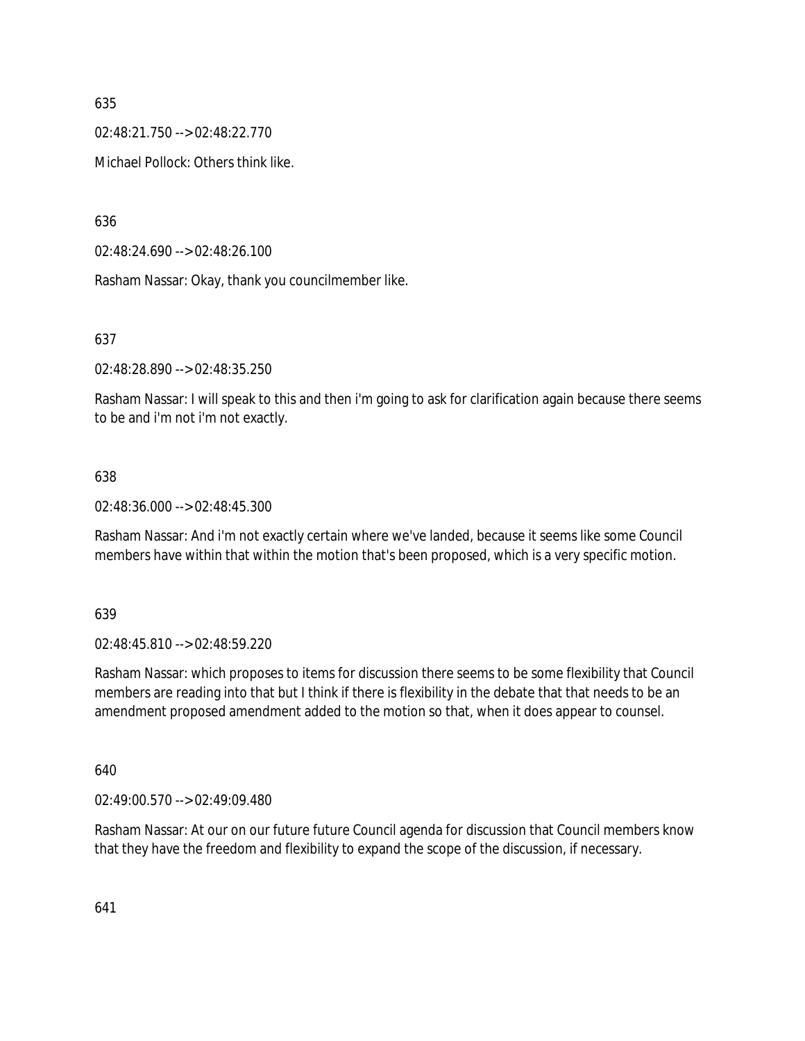02:48:21.750 --> 02:48:22.770

Michael Pollock: Others think like.

636

02:48:24.690 --> 02:48:26.100

Rasham Nassar: Okay, thank you councilmember like.

637

02:48:28.890 --> 02:48:35.250

Rasham Nassar: I will speak to this and then i'm going to ask for clarification again because there seems to be and i'm not i'm not exactly.

## 638

02:48:36.000 --> 02:48:45.300

Rasham Nassar: And i'm not exactly certain where we've landed, because it seems like some Council members have within that within the motion that's been proposed, which is a very specific motion.

639

02:48:45.810 --> 02:48:59.220

Rasham Nassar: which proposes to items for discussion there seems to be some flexibility that Council members are reading into that but I think if there is flexibility in the debate that that needs to be an amendment proposed amendment added to the motion so that, when it does appear to counsel.

640

02:49:00.570 --> 02:49:09.480

Rasham Nassar: At our on our future future Council agenda for discussion that Council members know that they have the freedom and flexibility to expand the scope of the discussion, if necessary.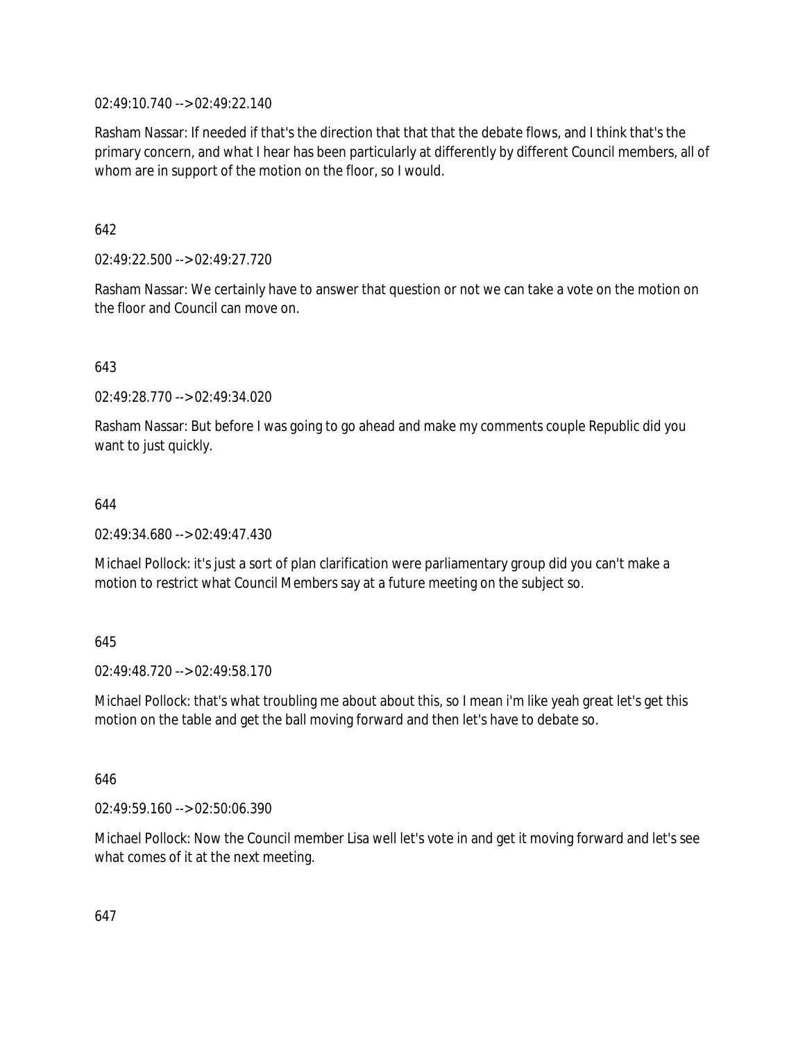02:49:10.740 --> 02:49:22.140

Rasham Nassar: If needed if that's the direction that that that the debate flows, and I think that's the primary concern, and what I hear has been particularly at differently by different Council members, all of whom are in support of the motion on the floor, so I would.

642

02:49:22.500 --> 02:49:27.720

Rasham Nassar: We certainly have to answer that question or not we can take a vote on the motion on the floor and Council can move on.

643

02:49:28.770 --> 02:49:34.020

Rasham Nassar: But before I was going to go ahead and make my comments couple Republic did you want to just quickly.

644

02:49:34.680 --> 02:49:47.430

Michael Pollock: it's just a sort of plan clarification were parliamentary group did you can't make a motion to restrict what Council Members say at a future meeting on the subject so.

645

02:49:48.720 --> 02:49:58.170

Michael Pollock: that's what troubling me about about this, so I mean i'm like yeah great let's get this motion on the table and get the ball moving forward and then let's have to debate so.

646

02:49:59.160 --> 02:50:06.390

Michael Pollock: Now the Council member Lisa well let's vote in and get it moving forward and let's see what comes of it at the next meeting.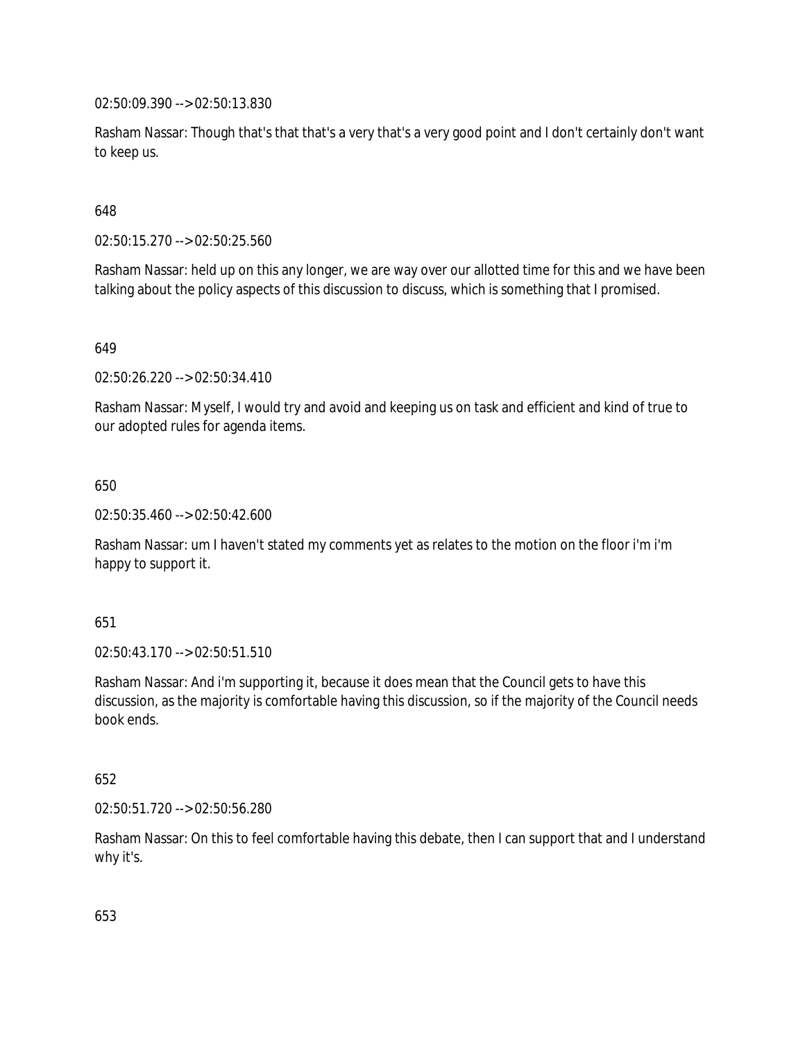02:50:09.390 --> 02:50:13.830

Rasham Nassar: Though that's that that's a very that's a very good point and I don't certainly don't want to keep us.

648

02:50:15.270 --> 02:50:25.560

Rasham Nassar: held up on this any longer, we are way over our allotted time for this and we have been talking about the policy aspects of this discussion to discuss, which is something that I promised.

649

02:50:26.220 --> 02:50:34.410

Rasham Nassar: Myself, I would try and avoid and keeping us on task and efficient and kind of true to our adopted rules for agenda items.

650

02:50:35.460 --> 02:50:42.600

Rasham Nassar: um I haven't stated my comments yet as relates to the motion on the floor i'm i'm happy to support it.

651

02:50:43.170 --> 02:50:51.510

Rasham Nassar: And i'm supporting it, because it does mean that the Council gets to have this discussion, as the majority is comfortable having this discussion, so if the majority of the Council needs book ends.

652

02:50:51.720 --> 02:50:56.280

Rasham Nassar: On this to feel comfortable having this debate, then I can support that and I understand why it's.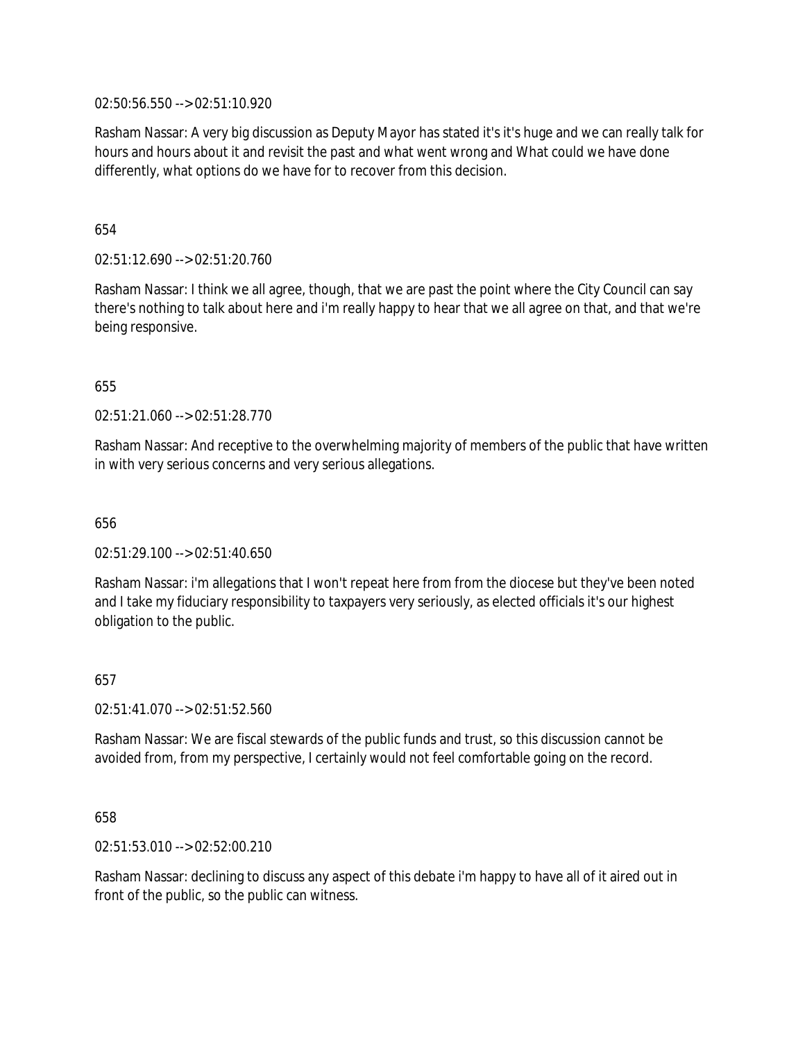02:50:56.550 --> 02:51:10.920

Rasham Nassar: A very big discussion as Deputy Mayor has stated it's it's huge and we can really talk for hours and hours about it and revisit the past and what went wrong and What could we have done differently, what options do we have for to recover from this decision.

654

02:51:12.690 --> 02:51:20.760

Rasham Nassar: I think we all agree, though, that we are past the point where the City Council can say there's nothing to talk about here and i'm really happy to hear that we all agree on that, and that we're being responsive.

655

02:51:21.060 --> 02:51:28.770

Rasham Nassar: And receptive to the overwhelming majority of members of the public that have written in with very serious concerns and very serious allegations.

656

02:51:29.100 --> 02:51:40.650

Rasham Nassar: i'm allegations that I won't repeat here from from the diocese but they've been noted and I take my fiduciary responsibility to taxpayers very seriously, as elected officials it's our highest obligation to the public.

657

02:51:41.070 --> 02:51:52.560

Rasham Nassar: We are fiscal stewards of the public funds and trust, so this discussion cannot be avoided from, from my perspective, I certainly would not feel comfortable going on the record.

658

02:51:53.010 --> 02:52:00.210

Rasham Nassar: declining to discuss any aspect of this debate i'm happy to have all of it aired out in front of the public, so the public can witness.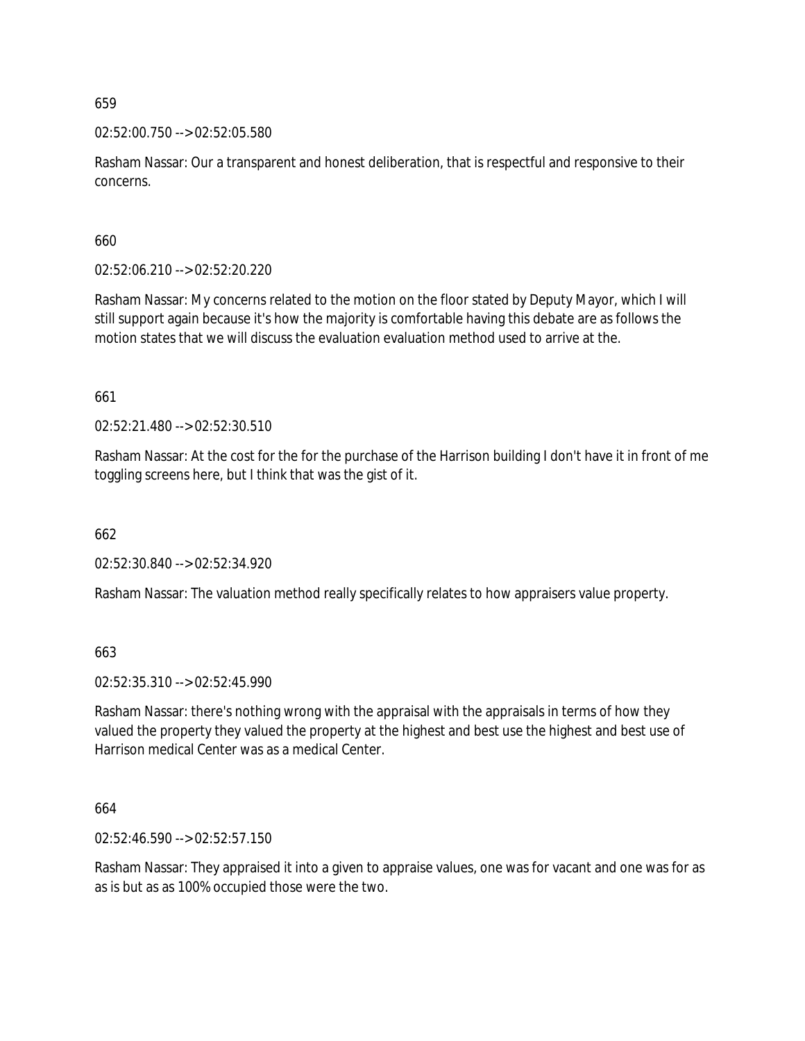02:52:00.750 --> 02:52:05.580

Rasham Nassar: Our a transparent and honest deliberation, that is respectful and responsive to their concerns.

660

02:52:06.210 --> 02:52:20.220

Rasham Nassar: My concerns related to the motion on the floor stated by Deputy Mayor, which I will still support again because it's how the majority is comfortable having this debate are as follows the motion states that we will discuss the evaluation evaluation method used to arrive at the.

661

02:52:21.480 --> 02:52:30.510

Rasham Nassar: At the cost for the for the purchase of the Harrison building I don't have it in front of me toggling screens here, but I think that was the gist of it.

662

02:52:30.840 --> 02:52:34.920

Rasham Nassar: The valuation method really specifically relates to how appraisers value property.

663

02:52:35.310 --> 02:52:45.990

Rasham Nassar: there's nothing wrong with the appraisal with the appraisals in terms of how they valued the property they valued the property at the highest and best use the highest and best use of Harrison medical Center was as a medical Center.

664

02:52:46.590 --> 02:52:57.150

Rasham Nassar: They appraised it into a given to appraise values, one was for vacant and one was for as as is but as as 100% occupied those were the two.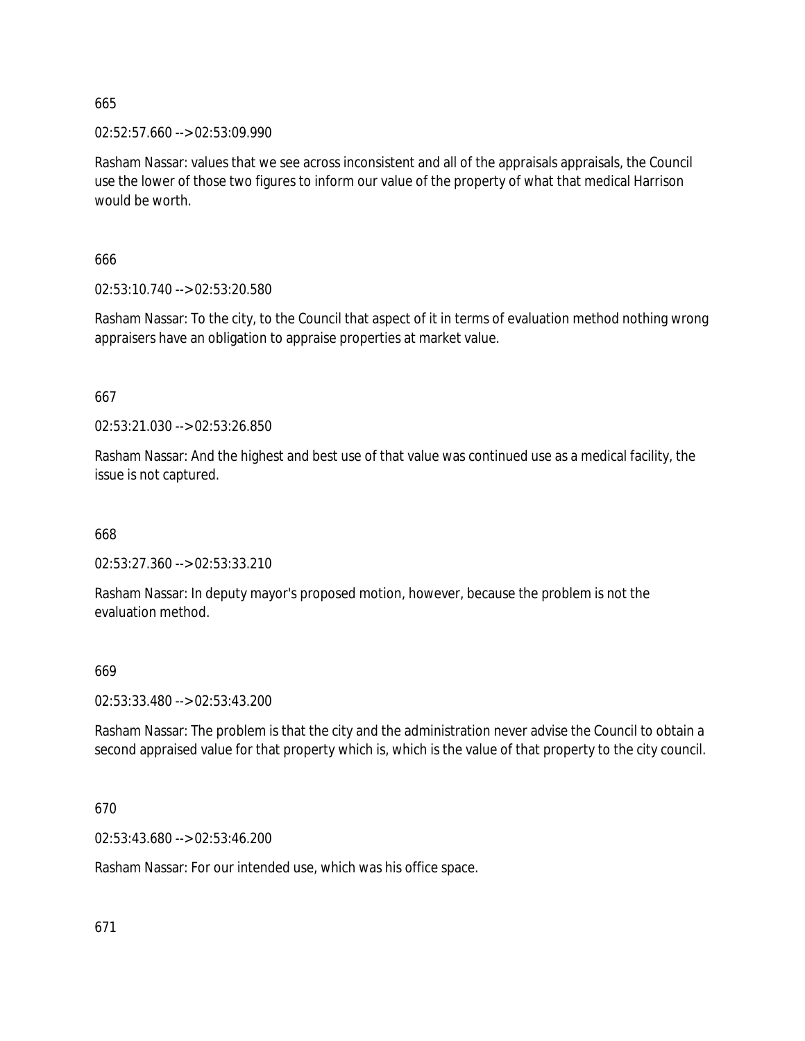02:52:57.660 --> 02:53:09.990

Rasham Nassar: values that we see across inconsistent and all of the appraisals appraisals, the Council use the lower of those two figures to inform our value of the property of what that medical Harrison would be worth.

666

02:53:10.740 --> 02:53:20.580

Rasham Nassar: To the city, to the Council that aspect of it in terms of evaluation method nothing wrong appraisers have an obligation to appraise properties at market value.

667

02:53:21.030 --> 02:53:26.850

Rasham Nassar: And the highest and best use of that value was continued use as a medical facility, the issue is not captured.

668

02:53:27.360 --> 02:53:33.210

Rasham Nassar: In deputy mayor's proposed motion, however, because the problem is not the evaluation method.

## 669

02:53:33.480 --> 02:53:43.200

Rasham Nassar: The problem is that the city and the administration never advise the Council to obtain a second appraised value for that property which is, which is the value of that property to the city council.

## 670

02:53:43.680 --> 02:53:46.200

Rasham Nassar: For our intended use, which was his office space.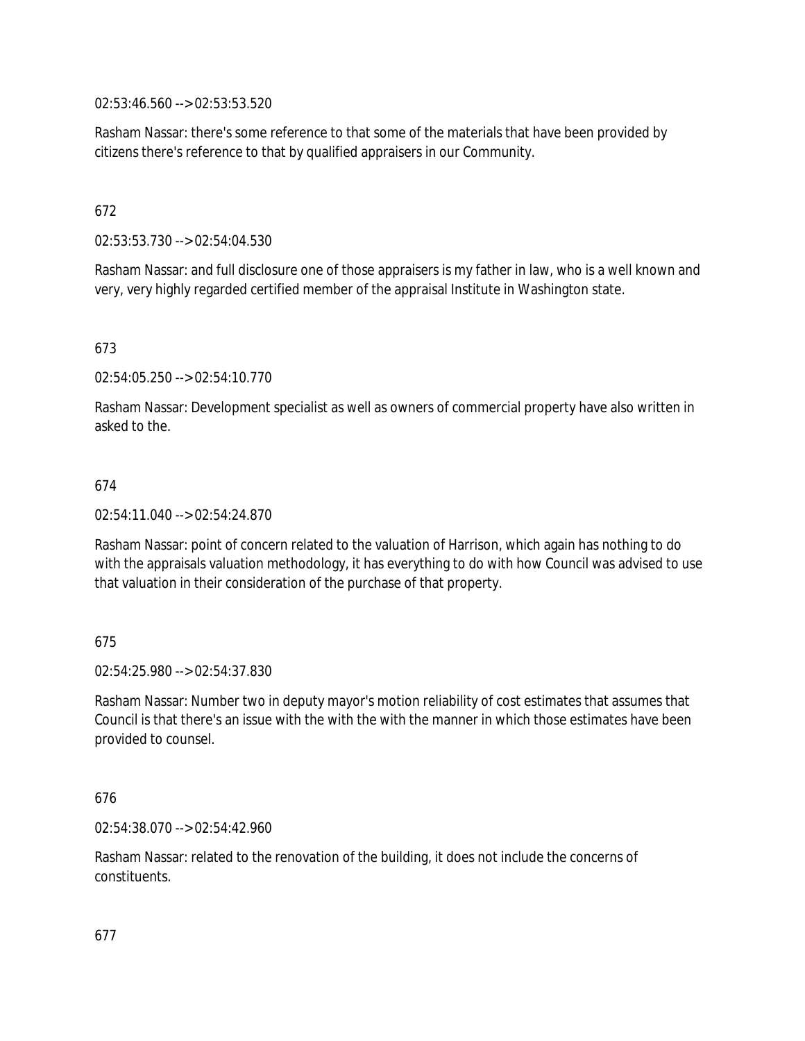02:53:46.560 --> 02:53:53.520

Rasham Nassar: there's some reference to that some of the materials that have been provided by citizens there's reference to that by qualified appraisers in our Community.

# 672

02:53:53.730 --> 02:54:04.530

Rasham Nassar: and full disclosure one of those appraisers is my father in law, who is a well known and very, very highly regarded certified member of the appraisal Institute in Washington state.

## 673

02:54:05.250 --> 02:54:10.770

Rasham Nassar: Development specialist as well as owners of commercial property have also written in asked to the.

## 674

02:54:11.040 --> 02:54:24.870

Rasham Nassar: point of concern related to the valuation of Harrison, which again has nothing to do with the appraisals valuation methodology, it has everything to do with how Council was advised to use that valuation in their consideration of the purchase of that property.

## 675

02:54:25.980 --> 02:54:37.830

Rasham Nassar: Number two in deputy mayor's motion reliability of cost estimates that assumes that Council is that there's an issue with the with the with the manner in which those estimates have been provided to counsel.

## 676

02:54:38.070 --> 02:54:42.960

Rasham Nassar: related to the renovation of the building, it does not include the concerns of constituents.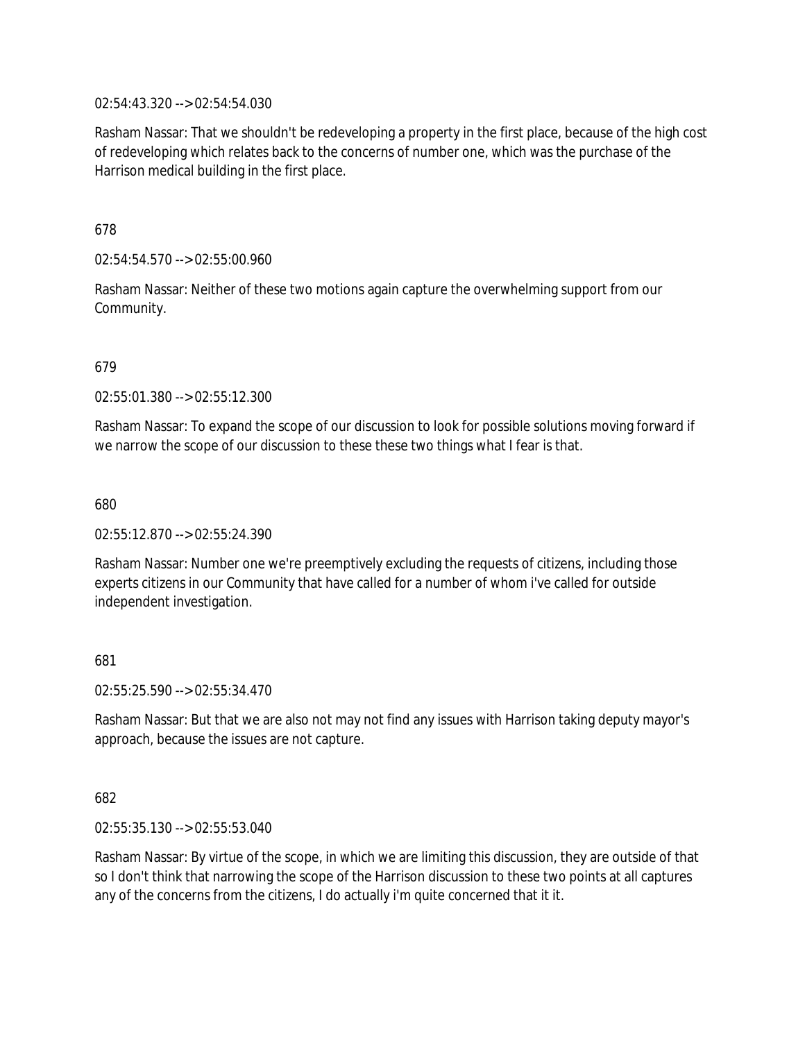02:54:43.320 --> 02:54:54.030

Rasham Nassar: That we shouldn't be redeveloping a property in the first place, because of the high cost of redeveloping which relates back to the concerns of number one, which was the purchase of the Harrison medical building in the first place.

678

02:54:54.570 --> 02:55:00.960

Rasham Nassar: Neither of these two motions again capture the overwhelming support from our Community.

679

02:55:01.380 --> 02:55:12.300

Rasham Nassar: To expand the scope of our discussion to look for possible solutions moving forward if we narrow the scope of our discussion to these these two things what I fear is that.

680

02:55:12.870 --> 02:55:24.390

Rasham Nassar: Number one we're preemptively excluding the requests of citizens, including those experts citizens in our Community that have called for a number of whom i've called for outside independent investigation.

681

02:55:25.590 --> 02:55:34.470

Rasham Nassar: But that we are also not may not find any issues with Harrison taking deputy mayor's approach, because the issues are not capture.

682

02:55:35.130 --> 02:55:53.040

Rasham Nassar: By virtue of the scope, in which we are limiting this discussion, they are outside of that so I don't think that narrowing the scope of the Harrison discussion to these two points at all captures any of the concerns from the citizens, I do actually i'm quite concerned that it it.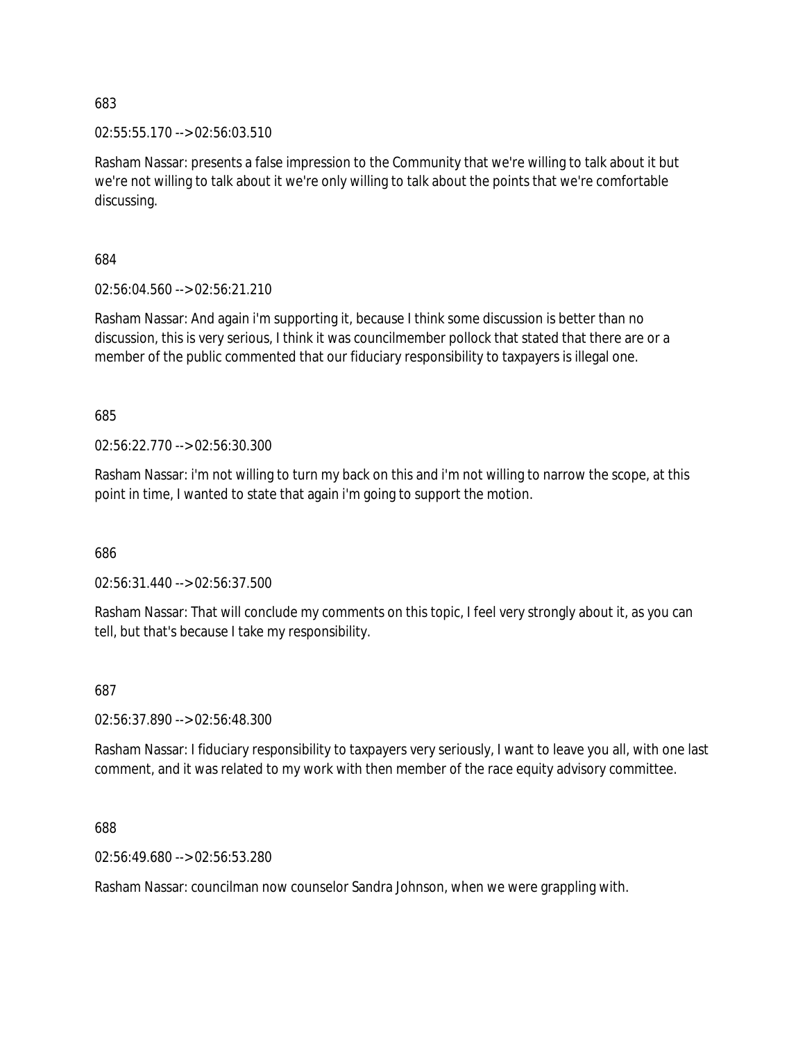02:55:55.170 --> 02:56:03.510

Rasham Nassar: presents a false impression to the Community that we're willing to talk about it but we're not willing to talk about it we're only willing to talk about the points that we're comfortable discussing.

684

02:56:04.560 --> 02:56:21.210

Rasham Nassar: And again i'm supporting it, because I think some discussion is better than no discussion, this is very serious, I think it was councilmember pollock that stated that there are or a member of the public commented that our fiduciary responsibility to taxpayers is illegal one.

685

02:56:22.770 --> 02:56:30.300

Rasham Nassar: i'm not willing to turn my back on this and i'm not willing to narrow the scope, at this point in time, I wanted to state that again i'm going to support the motion.

686

02:56:31.440 --> 02:56:37.500

Rasham Nassar: That will conclude my comments on this topic, I feel very strongly about it, as you can tell, but that's because I take my responsibility.

687

02:56:37.890 --> 02:56:48.300

Rasham Nassar: I fiduciary responsibility to taxpayers very seriously, I want to leave you all, with one last comment, and it was related to my work with then member of the race equity advisory committee.

688

02:56:49.680 --> 02:56:53.280

Rasham Nassar: councilman now counselor Sandra Johnson, when we were grappling with.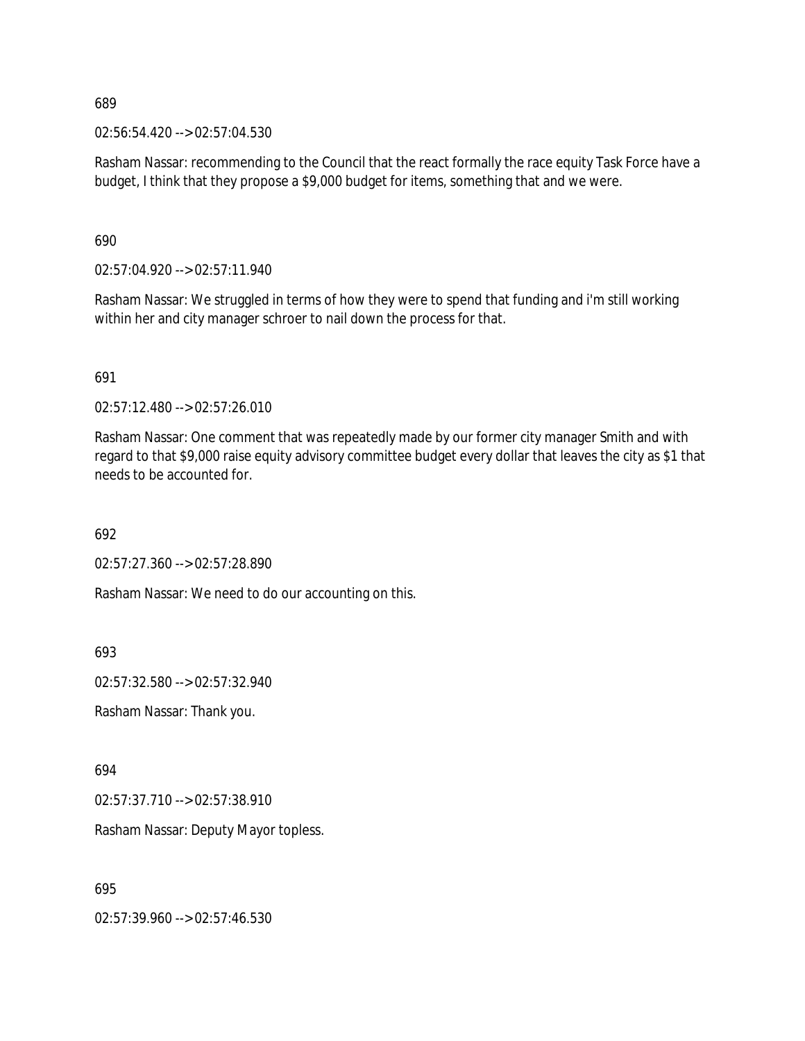02:56:54.420 --> 02:57:04.530

Rasham Nassar: recommending to the Council that the react formally the race equity Task Force have a budget, I think that they propose a \$9,000 budget for items, something that and we were.

690

02:57:04.920 --> 02:57:11.940

Rasham Nassar: We struggled in terms of how they were to spend that funding and i'm still working within her and city manager schroer to nail down the process for that.

691

02:57:12.480 --> 02:57:26.010

Rasham Nassar: One comment that was repeatedly made by our former city manager Smith and with regard to that \$9,000 raise equity advisory committee budget every dollar that leaves the city as \$1 that needs to be accounted for.

692

02:57:27.360 --> 02:57:28.890

Rasham Nassar: We need to do our accounting on this.

693

02:57:32.580 --> 02:57:32.940

Rasham Nassar: Thank you.

694

02:57:37.710 --> 02:57:38.910

Rasham Nassar: Deputy Mayor topless.

695

02:57:39.960 --> 02:57:46.530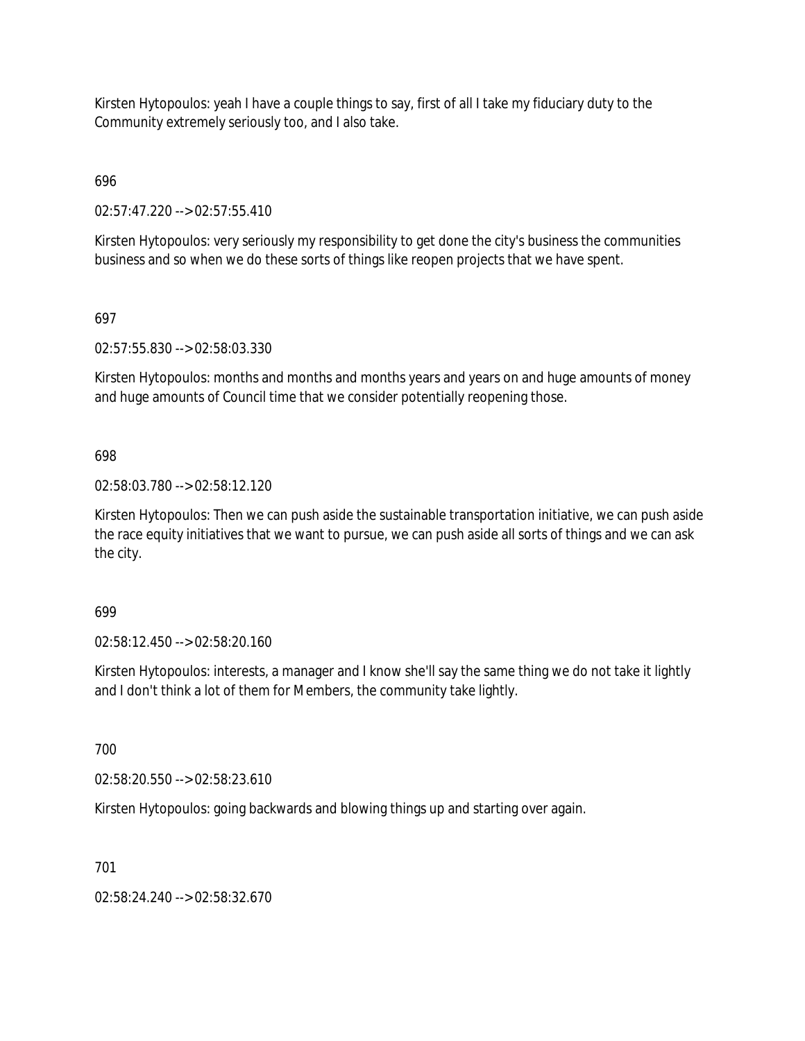Kirsten Hytopoulos: yeah I have a couple things to say, first of all I take my fiduciary duty to the Community extremely seriously too, and I also take.

696

02:57:47.220 --> 02:57:55.410

Kirsten Hytopoulos: very seriously my responsibility to get done the city's business the communities business and so when we do these sorts of things like reopen projects that we have spent.

# 697

02:57:55.830 --> 02:58:03.330

Kirsten Hytopoulos: months and months and months years and years on and huge amounts of money and huge amounts of Council time that we consider potentially reopening those.

# 698

02:58:03.780 --> 02:58:12.120

Kirsten Hytopoulos: Then we can push aside the sustainable transportation initiative, we can push aside the race equity initiatives that we want to pursue, we can push aside all sorts of things and we can ask the city.

### 699

02:58:12.450 --> 02:58:20.160

Kirsten Hytopoulos: interests, a manager and I know she'll say the same thing we do not take it lightly and I don't think a lot of them for Members, the community take lightly.

700

02:58:20.550 --> 02:58:23.610

Kirsten Hytopoulos: going backwards and blowing things up and starting over again.

### 701

02:58:24.240 --> 02:58:32.670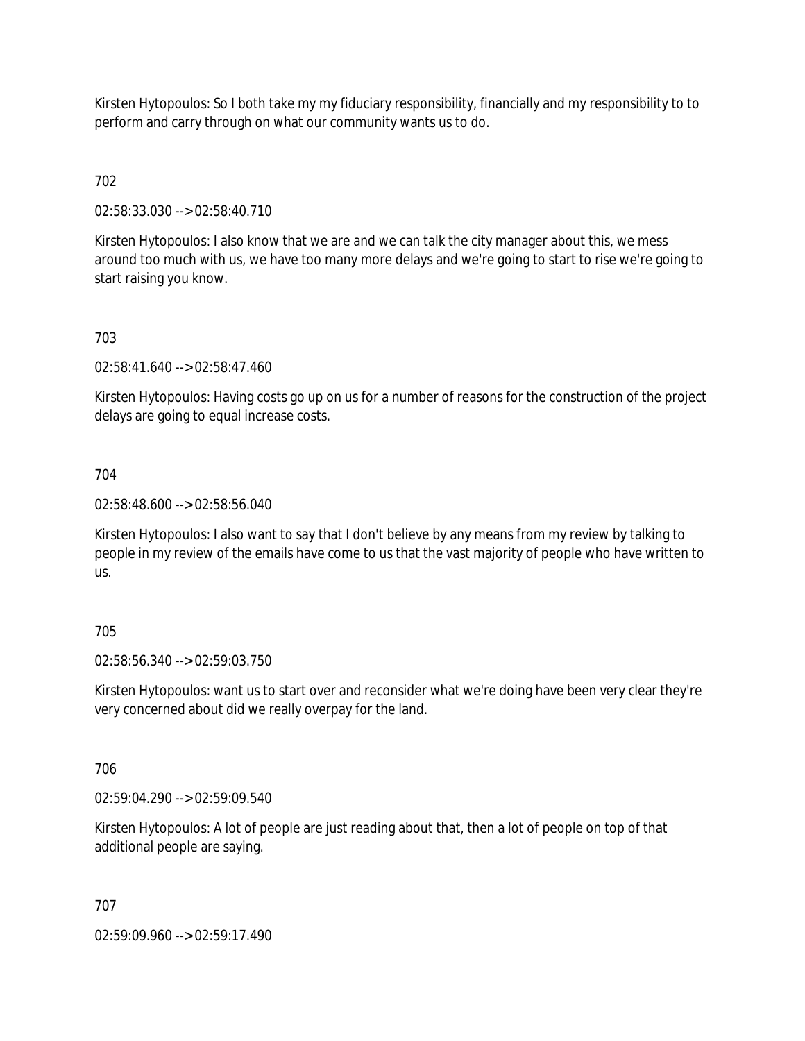Kirsten Hytopoulos: So I both take my my fiduciary responsibility, financially and my responsibility to to perform and carry through on what our community wants us to do.

# 702

02:58:33.030 --> 02:58:40.710

Kirsten Hytopoulos: I also know that we are and we can talk the city manager about this, we mess around too much with us, we have too many more delays and we're going to start to rise we're going to start raising you know.

# 703

02:58:41.640 --> 02:58:47.460

Kirsten Hytopoulos: Having costs go up on us for a number of reasons for the construction of the project delays are going to equal increase costs.

### 704

02:58:48.600 --> 02:58:56.040

Kirsten Hytopoulos: I also want to say that I don't believe by any means from my review by talking to people in my review of the emails have come to us that the vast majority of people who have written to us.

### 705

02:58:56.340 --> 02:59:03.750

Kirsten Hytopoulos: want us to start over and reconsider what we're doing have been very clear they're very concerned about did we really overpay for the land.

### 706

02:59:04.290 --> 02:59:09.540

Kirsten Hytopoulos: A lot of people are just reading about that, then a lot of people on top of that additional people are saying.

### 707

02:59:09.960 --> 02:59:17.490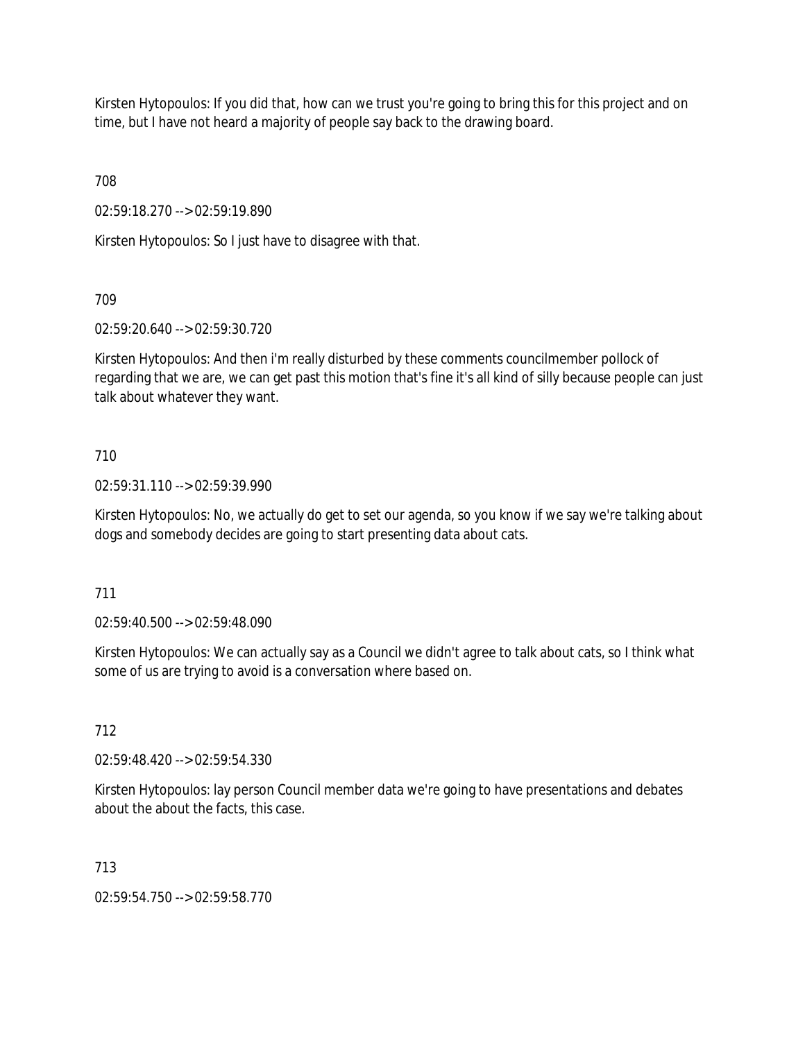Kirsten Hytopoulos: If you did that, how can we trust you're going to bring this for this project and on time, but I have not heard a majority of people say back to the drawing board.

708

02:59:18.270 --> 02:59:19.890

Kirsten Hytopoulos: So I just have to disagree with that.

709

02:59:20.640 --> 02:59:30.720

Kirsten Hytopoulos: And then i'm really disturbed by these comments councilmember pollock of regarding that we are, we can get past this motion that's fine it's all kind of silly because people can just talk about whatever they want.

# 710

02:59:31.110 --> 02:59:39.990

Kirsten Hytopoulos: No, we actually do get to set our agenda, so you know if we say we're talking about dogs and somebody decides are going to start presenting data about cats.

711

02:59:40.500 --> 02:59:48.090

Kirsten Hytopoulos: We can actually say as a Council we didn't agree to talk about cats, so I think what some of us are trying to avoid is a conversation where based on.

# 712

02:59:48.420 --> 02:59:54.330

Kirsten Hytopoulos: lay person Council member data we're going to have presentations and debates about the about the facts, this case.

713

02:59:54.750 --> 02:59:58.770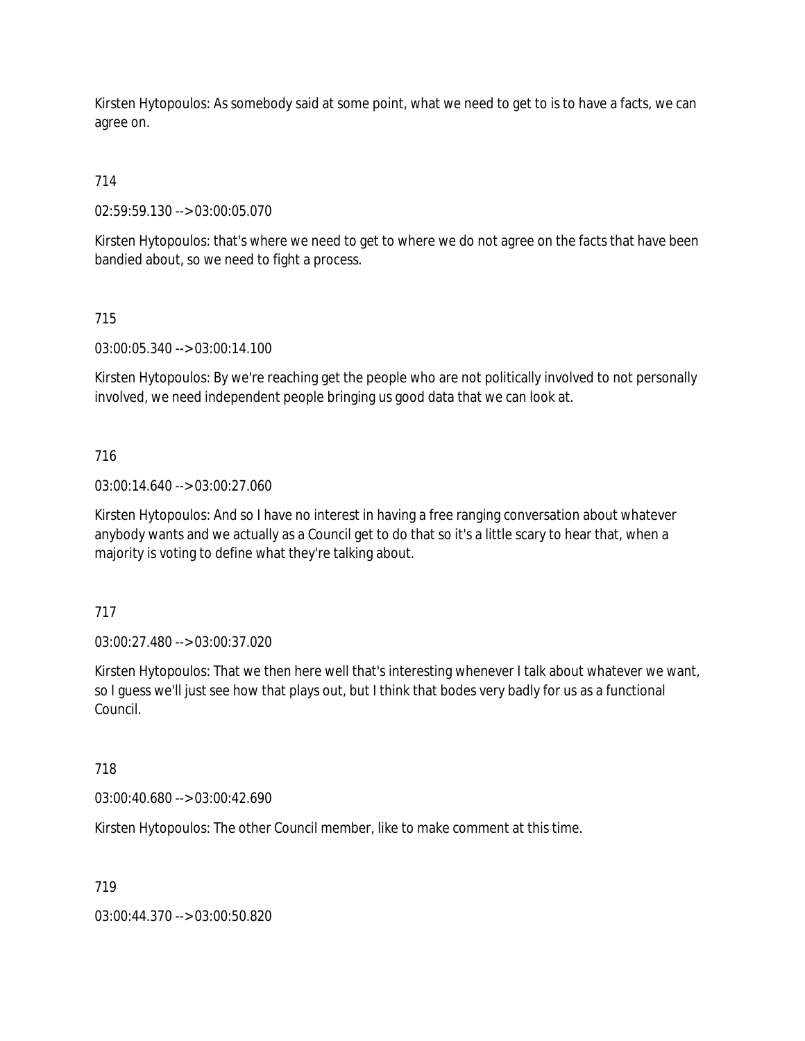Kirsten Hytopoulos: As somebody said at some point, what we need to get to is to have a facts, we can agree on.

# 714

02:59:59.130 --> 03:00:05.070

Kirsten Hytopoulos: that's where we need to get to where we do not agree on the facts that have been bandied about, so we need to fight a process.

# 715

03:00:05.340 --> 03:00:14.100

Kirsten Hytopoulos: By we're reaching get the people who are not politically involved to not personally involved, we need independent people bringing us good data that we can look at.

# 716

03:00:14.640 --> 03:00:27.060

Kirsten Hytopoulos: And so I have no interest in having a free ranging conversation about whatever anybody wants and we actually as a Council get to do that so it's a little scary to hear that, when a majority is voting to define what they're talking about.

### 717

03:00:27.480 --> 03:00:37.020

Kirsten Hytopoulos: That we then here well that's interesting whenever I talk about whatever we want, so I guess we'll just see how that plays out, but I think that bodes very badly for us as a functional Council.

### 718

03:00:40.680 --> 03:00:42.690

Kirsten Hytopoulos: The other Council member, like to make comment at this time.

### 719

03:00:44.370 --> 03:00:50.820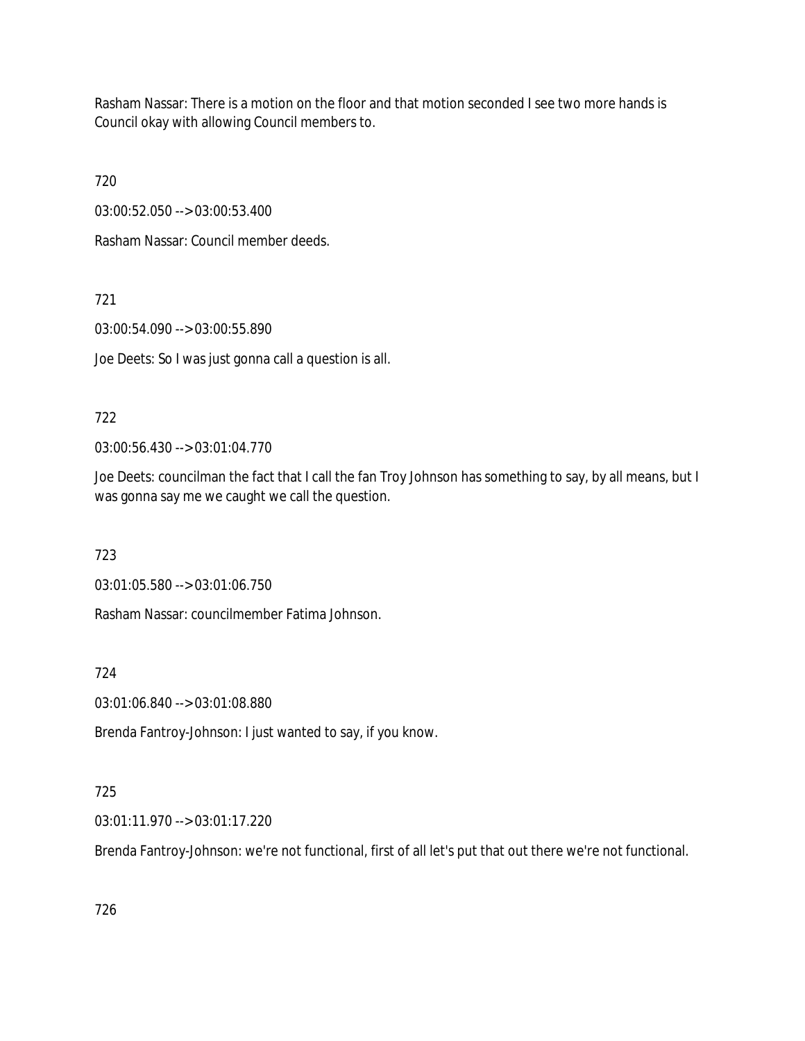Rasham Nassar: There is a motion on the floor and that motion seconded I see two more hands is Council okay with allowing Council members to.

720

03:00:52.050 --> 03:00:53.400

Rasham Nassar: Council member deeds.

721

03:00:54.090 --> 03:00:55.890

Joe Deets: So I was just gonna call a question is all.

# 722

03:00:56.430 --> 03:01:04.770

Joe Deets: councilman the fact that I call the fan Troy Johnson has something to say, by all means, but I was gonna say me we caught we call the question.

723

03:01:05.580 --> 03:01:06.750

Rasham Nassar: councilmember Fatima Johnson.

724

03:01:06.840 --> 03:01:08.880

Brenda Fantroy-Johnson: I just wanted to say, if you know.

# 725

03:01:11.970 --> 03:01:17.220

Brenda Fantroy-Johnson: we're not functional, first of all let's put that out there we're not functional.

726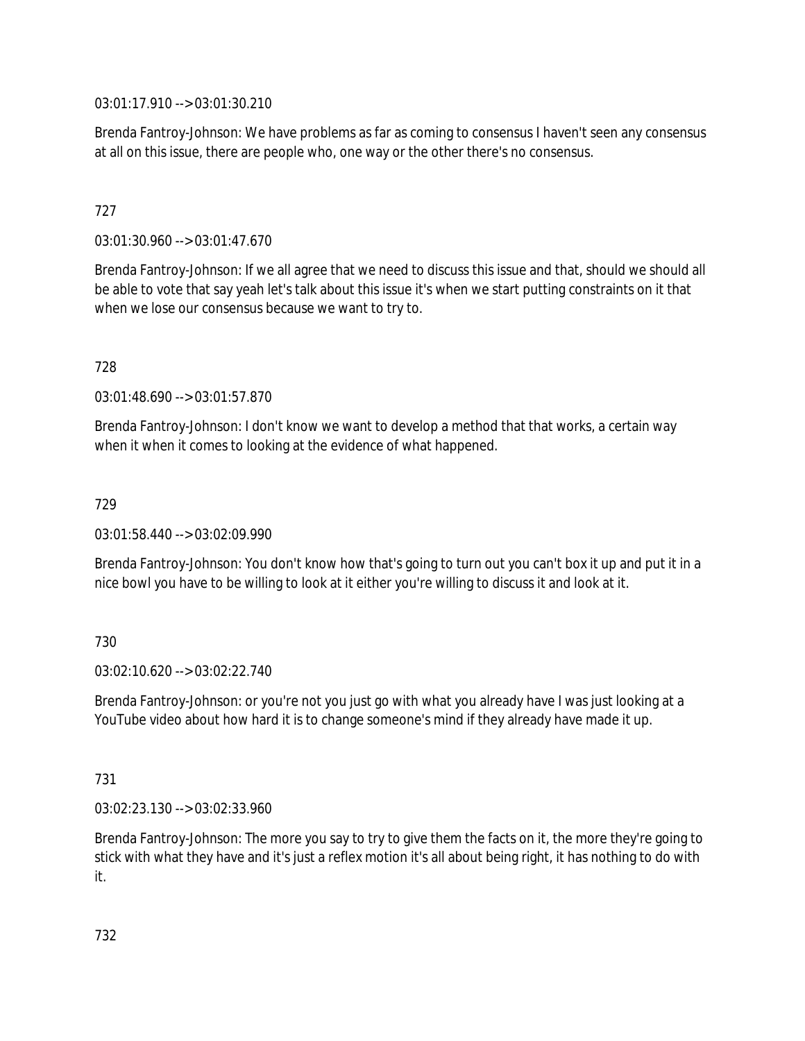03:01:17.910 --> 03:01:30.210

Brenda Fantroy-Johnson: We have problems as far as coming to consensus I haven't seen any consensus at all on this issue, there are people who, one way or the other there's no consensus.

# 727

03:01:30.960 --> 03:01:47.670

Brenda Fantroy-Johnson: If we all agree that we need to discuss this issue and that, should we should all be able to vote that say yeah let's talk about this issue it's when we start putting constraints on it that when we lose our consensus because we want to try to.

728

03:01:48.690 --> 03:01:57.870

Brenda Fantroy-Johnson: I don't know we want to develop a method that that works, a certain way when it when it comes to looking at the evidence of what happened.

#### 729

03:01:58.440 --> 03:02:09.990

Brenda Fantroy-Johnson: You don't know how that's going to turn out you can't box it up and put it in a nice bowl you have to be willing to look at it either you're willing to discuss it and look at it.

### 730

03:02:10.620 --> 03:02:22.740

Brenda Fantroy-Johnson: or you're not you just go with what you already have I was just looking at a YouTube video about how hard it is to change someone's mind if they already have made it up.

#### 731

03:02:23.130 --> 03:02:33.960

Brenda Fantroy-Johnson: The more you say to try to give them the facts on it, the more they're going to stick with what they have and it's just a reflex motion it's all about being right, it has nothing to do with it.

732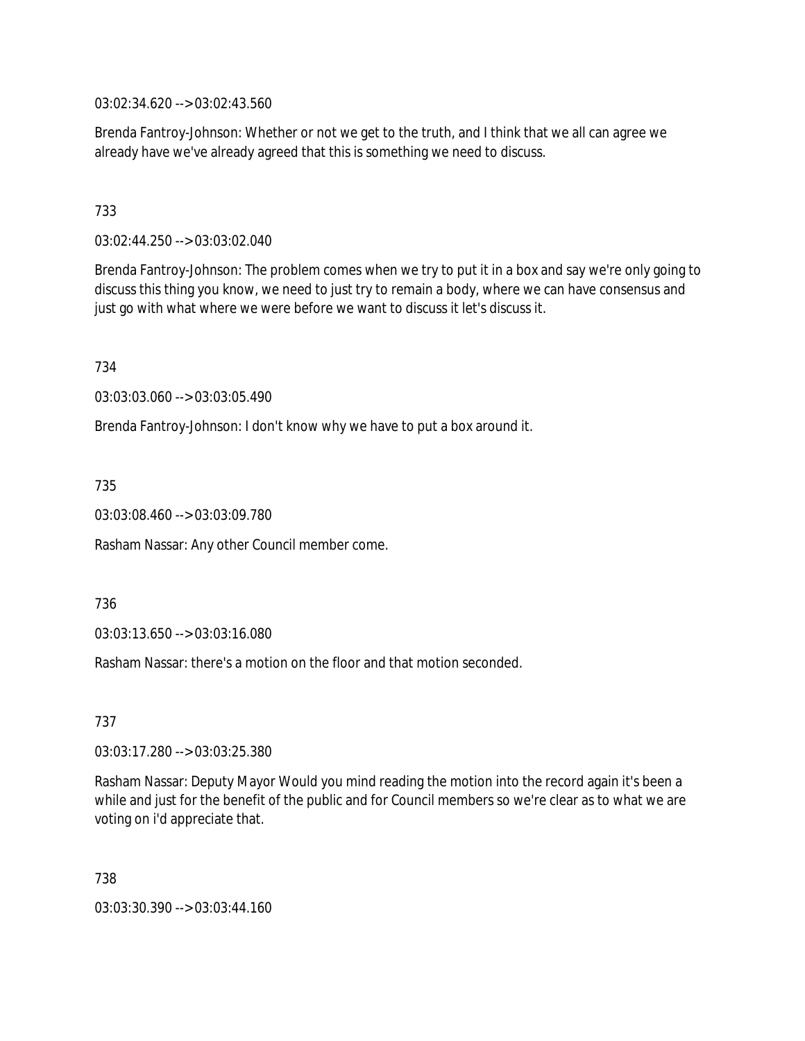03:02:34.620 --> 03:02:43.560

Brenda Fantroy-Johnson: Whether or not we get to the truth, and I think that we all can agree we already have we've already agreed that this is something we need to discuss.

# 733

03:02:44.250 --> 03:03:02.040

Brenda Fantroy-Johnson: The problem comes when we try to put it in a box and say we're only going to discuss this thing you know, we need to just try to remain a body, where we can have consensus and just go with what where we were before we want to discuss it let's discuss it.

734

03:03:03.060 --> 03:03:05.490

Brenda Fantroy-Johnson: I don't know why we have to put a box around it.

735

03:03:08.460 --> 03:03:09.780

Rasham Nassar: Any other Council member come.

736

03:03:13.650 --> 03:03:16.080

Rasham Nassar: there's a motion on the floor and that motion seconded.

737

03:03:17.280 --> 03:03:25.380

Rasham Nassar: Deputy Mayor Would you mind reading the motion into the record again it's been a while and just for the benefit of the public and for Council members so we're clear as to what we are voting on i'd appreciate that.

738

03:03:30.390 --> 03:03:44.160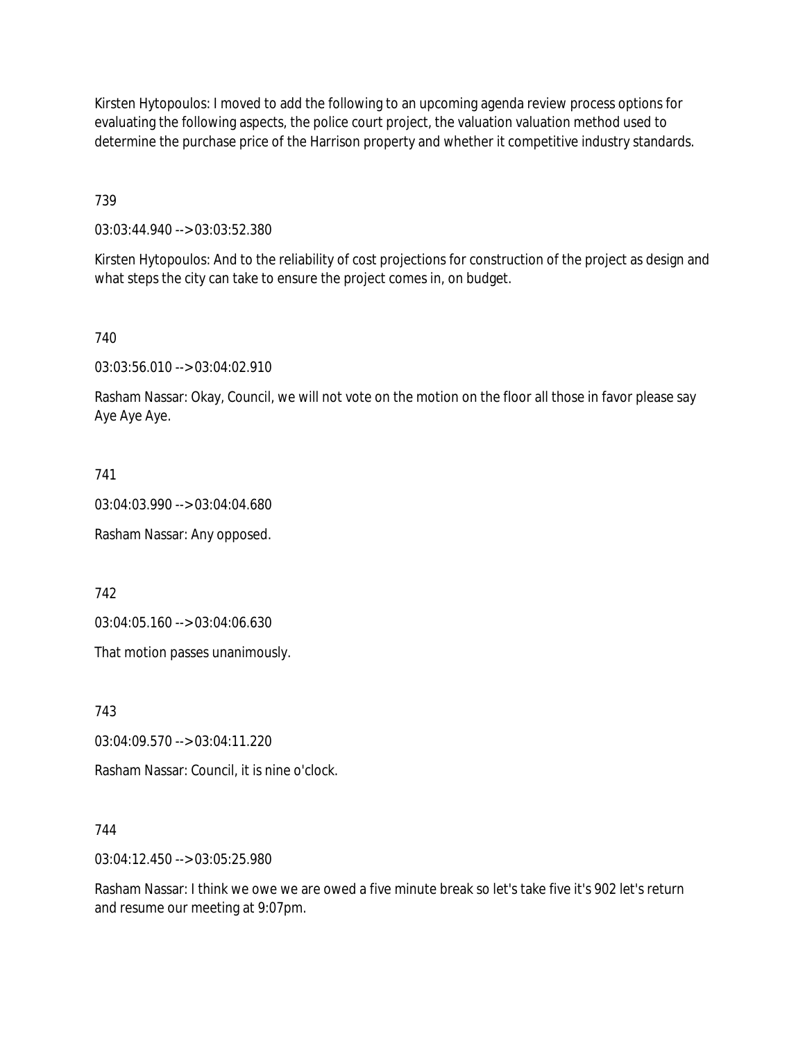Kirsten Hytopoulos: I moved to add the following to an upcoming agenda review process options for evaluating the following aspects, the police court project, the valuation valuation method used to determine the purchase price of the Harrison property and whether it competitive industry standards.

739

03:03:44.940 --> 03:03:52.380

Kirsten Hytopoulos: And to the reliability of cost projections for construction of the project as design and what steps the city can take to ensure the project comes in, on budget.

740

03:03:56.010 --> 03:04:02.910

Rasham Nassar: Okay, Council, we will not vote on the motion on the floor all those in favor please say Aye Aye Aye.

741

03:04:03.990 --> 03:04:04.680

Rasham Nassar: Any opposed.

742

03:04:05.160 --> 03:04:06.630

That motion passes unanimously.

743

03:04:09.570 --> 03:04:11.220

Rasham Nassar: Council, it is nine o'clock.

744

03:04:12.450 --> 03:05:25.980

Rasham Nassar: I think we owe we are owed a five minute break so let's take five it's 902 let's return and resume our meeting at 9:07pm.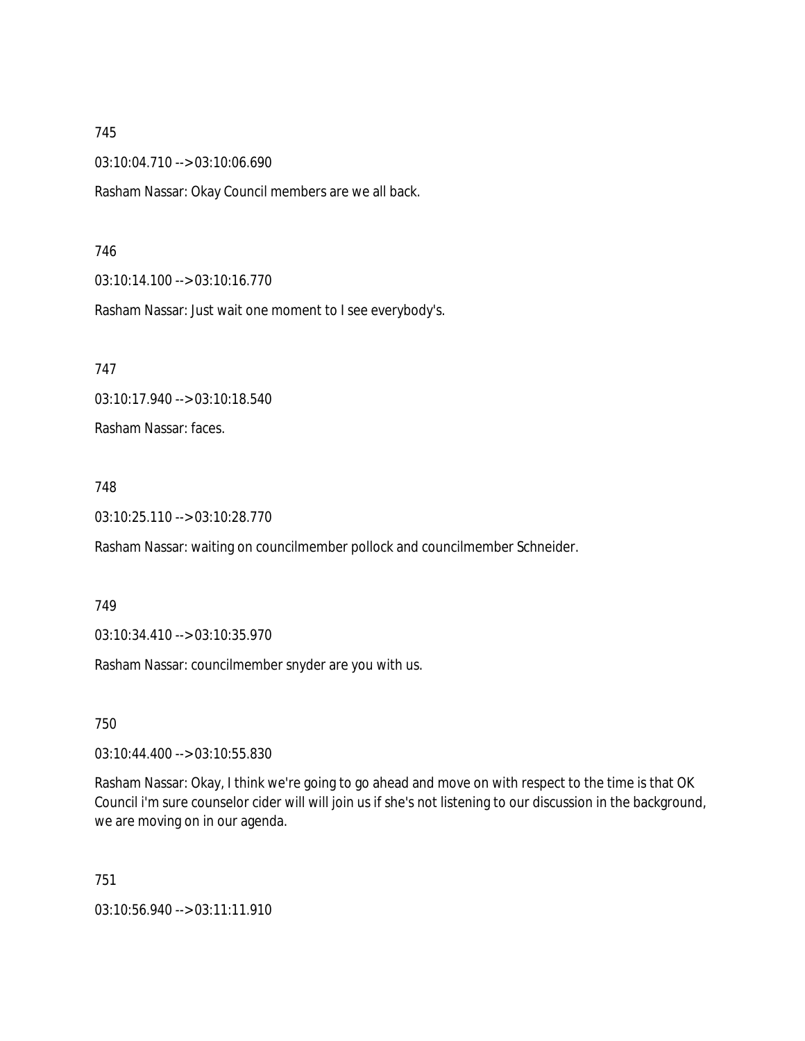03:10:04.710 --> 03:10:06.690

Rasham Nassar: Okay Council members are we all back.

#### 746

03:10:14.100 --> 03:10:16.770

Rasham Nassar: Just wait one moment to I see everybody's.

747

03:10:17.940 --> 03:10:18.540

Rasham Nassar: faces.

#### 748

03:10:25.110 --> 03:10:28.770

Rasham Nassar: waiting on councilmember pollock and councilmember Schneider.

#### 749

03:10:34.410 --> 03:10:35.970

Rasham Nassar: councilmember snyder are you with us.

750

03:10:44.400 --> 03:10:55.830

Rasham Nassar: Okay, I think we're going to go ahead and move on with respect to the time is that OK Council i'm sure counselor cider will will join us if she's not listening to our discussion in the background, we are moving on in our agenda.

751

03:10:56.940 --> 03:11:11.910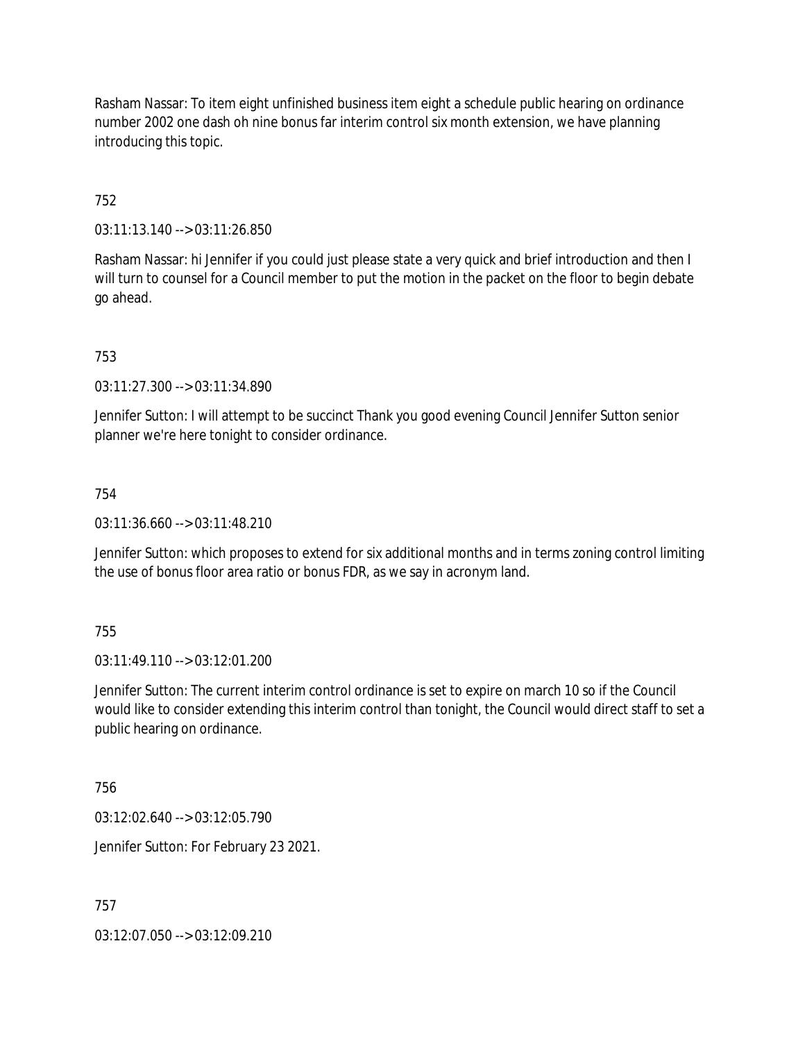Rasham Nassar: To item eight unfinished business item eight a schedule public hearing on ordinance number 2002 one dash oh nine bonus far interim control six month extension, we have planning introducing this topic.

# 752

03:11:13.140 --> 03:11:26.850

Rasham Nassar: hi Jennifer if you could just please state a very quick and brief introduction and then I will turn to counsel for a Council member to put the motion in the packet on the floor to begin debate go ahead.

753

03:11:27.300 --> 03:11:34.890

Jennifer Sutton: I will attempt to be succinct Thank you good evening Council Jennifer Sutton senior planner we're here tonight to consider ordinance.

# 754

03:11:36.660 --> 03:11:48.210

Jennifer Sutton: which proposes to extend for six additional months and in terms zoning control limiting the use of bonus floor area ratio or bonus FDR, as we say in acronym land.

### 755

03:11:49.110 --> 03:12:01.200

Jennifer Sutton: The current interim control ordinance is set to expire on march 10 so if the Council would like to consider extending this interim control than tonight, the Council would direct staff to set a public hearing on ordinance.

756

03:12:02.640 --> 03:12:05.790

Jennifer Sutton: For February 23 2021.

757

03:12:07.050 --> 03:12:09.210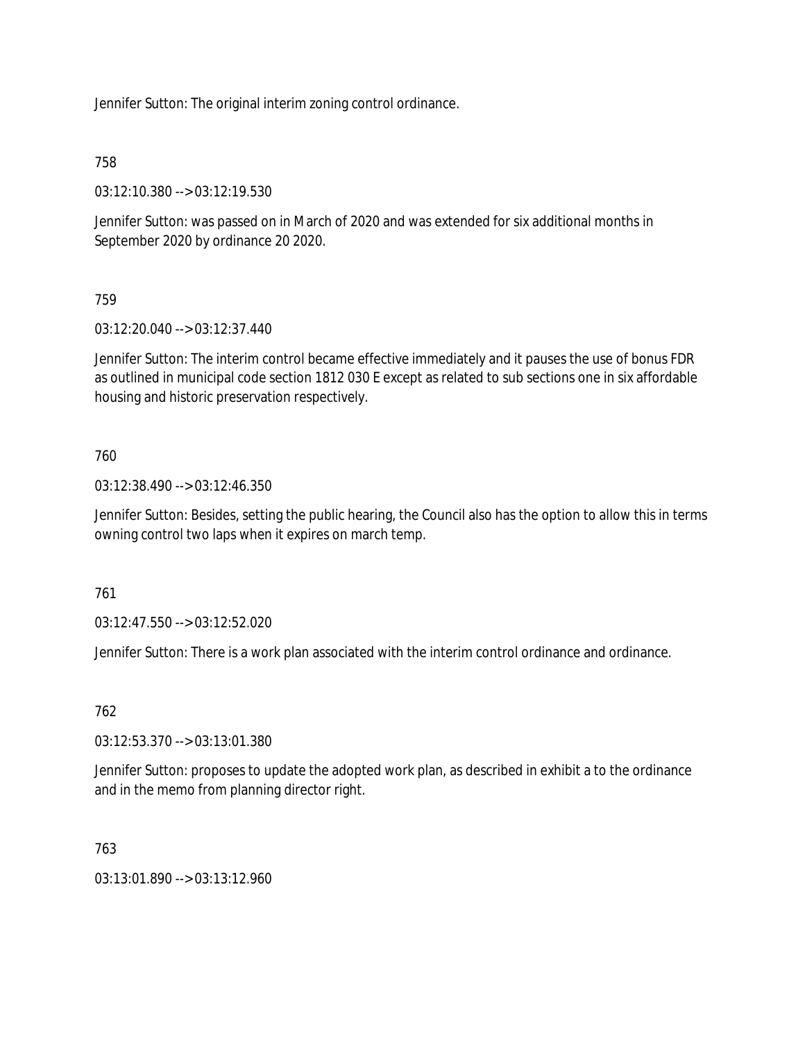Jennifer Sutton: The original interim zoning control ordinance.

758

03:12:10.380 --> 03:12:19.530

Jennifer Sutton: was passed on in March of 2020 and was extended for six additional months in September 2020 by ordinance 20 2020.

759

03:12:20.040 --> 03:12:37.440

Jennifer Sutton: The interim control became effective immediately and it pauses the use of bonus FDR as outlined in municipal code section 1812 030 E except as related to sub sections one in six affordable housing and historic preservation respectively.

760

03:12:38.490 --> 03:12:46.350

Jennifer Sutton: Besides, setting the public hearing, the Council also has the option to allow this in terms owning control two laps when it expires on march temp.

761

03:12:47.550 --> 03:12:52.020

Jennifer Sutton: There is a work plan associated with the interim control ordinance and ordinance.

762

03:12:53.370 --> 03:13:01.380

Jennifer Sutton: proposes to update the adopted work plan, as described in exhibit a to the ordinance and in the memo from planning director right.

763

03:13:01.890 --> 03:13:12.960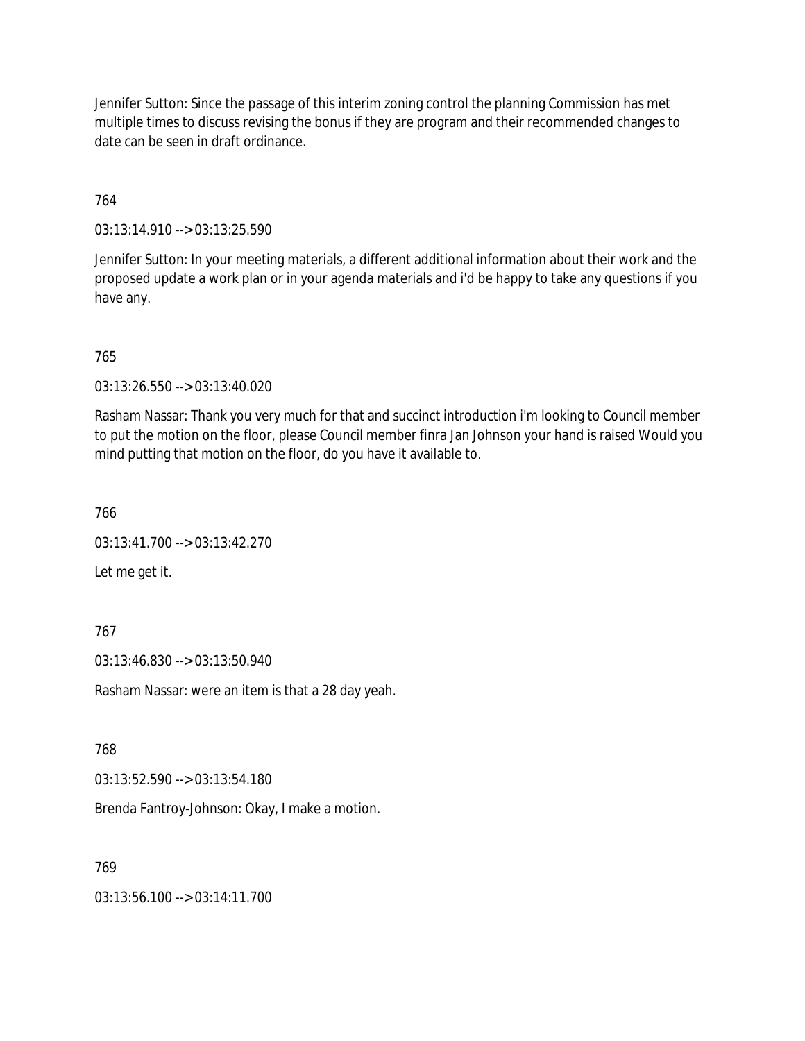Jennifer Sutton: Since the passage of this interim zoning control the planning Commission has met multiple times to discuss revising the bonus if they are program and their recommended changes to date can be seen in draft ordinance.

764

03:13:14.910 --> 03:13:25.590

Jennifer Sutton: In your meeting materials, a different additional information about their work and the proposed update a work plan or in your agenda materials and i'd be happy to take any questions if you have any.

765

03:13:26.550 --> 03:13:40.020

Rasham Nassar: Thank you very much for that and succinct introduction i'm looking to Council member to put the motion on the floor, please Council member finra Jan Johnson your hand is raised Would you mind putting that motion on the floor, do you have it available to.

766

03:13:41.700 --> 03:13:42.270

Let me get it.

767

03:13:46.830 --> 03:13:50.940

Rasham Nassar: were an item is that a 28 day yeah.

768

03:13:52.590 --> 03:13:54.180

Brenda Fantroy-Johnson: Okay, I make a motion.

769

03:13:56.100 --> 03:14:11.700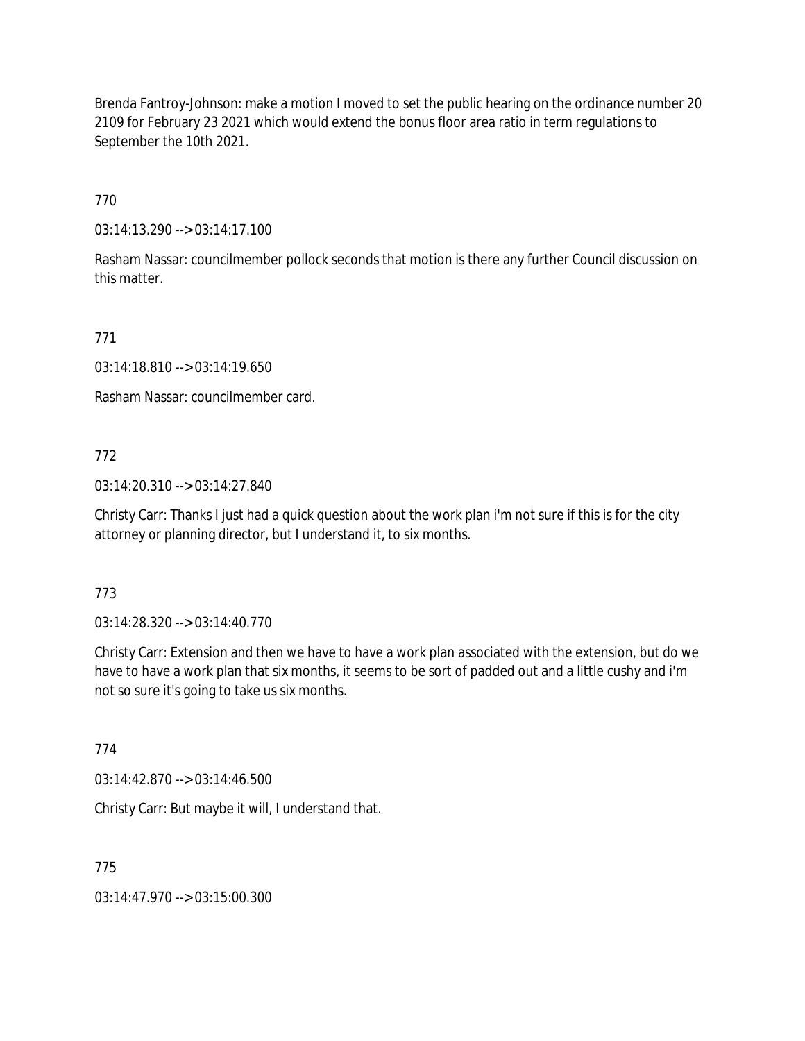Brenda Fantroy-Johnson: make a motion I moved to set the public hearing on the ordinance number 20 2109 for February 23 2021 which would extend the bonus floor area ratio in term regulations to September the 10th 2021.

770

03:14:13.290 --> 03:14:17.100

Rasham Nassar: councilmember pollock seconds that motion is there any further Council discussion on this matter.

771

03:14:18.810 --> 03:14:19.650

Rasham Nassar: councilmember card.

772

03:14:20.310 --> 03:14:27.840

Christy Carr: Thanks I just had a quick question about the work plan i'm not sure if this is for the city attorney or planning director, but I understand it, to six months.

773

03:14:28.320 --> 03:14:40.770

Christy Carr: Extension and then we have to have a work plan associated with the extension, but do we have to have a work plan that six months, it seems to be sort of padded out and a little cushy and i'm not so sure it's going to take us six months.

774

03:14:42.870 --> 03:14:46.500

Christy Carr: But maybe it will, I understand that.

775

03:14:47.970 --> 03:15:00.300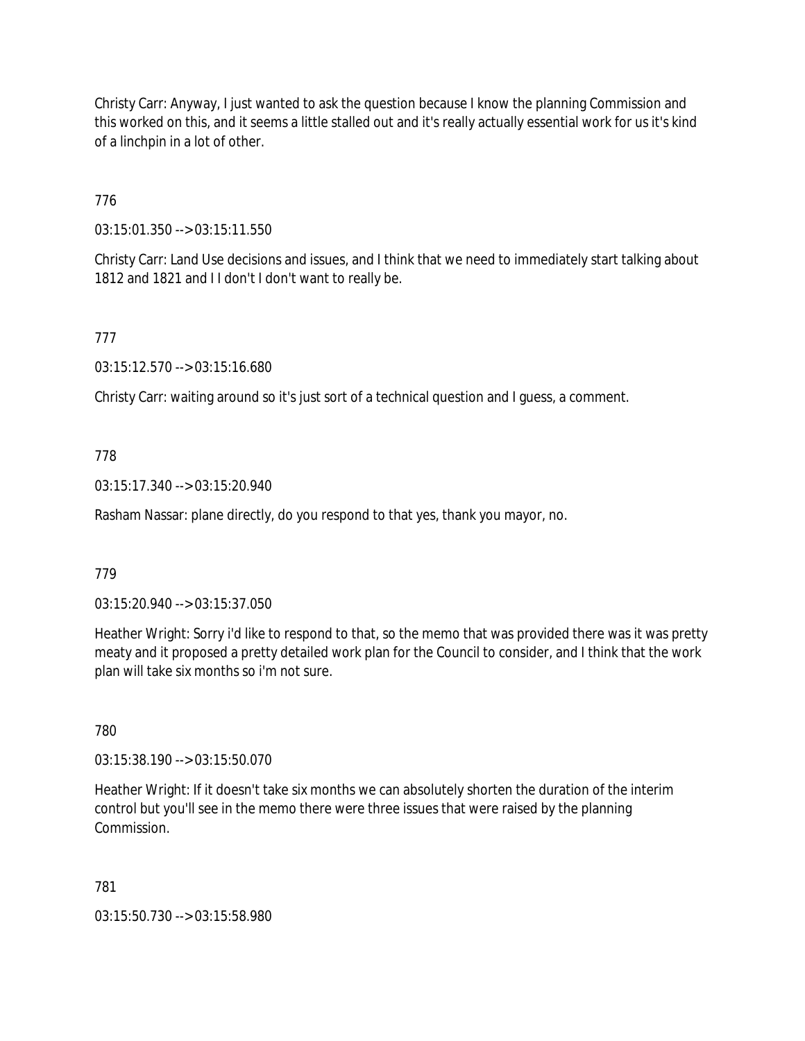Christy Carr: Anyway, I just wanted to ask the question because I know the planning Commission and this worked on this, and it seems a little stalled out and it's really actually essential work for us it's kind of a linchpin in a lot of other.

776

03:15:01.350 --> 03:15:11.550

Christy Carr: Land Use decisions and issues, and I think that we need to immediately start talking about 1812 and 1821 and II don't I don't want to really be.

777

03:15:12.570 --> 03:15:16.680

Christy Carr: waiting around so it's just sort of a technical question and I guess, a comment.

# 778

03:15:17.340 --> 03:15:20.940

Rasham Nassar: plane directly, do you respond to that yes, thank you mayor, no.

### 779

03:15:20.940 --> 03:15:37.050

Heather Wright: Sorry i'd like to respond to that, so the memo that was provided there was it was pretty meaty and it proposed a pretty detailed work plan for the Council to consider, and I think that the work plan will take six months so i'm not sure.

780

03:15:38.190 --> 03:15:50.070

Heather Wright: If it doesn't take six months we can absolutely shorten the duration of the interim control but you'll see in the memo there were three issues that were raised by the planning Commission.

781

03:15:50.730 --> 03:15:58.980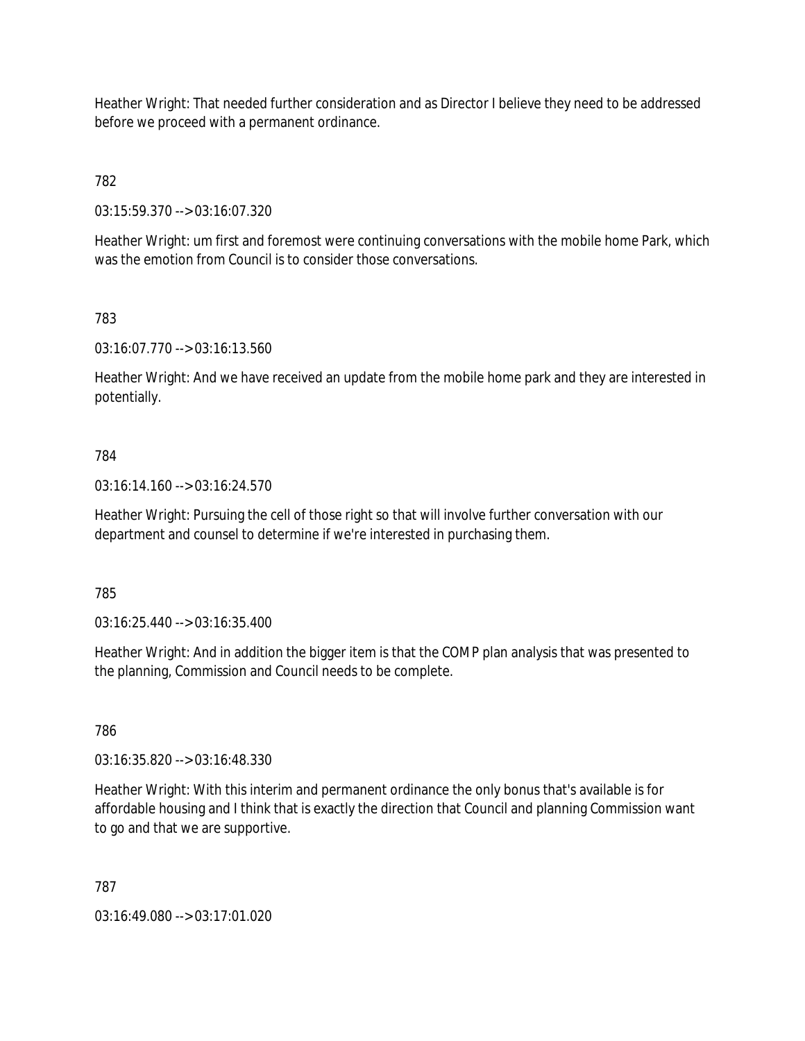Heather Wright: That needed further consideration and as Director I believe they need to be addressed before we proceed with a permanent ordinance.

782

03:15:59.370 --> 03:16:07.320

Heather Wright: um first and foremost were continuing conversations with the mobile home Park, which was the emotion from Council is to consider those conversations.

783

03:16:07.770 --> 03:16:13.560

Heather Wright: And we have received an update from the mobile home park and they are interested in potentially.

### 784

03:16:14.160 --> 03:16:24.570

Heather Wright: Pursuing the cell of those right so that will involve further conversation with our department and counsel to determine if we're interested in purchasing them.

785

03:16:25.440 --> 03:16:35.400

Heather Wright: And in addition the bigger item is that the COMP plan analysis that was presented to the planning, Commission and Council needs to be complete.

786

03:16:35.820 --> 03:16:48.330

Heather Wright: With this interim and permanent ordinance the only bonus that's available is for affordable housing and I think that is exactly the direction that Council and planning Commission want to go and that we are supportive.

787

03:16:49.080 --> 03:17:01.020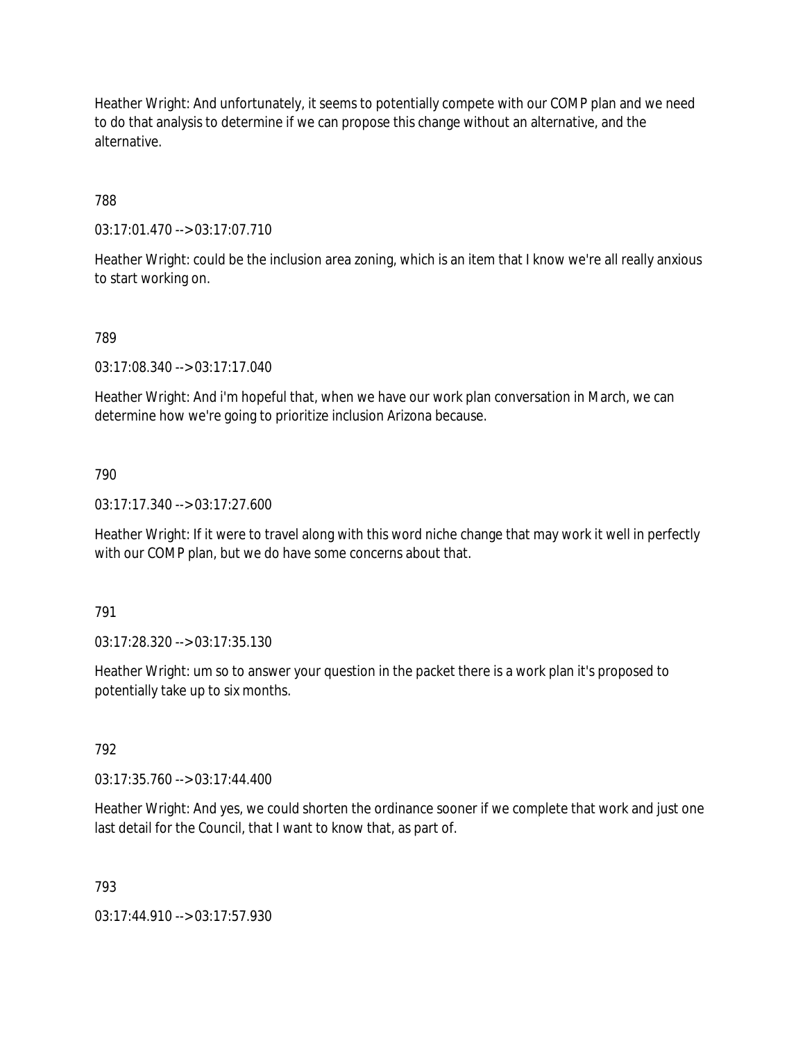Heather Wright: And unfortunately, it seems to potentially compete with our COMP plan and we need to do that analysis to determine if we can propose this change without an alternative, and the alternative.

788

03:17:01.470 --> 03:17:07.710

Heather Wright: could be the inclusion area zoning, which is an item that I know we're all really anxious to start working on.

### 789

03:17:08.340 --> 03:17:17.040

Heather Wright: And i'm hopeful that, when we have our work plan conversation in March, we can determine how we're going to prioritize inclusion Arizona because.

### 790

03:17:17.340 --> 03:17:27.600

Heather Wright: If it were to travel along with this word niche change that may work it well in perfectly with our COMP plan, but we do have some concerns about that.

### 791

03:17:28.320 --> 03:17:35.130

Heather Wright: um so to answer your question in the packet there is a work plan it's proposed to potentially take up to six months.

### 792

03:17:35.760 --> 03:17:44.400

Heather Wright: And yes, we could shorten the ordinance sooner if we complete that work and just one last detail for the Council, that I want to know that, as part of.

### 793

03:17:44.910 --> 03:17:57.930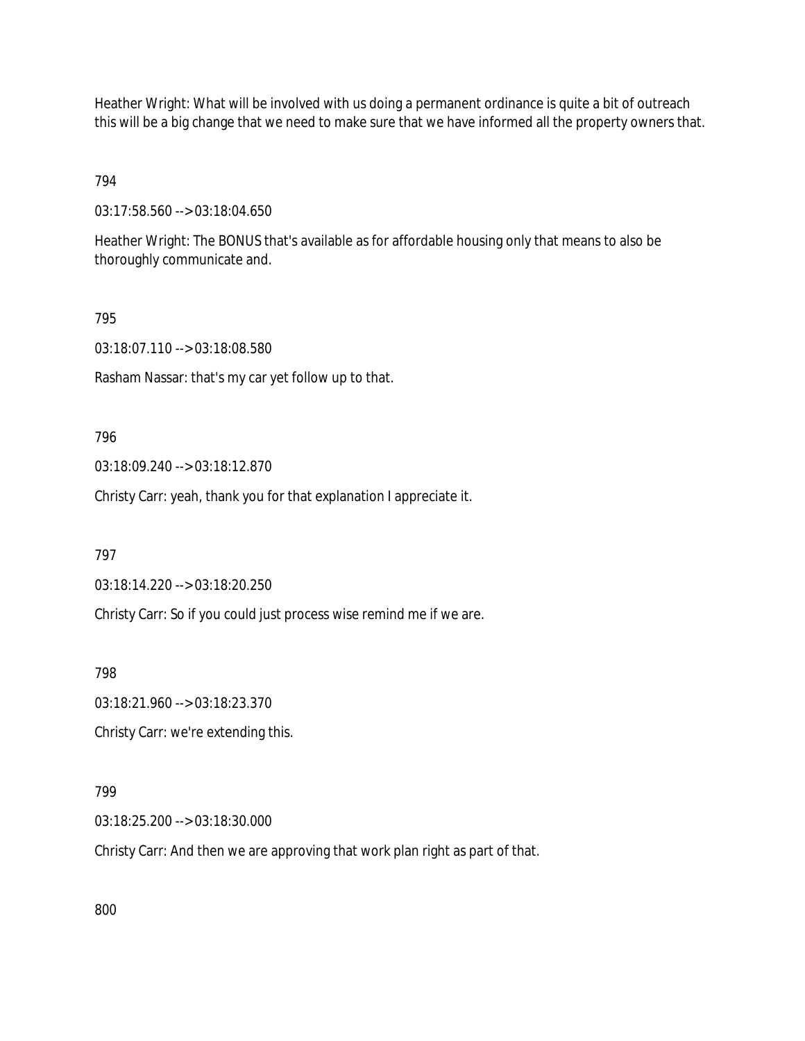Heather Wright: What will be involved with us doing a permanent ordinance is quite a bit of outreach this will be a big change that we need to make sure that we have informed all the property owners that.

# 794

03:17:58.560 --> 03:18:04.650

Heather Wright: The BONUS that's available as for affordable housing only that means to also be thoroughly communicate and.

### 795

03:18:07.110 --> 03:18:08.580

Rasham Nassar: that's my car yet follow up to that.

### 796

03:18:09.240 --> 03:18:12.870

Christy Carr: yeah, thank you for that explanation I appreciate it.

### 797

03:18:14.220 --> 03:18:20.250

Christy Carr: So if you could just process wise remind me if we are.

798

03:18:21.960 --> 03:18:23.370

Christy Carr: we're extending this.

### 799

03:18:25.200 --> 03:18:30.000

Christy Carr: And then we are approving that work plan right as part of that.

800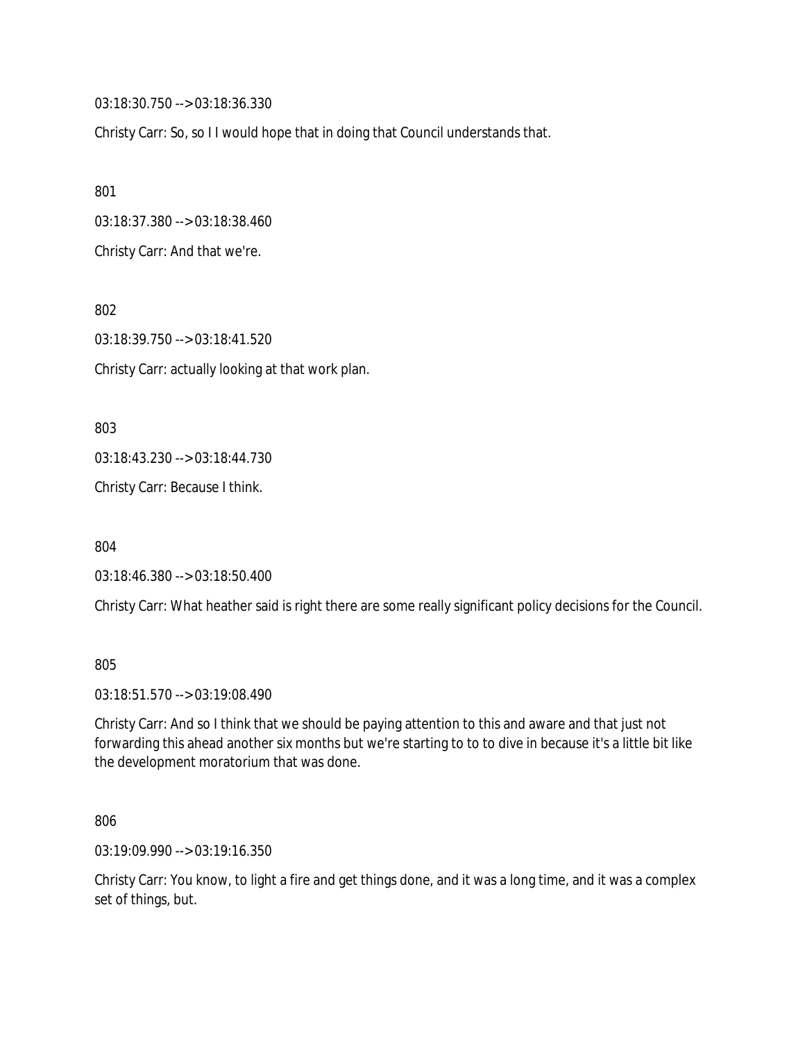03:18:30.750 --> 03:18:36.330

Christy Carr: So, so I I would hope that in doing that Council understands that.

801

03:18:37.380 --> 03:18:38.460

Christy Carr: And that we're.

802

03:18:39.750 --> 03:18:41.520 Christy Carr: actually looking at that work plan.

803

03:18:43.230 --> 03:18:44.730

Christy Carr: Because I think.

804

03:18:46.380 --> 03:18:50.400

Christy Carr: What heather said is right there are some really significant policy decisions for the Council.

805

03:18:51.570 --> 03:19:08.490

Christy Carr: And so I think that we should be paying attention to this and aware and that just not forwarding this ahead another six months but we're starting to to to dive in because it's a little bit like the development moratorium that was done.

806

03:19:09.990 --> 03:19:16.350

Christy Carr: You know, to light a fire and get things done, and it was a long time, and it was a complex set of things, but.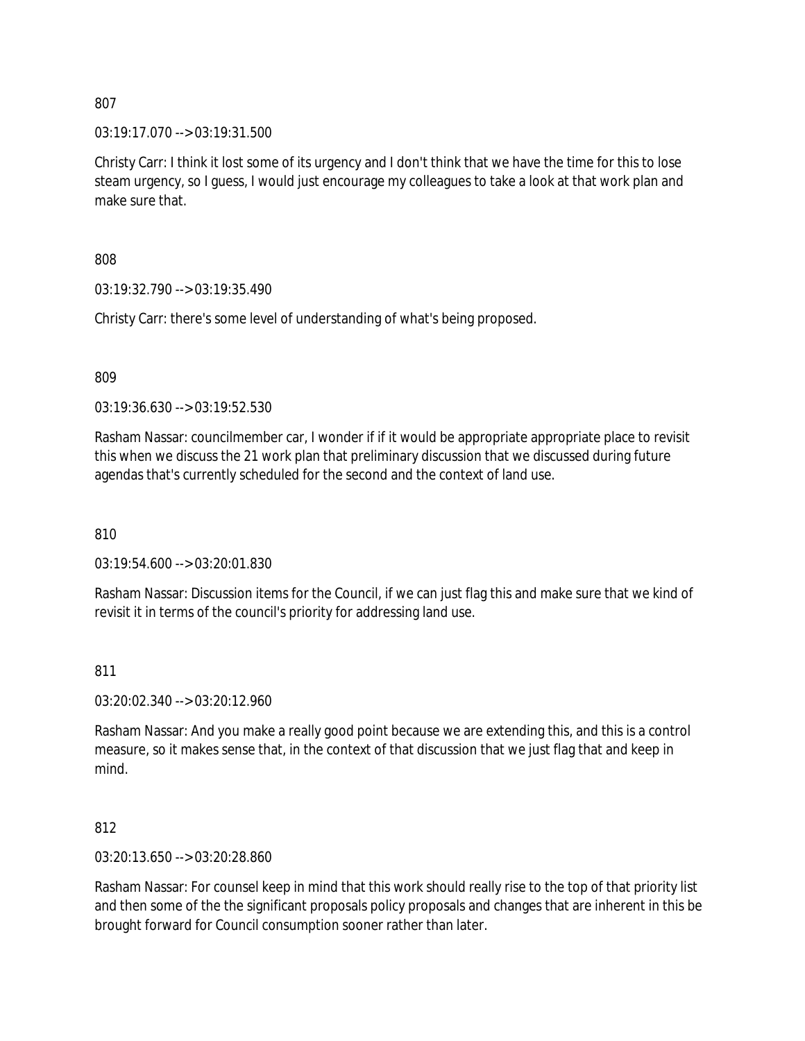03:19:17.070 --> 03:19:31.500

Christy Carr: I think it lost some of its urgency and I don't think that we have the time for this to lose steam urgency, so I guess, I would just encourage my colleagues to take a look at that work plan and make sure that.

808

03:19:32.790 --> 03:19:35.490

Christy Carr: there's some level of understanding of what's being proposed.

809

03:19:36.630 --> 03:19:52.530

Rasham Nassar: councilmember car, I wonder if if it would be appropriate appropriate place to revisit this when we discuss the 21 work plan that preliminary discussion that we discussed during future agendas that's currently scheduled for the second and the context of land use.

810

03:19:54.600 --> 03:20:01.830

Rasham Nassar: Discussion items for the Council, if we can just flag this and make sure that we kind of revisit it in terms of the council's priority for addressing land use.

#### 811

03:20:02.340 --> 03:20:12.960

Rasham Nassar: And you make a really good point because we are extending this, and this is a control measure, so it makes sense that, in the context of that discussion that we just flag that and keep in mind.

812

03:20:13.650 --> 03:20:28.860

Rasham Nassar: For counsel keep in mind that this work should really rise to the top of that priority list and then some of the the significant proposals policy proposals and changes that are inherent in this be brought forward for Council consumption sooner rather than later.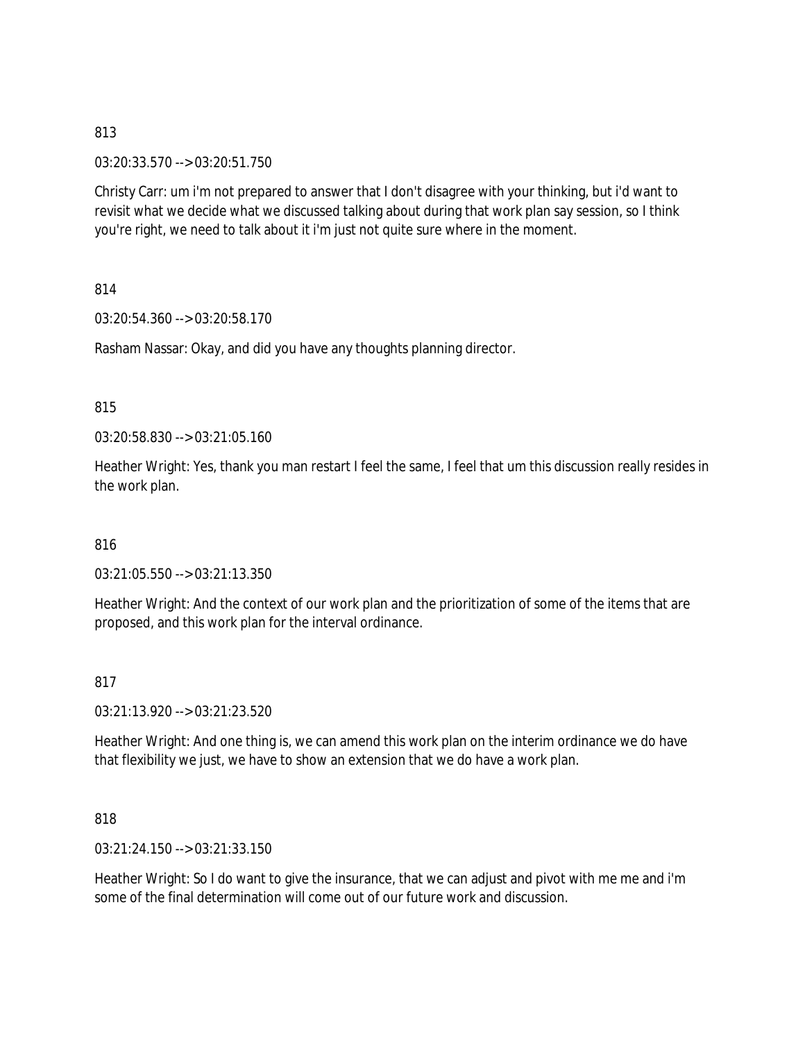03:20:33.570 --> 03:20:51.750

Christy Carr: um i'm not prepared to answer that I don't disagree with your thinking, but i'd want to revisit what we decide what we discussed talking about during that work plan say session, so I think you're right, we need to talk about it i'm just not quite sure where in the moment.

814

03:20:54.360 --> 03:20:58.170

Rasham Nassar: Okay, and did you have any thoughts planning director.

815

03:20:58.830 --> 03:21:05.160

Heather Wright: Yes, thank you man restart I feel the same, I feel that um this discussion really resides in the work plan.

816

03:21:05.550 --> 03:21:13.350

Heather Wright: And the context of our work plan and the prioritization of some of the items that are proposed, and this work plan for the interval ordinance.

817

03:21:13.920 --> 03:21:23.520

Heather Wright: And one thing is, we can amend this work plan on the interim ordinance we do have that flexibility we just, we have to show an extension that we do have a work plan.

818

03:21:24.150 --> 03:21:33.150

Heather Wright: So I do want to give the insurance, that we can adjust and pivot with me me and i'm some of the final determination will come out of our future work and discussion.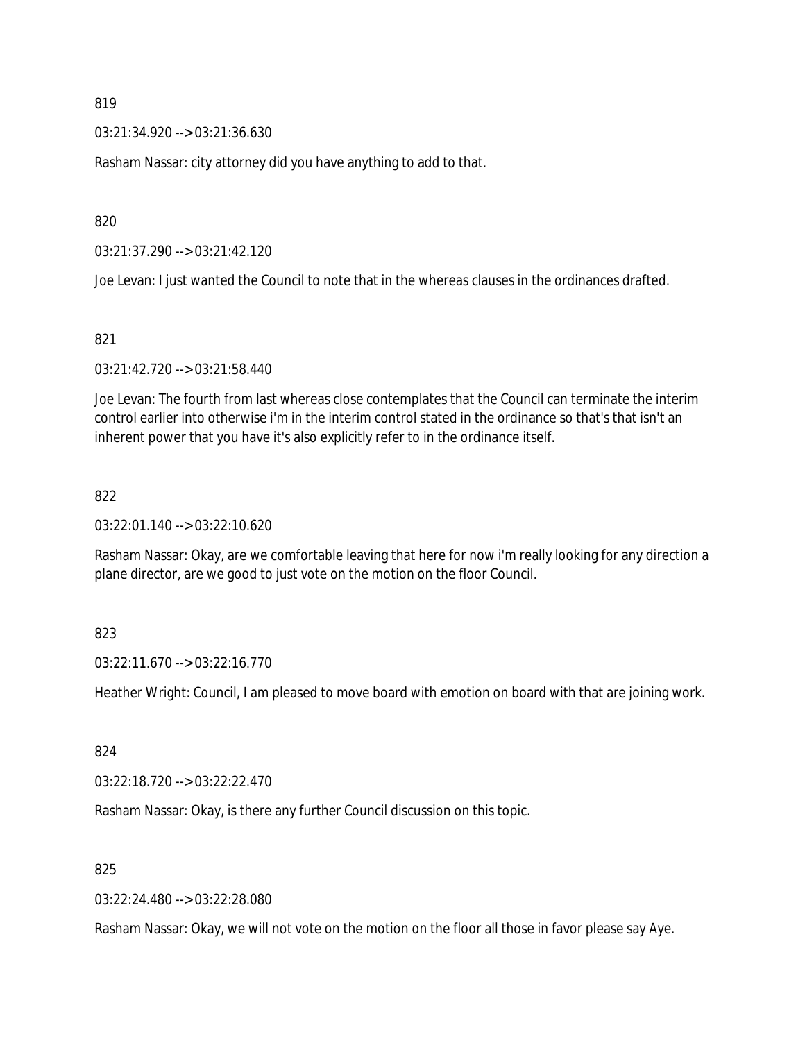03:21:34.920 --> 03:21:36.630

Rasham Nassar: city attorney did you have anything to add to that.

820

03:21:37.290 --> 03:21:42.120

Joe Levan: I just wanted the Council to note that in the whereas clauses in the ordinances drafted.

821

03:21:42.720 --> 03:21:58.440

Joe Levan: The fourth from last whereas close contemplates that the Council can terminate the interim control earlier into otherwise i'm in the interim control stated in the ordinance so that's that isn't an inherent power that you have it's also explicitly refer to in the ordinance itself.

#### 822

03:22:01.140 --> 03:22:10.620

Rasham Nassar: Okay, are we comfortable leaving that here for now i'm really looking for any direction a plane director, are we good to just vote on the motion on the floor Council.

### 823

03:22:11.670 --> 03:22:16.770

Heather Wright: Council, I am pleased to move board with emotion on board with that are joining work.

824

03:22:18.720 --> 03:22:22.470

Rasham Nassar: Okay, is there any further Council discussion on this topic.

825

03:22:24.480 --> 03:22:28.080

Rasham Nassar: Okay, we will not vote on the motion on the floor all those in favor please say Aye.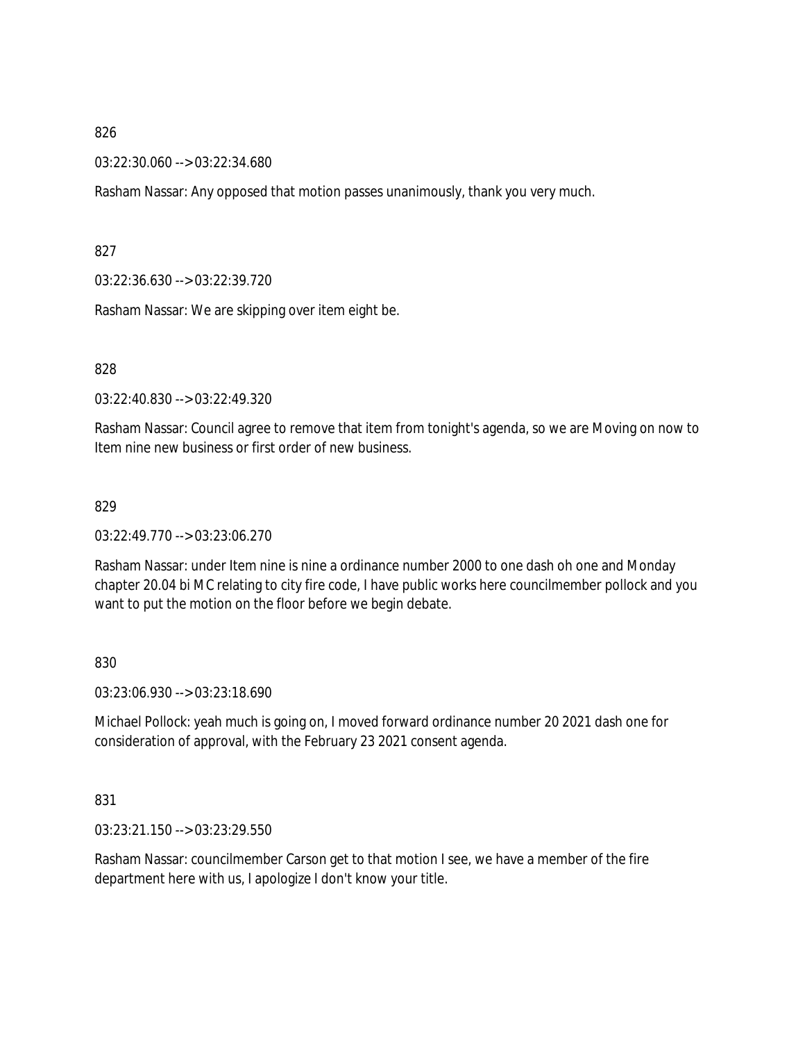03:22:30.060 --> 03:22:34.680

Rasham Nassar: Any opposed that motion passes unanimously, thank you very much.

827

03:22:36.630 --> 03:22:39.720

Rasham Nassar: We are skipping over item eight be.

828

03:22:40.830 --> 03:22:49.320

Rasham Nassar: Council agree to remove that item from tonight's agenda, so we are Moving on now to Item nine new business or first order of new business.

829

03:22:49.770 --> 03:23:06.270

Rasham Nassar: under Item nine is nine a ordinance number 2000 to one dash oh one and Monday chapter 20.04 bi MC relating to city fire code, I have public works here councilmember pollock and you want to put the motion on the floor before we begin debate.

830

03:23:06.930 --> 03:23:18.690

Michael Pollock: yeah much is going on, I moved forward ordinance number 20 2021 dash one for consideration of approval, with the February 23 2021 consent agenda.

831

03:23:21.150 --> 03:23:29.550

Rasham Nassar: councilmember Carson get to that motion I see, we have a member of the fire department here with us, I apologize I don't know your title.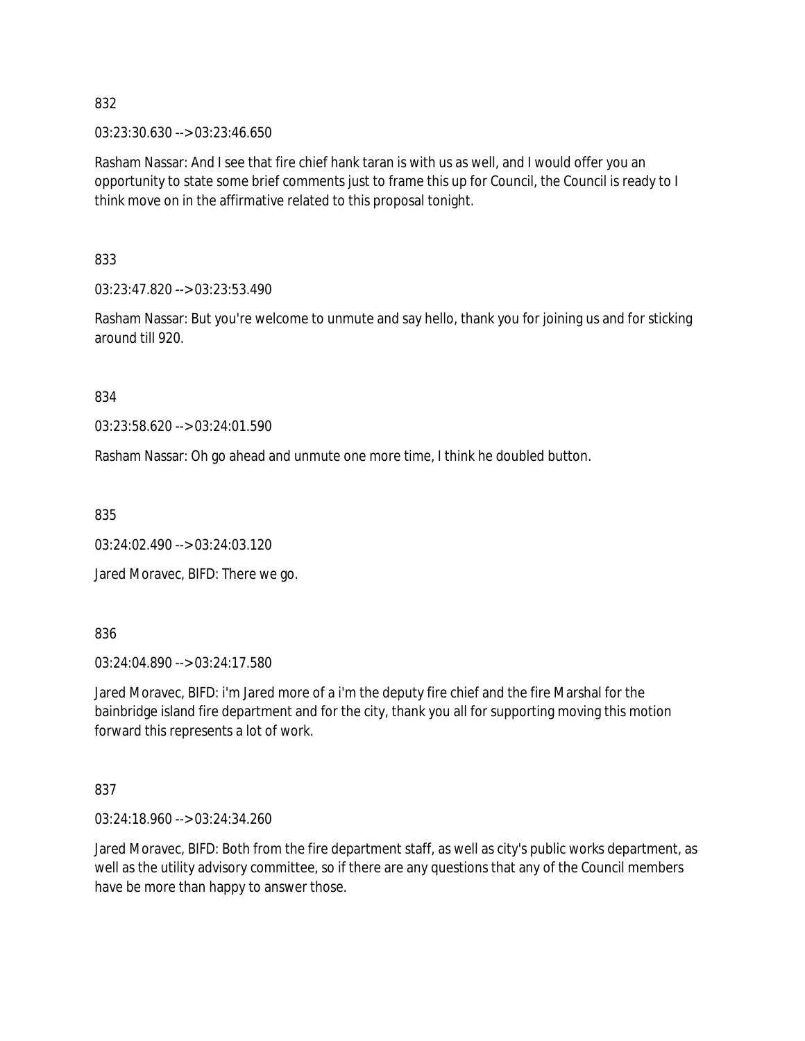03:23:30.630 --> 03:23:46.650

Rasham Nassar: And I see that fire chief hank taran is with us as well, and I would offer you an opportunity to state some brief comments just to frame this up for Council, the Council is ready to I think move on in the affirmative related to this proposal tonight.

833

03:23:47.820 --> 03:23:53.490

Rasham Nassar: But you're welcome to unmute and say hello, thank you for joining us and for sticking around till 920.

834

03:23:58.620 --> 03:24:01.590

Rasham Nassar: Oh go ahead and unmute one more time, I think he doubled button.

835

03:24:02.490 --> 03:24:03.120

Jared Moravec, BIFD: There we go.

836

03:24:04.890 --> 03:24:17.580

Jared Moravec, BIFD: i'm Jared more of a i'm the deputy fire chief and the fire Marshal for the bainbridge island fire department and for the city, thank you all for supporting moving this motion forward this represents a lot of work.

837

03:24:18.960 --> 03:24:34.260

Jared Moravec, BIFD: Both from the fire department staff, as well as city's public works department, as well as the utility advisory committee, so if there are any questions that any of the Council members have be more than happy to answer those.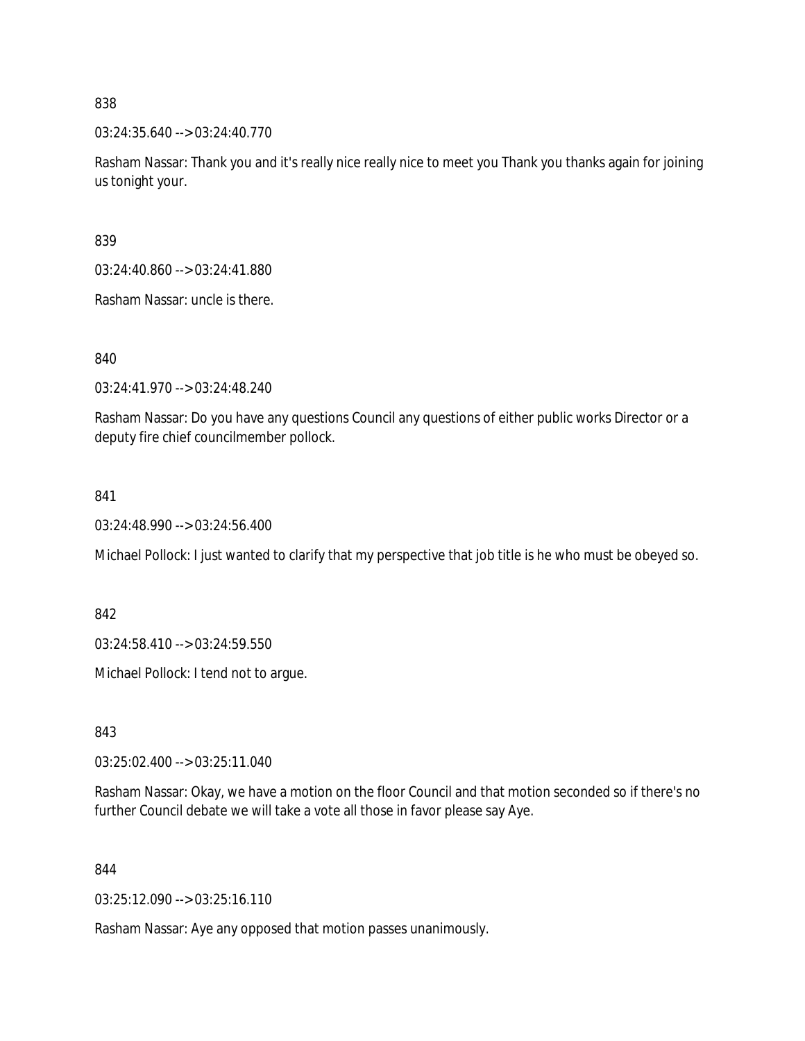03:24:35.640 --> 03:24:40.770

Rasham Nassar: Thank you and it's really nice really nice to meet you Thank you thanks again for joining us tonight your.

839

03:24:40.860 --> 03:24:41.880

Rasham Nassar: uncle is there.

840

03:24:41.970 --> 03:24:48.240

Rasham Nassar: Do you have any questions Council any questions of either public works Director or a deputy fire chief councilmember pollock.

841

03:24:48.990 --> 03:24:56.400

Michael Pollock: I just wanted to clarify that my perspective that job title is he who must be obeyed so.

842

03:24:58.410 --> 03:24:59.550

Michael Pollock: I tend not to argue.

843

03:25:02.400 --> 03:25:11.040

Rasham Nassar: Okay, we have a motion on the floor Council and that motion seconded so if there's no further Council debate we will take a vote all those in favor please say Aye.

844

03:25:12.090 --> 03:25:16.110

Rasham Nassar: Aye any opposed that motion passes unanimously.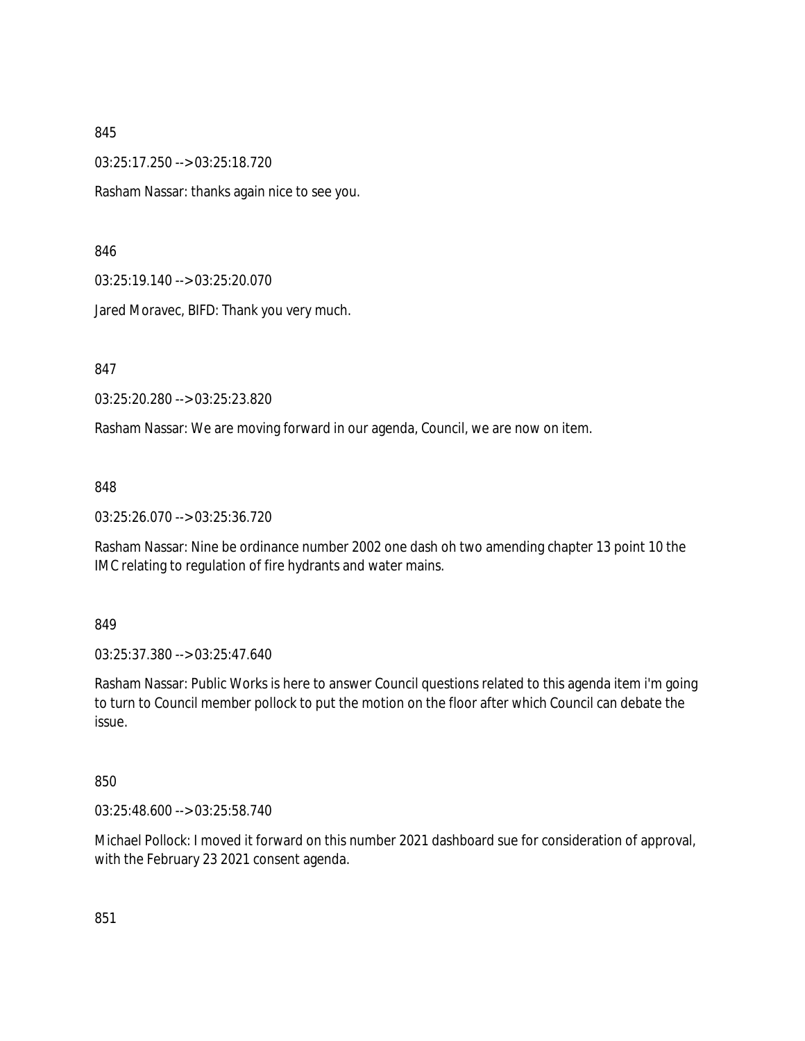03:25:17.250 --> 03:25:18.720

Rasham Nassar: thanks again nice to see you.

846

03:25:19.140 --> 03:25:20.070

Jared Moravec, BIFD: Thank you very much.

847

03:25:20.280 --> 03:25:23.820

Rasham Nassar: We are moving forward in our agenda, Council, we are now on item.

848

03:25:26.070 --> 03:25:36.720

Rasham Nassar: Nine be ordinance number 2002 one dash oh two amending chapter 13 point 10 the IMC relating to regulation of fire hydrants and water mains.

849

03:25:37.380 --> 03:25:47.640

Rasham Nassar: Public Works is here to answer Council questions related to this agenda item i'm going to turn to Council member pollock to put the motion on the floor after which Council can debate the issue.

850

03:25:48.600 --> 03:25:58.740

Michael Pollock: I moved it forward on this number 2021 dashboard sue for consideration of approval, with the February 23 2021 consent agenda.

851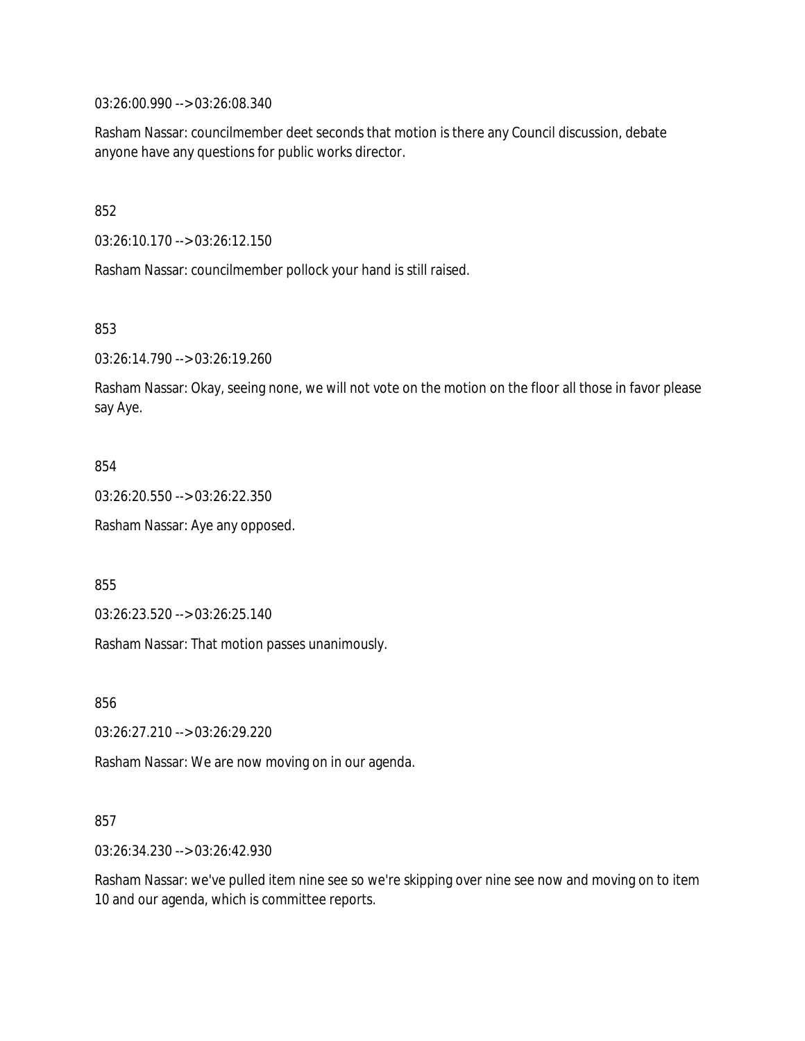03:26:00.990 --> 03:26:08.340

Rasham Nassar: councilmember deet seconds that motion is there any Council discussion, debate anyone have any questions for public works director.

852

03:26:10.170 --> 03:26:12.150

Rasham Nassar: councilmember pollock your hand is still raised.

853

03:26:14.790 --> 03:26:19.260

Rasham Nassar: Okay, seeing none, we will not vote on the motion on the floor all those in favor please say Aye.

#### 854

03:26:20.550 --> 03:26:22.350

Rasham Nassar: Aye any opposed.

855

03:26:23.520 --> 03:26:25.140

Rasham Nassar: That motion passes unanimously.

856

03:26:27.210 --> 03:26:29.220

Rasham Nassar: We are now moving on in our agenda.

#### 857

03:26:34.230 --> 03:26:42.930

Rasham Nassar: we've pulled item nine see so we're skipping over nine see now and moving on to item 10 and our agenda, which is committee reports.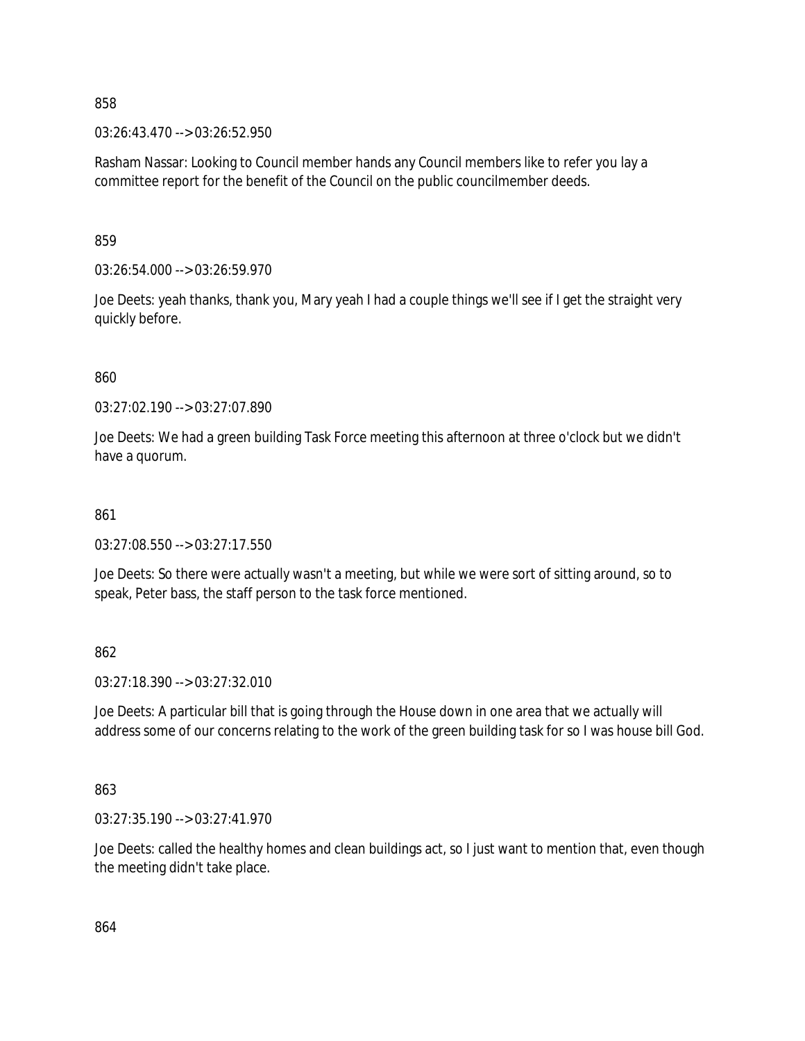03:26:43.470 --> 03:26:52.950

Rasham Nassar: Looking to Council member hands any Council members like to refer you lay a committee report for the benefit of the Council on the public councilmember deeds.

859

03:26:54.000 --> 03:26:59.970

Joe Deets: yeah thanks, thank you, Mary yeah I had a couple things we'll see if I get the straight very quickly before.

860

03:27:02.190 --> 03:27:07.890

Joe Deets: We had a green building Task Force meeting this afternoon at three o'clock but we didn't have a quorum.

#### 861

 $03:27:08.550 \rightarrow 03:27:17.550$ 

Joe Deets: So there were actually wasn't a meeting, but while we were sort of sitting around, so to speak, Peter bass, the staff person to the task force mentioned.

862

03:27:18.390 --> 03:27:32.010

Joe Deets: A particular bill that is going through the House down in one area that we actually will address some of our concerns relating to the work of the green building task for so I was house bill God.

863

03:27:35.190 --> 03:27:41.970

Joe Deets: called the healthy homes and clean buildings act, so I just want to mention that, even though the meeting didn't take place.

864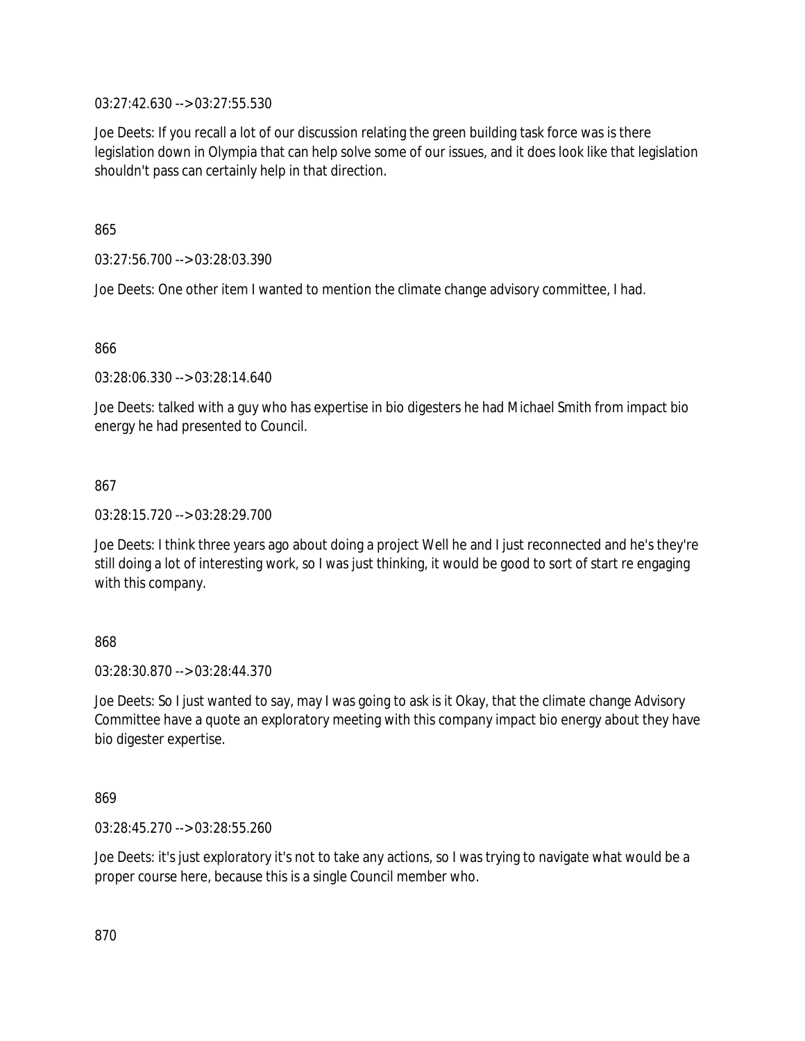03:27:42.630 --> 03:27:55.530

Joe Deets: If you recall a lot of our discussion relating the green building task force was is there legislation down in Olympia that can help solve some of our issues, and it does look like that legislation shouldn't pass can certainly help in that direction.

865

03:27:56.700 --> 03:28:03.390

Joe Deets: One other item I wanted to mention the climate change advisory committee, I had.

866

03:28:06.330 --> 03:28:14.640

Joe Deets: talked with a guy who has expertise in bio digesters he had Michael Smith from impact bio energy he had presented to Council.

867

03:28:15.720 --> 03:28:29.700

Joe Deets: I think three years ago about doing a project Well he and I just reconnected and he's they're still doing a lot of interesting work, so I was just thinking, it would be good to sort of start re engaging with this company.

868

03:28:30.870 --> 03:28:44.370

Joe Deets: So I just wanted to say, may I was going to ask is it Okay, that the climate change Advisory Committee have a quote an exploratory meeting with this company impact bio energy about they have bio digester expertise.

869

03:28:45.270 --> 03:28:55.260

Joe Deets: it's just exploratory it's not to take any actions, so I was trying to navigate what would be a proper course here, because this is a single Council member who.

870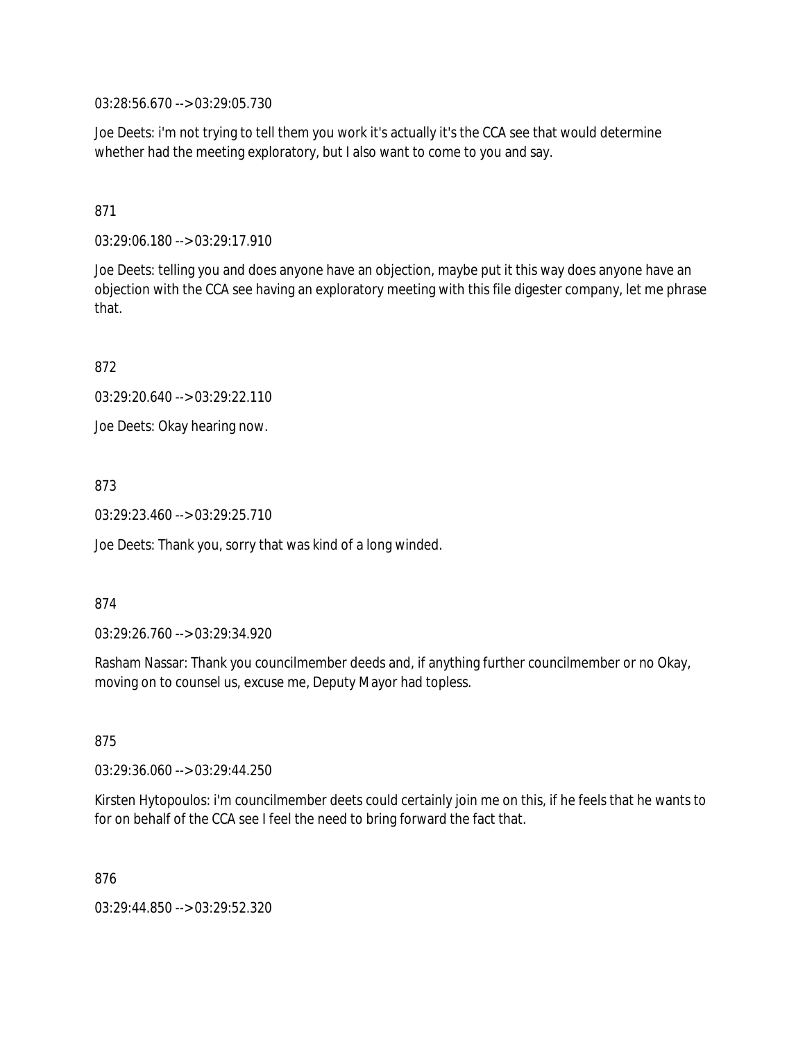03:28:56.670 --> 03:29:05.730

Joe Deets: i'm not trying to tell them you work it's actually it's the CCA see that would determine whether had the meeting exploratory, but I also want to come to you and say.

871

03:29:06.180 --> 03:29:17.910

Joe Deets: telling you and does anyone have an objection, maybe put it this way does anyone have an objection with the CCA see having an exploratory meeting with this file digester company, let me phrase that.

872

03:29:20.640 --> 03:29:22.110

Joe Deets: Okay hearing now.

873

03:29:23.460 --> 03:29:25.710

Joe Deets: Thank you, sorry that was kind of a long winded.

874

03:29:26.760 --> 03:29:34.920

Rasham Nassar: Thank you councilmember deeds and, if anything further councilmember or no Okay, moving on to counsel us, excuse me, Deputy Mayor had topless.

875

03:29:36.060 --> 03:29:44.250

Kirsten Hytopoulos: i'm councilmember deets could certainly join me on this, if he feels that he wants to for on behalf of the CCA see I feel the need to bring forward the fact that.

876

03:29:44.850 --> 03:29:52.320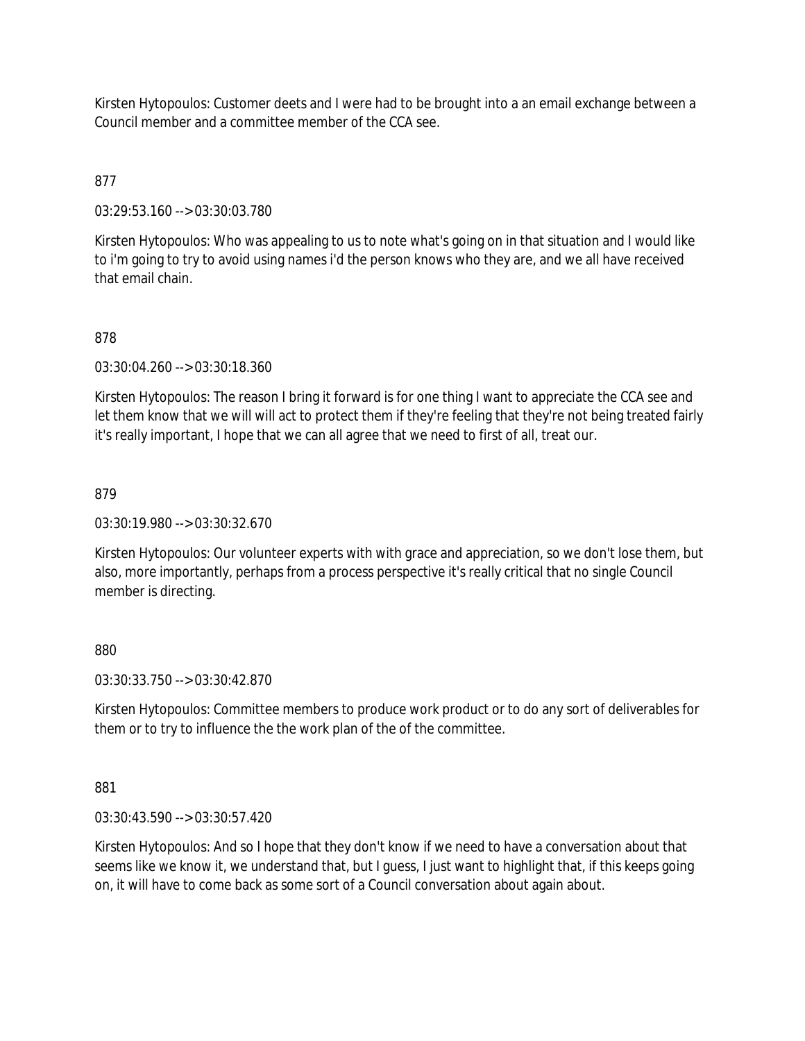Kirsten Hytopoulos: Customer deets and I were had to be brought into a an email exchange between a Council member and a committee member of the CCA see.

# 877

03:29:53.160 --> 03:30:03.780

Kirsten Hytopoulos: Who was appealing to us to note what's going on in that situation and I would like to i'm going to try to avoid using names i'd the person knows who they are, and we all have received that email chain.

### 878

03:30:04.260 --> 03:30:18.360

Kirsten Hytopoulos: The reason I bring it forward is for one thing I want to appreciate the CCA see and let them know that we will will act to protect them if they're feeling that they're not being treated fairly it's really important, I hope that we can all agree that we need to first of all, treat our.

#### 879

03:30:19.980 --> 03:30:32.670

Kirsten Hytopoulos: Our volunteer experts with with grace and appreciation, so we don't lose them, but also, more importantly, perhaps from a process perspective it's really critical that no single Council member is directing.

### 880

03:30:33.750 --> 03:30:42.870

Kirsten Hytopoulos: Committee members to produce work product or to do any sort of deliverables for them or to try to influence the the work plan of the of the committee.

#### 881

03:30:43.590 --> 03:30:57.420

Kirsten Hytopoulos: And so I hope that they don't know if we need to have a conversation about that seems like we know it, we understand that, but I guess, I just want to highlight that, if this keeps going on, it will have to come back as some sort of a Council conversation about again about.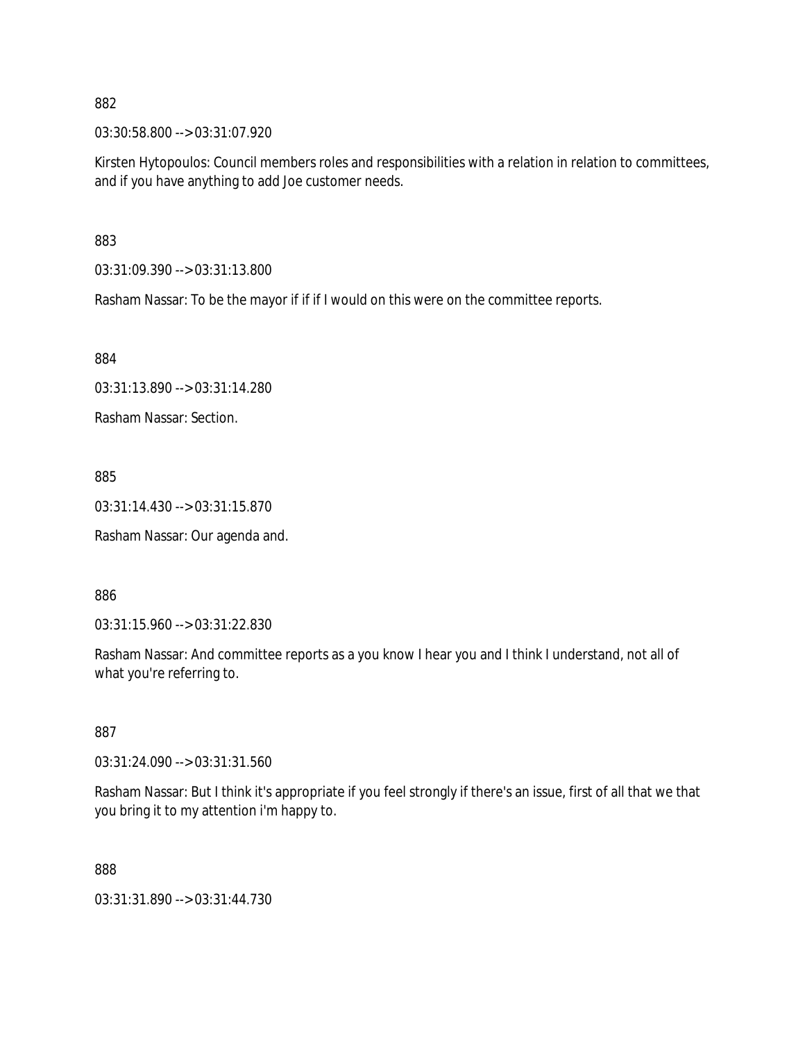03:30:58.800 --> 03:31:07.920

Kirsten Hytopoulos: Council members roles and responsibilities with a relation in relation to committees, and if you have anything to add Joe customer needs.

883

03:31:09.390 --> 03:31:13.800

Rasham Nassar: To be the mayor if if if I would on this were on the committee reports.

884

03:31:13.890 --> 03:31:14.280

Rasham Nassar: Section.

885

03:31:14.430 --> 03:31:15.870

Rasham Nassar: Our agenda and.

886

03:31:15.960 --> 03:31:22.830

Rasham Nassar: And committee reports as a you know I hear you and I think I understand, not all of what you're referring to.

887

03:31:24.090 --> 03:31:31.560

Rasham Nassar: But I think it's appropriate if you feel strongly if there's an issue, first of all that we that you bring it to my attention i'm happy to.

888

03:31:31.890 --> 03:31:44.730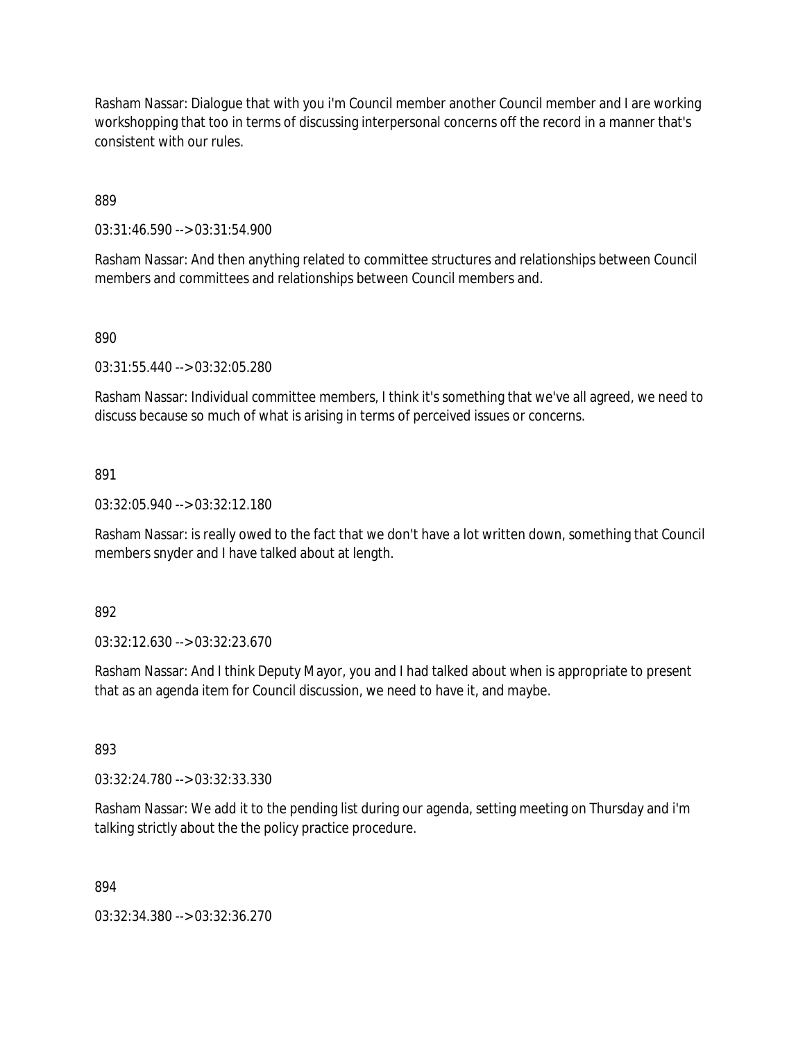Rasham Nassar: Dialogue that with you i'm Council member another Council member and I are working workshopping that too in terms of discussing interpersonal concerns off the record in a manner that's consistent with our rules.

889

03:31:46.590 --> 03:31:54.900

Rasham Nassar: And then anything related to committee structures and relationships between Council members and committees and relationships between Council members and.

#### 890

03:31:55.440 --> 03:32:05.280

Rasham Nassar: Individual committee members, I think it's something that we've all agreed, we need to discuss because so much of what is arising in terms of perceived issues or concerns.

#### 891

03:32:05.940 --> 03:32:12.180

Rasham Nassar: is really owed to the fact that we don't have a lot written down, something that Council members snyder and I have talked about at length.

#### 892

03:32:12.630 --> 03:32:23.670

Rasham Nassar: And I think Deputy Mayor, you and I had talked about when is appropriate to present that as an agenda item for Council discussion, we need to have it, and maybe.

#### 893

03:32:24.780 --> 03:32:33.330

Rasham Nassar: We add it to the pending list during our agenda, setting meeting on Thursday and i'm talking strictly about the the policy practice procedure.

#### 894

03:32:34.380 --> 03:32:36.270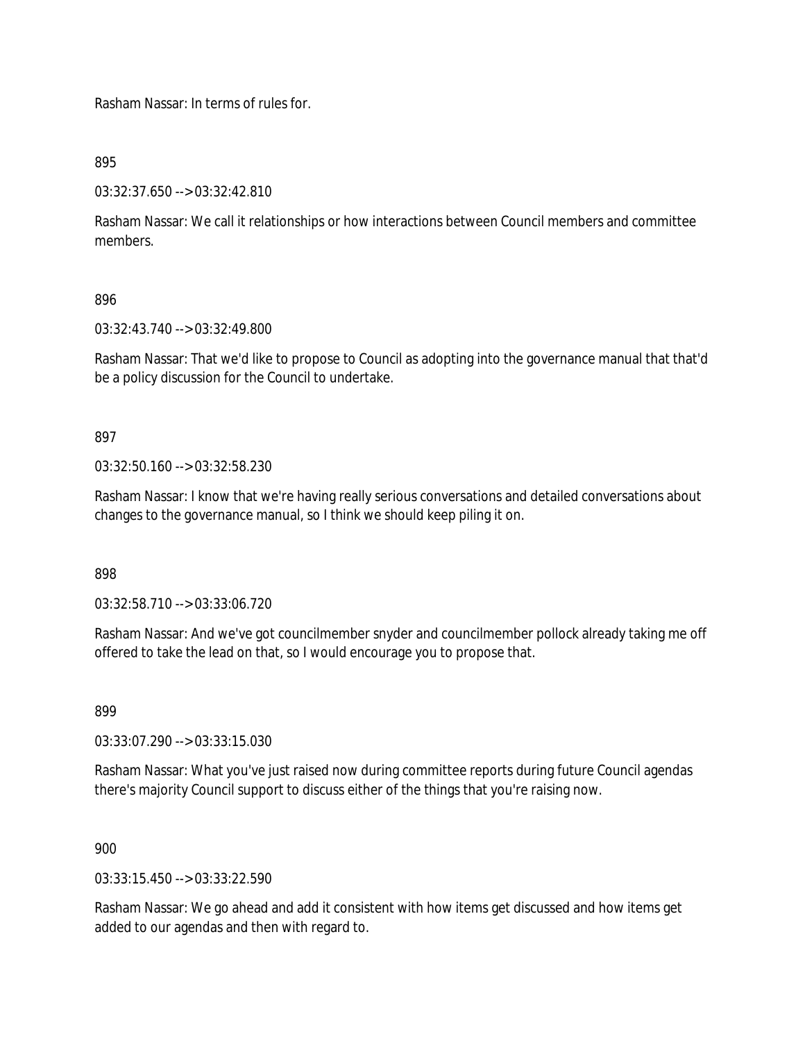Rasham Nassar: In terms of rules for.

895

03:32:37.650 --> 03:32:42.810

Rasham Nassar: We call it relationships or how interactions between Council members and committee members.

# 896

03:32:43.740 --> 03:32:49.800

Rasham Nassar: That we'd like to propose to Council as adopting into the governance manual that that'd be a policy discussion for the Council to undertake.

897

03:32:50.160 --> 03:32:58.230

Rasham Nassar: I know that we're having really serious conversations and detailed conversations about changes to the governance manual, so I think we should keep piling it on.

898

03:32:58.710 --> 03:33:06.720

Rasham Nassar: And we've got councilmember snyder and councilmember pollock already taking me off offered to take the lead on that, so I would encourage you to propose that.

899

03:33:07.290 --> 03:33:15.030

Rasham Nassar: What you've just raised now during committee reports during future Council agendas there's majority Council support to discuss either of the things that you're raising now.

900

03:33:15.450 --> 03:33:22.590

Rasham Nassar: We go ahead and add it consistent with how items get discussed and how items get added to our agendas and then with regard to.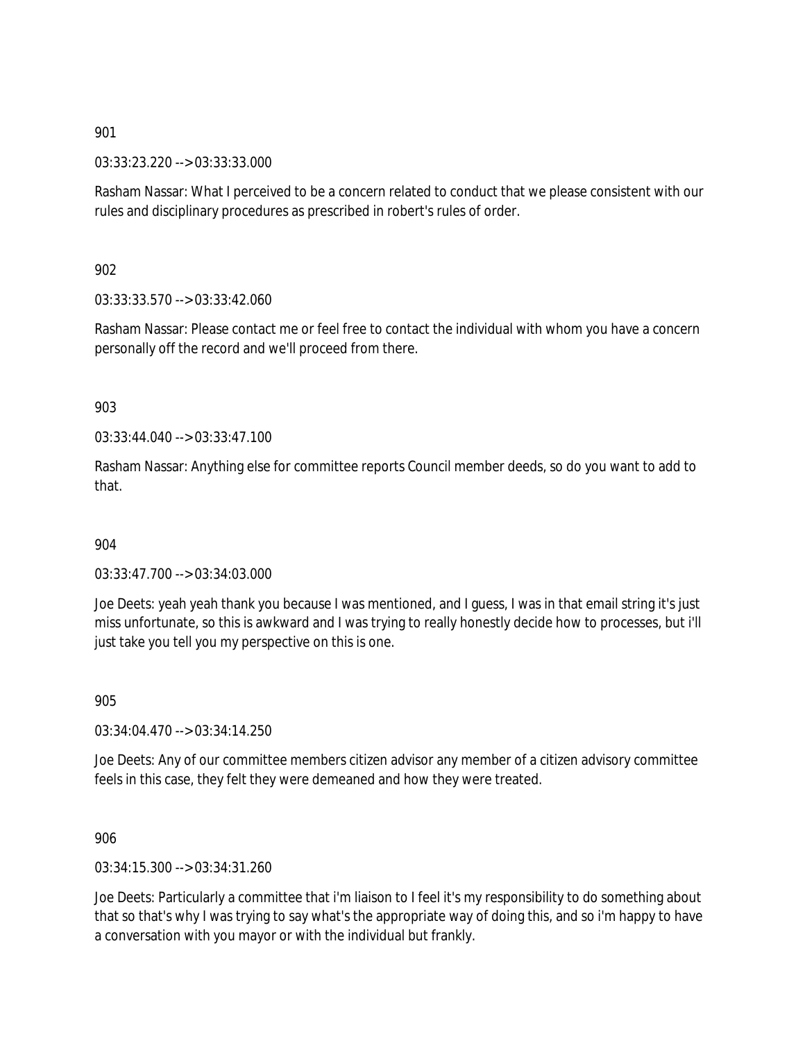03:33:23.220 --> 03:33:33.000

Rasham Nassar: What I perceived to be a concern related to conduct that we please consistent with our rules and disciplinary procedures as prescribed in robert's rules of order.

902

03:33:33.570 --> 03:33:42.060

Rasham Nassar: Please contact me or feel free to contact the individual with whom you have a concern personally off the record and we'll proceed from there.

903

 $03:33:44.040 \rightarrow 03:33:47.100$ 

Rasham Nassar: Anything else for committee reports Council member deeds, so do you want to add to that.

904

03:33:47.700 --> 03:34:03.000

Joe Deets: yeah yeah thank you because I was mentioned, and I guess, I was in that email string it's just miss unfortunate, so this is awkward and I was trying to really honestly decide how to processes, but i'll just take you tell you my perspective on this is one.

905

03:34:04.470 --> 03:34:14.250

Joe Deets: Any of our committee members citizen advisor any member of a citizen advisory committee feels in this case, they felt they were demeaned and how they were treated.

906

03:34:15.300 --> 03:34:31.260

Joe Deets: Particularly a committee that i'm liaison to I feel it's my responsibility to do something about that so that's why I was trying to say what's the appropriate way of doing this, and so i'm happy to have a conversation with you mayor or with the individual but frankly.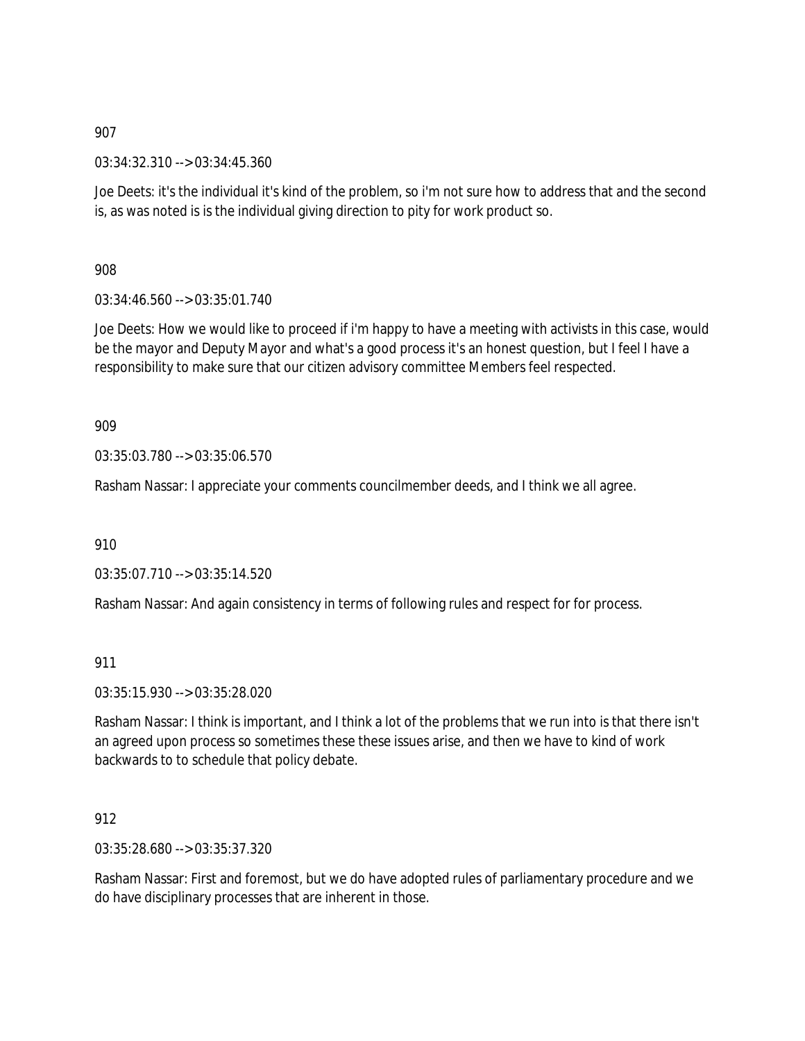03:34:32.310 --> 03:34:45.360

Joe Deets: it's the individual it's kind of the problem, so i'm not sure how to address that and the second is, as was noted is is the individual giving direction to pity for work product so.

908

 $03:34:46.560 \rightarrow 03:35:01.740$ 

Joe Deets: How we would like to proceed if i'm happy to have a meeting with activists in this case, would be the mayor and Deputy Mayor and what's a good process it's an honest question, but I feel I have a responsibility to make sure that our citizen advisory committee Members feel respected.

909

03:35:03.780 --> 03:35:06.570

Rasham Nassar: I appreciate your comments councilmember deeds, and I think we all agree.

910

03:35:07.710 --> 03:35:14.520

Rasham Nassar: And again consistency in terms of following rules and respect for for process.

911

03:35:15.930 --> 03:35:28.020

Rasham Nassar: I think is important, and I think a lot of the problems that we run into is that there isn't an agreed upon process so sometimes these these issues arise, and then we have to kind of work backwards to to schedule that policy debate.

912

03:35:28.680 --> 03:35:37.320

Rasham Nassar: First and foremost, but we do have adopted rules of parliamentary procedure and we do have disciplinary processes that are inherent in those.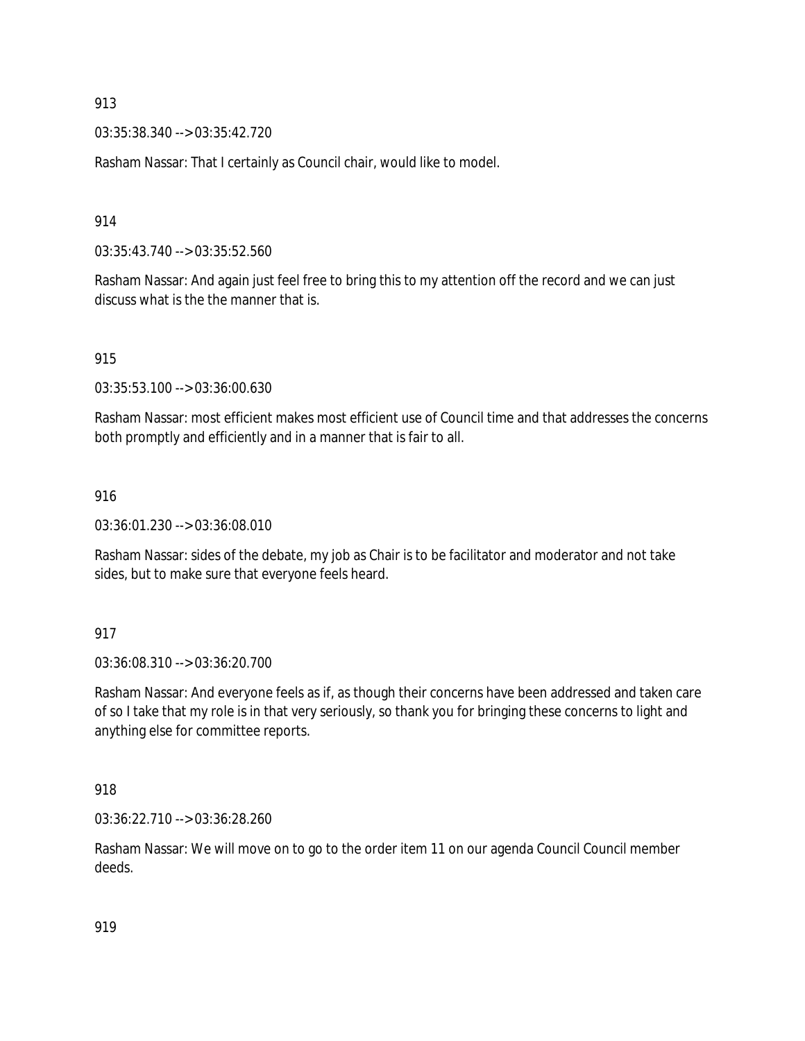03:35:38.340 --> 03:35:42.720

Rasham Nassar: That I certainly as Council chair, would like to model.

914

03:35:43.740 --> 03:35:52.560

Rasham Nassar: And again just feel free to bring this to my attention off the record and we can just discuss what is the the manner that is.

915

03:35:53.100 --> 03:36:00.630

Rasham Nassar: most efficient makes most efficient use of Council time and that addresses the concerns both promptly and efficiently and in a manner that is fair to all.

916

03:36:01.230 --> 03:36:08.010

Rasham Nassar: sides of the debate, my job as Chair is to be facilitator and moderator and not take sides, but to make sure that everyone feels heard.

917

03:36:08.310 --> 03:36:20.700

Rasham Nassar: And everyone feels as if, as though their concerns have been addressed and taken care of so I take that my role is in that very seriously, so thank you for bringing these concerns to light and anything else for committee reports.

918

03:36:22.710 --> 03:36:28.260

Rasham Nassar: We will move on to go to the order item 11 on our agenda Council Council member deeds.

919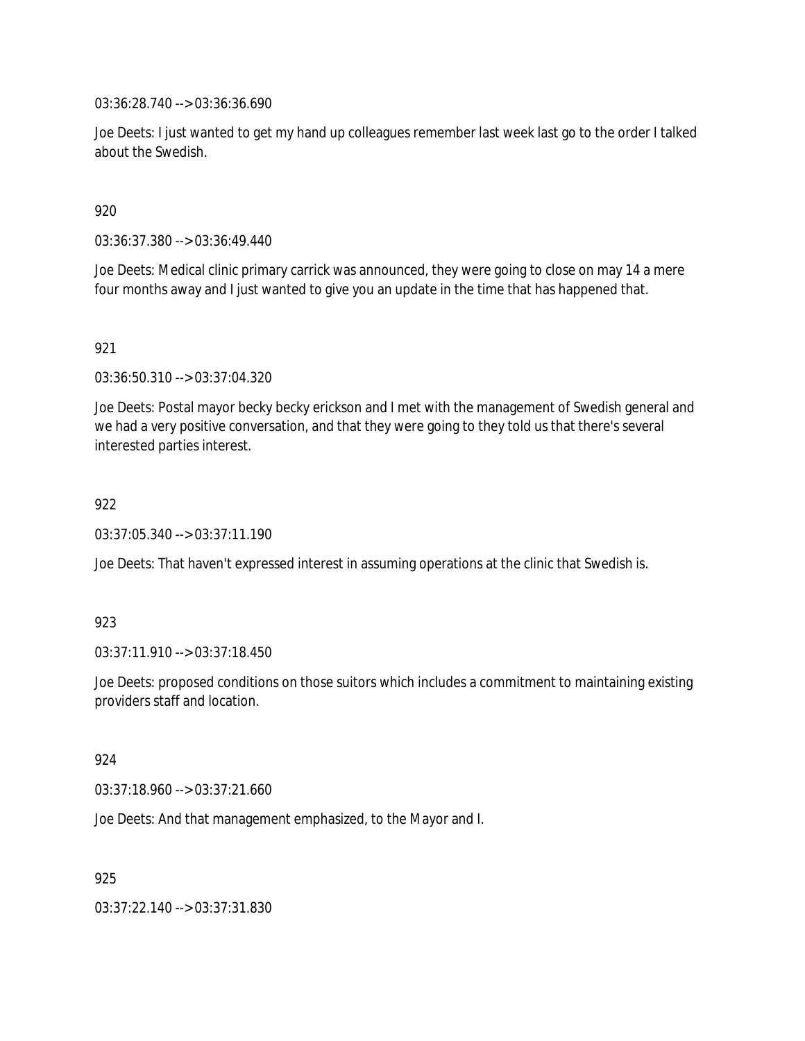03:36:28.740 --> 03:36:36.690

Joe Deets: I just wanted to get my hand up colleagues remember last week last go to the order I talked about the Swedish.

920

03:36:37.380 --> 03:36:49.440

Joe Deets: Medical clinic primary carrick was announced, they were going to close on may 14 a mere four months away and I just wanted to give you an update in the time that has happened that.

921

03:36:50.310 --> 03:37:04.320

Joe Deets: Postal mayor becky becky erickson and I met with the management of Swedish general and we had a very positive conversation, and that they were going to they told us that there's several interested parties interest.

922

03:37:05.340 --> 03:37:11.190

Joe Deets: That haven't expressed interest in assuming operations at the clinic that Swedish is.

923

03:37:11.910 --> 03:37:18.450

Joe Deets: proposed conditions on those suitors which includes a commitment to maintaining existing providers staff and location.

924

03:37:18.960 --> 03:37:21.660

Joe Deets: And that management emphasized, to the Mayor and I.

925

03:37:22.140 --> 03:37:31.830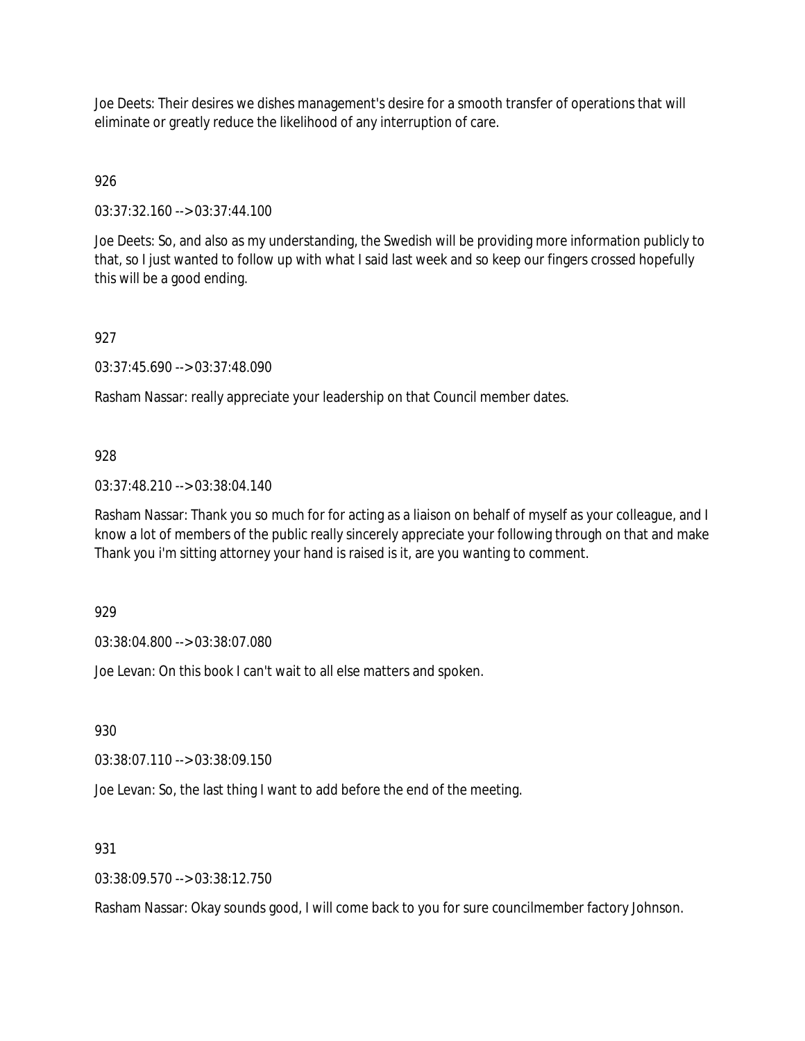Joe Deets: Their desires we dishes management's desire for a smooth transfer of operations that will eliminate or greatly reduce the likelihood of any interruption of care.

926

03:37:32.160 --> 03:37:44.100

Joe Deets: So, and also as my understanding, the Swedish will be providing more information publicly to that, so I just wanted to follow up with what I said last week and so keep our fingers crossed hopefully this will be a good ending.

927

03:37:45.690 --> 03:37:48.090

Rasham Nassar: really appreciate your leadership on that Council member dates.

## 928

03:37:48.210 --> 03:38:04.140

Rasham Nassar: Thank you so much for for acting as a liaison on behalf of myself as your colleague, and I know a lot of members of the public really sincerely appreciate your following through on that and make Thank you i'm sitting attorney your hand is raised is it, are you wanting to comment.

929

03:38:04.800 --> 03:38:07.080

Joe Levan: On this book I can't wait to all else matters and spoken.

930

03:38:07.110 --> 03:38:09.150

Joe Levan: So, the last thing I want to add before the end of the meeting.

931

03:38:09.570 --> 03:38:12.750

Rasham Nassar: Okay sounds good, I will come back to you for sure councilmember factory Johnson.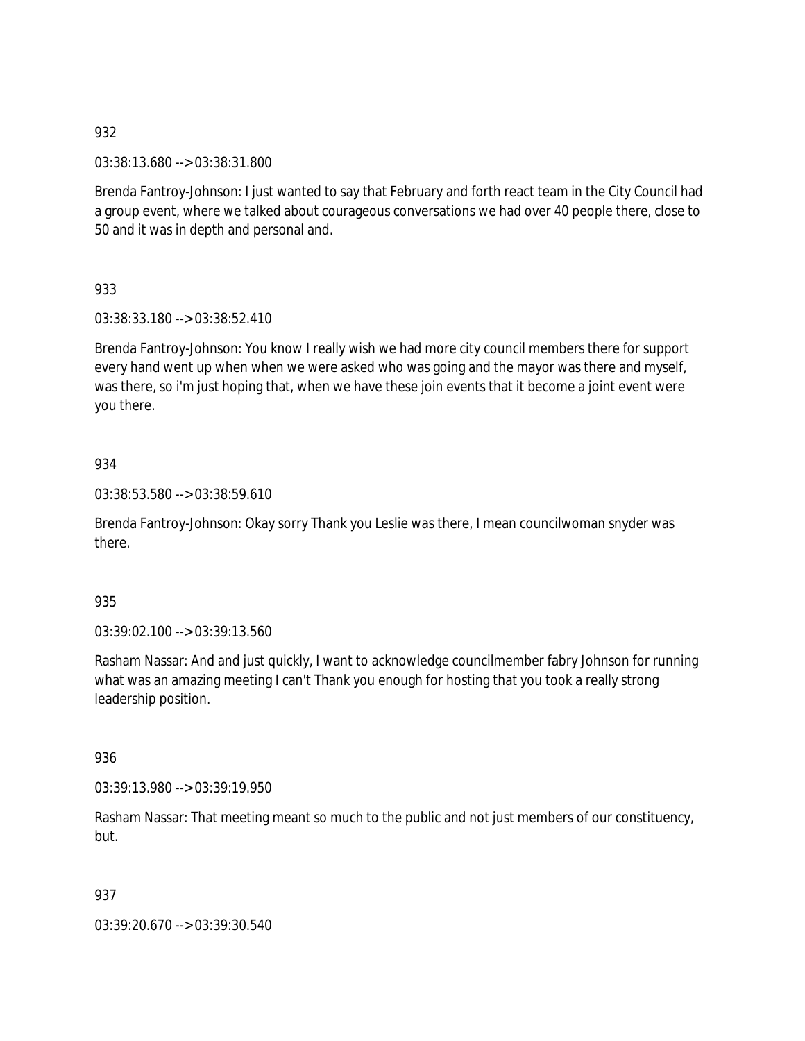03:38:13.680 --> 03:38:31.800

Brenda Fantroy-Johnson: I just wanted to say that February and forth react team in the City Council had a group event, where we talked about courageous conversations we had over 40 people there, close to 50 and it was in depth and personal and.

933

03:38:33.180 --> 03:38:52.410

Brenda Fantroy-Johnson: You know I really wish we had more city council members there for support every hand went up when when we were asked who was going and the mayor was there and myself, was there, so i'm just hoping that, when we have these join events that it become a joint event were you there.

## 934

03:38:53.580 --> 03:38:59.610

Brenda Fantroy-Johnson: Okay sorry Thank you Leslie was there, I mean councilwoman snyder was there.

#### 935

03:39:02.100 --> 03:39:13.560

Rasham Nassar: And and just quickly, I want to acknowledge councilmember fabry Johnson for running what was an amazing meeting I can't Thank you enough for hosting that you took a really strong leadership position.

#### 936

03:39:13.980 --> 03:39:19.950

Rasham Nassar: That meeting meant so much to the public and not just members of our constituency, but.

937

03:39:20.670 --> 03:39:30.540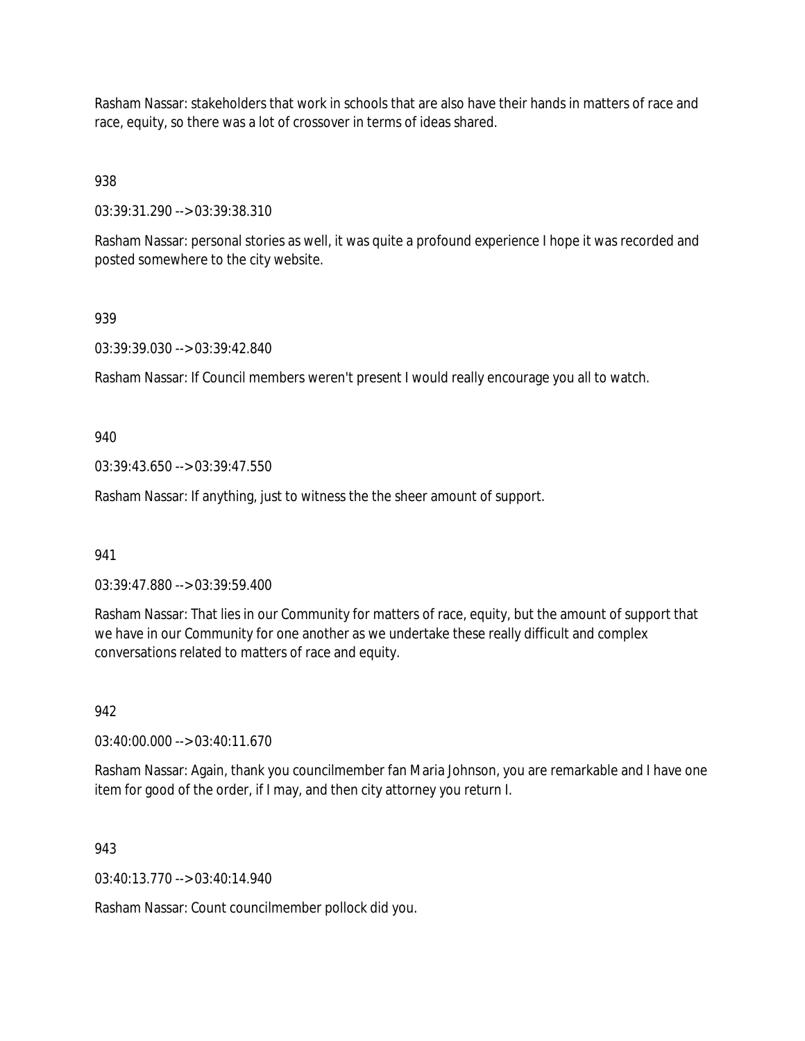Rasham Nassar: stakeholders that work in schools that are also have their hands in matters of race and race, equity, so there was a lot of crossover in terms of ideas shared.

938

03:39:31.290 --> 03:39:38.310

Rasham Nassar: personal stories as well, it was quite a profound experience I hope it was recorded and posted somewhere to the city website.

### 939

03:39:39.030 --> 03:39:42.840

Rasham Nassar: If Council members weren't present I would really encourage you all to watch.

940

03:39:43.650 --> 03:39:47.550

Rasham Nassar: If anything, just to witness the the sheer amount of support.

941

03:39:47.880 --> 03:39:59.400

Rasham Nassar: That lies in our Community for matters of race, equity, but the amount of support that we have in our Community for one another as we undertake these really difficult and complex conversations related to matters of race and equity.

## 942

03:40:00.000 --> 03:40:11.670

Rasham Nassar: Again, thank you councilmember fan Maria Johnson, you are remarkable and I have one item for good of the order, if I may, and then city attorney you return I.

943

 $03:40:13:770 \rightarrow 03:40:14.940$ 

Rasham Nassar: Count councilmember pollock did you.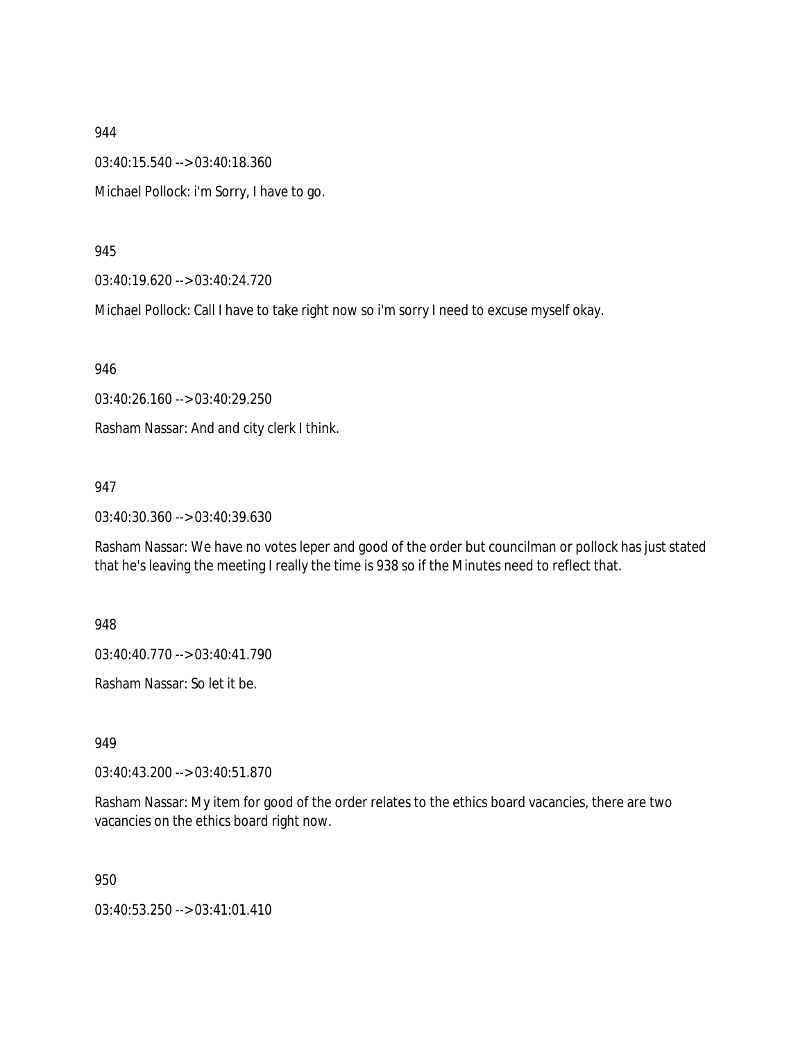03:40:15.540 --> 03:40:18.360

Michael Pollock: i'm Sorry, I have to go.

945

03:40:19.620 --> 03:40:24.720

Michael Pollock: Call I have to take right now so i'm sorry I need to excuse myself okay.

946

03:40:26.160 --> 03:40:29.250

Rasham Nassar: And and city clerk I think.

947

03:40:30.360 --> 03:40:39.630

Rasham Nassar: We have no votes leper and good of the order but councilman or pollock has just stated that he's leaving the meeting I really the time is 938 so if the Minutes need to reflect that.

948

03:40:40.770 --> 03:40:41.790

Rasham Nassar: So let it be.

949

03:40:43.200 --> 03:40:51.870

Rasham Nassar: My item for good of the order relates to the ethics board vacancies, there are two vacancies on the ethics board right now.

950

03:40:53.250 --> 03:41:01.410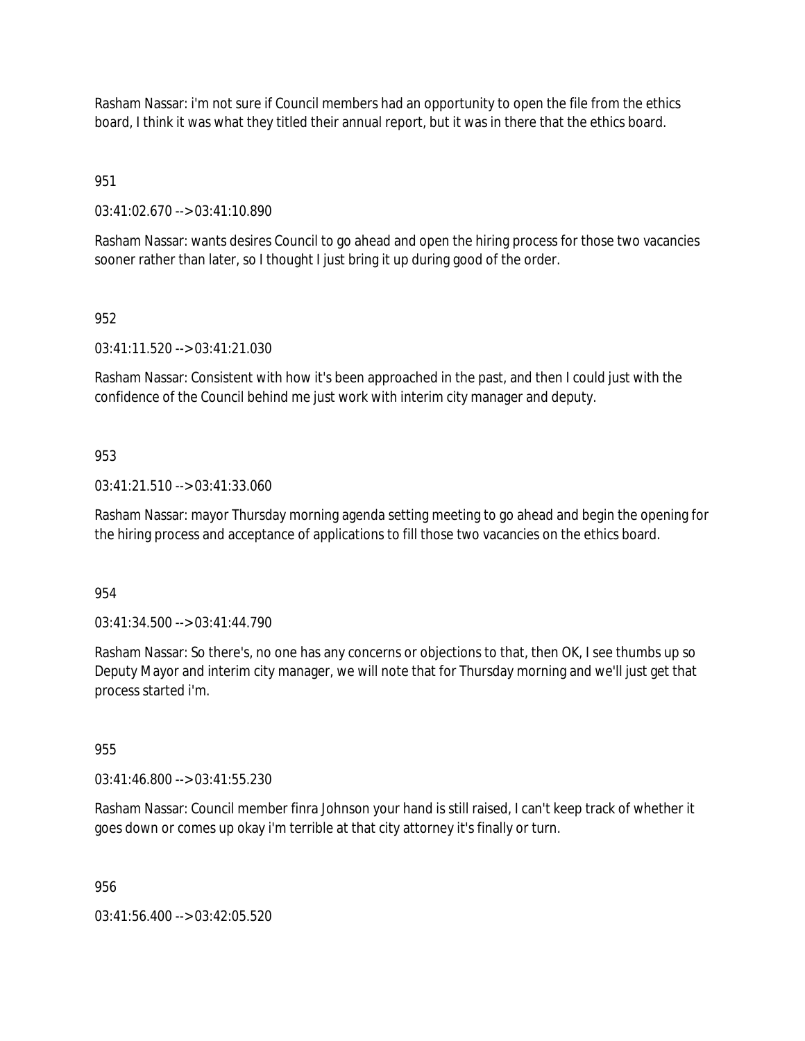Rasham Nassar: i'm not sure if Council members had an opportunity to open the file from the ethics board, I think it was what they titled their annual report, but it was in there that the ethics board.

951

03:41:02.670 --> 03:41:10.890

Rasham Nassar: wants desires Council to go ahead and open the hiring process for those two vacancies sooner rather than later, so I thought I just bring it up during good of the order.

## 952

03:41:11.520 --> 03:41:21.030

Rasham Nassar: Consistent with how it's been approached in the past, and then I could just with the confidence of the Council behind me just work with interim city manager and deputy.

# 953

### 03:41:21.510 --> 03:41:33.060

Rasham Nassar: mayor Thursday morning agenda setting meeting to go ahead and begin the opening for the hiring process and acceptance of applications to fill those two vacancies on the ethics board.

954

03:41:34.500 --> 03:41:44.790

Rasham Nassar: So there's, no one has any concerns or objections to that, then OK, I see thumbs up so Deputy Mayor and interim city manager, we will note that for Thursday morning and we'll just get that process started i'm.

955

03:41:46.800 --> 03:41:55.230

Rasham Nassar: Council member finra Johnson your hand is still raised, I can't keep track of whether it goes down or comes up okay i'm terrible at that city attorney it's finally or turn.

956

 $03:41:56.400 \rightarrow 03:42:05.520$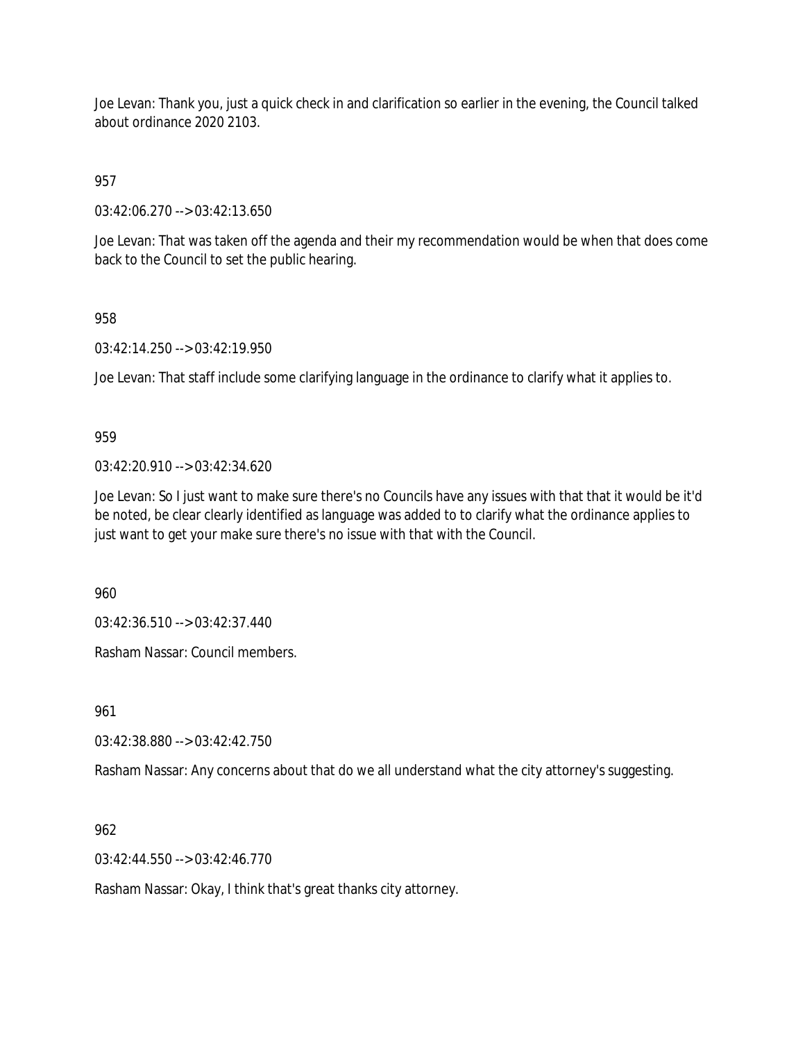Joe Levan: Thank you, just a quick check in and clarification so earlier in the evening, the Council talked about ordinance 2020 2103.

957

03:42:06.270 --> 03:42:13.650

Joe Levan: That was taken off the agenda and their my recommendation would be when that does come back to the Council to set the public hearing.

958

03:42:14.250 --> 03:42:19.950

Joe Levan: That staff include some clarifying language in the ordinance to clarify what it applies to.

959

03:42:20.910 --> 03:42:34.620

Joe Levan: So I just want to make sure there's no Councils have any issues with that that it would be it'd be noted, be clear clearly identified as language was added to to clarify what the ordinance applies to just want to get your make sure there's no issue with that with the Council.

960

03:42:36.510 --> 03:42:37.440

Rasham Nassar: Council members.

961

03:42:38.880 --> 03:42:42.750

Rasham Nassar: Any concerns about that do we all understand what the city attorney's suggesting.

962

03:42:44.550 --> 03:42:46.770

Rasham Nassar: Okay, I think that's great thanks city attorney.